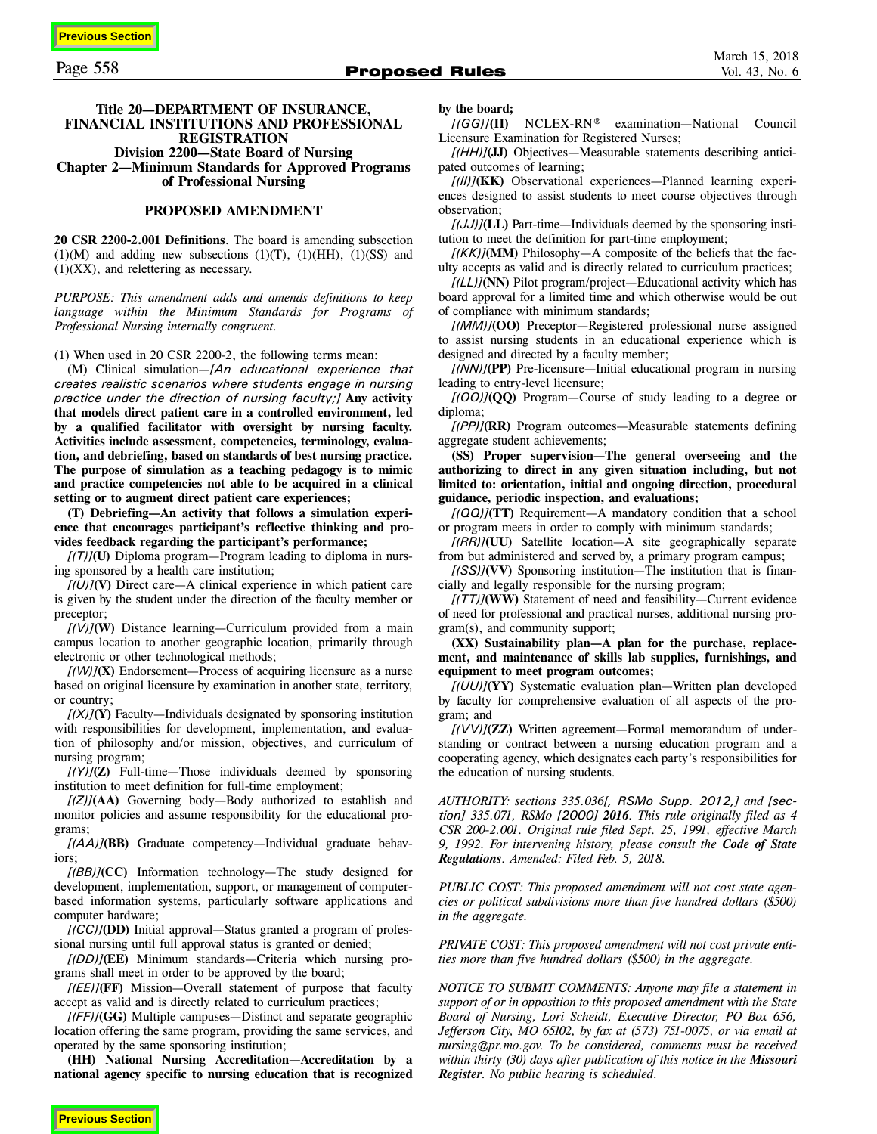**Previous Section**

# **Title 20—DEPARTMENT OF INSURANCE, FINANCIAL INSTITUTIONS AND PROFESSIONAL REGISTRATION Division 2200—State Board of Nursing Chapter 2—Minimum Standards for Approved Programs of Professional Nursing**

#### **PROPOSED AMENDMENT**

**20 CSR 2200-2.001 Definitions**. The board is amending subsection  $(1)(M)$  and adding new subsections  $(1)(T)$ ,  $(1)(HH)$ ,  $(1)(SS)$  and  $(1)(XX)$ , and relettering as necessary.

*PURPOSE: This amendment adds and amends definitions to keep language within the Minimum Standards for Programs of Professional Nursing internally congruent.* 

(1) When used in 20 CSR 2200-2, the following terms mean:

(M) Clinical simulation—*[An educational experience that creates realistic scenarios where students engage in nursing practice under the direction of nursing faculty;]* **Any activity that models direct patient care in a controlled environment, led by a qualified facilitator with oversight by nursing faculty. Activities include assessment, competencies, terminology, evaluation, and debriefing, based on standards of best nursing practice. The purpose of simulation as a teaching pedagogy is to mimic and practice competencies not able to be acquired in a clinical setting or to augment direct patient care experiences;** 

**(T) Debriefing—An activity that follows a simulation experience that encourages participant's reflective thinking and provides feedback regarding the participant's performance;** 

*[(T)]***(U)** Diploma program—Program leading to diploma in nursing sponsored by a health care institution;

 $[(U)]$ **(V)** Direct care—A clinical experience in which patient care is given by the student under the direction of the faculty member or preceptor;

*[(V)]***(W)** Distance learning—Curriculum provided from a main campus location to another geographic location, primarily through electronic or other technological methods;

 $[(W)]$ **(X)** Endorsement—Process of acquiring licensure as a nurse based on original licensure by examination in another state, territory, or country;

*[(X)]***(Y)** Faculty—Individuals designated by sponsoring institution with responsibilities for development, implementation, and evaluation of philosophy and/or mission, objectives, and curriculum of nursing program;

*[(Y)]***(Z)** Full-time—Those individuals deemed by sponsoring institution to meet definition for full-time employment;

*[(Z)]***(AA)** Governing body—Body authorized to establish and monitor policies and assume responsibility for the educational programs;

*[(AA)]***(BB)** Graduate competency—Individual graduate behaviors;

*[(BB)]***(CC)** Information technology—The study designed for development, implementation, support, or management of computerbased information systems, particularly software applications and computer hardware;

*[(CC)]***(DD)** Initial approval—Status granted a program of professional nursing until full approval status is granted or denied;

*[(DD)]***(EE)** Minimum standards—Criteria which nursing programs shall meet in order to be approved by the board;

*[(EE)]***(FF)** Mission—Overall statement of purpose that faculty accept as valid and is directly related to curriculum practices;

*[(FF)]***(GG)** Multiple campuses—Distinct and separate geographic location offering the same program, providing the same services, and operated by the same sponsoring institution;

**(HH) National Nursing Accreditation—Accreditation by a national agency specific to nursing education that is recognized**

#### **by the board;**

*[(GG)]***(II)** NCLEX-RN® examination—National Council Licensure Examination for Registered Nurses;

*[(HH)]***(JJ)** Objectives—Measurable statements describing anticipated outcomes of learning;

*[(II)]***(KK)** Observational experiences—Planned learning experiences designed to assist students to meet course objectives through observation;

*[(JJ)]***(LL)** Part-time—Individuals deemed by the sponsoring institution to meet the definition for part-time employment;

*[(KK)]***(MM)** Philosophy—A composite of the beliefs that the faculty accepts as valid and is directly related to curriculum practices;

*[(LL)]***(NN)** Pilot program/project—Educational activity which has board approval for a limited time and which otherwise would be out of compliance with minimum standards;

*[(MM)]***(OO)** Preceptor—Registered professional nurse assigned to assist nursing students in an educational experience which is designed and directed by a faculty member;

*[(NN)]***(PP)** Pre-licensure—Initial educational program in nursing leading to entry-level licensure;

*[(OO)]***(QQ)** Program—Course of study leading to a degree or diploma;

*[(PP)]***(RR)** Program outcomes—Measurable statements defining aggregate student achievements;

**(SS) Proper supervision—The general overseeing and the authorizing to direct in any given situation including, but not limited to: orientation, initial and ongoing direction, procedural guidance, periodic inspection, and evaluations;**

*[(QQ)]***(TT)** Requirement—A mandatory condition that a school or program meets in order to comply with minimum standards;

*[(RR)]***(UU)** Satellite location—A site geographically separate from but administered and served by, a primary program campus;

*[(SS)]***(VV)** Sponsoring institution—The institution that is financially and legally responsible for the nursing program;

*[(TT)]***(WW)** Statement of need and feasibility—Current evidence of need for professional and practical nurses, additional nursing program(s), and community support;

**(XX) Sustainability plan—A plan for the purchase, replacement, and maintenance of skills lab supplies, furnishings, and equipment to meet program outcomes;** 

*[(UU)]***(YY)** Systematic evaluation plan—Written plan developed by faculty for comprehensive evaluation of all aspects of the program; and

*[(VV)]***(ZZ)** Written agreement—Formal memorandum of understanding or contract between a nursing education program and a cooperating agency, which designates each party's responsibilities for the education of nursing students.

*AUTHORITY: sections 335.036[, RSMo Supp. 2012,] and [section] 335.071, RSMo [2000] 2016. This rule originally filed as 4 CSR 200-2.001. Original rule filed Sept. 25, 1991, effective March 9, 1992. For intervening history, please consult the Code of State Regulations. Amended: Filed Feb. 5, 2018.*

*PUBLIC COST: This proposed amendment will not cost state agencies or political subdivisions more than five hundred dollars (\$500) in the aggregate.*

*PRIVATE COST: This proposed amendment will not cost private entities more than five hundred dollars (\$500) in the aggregate.*

*NOTICE TO SUBMIT COMMENTS: Anyone may file a statement in support of or in opposition to this proposed amendment with the State Board of Nursing, Lori Scheidt, Executive Director, PO Box 656, Jefferson City, MO 65102, by fax at (573) 751-0075, or via email at nursing@pr.mo.gov. To be considered, comments must be received within thirty (30) days after publication of this notice in the Missouri Register. No public hearing is scheduled.*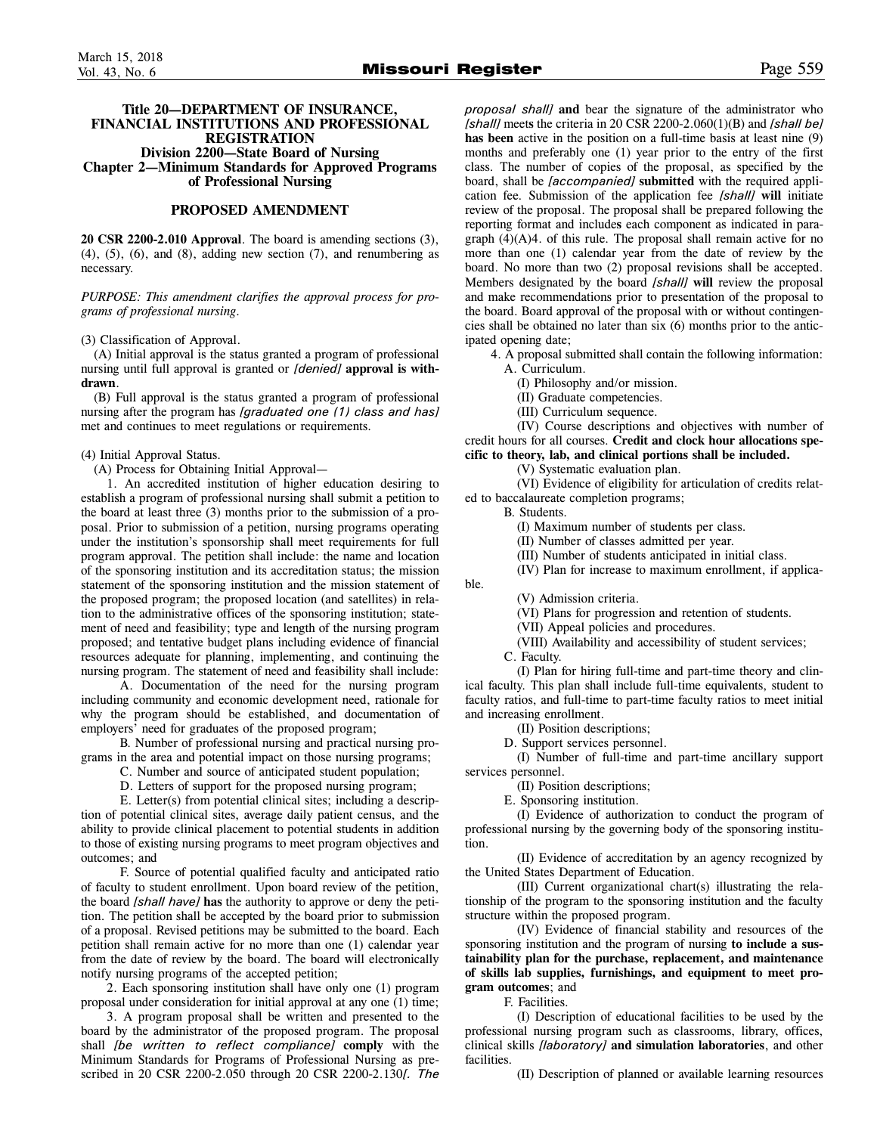# **Title 20—DEPARTMENT OF INSURANCE, FINANCIAL INSTITUTIONS AND PROFESSIONAL REGISTRATION Division 2200—State Board of Nursing Chapter 2—Minimum Standards for Approved Programs of Professional Nursing**

### **PROPOSED AMENDMENT**

**20 CSR 2200-2.010 Approval**. The board is amending sections (3),  $(4)$ ,  $(5)$ ,  $(6)$ , and  $(8)$ , adding new section  $(7)$ , and renumbering as necessary.

*PURPOSE: This amendment clarifies the approval process for programs of professional nursing.* 

(3) Classification of Approval.

(A) Initial approval is the status granted a program of professional nursing until full approval is granted or *[denied]* **approval is withdrawn**.

(B) Full approval is the status granted a program of professional nursing after the program has *[graduated one (1) class and has]* met and continues to meet regulations or requirements.

#### (4) Initial Approval Status.

(A) Process for Obtaining Initial Approval—

1. An accredited institution of higher education desiring to establish a program of professional nursing shall submit a petition to the board at least three (3) months prior to the submission of a proposal. Prior to submission of a petition, nursing programs operating under the institution's sponsorship shall meet requirements for full program approval. The petition shall include: the name and location of the sponsoring institution and its accreditation status; the mission statement of the sponsoring institution and the mission statement of the proposed program; the proposed location (and satellites) in relation to the administrative offices of the sponsoring institution; statement of need and feasibility; type and length of the nursing program proposed; and tentative budget plans including evidence of financial resources adequate for planning, implementing, and continuing the nursing program. The statement of need and feasibility shall include:

A. Documentation of the need for the nursing program including community and economic development need, rationale for why the program should be established, and documentation of employers' need for graduates of the proposed program;

B. Number of professional nursing and practical nursing programs in the area and potential impact on those nursing programs;

- C. Number and source of anticipated student population;
- D. Letters of support for the proposed nursing program;

E. Letter(s) from potential clinical sites; including a description of potential clinical sites, average daily patient census, and the ability to provide clinical placement to potential students in addition to those of existing nursing programs to meet program objectives and outcomes; and

F. Source of potential qualified faculty and anticipated ratio of faculty to student enrollment. Upon board review of the petition, the board *[shall have]* **has** the authority to approve or deny the petition. The petition shall be accepted by the board prior to submission of a proposal. Revised petitions may be submitted to the board. Each petition shall remain active for no more than one (1) calendar year from the date of review by the board. The board will electronically notify nursing programs of the accepted petition;

2. Each sponsoring institution shall have only one (1) program proposal under consideration for initial approval at any one (1) time;

3. A program proposal shall be written and presented to the board by the administrator of the proposed program. The proposal shall *[be written to reflect compliance]* **comply** with the Minimum Standards for Programs of Professional Nursing as prescribed in 20 CSR 2200-2.050 through 20 CSR 2200-2.130*[. The*

*proposal shall]* **and** bear the signature of the administrator who *[shall]* meet**s** the criteria in 20 CSR 2200-2.060(1)(B) and *[shall be]* **has been** active in the position on a full-time basis at least nine (9) months and preferably one (1) year prior to the entry of the first class. The number of copies of the proposal, as specified by the board, shall be *[accompanied]* **submitted** with the required application fee. Submission of the application fee *[shall]* **will** initiate review of the proposal. The proposal shall be prepared following the reporting format and include**s** each component as indicated in paragraph  $(4)(A)4$ . of this rule. The proposal shall remain active for no more than one (1) calendar year from the date of review by the board. No more than two (2) proposal revisions shall be accepted. Members designated by the board *[shall]* **will** review the proposal and make recommendations prior to presentation of the proposal to the board. Board approval of the proposal with or without contingencies shall be obtained no later than six (6) months prior to the anticipated opening date;

4. A proposal submitted shall contain the following information: A. Curriculum.

(I) Philosophy and/or mission.

(II) Graduate competencies.

(III) Curriculum sequence.

(IV) Course descriptions and objectives with number of credit hours for all courses. **Credit and clock hour allocations specific to theory, lab, and clinical portions shall be included.** 

(V) Systematic evaluation plan.

(VI) Evidence of eligibility for articulation of credits related to baccalaureate completion programs;

B. Students.

(I) Maximum number of students per class.

(II) Number of classes admitted per year.

(III) Number of students anticipated in initial class.

(IV) Plan for increase to maximum enrollment, if applica-

(V) Admission criteria.

(VI) Plans for progression and retention of students.

(VII) Appeal policies and procedures.

(VIII) Availability and accessibility of student services;

C. Faculty.

ble.

(I) Plan for hiring full-time and part-time theory and clinical faculty. This plan shall include full-time equivalents, student to faculty ratios, and full-time to part-time faculty ratios to meet initial and increasing enrollment.

(II) Position descriptions;

D. Support services personnel.

(I) Number of full-time and part-time ancillary support services personnel.

(II) Position descriptions;

E. Sponsoring institution.

(I) Evidence of authorization to conduct the program of professional nursing by the governing body of the sponsoring institution.

(II) Evidence of accreditation by an agency recognized by the United States Department of Education.

(III) Current organizational chart(s) illustrating the relationship of the program to the sponsoring institution and the faculty structure within the proposed program.

(IV) Evidence of financial stability and resources of the sponsoring institution and the program of nursing **to include a sustainability plan for the purchase, replacement, and maintenance of skills lab supplies, furnishings, and equipment to meet program outcomes**; and

F. Facilities.

(I) Description of educational facilities to be used by the professional nursing program such as classrooms, library, offices, clinical skills *[laboratory]* **and simulation laboratories**, and other facilities.

(II) Description of planned or available learning resources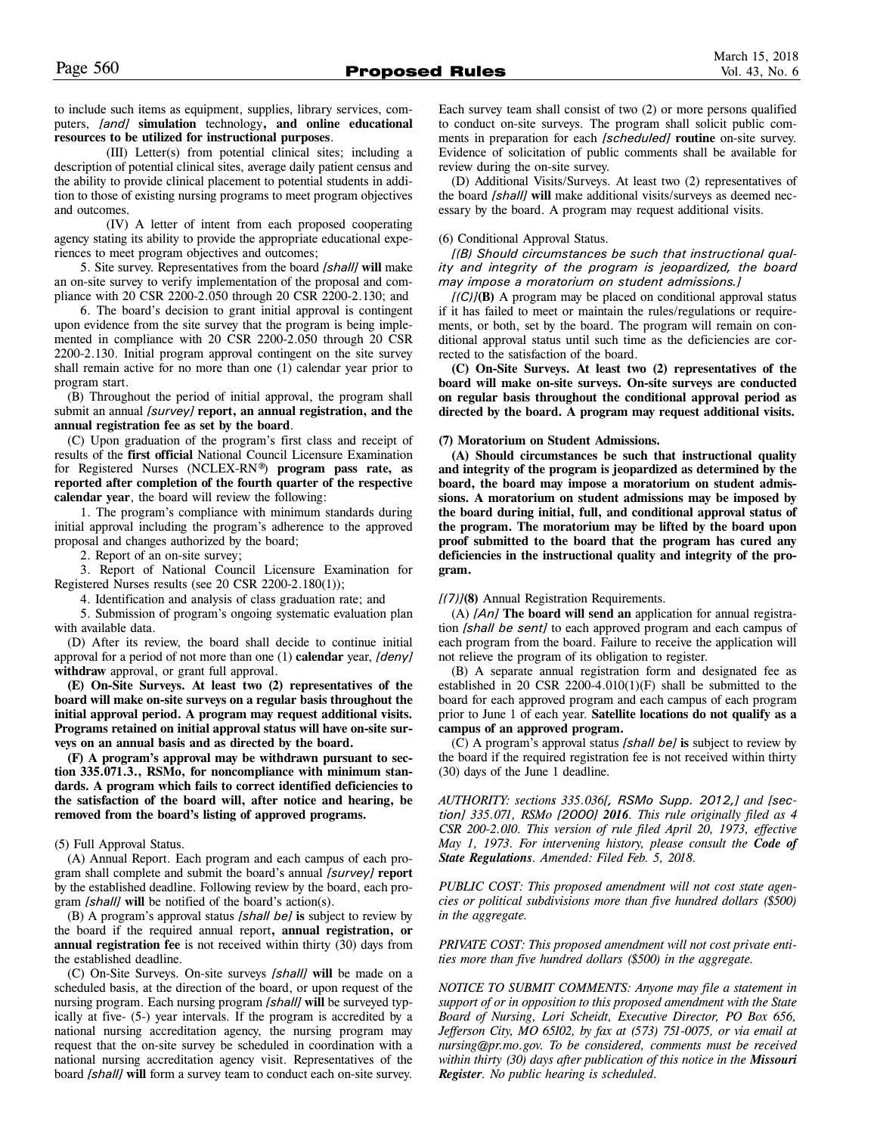to include such items as equipment, supplies, library services, computers, *[and]* **simulation** technology**, and online educational resources to be utilized for instructional purposes**.

(III) Letter(s) from potential clinical sites; including a description of potential clinical sites, average daily patient census and the ability to provide clinical placement to potential students in addition to those of existing nursing programs to meet program objectives and outcomes.

(IV) A letter of intent from each proposed cooperating agency stating its ability to provide the appropriate educational experiences to meet program objectives and outcomes;

5. Site survey. Representatives from the board *[shall]* **will** make an on-site survey to verify implementation of the proposal and compliance with 20 CSR 2200-2.050 through 20 CSR 2200-2.130; and

6. The board's decision to grant initial approval is contingent upon evidence from the site survey that the program is being implemented in compliance with 20 CSR 2200-2.050 through 20 CSR 2200-2.130. Initial program approval contingent on the site survey shall remain active for no more than one (1) calendar year prior to program start.

(B) Throughout the period of initial approval, the program shall submit an annual *[survey]* **report, an annual registration, and the annual registration fee as set by the board**.

(C) Upon graduation of the program's first class and receipt of results of the **first official** National Council Licensure Examination for Registered Nurses (NCLEX-RN®) **program pass rate, as reported after completion of the fourth quarter of the respective calendar year**, the board will review the following:

1. The program's compliance with minimum standards during initial approval including the program's adherence to the approved proposal and changes authorized by the board;

2. Report of an on-site survey;

3. Report of National Council Licensure Examination for Registered Nurses results (see 20 CSR 2200-2.180(1));

4. Identification and analysis of class graduation rate; and

5. Submission of program's ongoing systematic evaluation plan with available data.

(D) After its review, the board shall decide to continue initial approval for a period of not more than one (1) **calendar** year, *[deny]* **withdraw** approval, or grant full approval.

**(E) On-Site Surveys. At least two (2) representatives of the board will make on-site surveys on a regular basis throughout the initial approval period. A program may request additional visits. Programs retained on initial approval status will have on-site surveys on an annual basis and as directed by the board.** 

**(F) A program's approval may be withdrawn pursuant to section 335.071.3., RSMo, for noncompliance with minimum standards. A program which fails to correct identified deficiencies to the satisfaction of the board will, after notice and hearing, be removed from the board's listing of approved programs.**

# (5) Full Approval Status.

(A) Annual Report. Each program and each campus of each program shall complete and submit the board's annual *[survey]* **report** by the established deadline. Following review by the board, each program *[shall]* **will** be notified of the board's action(s).

(B) A program's approval status *[shall be]* **is** subject to review by the board if the required annual report**, annual registration, or annual registration fee** is not received within thirty (30) days from the established deadline.

(C) On-Site Surveys. On-site surveys *[shall]* **will** be made on a scheduled basis, at the direction of the board, or upon request of the nursing program. Each nursing program *[shall]* **will** be surveyed typically at five- (5-) year intervals. If the program is accredited by a national nursing accreditation agency, the nursing program may request that the on-site survey be scheduled in coordination with a national nursing accreditation agency visit. Representatives of the board *[shall]* **will** form a survey team to conduct each on-site survey.

Each survey team shall consist of two (2) or more persons qualified to conduct on-site surveys. The program shall solicit public comments in preparation for each *[scheduled]* **routine** on-site survey. Evidence of solicitation of public comments shall be available for review during the on-site survey.

(D) Additional Visits/Surveys. At least two (2) representatives of the board *[shall]* **will** make additional visits/surveys as deemed necessary by the board. A program may request additional visits.

# (6) Conditional Approval Status.

*[(B) Should circumstances be such that instructional quality and integrity of the program is jeopardized, the board may impose a moratorium on student admissions.]* 

*[(C)]***(B)** A program may be placed on conditional approval status if it has failed to meet or maintain the rules/regulations or requirements, or both, set by the board. The program will remain on conditional approval status until such time as the deficiencies are corrected to the satisfaction of the board.

**(C) On-Site Surveys. At least two (2) representatives of the board will make on-site surveys. On-site surveys are conducted on regular basis throughout the conditional approval period as directed by the board. A program may request additional visits.** 

# **(7) Moratorium on Student Admissions.**

**(A) Should circumstances be such that instructional quality and integrity of the program is jeopardized as determined by the board, the board may impose a moratorium on student admissions. A moratorium on student admissions may be imposed by the board during initial, full, and conditional approval status of the program. The moratorium may be lifted by the board upon proof submitted to the board that the program has cured any deficiencies in the instructional quality and integrity of the program.** 

# *[(7)]***(8)** Annual Registration Requirements.

(A) *[An]* **The board will send an** application for annual registration *[shall be sent]* to each approved program and each campus of each program from the board. Failure to receive the application will not relieve the program of its obligation to register.

(B) A separate annual registration form and designated fee as established in 20 CSR 2200-4.010(1)(F) shall be submitted to the board for each approved program and each campus of each program prior to June 1 of each year. **Satellite locations do not qualify as a campus of an approved program.** 

(C) A program's approval status *[shall be]* **is** subject to review by the board if the required registration fee is not received within thirty (30) days of the June 1 deadline.

*AUTHORITY: sections 335.036[, RSMo Supp. 2012,] and [section] 335.071, RSMo [2000] 2016. This rule originally filed as 4 CSR 200-2.010. This version of rule filed April 20, 1973, effective May 1, 1973. For intervening history, please consult the Code of State Regulations. Amended: Filed Feb. 5, 2018.*

*PUBLIC COST: This proposed amendment will not cost state agencies or political subdivisions more than five hundred dollars (\$500) in the aggregate.*

*PRIVATE COST: This proposed amendment will not cost private entities more than five hundred dollars (\$500) in the aggregate.*

*NOTICE TO SUBMIT COMMENTS: Anyone may file a statement in support of or in opposition to this proposed amendment with the State Board of Nursing, Lori Scheidt, Executive Director, PO Box 656, Jefferson City, MO 65102, by fax at (573) 751-0075, or via email at nursing@pr.mo.gov. To be considered, comments must be received within thirty (30) days after publication of this notice in the Missouri Register. No public hearing is scheduled.*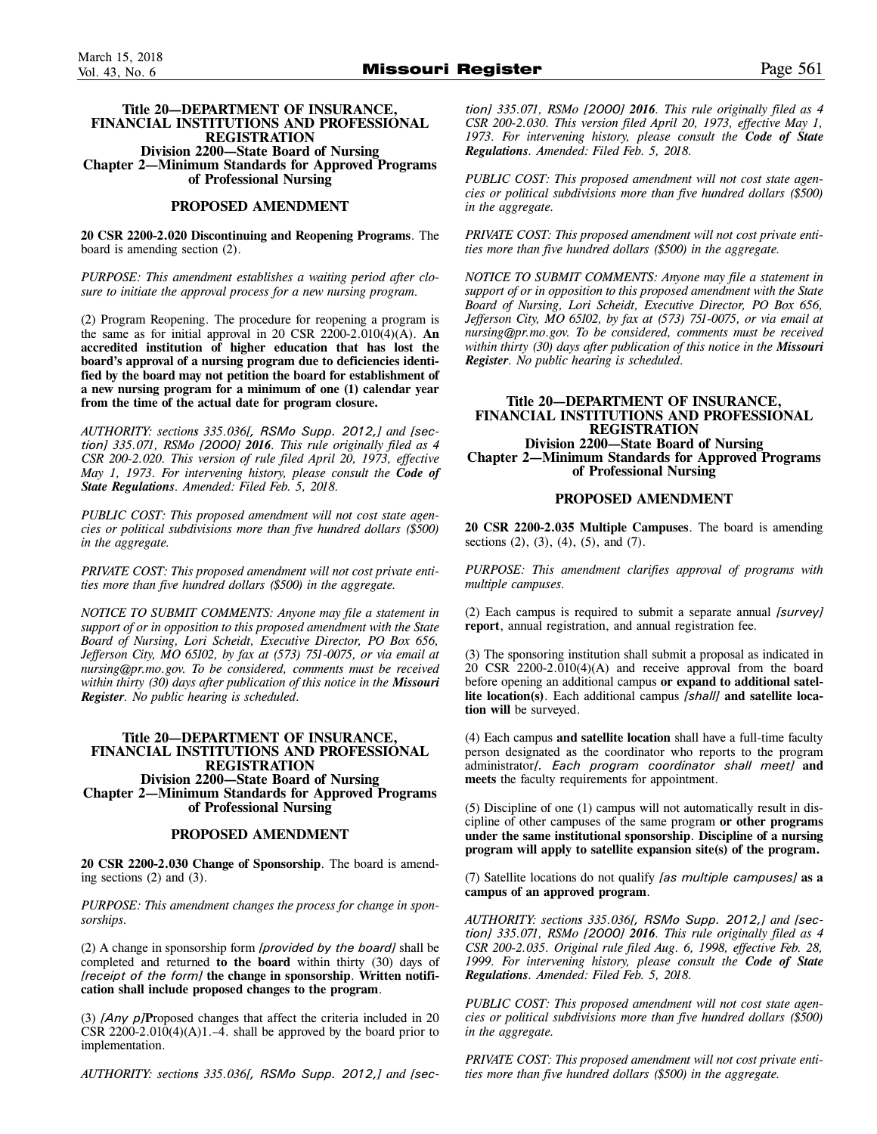#### **Title 20—DEPARTMENT OF INSURANCE, FINANCIAL INSTITUTIONS AND PROFESSIONAL REGISTRATION Division 2200—State Board of Nursing Chapter 2—Minimum Standards for Approved Programs of Professional Nursing**

#### **PROPOSED AMENDMENT**

**20 CSR 2200-2.020 Discontinuing and Reopening Programs**. The board is amending section (2).

*PURPOSE: This amendment establishes a waiting period after closure to initiate the approval process for a new nursing program.*

(2) Program Reopening. The procedure for reopening a program is the same as for initial approval in 20 CSR 2200-2.010(4)(A). **An accredited institution of higher education that has lost the board's approval of a nursing program due to deficiencies identified by the board may not petition the board for establishment of a new nursing program for a minimum of one (1) calendar year from the time of the actual date for program closure.** 

*AUTHORITY: sections 335.036[, RSMo Supp. 2012,] and [section] 335.071, RSMo [2000] 2016. This rule originally filed as 4 CSR 200-2.020. This version of rule filed April 20, 1973, effective May 1, 1973. For intervening history, please consult the Code of State Regulations. Amended: Filed Feb. 5, 2018.*

*PUBLIC COST: This proposed amendment will not cost state agencies or political subdivisions more than five hundred dollars (\$500) in the aggregate.*

*PRIVATE COST: This proposed amendment will not cost private entities more than five hundred dollars (\$500) in the aggregate.*

*NOTICE TO SUBMIT COMMENTS: Anyone may file a statement in support of or in opposition to this proposed amendment with the State Board of Nursing, Lori Scheidt, Executive Director, PO Box 656, Jefferson City, MO 65102, by fax at (573) 751-0075, or via email at nursing@pr.mo.gov. To be considered, comments must be received within thirty (30) days after publication of this notice in the Missouri Register. No public hearing is scheduled.*

#### **Title 20—DEPARTMENT OF INSURANCE, FINANCIAL INSTITUTIONS AND PROFESSIONAL REGISTRATION Division 2200—State Board of Nursing Chapter 2—Minimum Standards for Approved Programs of Professional Nursing**

#### **PROPOSED AMENDMENT**

**20 CSR 2200-2.030 Change of Sponsorship**. The board is amending sections (2) and (3).

*PURPOSE: This amendment changes the process for change in sponsorships.*

(2) A change in sponsorship form *[provided by the board]* shall be completed and returned **to the board** within thirty (30) days of *[receipt of the form]* **the change in sponsorship**. **Written notification shall include proposed changes to the program**.

(3) *[Any p]***P**roposed changes that affect the criteria included in 20 CSR  $2200-2.010(4)(A)1. -4$ . shall be approved by the board prior to implementation.

*AUTHORITY: sections 335.036[, RSMo Supp. 2012,] and [sec-*

*tion] 335.071, RSMo [2000] 2016. This rule originally filed as 4 CSR 200-2.030. This version filed April 20, 1973, effective May 1, 1973. For intervening history, please consult the Code of State Regulations. Amended: Filed Feb. 5, 2018.*

*PUBLIC COST: This proposed amendment will not cost state agencies or political subdivisions more than five hundred dollars (\$500) in the aggregate.*

*PRIVATE COST: This proposed amendment will not cost private entities more than five hundred dollars (\$500) in the aggregate.*

*NOTICE TO SUBMIT COMMENTS: Anyone may file a statement in support of or in opposition to this proposed amendment with the State Board of Nursing, Lori Scheidt, Executive Director, PO Box 656, Jefferson City, MO 65102, by fax at (573) 751-0075, or via email at nursing@pr.mo.gov. To be considered, comments must be received within thirty (30) days after publication of this notice in the Missouri Register. No public hearing is scheduled.*

#### **Title 20—DEPARTMENT OF INSURANCE, FINANCIAL INSTITUTIONS AND PROFESSIONAL REGISTRATION Division 2200—State Board of Nursing Chapter 2—Minimum Standards for Approved Programs of Professional Nursing**

#### **PROPOSED AMENDMENT**

**20 CSR 2200-2.035 Multiple Campuses**. The board is amending sections (2), (3), (4), (5), and (7).

*PURPOSE: This amendment clarifies approval of programs with multiple campuses.*

(2) Each campus is required to submit a separate annual *[survey]* **report**, annual registration, and annual registration fee.

(3) The sponsoring institution shall submit a proposal as indicated in 20 CSR 2200-2.010(4)(A) and receive approval from the board before opening an additional campus **or expand to additional satellite location(s)**. Each additional campus *[shall]* **and satellite location will** be surveyed.

(4) Each campus **and satellite location** shall have a full-time faculty person designated as the coordinator who reports to the program administrator*[. Each program coordinator shall meet]* **and meets** the faculty requirements for appointment.

(5) Discipline of one (1) campus will not automatically result in discipline of other campuses of the same program **or other programs under the same institutional sponsorship**. **Discipline of a nursing program will apply to satellite expansion site(s) of the program.** 

(7) Satellite locations do not qualify *[as multiple campuses]* **as a campus of an approved program**.

*AUTHORITY: sections 335.036[, RSMo Supp. 2012,] and [section] 335.071, RSMo [2000] 2016. This rule originally filed as 4 CSR 200-2.035. Original rule filed Aug. 6, 1998, effective Feb. 28, 1999. For intervening history, please consult the Code of State Regulations. Amended: Filed Feb. 5, 2018.*

*PUBLIC COST: This proposed amendment will not cost state agencies or political subdivisions more than five hundred dollars (\$500) in the aggregate.*

*PRIVATE COST: This proposed amendment will not cost private entities more than five hundred dollars (\$500) in the aggregate.*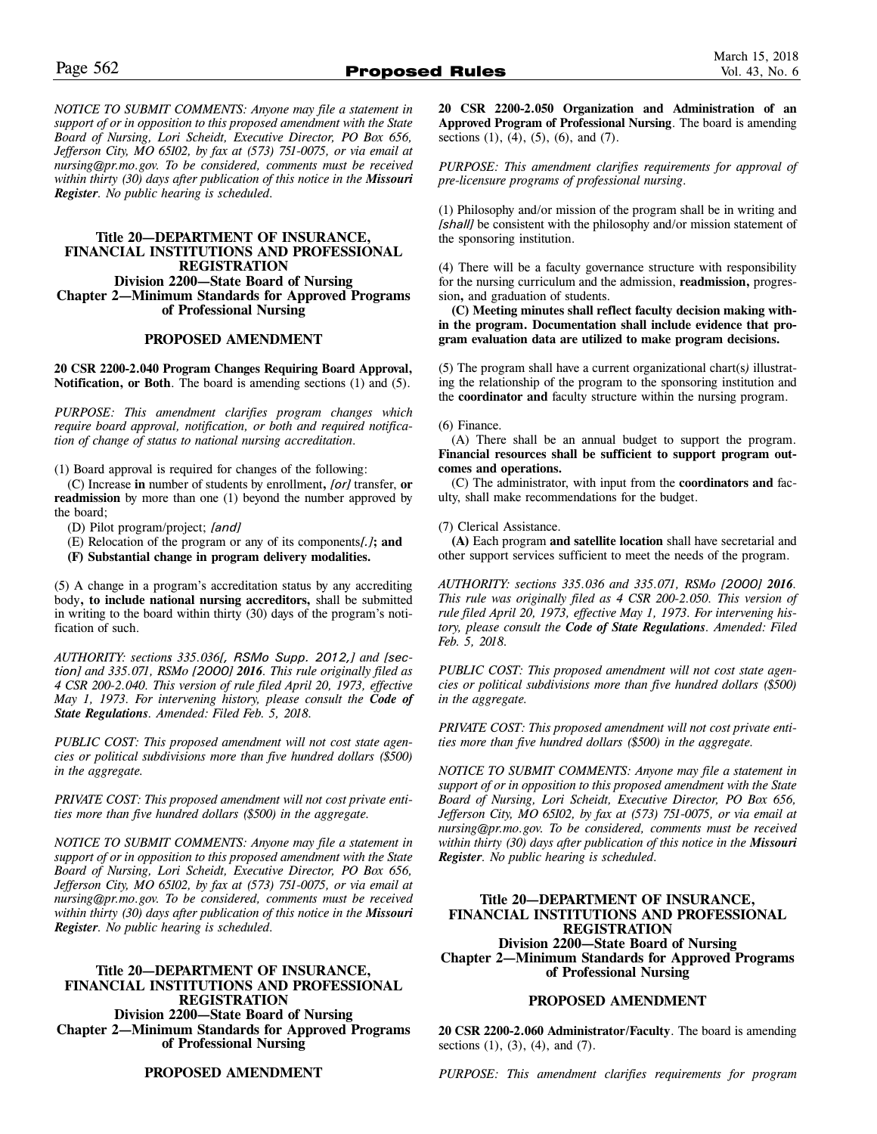*NOTICE TO SUBMIT COMMENTS: Anyone may file a statement in support of or in opposition to this proposed amendment with the State Board of Nursing, Lori Scheidt, Executive Director, PO Box 656, Jefferson City, MO 65102, by fax at (573) 751-0075, or via email at nursing@pr.mo.gov. To be considered, comments must be received within thirty (30) days after publication of this notice in the Missouri Register. No public hearing is scheduled.*

# **Title 20—DEPARTMENT OF INSURANCE, FINANCIAL INSTITUTIONS AND PROFESSIONAL REGISTRATION Division 2200—State Board of Nursing Chapter 2—Minimum Standards for Approved Programs of Professional Nursing**

#### **PROPOSED AMENDMENT**

**20 CSR 2200-2.040 Program Changes Requiring Board Approval, Notification, or Both**. The board is amending sections (1) and (5).

*PURPOSE: This amendment clarifies program changes which require board approval, notification, or both and required notification of change of status to national nursing accreditation.* 

(1) Board approval is required for changes of the following:

(C) Increase **in** number of students by enrollment**,** *[or]* transfer, **or readmission** by more than one (1) beyond the number approved by the board;

- (D) Pilot program/project; *[and]*
- (E) Relocation of the program or any of its components*[.]***; and**
- **(F) Substantial change in program delivery modalities.**

(5) A change in a program's accreditation status by any accrediting body**, to include national nursing accreditors,** shall be submitted in writing to the board within thirty (30) days of the program's notification of such.

*AUTHORITY: sections 335.036[, RSMo Supp. 2012,] and [section] and 335.071, RSMo [2000] 2016. This rule originally filed as 4 CSR 200-2.040. This version of rule filed April 20, 1973, effective May 1, 1973. For intervening history, please consult the Code of State Regulations. Amended: Filed Feb. 5, 2018.*

*PUBLIC COST: This proposed amendment will not cost state agencies or political subdivisions more than five hundred dollars (\$500) in the aggregate.*

*PRIVATE COST: This proposed amendment will not cost private entities more than five hundred dollars (\$500) in the aggregate.*

*NOTICE TO SUBMIT COMMENTS: Anyone may file a statement in support of or in opposition to this proposed amendment with the State Board of Nursing, Lori Scheidt, Executive Director, PO Box 656, Jefferson City, MO 65102, by fax at (573) 751-0075, or via email at nursing@pr.mo.gov. To be considered, comments must be received within thirty (30) days after publication of this notice in the Missouri Register. No public hearing is scheduled.*

# **Title 20—DEPARTMENT OF INSURANCE, FINANCIAL INSTITUTIONS AND PROFESSIONAL REGISTRATION Division 2200—State Board of Nursing Chapter 2—Minimum Standards for Approved Programs of Professional Nursing**

**20 CSR 2200-2.050 Organization and Administration of an Approved Program of Professional Nursing**. The board is amending sections  $(1)$ ,  $(4)$ ,  $(5)$ ,  $(6)$ , and  $(7)$ .

*PURPOSE: This amendment clarifies requirements for approval of pre-licensure programs of professional nursing.*

(1) Philosophy and/or mission of the program shall be in writing and *[shall]* be consistent with the philosophy and/or mission statement of the sponsoring institution.

(4) There will be a faculty governance structure with responsibility for the nursing curriculum and the admission, **readmission,** progression**,** and graduation of students.

**(C) Meeting minutes shall reflect faculty decision making within the program. Documentation shall include evidence that program evaluation data are utilized to make program decisions.** 

(5) The program shall have a current organizational chart(s*)* illustrating the relationship of the program to the sponsoring institution and the **coordinator and** faculty structure within the nursing program.

#### (6) Finance.

(A) There shall be an annual budget to support the program. **Financial resources shall be sufficient to support program outcomes and operations.** 

(C) The administrator, with input from the **coordinators and** faculty, shall make recommendations for the budget.

# (7) Clerical Assistance.

**(A)** Each program **and satellite location** shall have secretarial and other support services sufficient to meet the needs of the program.

*AUTHORITY: sections 335.036 and 335.071, RSMo [2000] 2016. This rule was originally filed as 4 CSR 200-2.050. This version of rule filed April 20, 1973, effective May 1, 1973. For intervening history, please consult the Code of State Regulations. Amended: Filed Feb. 5, 2018.*

*PUBLIC COST: This proposed amendment will not cost state agencies or political subdivisions more than five hundred dollars (\$500) in the aggregate.*

*PRIVATE COST: This proposed amendment will not cost private entities more than five hundred dollars (\$500) in the aggregate.*

*NOTICE TO SUBMIT COMMENTS: Anyone may file a statement in support of or in opposition to this proposed amendment with the State Board of Nursing, Lori Scheidt, Executive Director, PO Box 656, Jefferson City, MO 65102, by fax at (573) 751-0075, or via email at nursing@pr.mo.gov. To be considered, comments must be received within thirty (30) days after publication of this notice in the Missouri Register. No public hearing is scheduled.*

# **Title 20—DEPARTMENT OF INSURANCE, FINANCIAL INSTITUTIONS AND PROFESSIONAL REGISTRATION Division 2200—State Board of Nursing Chapter 2—Minimum Standards for Approved Programs**

**of Professional Nursing**

#### **PROPOSED AMENDMENT**

**20 CSR 2200-2.060 Administrator/Faculty**. The board is amending sections (1), (3), (4), and (7).

**PROPOSED AMENDMENT**

*PURPOSE: This amendment clarifies requirements for program*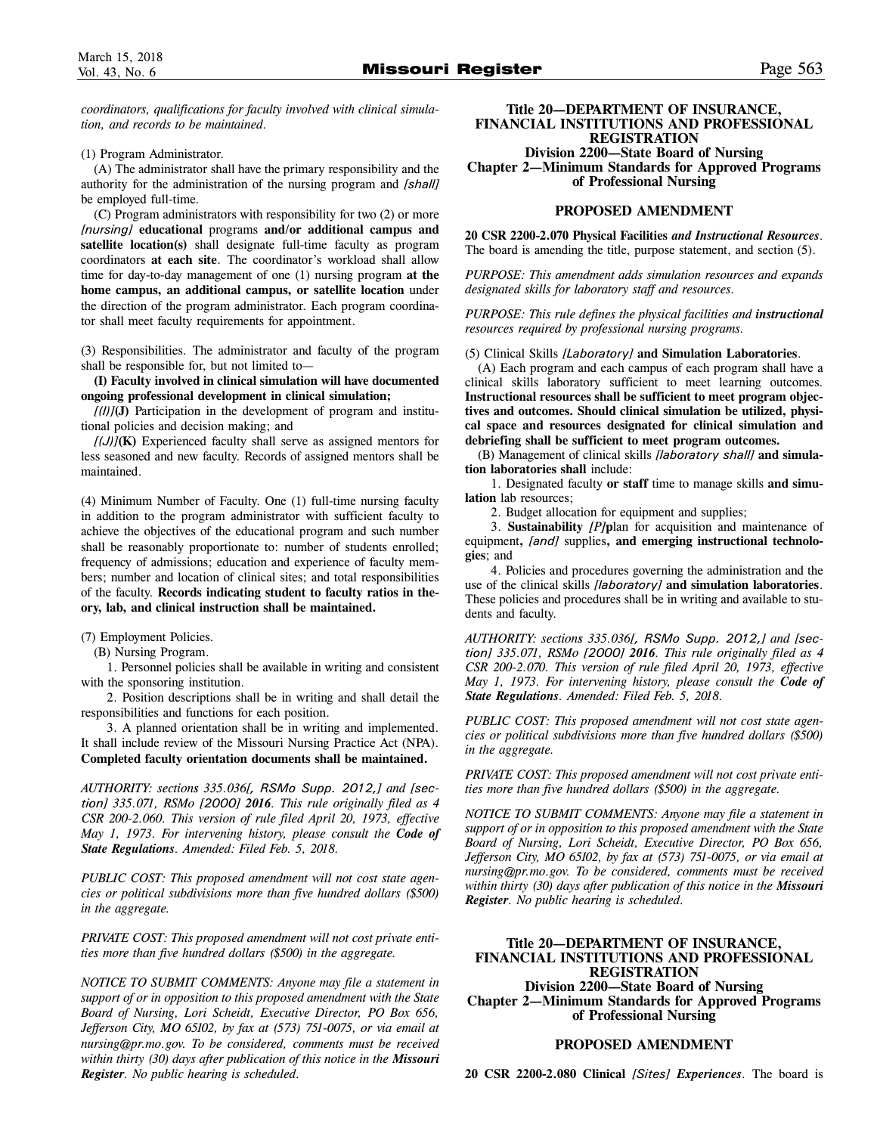*coordinators, qualifications for faculty involved with clinical simulation, and records to be maintained.*

(1) Program Administrator.

(A) The administrator shall have the primary responsibility and the authority for the administration of the nursing program and *[shall]* be employed full-time.

(C) Program administrators with responsibility for two (2) or more *[nursing]* **educational** programs **and/or additional campus and satellite location(s)** shall designate full-time faculty as program coordinators **at each site**. The coordinator's workload shall allow time for day-to-day management of one (1) nursing program **at the home campus, an additional campus, or satellite location** under the direction of the program administrator. Each program coordinator shall meet faculty requirements for appointment.

(3) Responsibilities. The administrator and faculty of the program shall be responsible for, but not limited to—

**(I) Faculty involved in clinical simulation will have documented ongoing professional development in clinical simulation;** 

 $[(1)]$ **(J)** Participation in the development of program and institutional policies and decision making; and

*[(J)]***(K)** Experienced faculty shall serve as assigned mentors for less seasoned and new faculty. Records of assigned mentors shall be maintained.

(4) Minimum Number of Faculty. One (1) full-time nursing faculty in addition to the program administrator with sufficient faculty to achieve the objectives of the educational program and such number shall be reasonably proportionate to: number of students enrolled; frequency of admissions; education and experience of faculty members; number and location of clinical sites; and total responsibilities of the faculty. **Records indicating student to faculty ratios in theory, lab, and clinical instruction shall be maintained.** 

(7) Employment Policies.

(B) Nursing Program.

1. Personnel policies shall be available in writing and consistent with the sponsoring institution.

2. Position descriptions shall be in writing and shall detail the responsibilities and functions for each position.

3. A planned orientation shall be in writing and implemented. It shall include review of the Missouri Nursing Practice Act (NPA). **Completed faculty orientation documents shall be maintained.** 

*AUTHORITY: sections 335.036[, RSMo Supp. 2012,] and [section] 335.071, RSMo [2000] 2016. This rule originally filed as 4 CSR 200-2.060. This version of rule filed April 20, 1973, effective May 1, 1973. For intervening history, please consult the Code of State Regulations. Amended: Filed Feb. 5, 2018.*

*PUBLIC COST: This proposed amendment will not cost state agencies or political subdivisions more than five hundred dollars (\$500) in the aggregate.*

*PRIVATE COST: This proposed amendment will not cost private entities more than five hundred dollars (\$500) in the aggregate.*

*NOTICE TO SUBMIT COMMENTS: Anyone may file a statement in support of or in opposition to this proposed amendment with the State Board of Nursing, Lori Scheidt, Executive Director, PO Box 656, Jefferson City, MO 65102, by fax at (573) 751-0075, or via email at nursing@pr.mo.gov. To be considered, comments must be received within thirty (30) days after publication of this notice in the Missouri Register. No public hearing is scheduled.*

**Title 20—DEPARTMENT OF INSURANCE, FINANCIAL INSTITUTIONS AND PROFESSIONAL REGISTRATION Division 2200—State Board of Nursing**

**Chapter 2—Minimum Standards for Approved Programs of Professional Nursing**

## **PROPOSED AMENDMENT**

**20 CSR 2200-2.070 Physical Facilities** *and Instructional Resources*. The board is amending the title, purpose statement, and section (5).

*PURPOSE: This amendment adds simulation resources and expands designated skills for laboratory staff and resources.*

*PURPOSE: This rule defines the physical facilities and instructional resources required by professional nursing programs.*

(5) Clinical Skills *[Laboratory]* **and Simulation Laboratories**.

(A) Each program and each campus of each program shall have a clinical skills laboratory sufficient to meet learning outcomes. **Instructional resources shall be sufficient to meet program objectives and outcomes. Should clinical simulation be utilized, physical space and resources designated for clinical simulation and debriefing shall be sufficient to meet program outcomes.** 

(B) Management of clinical skills *[laboratory shall]* **and simulation laboratories shall** include:

1. Designated faculty **or staff** time to manage skills **and simulation** lab resources;

2. Budget allocation for equipment and supplies;

3. **Sustainability** *[P]***p**lan for acquisition and maintenance of equipment**,** *[and]* supplies**, and emerging instructional technologies**; and

4. Policies and procedures governing the administration and the use of the clinical skills *[laboratory]* **and simulation laboratories**. These policies and procedures shall be in writing and available to students and faculty.

*AUTHORITY: sections 335.036[, RSMo Supp. 2012,] and [section] 335.071, RSMo [2000] 2016. This rule originally filed as 4 CSR 200-2.070. This version of rule filed April 20, 1973, effective May 1, 1973. For intervening history, please consult the Code of State Regulations. Amended: Filed Feb. 5, 2018.*

*PUBLIC COST: This proposed amendment will not cost state agencies or political subdivisions more than five hundred dollars (\$500) in the aggregate.*

*PRIVATE COST: This proposed amendment will not cost private entities more than five hundred dollars (\$500) in the aggregate.*

*NOTICE TO SUBMIT COMMENTS: Anyone may file a statement in support of or in opposition to this proposed amendment with the State Board of Nursing, Lori Scheidt, Executive Director, PO Box 656, Jefferson City, MO 65102, by fax at (573) 751-0075, or via email at nursing@pr.mo.gov. To be considered, comments must be received within thirty (30) days after publication of this notice in the Missouri Register. No public hearing is scheduled.*

# **Title 20—DEPARTMENT OF INSURANCE, FINANCIAL INSTITUTIONS AND PROFESSIONAL REGISTRATION**

**Division 2200—State Board of Nursing Chapter 2—Minimum Standards for Approved Programs of Professional Nursing**

# **PROPOSED AMENDMENT**

**20 CSR 2200-2.080 Clinical** *[Sites] Experiences*. The board is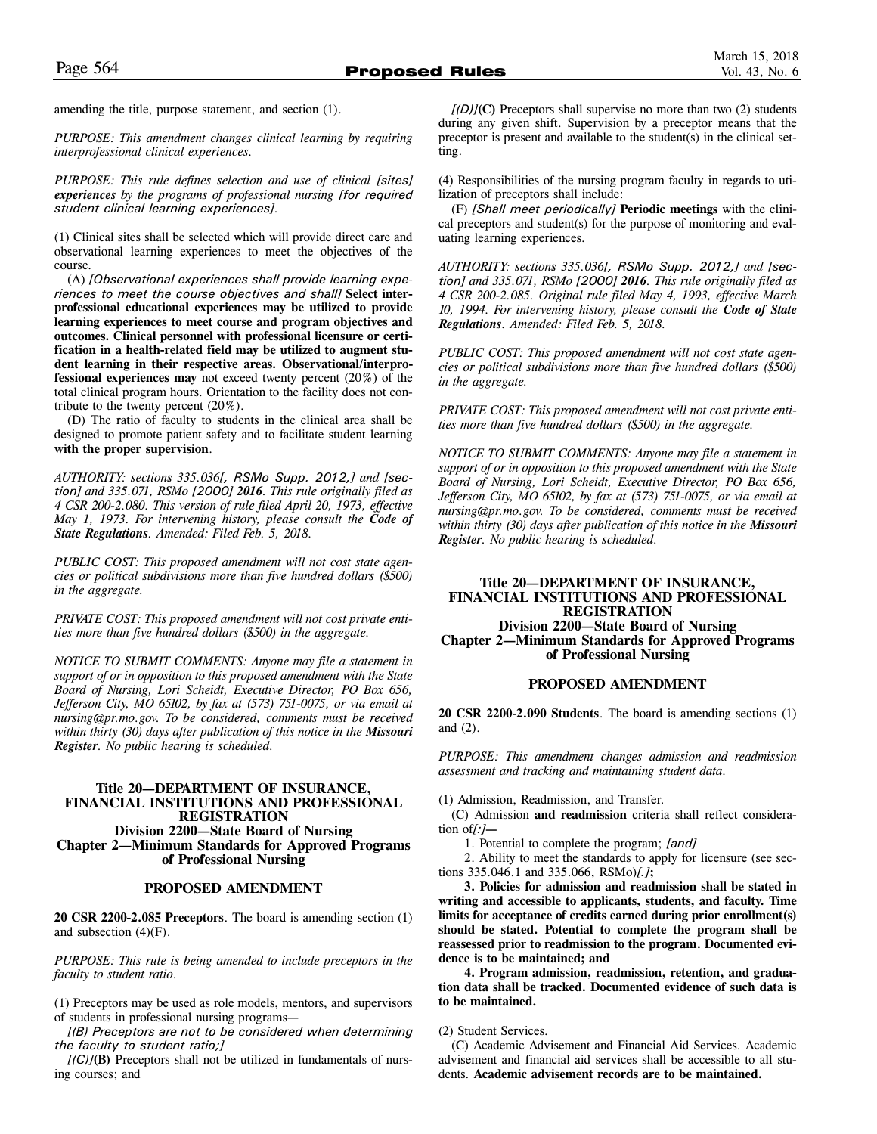amending the title, purpose statement, and section (1).

*PURPOSE: This amendment changes clinical learning by requiring interprofessional clinical experiences.*

*PURPOSE: This rule defines selection and use of clinical [sites] experiences by the programs of professional nursing [for required student clinical learning experiences].*

(1) Clinical sites shall be selected which will provide direct care and observational learning experiences to meet the objectives of the course.

(A) *[Observational experiences shall provide learning experiences to meet the course objectives and shall]* **Select interprofessional educational experiences may be utilized to provide learning experiences to meet course and program objectives and outcomes. Clinical personnel with professional licensure or certification in a health-related field may be utilized to augment student learning in their respective areas. Observational/interprofessional experiences may** not exceed twenty percent (20%) of the total clinical program hours. Orientation to the facility does not contribute to the twenty percent  $(20\%)$ .

(D) The ratio of faculty to students in the clinical area shall be designed to promote patient safety and to facilitate student learning **with the proper supervision**.

*AUTHORITY: sections 335.036[, RSMo Supp. 2012,] and [section] and 335.071, RSMo [2000] 2016. This rule originally filed as 4 CSR 200-2.080. This version of rule filed April 20, 1973, effective May 1, 1973. For intervening history, please consult the Code of State Regulations. Amended: Filed Feb. 5, 2018.*

*PUBLIC COST: This proposed amendment will not cost state agencies or political subdivisions more than five hundred dollars (\$500) in the aggregate.*

*PRIVATE COST: This proposed amendment will not cost private entities more than five hundred dollars (\$500) in the aggregate.*

*NOTICE TO SUBMIT COMMENTS: Anyone may file a statement in support of or in opposition to this proposed amendment with the State Board of Nursing, Lori Scheidt, Executive Director, PO Box 656, Jefferson City, MO 65102, by fax at (573) 751-0075, or via email at nursing@pr.mo.gov. To be considered, comments must be received within thirty (30) days after publication of this notice in the Missouri Register. No public hearing is scheduled.*

## **Title 20—DEPARTMENT OF INSURANCE, FINANCIAL INSTITUTIONS AND PROFESSIONAL REGISTRATION Division 2200—State Board of Nursing Chapter 2—Minimum Standards for Approved Programs of Professional Nursing**

# **PROPOSED AMENDMENT**

**20 CSR 2200-2.085 Preceptors**. The board is amending section (1) and subsection  $(4)(F)$ .

*PURPOSE: This rule is being amended to include preceptors in the faculty to student ratio.*

(1) Preceptors may be used as role models, mentors, and supervisors of students in professional nursing programs—

*[(B) Preceptors are not to be considered when determining the faculty to student ratio;]*

*[(C)]***(B)** Preceptors shall not be utilized in fundamentals of nursing courses; and

*[(D)]***(C)** Preceptors shall supervise no more than two (2) students during any given shift. Supervision by a preceptor means that the preceptor is present and available to the student(s) in the clinical setting.

(4) Responsibilities of the nursing program faculty in regards to utilization of preceptors shall include:

(F) *[Shall meet periodically]* **Periodic meetings** with the clinical preceptors and student(s) for the purpose of monitoring and evaluating learning experiences.

*AUTHORITY: sections 335.036[, RSMo Supp. 2012,] and [section] and 335.071, RSMo [2000] 2016. This rule originally filed as 4 CSR 200-2.085. Original rule filed May 4, 1993, effective March 10, 1994. For intervening history, please consult the Code of State Regulations. Amended: Filed Feb. 5, 2018.*

*PUBLIC COST: This proposed amendment will not cost state agencies or political subdivisions more than five hundred dollars (\$500) in the aggregate.*

*PRIVATE COST: This proposed amendment will not cost private entities more than five hundred dollars (\$500) in the aggregate.*

*NOTICE TO SUBMIT COMMENTS: Anyone may file a statement in support of or in opposition to this proposed amendment with the State Board of Nursing, Lori Scheidt, Executive Director, PO Box 656, Jefferson City, MO 65102, by fax at (573) 751-0075, or via email at nursing@pr.mo.gov. To be considered, comments must be received within thirty (30) days after publication of this notice in the Missouri Register. No public hearing is scheduled.*

# **Title 20—DEPARTMENT OF INSURANCE, FINANCIAL INSTITUTIONS AND PROFESSIONAL REGISTRATION Division 2200—State Board of Nursing Chapter 2—Minimum Standards for Approved Programs of Professional Nursing**

#### **PROPOSED AMENDMENT**

**20 CSR 2200-2.090 Students**. The board is amending sections (1) and (2).

*PURPOSE: This amendment changes admission and readmission assessment and tracking and maintaining student data.* 

(1) Admission, Readmission, and Transfer.

(C) Admission **and readmission** criteria shall reflect consideration of*[:]***—**

1. Potential to complete the program; *[and]*

2. Ability to meet the standards to apply for licensure (see sections 335.046.1 and 335.066, RSMo)*[.]***;**

**3. Policies for admission and readmission shall be stated in writing and accessible to applicants, students, and faculty. Time limits for acceptance of credits earned during prior enrollment(s) should be stated. Potential to complete the program shall be reassessed prior to readmission to the program. Documented evidence is to be maintained; and** 

**4. Program admission, readmission, retention, and graduation data shall be tracked. Documented evidence of such data is to be maintained.** 

(2) Student Services.

(C) Academic Advisement and Financial Aid Services. Academic advisement and financial aid services shall be accessible to all students. **Academic advisement records are to be maintained.**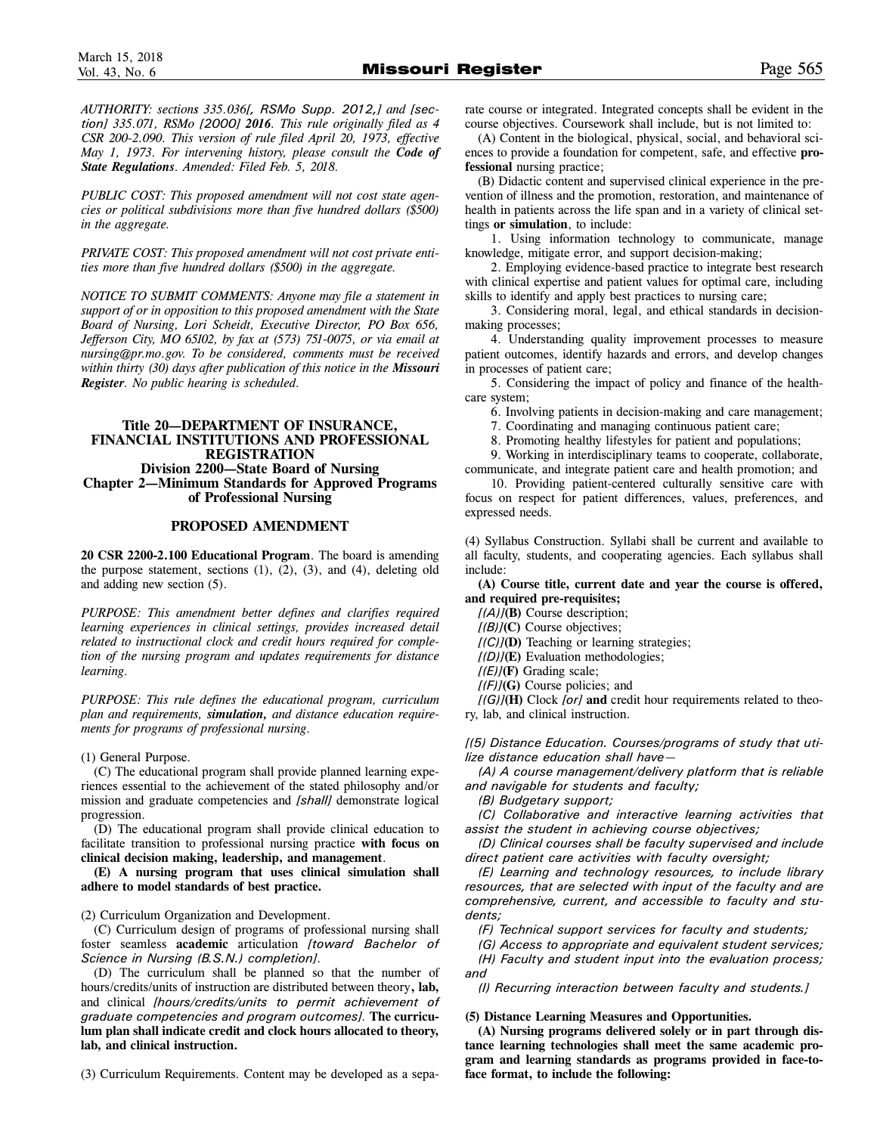*AUTHORITY: sections 335.036[, RSMo Supp. 2012,] and [section] 335.071, RSMo [2000] 2016. This rule originally filed as 4 CSR 200-2.090. This version of rule filed April 20, 1973, effective May 1, 1973. For intervening history, please consult the Code of State Regulations. Amended: Filed Feb. 5, 2018.*

*PUBLIC COST: This proposed amendment will not cost state agencies or political subdivisions more than five hundred dollars (\$500) in the aggregate.*

*PRIVATE COST: This proposed amendment will not cost private entities more than five hundred dollars (\$500) in the aggregate.*

*NOTICE TO SUBMIT COMMENTS: Anyone may file a statement in support of or in opposition to this proposed amendment with the State Board of Nursing, Lori Scheidt, Executive Director, PO Box 656, Jefferson City, MO 65102, by fax at (573) 751-0075, or via email at nursing@pr.mo.gov. To be considered, comments must be received within thirty (30) days after publication of this notice in the Missouri Register. No public hearing is scheduled.*

# **Title 20—DEPARTMENT OF INSURANCE, FINANCIAL INSTITUTIONS AND PROFESSIONAL REGISTRATION Division 2200—State Board of Nursing Chapter 2—Minimum Standards for Approved Programs of Professional Nursing**

# **PROPOSED AMENDMENT**

**20 CSR 2200-2.100 Educational Program**. The board is amending the purpose statement, sections  $(1)$ ,  $(2)$ ,  $(3)$ , and  $(4)$ , deleting old and adding new section (5).

*PURPOSE: This amendment better defines and clarifies required learning experiences in clinical settings, provides increased detail related to instructional clock and credit hours required for completion of the nursing program and updates requirements for distance learning.* 

*PURPOSE: This rule defines the educational program, curriculum plan and requirements, simulation, and distance education requirements for programs of professional nursing.*

(1) General Purpose.

(C) The educational program shall provide planned learning experiences essential to the achievement of the stated philosophy and/or mission and graduate competencies and *[shall]* demonstrate logical progression.

(D) The educational program shall provide clinical education to facilitate transition to professional nursing practice **with focus on clinical decision making, leadership, and management**.

**(E) A nursing program that uses clinical simulation shall adhere to model standards of best practice.** 

(2) Curriculum Organization and Development.

(C) Curriculum design of programs of professional nursing shall foster seamless **academic** articulation *[toward Bachelor of Science in Nursing (B.S.N.) completion].*

(D) The curriculum shall be planned so that the number of hours/credits/units of instruction are distributed between theory**, lab,** and clinical *[hours/credits/units to permit achievement of graduate competencies and program outcomes].* **The curriculum plan shall indicate credit and clock hours allocated to theory, lab, and clinical instruction.** 

(3) Curriculum Requirements. Content may be developed as a sepa-

rate course or integrated. Integrated concepts shall be evident in the course objectives. Coursework shall include, but is not limited to:

(A) Content in the biological, physical, social, and behavioral sciences to provide a foundation for competent, safe, and effective **professional** nursing practice;

(B) Didactic content and supervised clinical experience in the prevention of illness and the promotion, restoration, and maintenance of health in patients across the life span and in a variety of clinical settings **or simulation**, to include:

1. Using information technology to communicate, manage knowledge, mitigate error, and support decision-making;

2. Employing evidence-based practice to integrate best research with clinical expertise and patient values for optimal care, including skills to identify and apply best practices to nursing care;

3. Considering moral, legal, and ethical standards in decisionmaking processes;

4. Understanding quality improvement processes to measure patient outcomes, identify hazards and errors, and develop changes in processes of patient care;

5. Considering the impact of policy and finance of the healthcare system;

6. Involving patients in decision-making and care management;

7. Coordinating and managing continuous patient care;

8. Promoting healthy lifestyles for patient and populations;

9. Working in interdisciplinary teams to cooperate, collaborate, communicate, and integrate patient care and health promotion; and

10. Providing patient-centered culturally sensitive care with focus on respect for patient differences, values, preferences, and expressed needs.

(4) Syllabus Construction. Syllabi shall be current and available to all faculty, students, and cooperating agencies. Each syllabus shall include:

**(A) Course title, current date and year the course is offered, and required pre-requisites;** 

*[(A)]***(B)** Course description;

*[(B)]***(C)** Course objectives;

*[(C)]***(D)** Teaching or learning strategies;

*[(D)]***(E)** Evaluation methodologies;

*[(E)]***(F)** Grading scale;

*[(F)]***(G)** Course policies; and

*[(G)]***(H)** Clock *[or]* **and** credit hour requirements related to theory, lab, and clinical instruction.

*[(5) Distance Education. Courses/programs of study that utilize distance education shall have—*

*(A) A course management/delivery platform that is reliable and navigable for students and faculty;*

*(B) Budgetary support;*

*(C) Collaborative and interactive learning activities that assist the student in achieving course objectives;*

*(D) Clinical courses shall be faculty supervised and include direct patient care activities with faculty oversight;*

*(E) Learning and technology resources, to include library resources, that are selected with input of the faculty and are comprehensive, current, and accessible to faculty and students;*

*(F) Technical support services for faculty and students;* 

*(G) Access to appropriate and equivalent student services; (H) Faculty and student input into the evaluation process; and*

*(I) Recurring interaction between faculty and students.]* 

**(5) Distance Learning Measures and Opportunities.** 

**(A) Nursing programs delivered solely or in part through distance learning technologies shall meet the same academic program and learning standards as programs provided in face-toface format, to include the following:**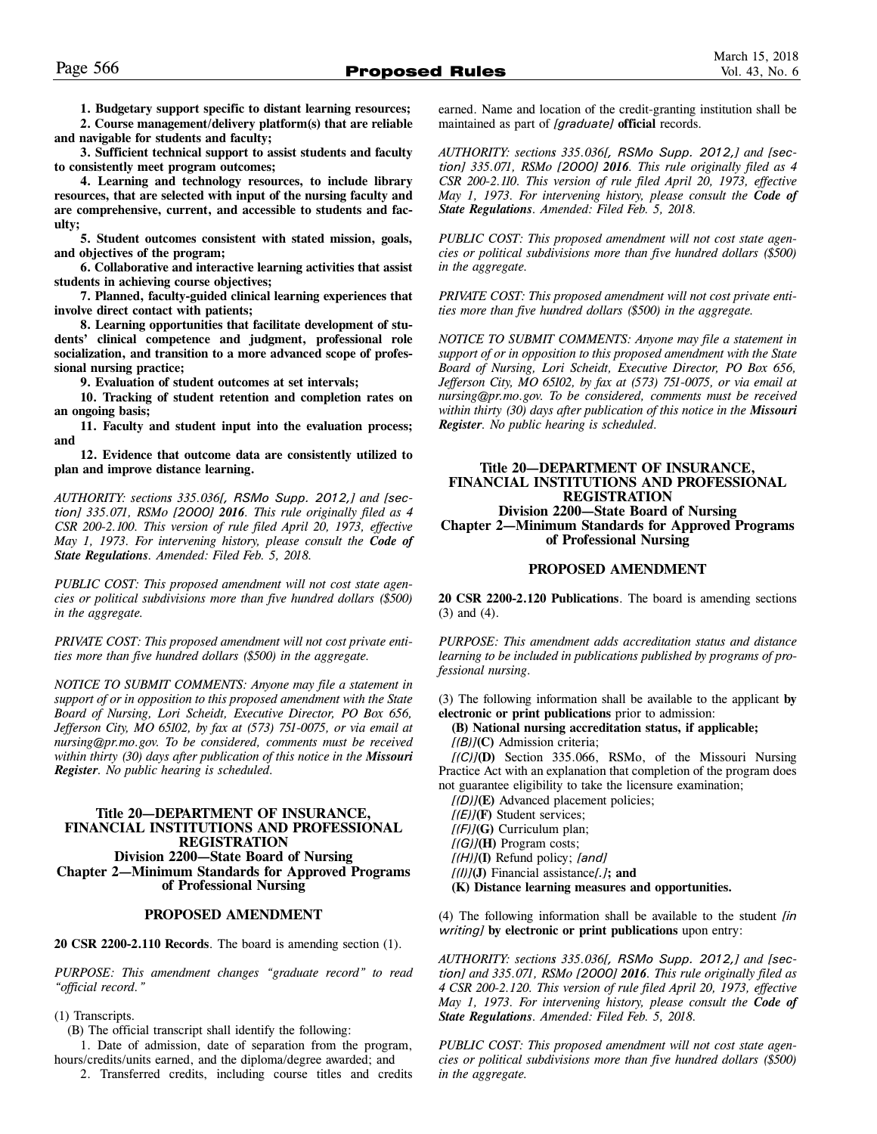**1. Budgetary support specific to distant learning resources; 2. Course management/delivery platform(s) that are reliable**

**and navigable for students and faculty;**

**3. Sufficient technical support to assist students and faculty to consistently meet program outcomes;**

**4. Learning and technology resources, to include library resources, that are selected with input of the nursing faculty and are comprehensive, current, and accessible to students and faculty;**

**5. Student outcomes consistent with stated mission, goals, and objectives of the program;**

**6. Collaborative and interactive learning activities that assist students in achieving course objectives;**

**7. Planned, faculty-guided clinical learning experiences that involve direct contact with patients;** 

**8. Learning opportunities that facilitate development of students' clinical competence and judgment, professional role socialization, and transition to a more advanced scope of professional nursing practice;** 

**9. Evaluation of student outcomes at set intervals;** 

**10. Tracking of student retention and completion rates on an ongoing basis;** 

**11. Faculty and student input into the evaluation process; and**

**12. Evidence that outcome data are consistently utilized to plan and improve distance learning.**

*AUTHORITY: sections 335.036[, RSMo Supp. 2012,] and [section] 335.071, RSMo [2000] 2016. This rule originally filed as 4 CSR 200-2.100. This version of rule filed April 20, 1973, effective May 1, 1973. For intervening history, please consult the Code of State Regulations. Amended: Filed Feb. 5, 2018.*

*PUBLIC COST: This proposed amendment will not cost state agencies or political subdivisions more than five hundred dollars (\$500) in the aggregate.*

*PRIVATE COST: This proposed amendment will not cost private entities more than five hundred dollars (\$500) in the aggregate.*

*NOTICE TO SUBMIT COMMENTS: Anyone may file a statement in support of or in opposition to this proposed amendment with the State Board of Nursing, Lori Scheidt, Executive Director, PO Box 656, Jefferson City, MO 65102, by fax at (573) 751-0075, or via email at nursing@pr.mo.gov. To be considered, comments must be received within thirty (30) days after publication of this notice in the Missouri Register. No public hearing is scheduled.*

# **Title 20—DEPARTMENT OF INSURANCE, FINANCIAL INSTITUTIONS AND PROFESSIONAL REGISTRATION Division 2200—State Board of Nursing Chapter 2—Minimum Standards for Approved Programs of Professional Nursing**

#### **PROPOSED AMENDMENT**

**20 CSR 2200-2.110 Records**. The board is amending section (1).

*PURPOSE: This amendment changes "graduate record" to read "official record."*

#### (1) Transcripts.

(B) The official transcript shall identify the following:

1. Date of admission, date of separation from the program, hours/credits/units earned, and the diploma/degree awarded; and

2. Transferred credits, including course titles and credits

earned. Name and location of the credit-granting institution shall be maintained as part of *[graduate]* **official** records.

*AUTHORITY: sections 335.036[, RSMo Supp. 2012,] and [section] 335.071, RSMo [2000] 2016. This rule originally filed as 4 CSR 200-2.110. This version of rule filed April 20, 1973, effective May 1, 1973. For intervening history, please consult the Code of State Regulations. Amended: Filed Feb. 5, 2018.*

*PUBLIC COST: This proposed amendment will not cost state agencies or political subdivisions more than five hundred dollars (\$500) in the aggregate.*

*PRIVATE COST: This proposed amendment will not cost private entities more than five hundred dollars (\$500) in the aggregate.*

*NOTICE TO SUBMIT COMMENTS: Anyone may file a statement in support of or in opposition to this proposed amendment with the State Board of Nursing, Lori Scheidt, Executive Director, PO Box 656, Jefferson City, MO 65102, by fax at (573) 751-0075, or via email at nursing@pr.mo.gov. To be considered, comments must be received within thirty (30) days after publication of this notice in the Missouri Register. No public hearing is scheduled.*

# **Title 20—DEPARTMENT OF INSURANCE, FINANCIAL INSTITUTIONS AND PROFESSIONAL REGISTRATION Division 2200—State Board of Nursing**

**Chapter 2—Minimum Standards for Approved Programs of Professional Nursing**

# **PROPOSED AMENDMENT**

**20 CSR 2200-2.120 Publications**. The board is amending sections (3) and (4).

*PURPOSE: This amendment adds accreditation status and distance learning to be included in publications published by programs of professional nursing.*

(3) The following information shall be available to the applicant **by electronic or print publications** prior to admission:

**(B) National nursing accreditation status, if applicable;**  *[(B)]***(C)** Admission criteria;

*[(C)]***(D)** Section 335.066, RSMo, of the Missouri Nursing Practice Act with an explanation that completion of the program does not guarantee eligibility to take the licensure examination;

*[(D)]***(E)** Advanced placement policies; *[(E)]***(F)** Student services; *[(F)]***(G)** Curriculum plan; *[(G)]***(H)** Program costs; *[(H)]***(I)** Refund policy; *[and] [(I)]***(J)** Financial assistance*[.]***; and (K) Distance learning measures and opportunities.** 

(4) The following information shall be available to the student *[in writing]* **by electronic or print publications** upon entry:

*AUTHORITY: sections 335.036[, RSMo Supp. 2012,] and [section] and 335.071, RSMo [2000] 2016. This rule originally filed as 4 CSR 200-2.120. This version of rule filed April 20, 1973, effective May 1, 1973. For intervening history, please consult the Code of State Regulations. Amended: Filed Feb. 5, 2018.*

*PUBLIC COST: This proposed amendment will not cost state agencies or political subdivisions more than five hundred dollars (\$500) in the aggregate.*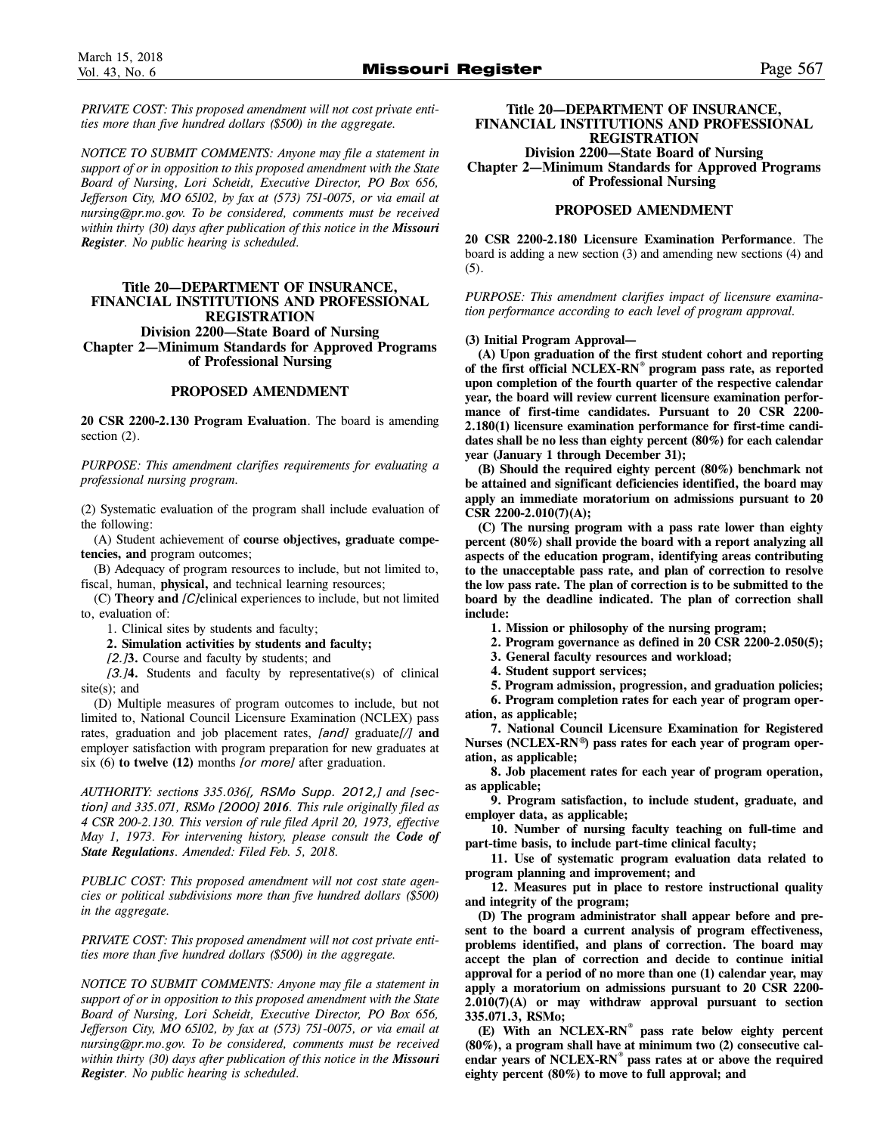*PRIVATE COST: This proposed amendment will not cost private entities more than five hundred dollars (\$500) in the aggregate.*

*NOTICE TO SUBMIT COMMENTS: Anyone may file a statement in support of or in opposition to this proposed amendment with the State Board of Nursing, Lori Scheidt, Executive Director, PO Box 656, Jefferson City, MO 65102, by fax at (573) 751-0075, or via email at nursing@pr.mo.gov. To be considered, comments must be received within thirty (30) days after publication of this notice in the Missouri Register. No public hearing is scheduled.*

# **Title 20—DEPARTMENT OF INSURANCE, FINANCIAL INSTITUTIONS AND PROFESSIONAL REGISTRATION Division 2200—State Board of Nursing Chapter 2—Minimum Standards for Approved Programs of Professional Nursing**

#### **PROPOSED AMENDMENT**

**20 CSR 2200-2.130 Program Evaluation**. The board is amending section  $(2)$ .

*PURPOSE: This amendment clarifies requirements for evaluating a professional nursing program.* 

(2) Systematic evaluation of the program shall include evaluation of the following:

(A) Student achievement of **course objectives, graduate competencies, and** program outcomes;

(B) Adequacy of program resources to include, but not limited to, fiscal, human, **physical,** and technical learning resources;

(C) **Theory and** *[C]***c**linical experiences to include, but not limited to, evaluation of:

1. Clinical sites by students and faculty;

**2. Simulation activities by students and faculty;**

*[2.]***3.** Course and faculty by students; and

*[3.]***4.** Students and faculty by representative(s) of clinical site(s): and

(D) Multiple measures of program outcomes to include, but not limited to, National Council Licensure Examination (NCLEX) pass rates, graduation and job placement rates, *[and]* graduate*[/]* **and** employer satisfaction with program preparation for new graduates at six (6) **to twelve (12)** months *[or more]* after graduation.

*AUTHORITY: sections 335.036[, RSMo Supp. 2012,] and [section] and 335.071, RSMo [2000] 2016. This rule originally filed as 4 CSR 200-2.130. This version of rule filed April 20, 1973, effective May 1, 1973. For intervening history, please consult the Code of State Regulations. Amended: Filed Feb. 5, 2018.*

*PUBLIC COST: This proposed amendment will not cost state agencies or political subdivisions more than five hundred dollars (\$500) in the aggregate.*

*PRIVATE COST: This proposed amendment will not cost private entities more than five hundred dollars (\$500) in the aggregate.*

*NOTICE TO SUBMIT COMMENTS: Anyone may file a statement in support of or in opposition to this proposed amendment with the State Board of Nursing, Lori Scheidt, Executive Director, PO Box 656, Jefferson City, MO 65102, by fax at (573) 751-0075, or via email at nursing@pr.mo.gov. To be considered, comments must be received within thirty (30) days after publication of this notice in the Missouri Register. No public hearing is scheduled.*

**Title 20—DEPARTMENT OF INSURANCE, FINANCIAL INSTITUTIONS AND PROFESSIONAL REGISTRATION**

**Division 2200—State Board of Nursing Chapter 2—Minimum Standards for Approved Programs of Professional Nursing**

#### **PROPOSED AMENDMENT**

**20 CSR 2200-2.180 Licensure Examination Performance**. The board is adding a new section (3) and amending new sections (4) and (5).

*PURPOSE: This amendment clarifies impact of licensure examination performance according to each level of program approval.*

#### **(3) Initial Program Approval—**

**(A) Upon graduation of the first student cohort and reporting of the first official NCLEX-RN® program pass rate, as reported upon completion of the fourth quarter of the respective calendar year, the board will review current licensure examination performance of first-time candidates. Pursuant to 20 CSR 2200- 2.180(1) licensure examination performance for first-time candidates shall be no less than eighty percent (80%) for each calendar year (January 1 through December 31);** 

**(B) Should the required eighty percent (80%) benchmark not be attained and significant deficiencies identified, the board may apply an immediate moratorium on admissions pursuant to 20 CSR 2200-2.010(7)(A);** 

**(C) The nursing program with a pass rate lower than eighty percent (80%) shall provide the board with a report analyzing all aspects of the education program, identifying areas contributing to the unacceptable pass rate, and plan of correction to resolve the low pass rate. The plan of correction is to be submitted to the board by the deadline indicated. The plan of correction shall include:**

**1. Mission or philosophy of the nursing program;** 

**2. Program governance as defined in 20 CSR 2200-2.050(5);** 

**3. General faculty resources and workload;** 

**4. Student support services;** 

**5. Program admission, progression, and graduation policies; 6. Program completion rates for each year of program oper-**

**ation, as applicable; 7. National Council Licensure Examination for Registered**

**Nurses (NCLEX-RN®) pass rates for each year of program operation, as applicable;** 

**8. Job placement rates for each year of program operation, as applicable;** 

**9. Program satisfaction, to include student, graduate, and employer data, as applicable;**

**10. Number of nursing faculty teaching on full-time and part-time basis, to include part-time clinical faculty;** 

**11. Use of systematic program evaluation data related to program planning and improvement; and**

**12. Measures put in place to restore instructional quality and integrity of the program;** 

**(D) The program administrator shall appear before and present to the board a current analysis of program effectiveness, problems identified, and plans of correction. The board may accept the plan of correction and decide to continue initial approval for a period of no more than one (1) calendar year, may apply a moratorium on admissions pursuant to 20 CSR 2200- 2.010(7)(A) or may withdraw approval pursuant to section 335.071.3, RSMo;** 

**(E) With an NCLEX-RN® pass rate below eighty percent (80%), a program shall have at minimum two (2) consecutive calendar years of NCLEX-RN® pass rates at or above the required eighty percent (80%) to move to full approval; and**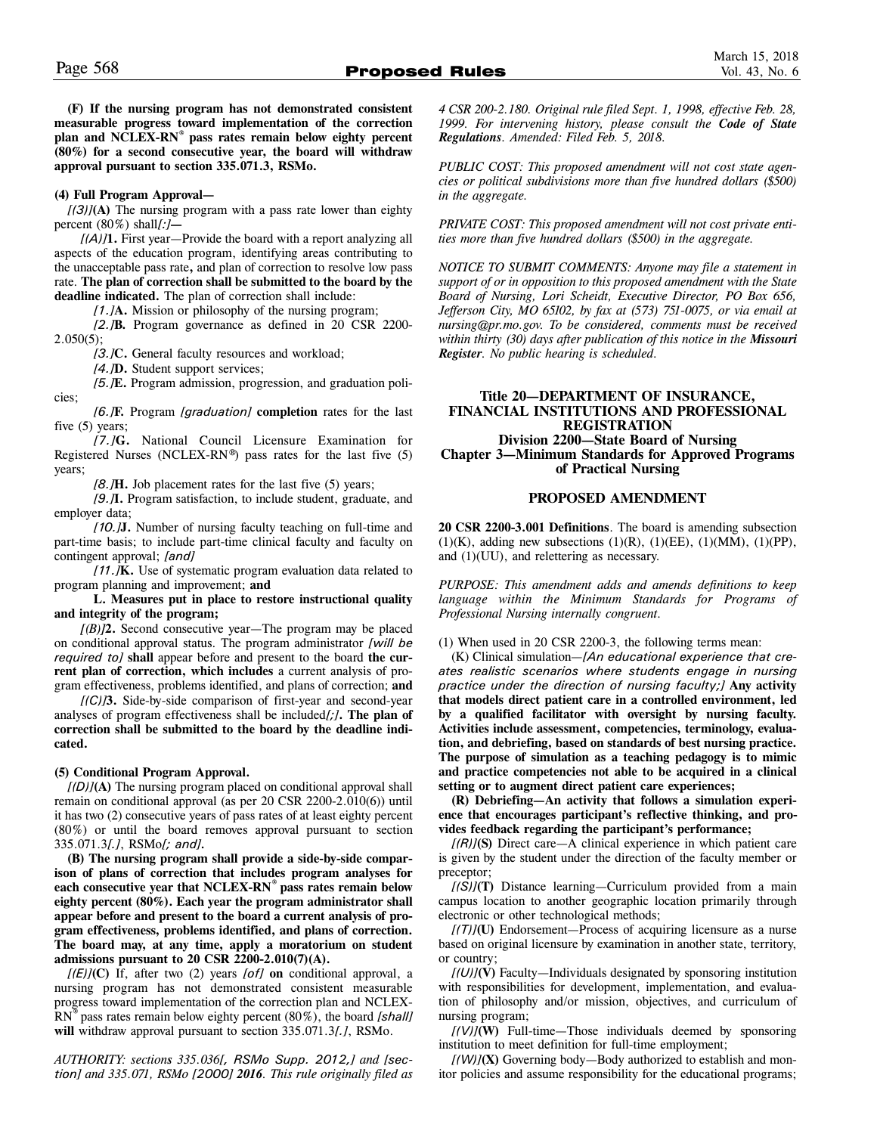**(F) If the nursing program has not demonstrated consistent measurable progress toward implementation of the correction plan and NCLEX-RN® pass rates remain below eighty percent (80%) for a second consecutive year, the board will withdraw approval pursuant to section 335.071.3, RSMo.** 

#### **(4) Full Program Approval—**

*[(3)]***(A)** The nursing program with a pass rate lower than eighty percent (80%) shall*[:]***—**

*[(A)]***1.** First year—Provide the board with a report analyzing all aspects of the education program, identifying areas contributing to the unacceptable pass rate**,** and plan of correction to resolve low pass rate. **The plan of correction shall be submitted to the board by the deadline indicated.** The plan of correction shall include:

*[1.]***A.** Mission or philosophy of the nursing program;

*[2.]***B.** Program governance as defined in 20 CSR 2200- 2.050(5);

*[3.]***C.** General faculty resources and workload;

*[4.]***D.** Student support services;

*[5.]***E.** Program admission, progression, and graduation policies;

*[6.]***F.** Program *[graduation]* **completion** rates for the last five (5) years;

*[7.]***G.** National Council Licensure Examination for Registered Nurses (NCLEX-RN®) pass rates for the last five (5) years;

*[8.]***H.** Job placement rates for the last five (5) years;

*[9.]***I.** Program satisfaction, to include student, graduate, and employer data;

*[10.]***J.** Number of nursing faculty teaching on full-time and part-time basis; to include part-time clinical faculty and faculty on contingent approval; *[and]*

*[11.]***K.** Use of systematic program evaluation data related to program planning and improvement; **and**

**L. Measures put in place to restore instructional quality and integrity of the program;** 

*[(B)]***2.** Second consecutive year—The program may be placed on conditional approval status. The program administrator *[will be required to]* **shall** appear before and present to the board **the current plan of correction, which includes** a current analysis of program effectiveness, problems identified, and plans of correction; **and**

*[(C)]***3.** Side-by-side comparison of first-year and second-year analyses of program effectiveness shall be included*[;]***. The plan of correction shall be submitted to the board by the deadline indicated.** 

#### **(5) Conditional Program Approval.**

*[(D)]***(A)** The nursing program placed on conditional approval shall remain on conditional approval (as per 20 CSR 2200-2.010(6)) until it has two (2) consecutive years of pass rates of at least eighty percent (80%) or until the board removes approval pursuant to section 335.071.3*[.]*, RSMo*[; and].*

**(B) The nursing program shall provide a side-by-side comparison of plans of correction that includes program analyses for each consecutive year that NCLEX-RN® pass rates remain below eighty percent (80%). Each year the program administrator shall appear before and present to the board a current analysis of program effectiveness, problems identified, and plans of correction. The board may, at any time, apply a moratorium on student admissions pursuant to 20 CSR 2200-2.010(7)(A).**

*[(E)]***(C)** If, after two (2) years *[of]* **on** conditional approval, a nursing program has not demonstrated consistent measurable progress toward implementation of the correction plan and NCLEX-RN® pass rates remain below eighty percent (80%), the board *[shall]* **will** withdraw approval pursuant to section 335.071.3*[.]*, RSMo.

*AUTHORITY: sections 335.036[, RSMo Supp. 2012,] and [section] and 335.071, RSMo [2000] 2016. This rule originally filed as* *4 CSR 200-2.180. Original rule filed Sept. 1, 1998, effective Feb. 28, 1999. For intervening history, please consult the Code of State Regulations. Amended: Filed Feb. 5, 2018.*

*PUBLIC COST: This proposed amendment will not cost state agencies or political subdivisions more than five hundred dollars (\$500) in the aggregate.*

*PRIVATE COST: This proposed amendment will not cost private entities more than five hundred dollars (\$500) in the aggregate.*

*NOTICE TO SUBMIT COMMENTS: Anyone may file a statement in support of or in opposition to this proposed amendment with the State Board of Nursing, Lori Scheidt, Executive Director, PO Box 656, Jefferson City, MO 65102, by fax at (573) 751-0075, or via email at nursing@pr.mo.gov. To be considered, comments must be received within thirty (30) days after publication of this notice in the Missouri Register. No public hearing is scheduled.*

## **Title 20—DEPARTMENT OF INSURANCE, FINANCIAL INSTITUTIONS AND PROFESSIONAL REGISTRATION Division 2200—State Board of Nursing Chapter 3—Minimum Standards for Approved Programs of Practical Nursing**

#### **PROPOSED AMENDMENT**

**20 CSR 2200-3.001 Definitions**. The board is amending subsection  $(1)(K)$ , adding new subsections  $(1)(R)$ ,  $(1)(EE)$ ,  $(1)(MM)$ ,  $(1)(PP)$ , and (1)(UU), and relettering as necessary.

*PURPOSE: This amendment adds and amends definitions to keep language within the Minimum Standards for Programs of Professional Nursing internally congruent.*

(1) When used in 20 CSR 2200-3, the following terms mean:

(K) Clinical simulation—*[An educational experience that creates realistic scenarios where students engage in nursing practice under the direction of nursing faculty;]* **Any activity that models direct patient care in a controlled environment, led by a qualified facilitator with oversight by nursing faculty. Activities include assessment, competencies, terminology, evaluation, and debriefing, based on standards of best nursing practice. The purpose of simulation as a teaching pedagogy is to mimic and practice competencies not able to be acquired in a clinical setting or to augment direct patient care experiences;** 

**(R) Debriefing—An activity that follows a simulation experience that encourages participant's reflective thinking, and provides feedback regarding the participant's performance;** 

*[(R)]***(S)** Direct care—A clinical experience in which patient care is given by the student under the direction of the faculty member or preceptor;

*[(S)]***(T)** Distance learning—Curriculum provided from a main campus location to another geographic location primarily through electronic or other technological methods;

*[(T)]***(U)** Endorsement—Process of acquiring licensure as a nurse based on original licensure by examination in another state, territory, or country;

*[(U)]***(V)** Faculty—Individuals designated by sponsoring institution with responsibilities for development, implementation, and evaluation of philosophy and/or mission, objectives, and curriculum of nursing program;

*[(V)]***(W)** Full-time—Those individuals deemed by sponsoring institution to meet definition for full-time employment;

*[(W)]***(X)** Governing body—Body authorized to establish and monitor policies and assume responsibility for the educational programs;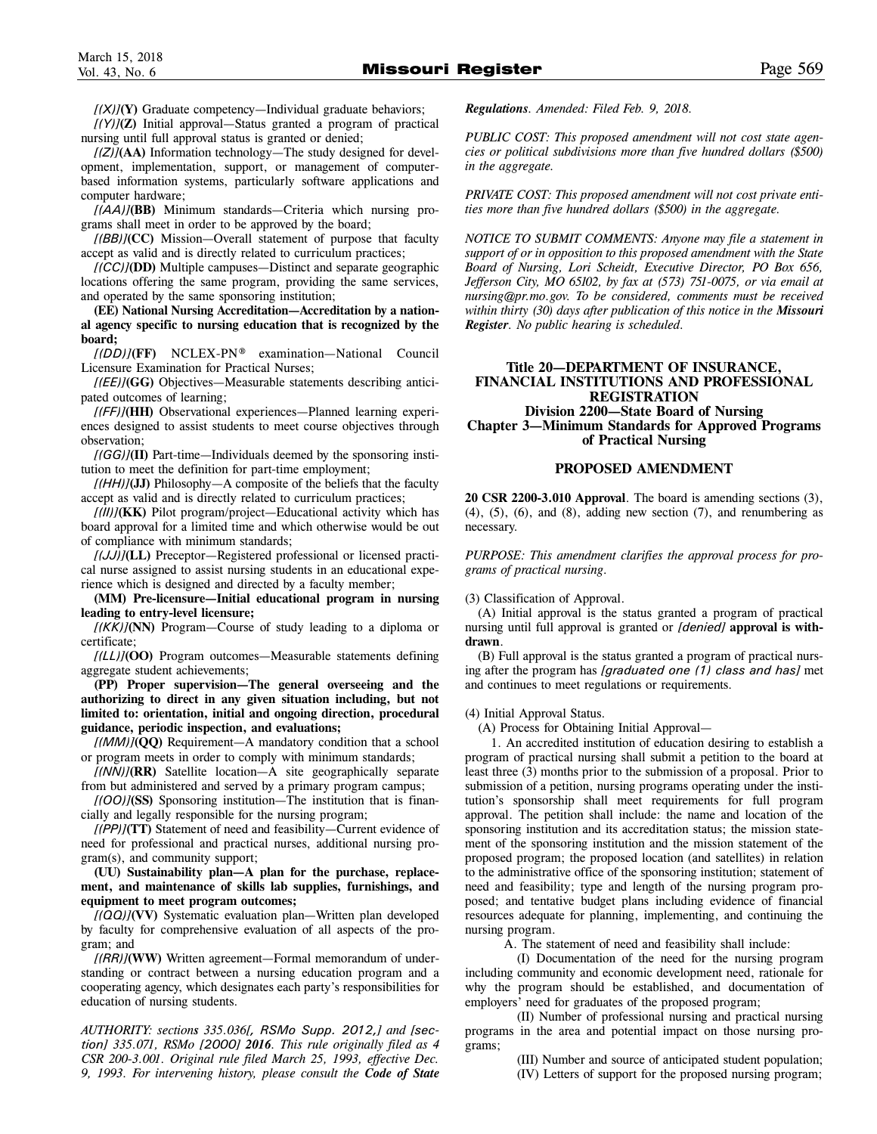*[(X)]***(Y)** Graduate competency—Individual graduate behaviors;

*[(Y)]***(Z)** Initial approval—Status granted a program of practical nursing until full approval status is granted or denied;

*[(Z)]***(AA)** Information technology—The study designed for development, implementation, support, or management of computerbased information systems, particularly software applications and computer hardware;

*[(AA)]***(BB)** Minimum standards—Criteria which nursing programs shall meet in order to be approved by the board;

*[(BB)]***(CC)** Mission—Overall statement of purpose that faculty accept as valid and is directly related to curriculum practices;

*[(CC)]***(DD)** Multiple campuses—Distinct and separate geographic locations offering the same program, providing the same services, and operated by the same sponsoring institution;

**(EE) National Nursing Accreditation—Accreditation by a national agency specific to nursing education that is recognized by the board;** 

*[(DD)]***(FF)** NCLEX-PN® examination—National Council Licensure Examination for Practical Nurses;

*[(EE)]***(GG)** Objectives—Measurable statements describing anticipated outcomes of learning;

*[(FF)]***(HH)** Observational experiences—Planned learning experiences designed to assist students to meet course objectives through observation;

*[(GG)]***(II)** Part-time—Individuals deemed by the sponsoring institution to meet the definition for part-time employment;

*[(HH)]***(JJ)** Philosophy—A composite of the beliefs that the faculty accept as valid and is directly related to curriculum practices;

*[(II)]***(KK)** Pilot program/project—Educational activity which has board approval for a limited time and which otherwise would be out of compliance with minimum standards;

*[(JJ)]***(LL)** Preceptor—Registered professional or licensed practical nurse assigned to assist nursing students in an educational experience which is designed and directed by a faculty member;

**(MM) Pre-licensure—Initial educational program in nursing leading to entry-level licensure;** 

*[(KK)]***(NN)** Program—Course of study leading to a diploma or certificate;

*[(LL)]***(OO)** Program outcomes—Measurable statements defining aggregate student achievements;

**(PP) Proper supervision—The general overseeing and the authorizing to direct in any given situation including, but not limited to: orientation, initial and ongoing direction, procedural guidance, periodic inspection, and evaluations;**

*[(MM)]***(QQ)** Requirement—A mandatory condition that a school or program meets in order to comply with minimum standards;

*[(NN)]***(RR)** Satellite location—A site geographically separate from but administered and served by a primary program campus;

*[(OO)]***(SS)** Sponsoring institution—The institution that is financially and legally responsible for the nursing program;

*[(PP)]***(TT)** Statement of need and feasibility—Current evidence of need for professional and practical nurses, additional nursing program(s), and community support;

**(UU) Sustainability plan—A plan for the purchase, replacement, and maintenance of skills lab supplies, furnishings, and equipment to meet program outcomes;** 

*[(QQ)]***(VV)** Systematic evaluation plan—Written plan developed by faculty for comprehensive evaluation of all aspects of the program; and

*[(RR)]***(WW)** Written agreement—Formal memorandum of understanding or contract between a nursing education program and a cooperating agency, which designates each party's responsibilities for education of nursing students.

*AUTHORITY: sections 335.036[, RSMo Supp. 2012,] and [section] 335.071, RSMo [2000] 2016. This rule originally filed as 4 CSR 200-3.001. Original rule filed March 25, 1993, effective Dec. 9, 1993. For intervening history, please consult the Code of State*

*Regulations. Amended: Filed Feb. 9, 2018.*

*PUBLIC COST: This proposed amendment will not cost state agencies or political subdivisions more than five hundred dollars (\$500) in the aggregate.*

*PRIVATE COST: This proposed amendment will not cost private entities more than five hundred dollars (\$500) in the aggregate.*

*NOTICE TO SUBMIT COMMENTS: Anyone may file a statement in support of or in opposition to this proposed amendment with the State Board of Nursing, Lori Scheidt, Executive Director, PO Box 656, Jefferson City, MO 65102, by fax at (573) 751-0075, or via email at nursing@pr.mo.gov. To be considered, comments must be received within thirty (30) days after publication of this notice in the Missouri Register. No public hearing is scheduled.*

# **Title 20—DEPARTMENT OF INSURANCE, FINANCIAL INSTITUTIONS AND PROFESSIONAL REGISTRATION Division 2200—State Board of Nursing**

**Chapter 3—Minimum Standards for Approved Programs of Practical Nursing** 

# **PROPOSED AMENDMENT**

**20 CSR 2200-3.010 Approval**. The board is amending sections (3),  $(4)$ ,  $(5)$ ,  $(6)$ , and  $(8)$ , adding new section  $(7)$ , and renumbering as necessary.

*PURPOSE: This amendment clarifies the approval process for programs of practical nursing.*

(3) Classification of Approval.

(A) Initial approval is the status granted a program of practical nursing until full approval is granted or *[denied]* **approval is withdrawn**.

(B) Full approval is the status granted a program of practical nursing after the program has *[graduated one (1) class and has]* met and continues to meet regulations or requirements.

#### (4) Initial Approval Status.

(A) Process for Obtaining Initial Approval—

1. An accredited institution of education desiring to establish a program of practical nursing shall submit a petition to the board at least three (3) months prior to the submission of a proposal. Prior to submission of a petition, nursing programs operating under the institution's sponsorship shall meet requirements for full program approval. The petition shall include: the name and location of the sponsoring institution and its accreditation status; the mission statement of the sponsoring institution and the mission statement of the proposed program; the proposed location (and satellites) in relation to the administrative office of the sponsoring institution; statement of need and feasibility; type and length of the nursing program proposed; and tentative budget plans including evidence of financial resources adequate for planning, implementing, and continuing the nursing program.

A. The statement of need and feasibility shall include:

(I) Documentation of the need for the nursing program including community and economic development need, rationale for why the program should be established, and documentation of employers' need for graduates of the proposed program;

(II) Number of professional nursing and practical nursing programs in the area and potential impact on those nursing programs;

(III) Number and source of anticipated student population;

(IV) Letters of support for the proposed nursing program;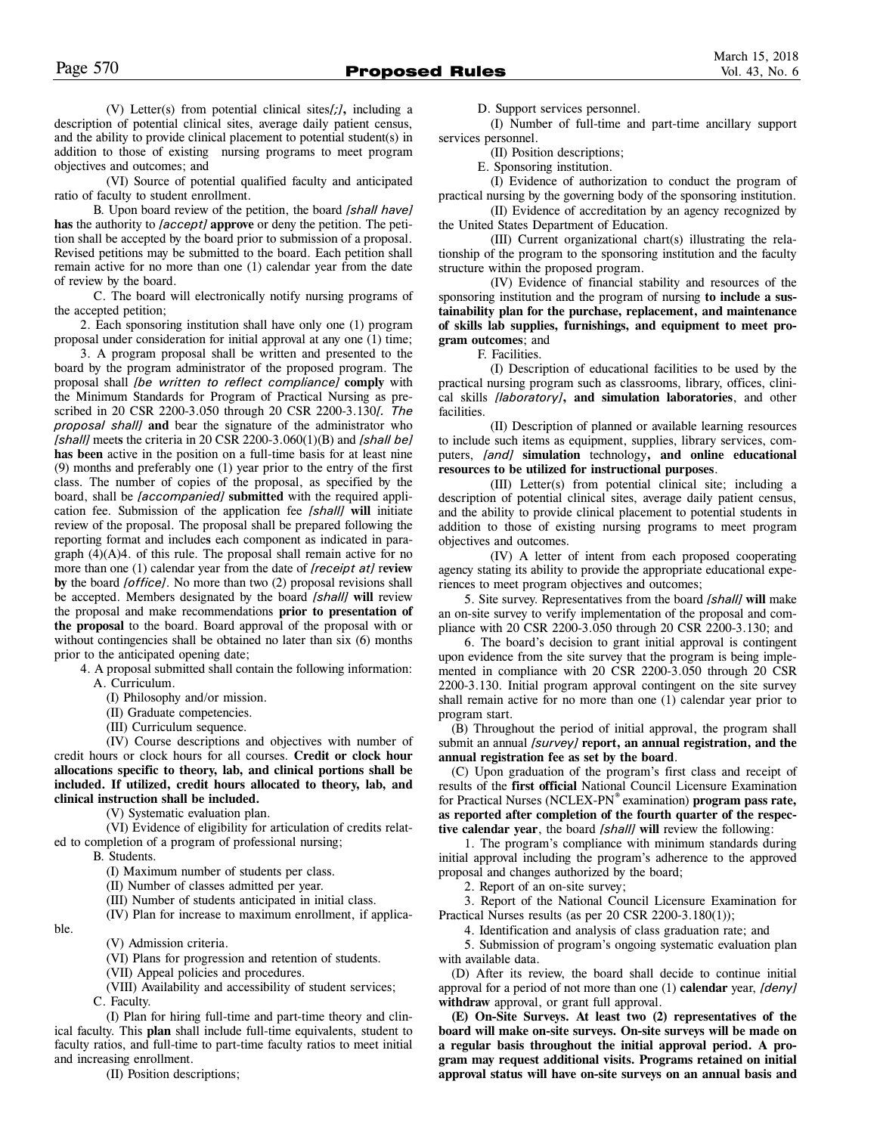(V) Letter(s) from potential clinical sites*[;]***,** including a description of potential clinical sites, average daily patient census, and the ability to provide clinical placement to potential student(s) in addition to those of existing nursing programs to meet program objectives and outcomes; and

(VI) Source of potential qualified faculty and anticipated ratio of faculty to student enrollment.

B. Upon board review of the petition, the board *[shall have]* **has** the authority to *[accept]* **approve** or deny the petition. The petition shall be accepted by the board prior to submission of a proposal. Revised petitions may be submitted to the board. Each petition shall remain active for no more than one (1) calendar year from the date of review by the board.

C. The board will electronically notify nursing programs of the accepted petition;

2. Each sponsoring institution shall have only one (1) program proposal under consideration for initial approval at any one (1) time;

3. A program proposal shall be written and presented to the board by the program administrator of the proposed program. The proposal shall *[be written to reflect compliance]* **comply** with the Minimum Standards for Program of Practical Nursing as prescribed in 20 CSR 2200-3.050 through 20 CSR 2200-3.130*[. The proposal shall]* **and** bear the signature of the administrator who *[shall]* meet**s** the criteria in 20 CSR 2200-3.060(1)(B) and *[shall be]* **has been** active in the position on a full-time basis for at least nine (9) months and preferably one (1) year prior to the entry of the first class. The number of copies of the proposal, as specified by the board, shall be *[accompanied]* **submitted** with the required application fee. Submission of the application fee *[shall]* **will** initiate review of the proposal. The proposal shall be prepared following the reporting format and include**s** each component as indicated in paragraph  $(4)(A)4$ . of this rule. The proposal shall remain active for no more than one (1) calendar year from the date of *[receipt at]* r**eview by** the board *[office]*. No more than two (2) proposal revisions shall be accepted. Members designated by the board *[shall]* **will** review the proposal and make recommendations **prior to presentation of the proposal** to the board. Board approval of the proposal with or without contingencies shall be obtained no later than six (6) months prior to the anticipated opening date;

4. A proposal submitted shall contain the following information: A. Curriculum.

(I) Philosophy and/or mission.

(II) Graduate competencies.

(III) Curriculum sequence.

(IV) Course descriptions and objectives with number of credit hours or clock hours for all courses. **Credit or clock hour allocations specific to theory, lab, and clinical portions shall be included. If utilized, credit hours allocated to theory, lab, and clinical instruction shall be included.**

(V) Systematic evaluation plan.

(VI) Evidence of eligibility for articulation of credits related to completion of a program of professional nursing;

B. Students.

ble.

(I) Maximum number of students per class.

(II) Number of classes admitted per year.

(III) Number of students anticipated in initial class.

(IV) Plan for increase to maximum enrollment, if applica-

(V) Admission criteria.

(VI) Plans for progression and retention of students.

(VII) Appeal policies and procedures.

(VIII) Availability and accessibility of student services;

C. Faculty.

(I) Plan for hiring full-time and part-time theory and clinical faculty. This **plan** shall include full-time equivalents, student to faculty ratios, and full-time to part-time faculty ratios to meet initial and increasing enrollment.

(II) Position descriptions;

D. Support services personnel.

(I) Number of full-time and part-time ancillary support services personnel.

(II) Position descriptions;

E. Sponsoring institution.

(I) Evidence of authorization to conduct the program of practical nursing by the governing body of the sponsoring institution.

(II) Evidence of accreditation by an agency recognized by the United States Department of Education.

(III) Current organizational chart(s) illustrating the relationship of the program to the sponsoring institution and the faculty structure within the proposed program.

(IV) Evidence of financial stability and resources of the sponsoring institution and the program of nursing **to include a sustainability plan for the purchase, replacement, and maintenance of skills lab supplies, furnishings, and equipment to meet program outcomes**; and

F. Facilities.

(I) Description of educational facilities to be used by the practical nursing program such as classrooms, library, offices, clinical skills *[laboratory]***, and simulation laboratories**, and other facilities.

(II) Description of planned or available learning resources to include such items as equipment, supplies, library services, computers, *[and]* **simulation** technology**, and online educational resources to be utilized for instructional purposes**.

(III) Letter(s) from potential clinical site; including a description of potential clinical sites, average daily patient census, and the ability to provide clinical placement to potential students in addition to those of existing nursing programs to meet program objectives and outcomes.

(IV) A letter of intent from each proposed cooperating agency stating its ability to provide the appropriate educational experiences to meet program objectives and outcomes;

5. Site survey. Representatives from the board *[shall]* **will** make an on-site survey to verify implementation of the proposal and compliance with 20 CSR 2200-3.050 through 20 CSR 2200-3.130; and

6. The board's decision to grant initial approval is contingent upon evidence from the site survey that the program is being implemented in compliance with 20 CSR 2200-3.050 through 20 CSR 2200-3.130. Initial program approval contingent on the site survey shall remain active for no more than one (1) calendar year prior to program start.

(B) Throughout the period of initial approval, the program shall submit an annual *[survey]* **report, an annual registration, and the annual registration fee as set by the board**.

(C) Upon graduation of the program's first class and receipt of results of the **first official** National Council Licensure Examination for Practical Nurses (NCLEX-PN® examination) **program pass rate, as reported after completion of the fourth quarter of the respective calendar year**, the board *[shall]* **will** review the following:

1. The program's compliance with minimum standards during initial approval including the program's adherence to the approved proposal and changes authorized by the board;

2. Report of an on-site survey;

3. Report of the National Council Licensure Examination for Practical Nurses results (as per 20 CSR 2200-3.180(1));

4. Identification and analysis of class graduation rate; and

5. Submission of program's ongoing systematic evaluation plan with available data.

(D) After its review, the board shall decide to continue initial approval for a period of not more than one (1) **calendar** year, *[deny]* **withdraw** approval, or grant full approval.

**(E) On-Site Surveys. At least two (2) representatives of the board will make on-site surveys. On-site surveys will be made on a regular basis throughout the initial approval period. A program may request additional visits. Programs retained on initial approval status will have on-site surveys on an annual basis and**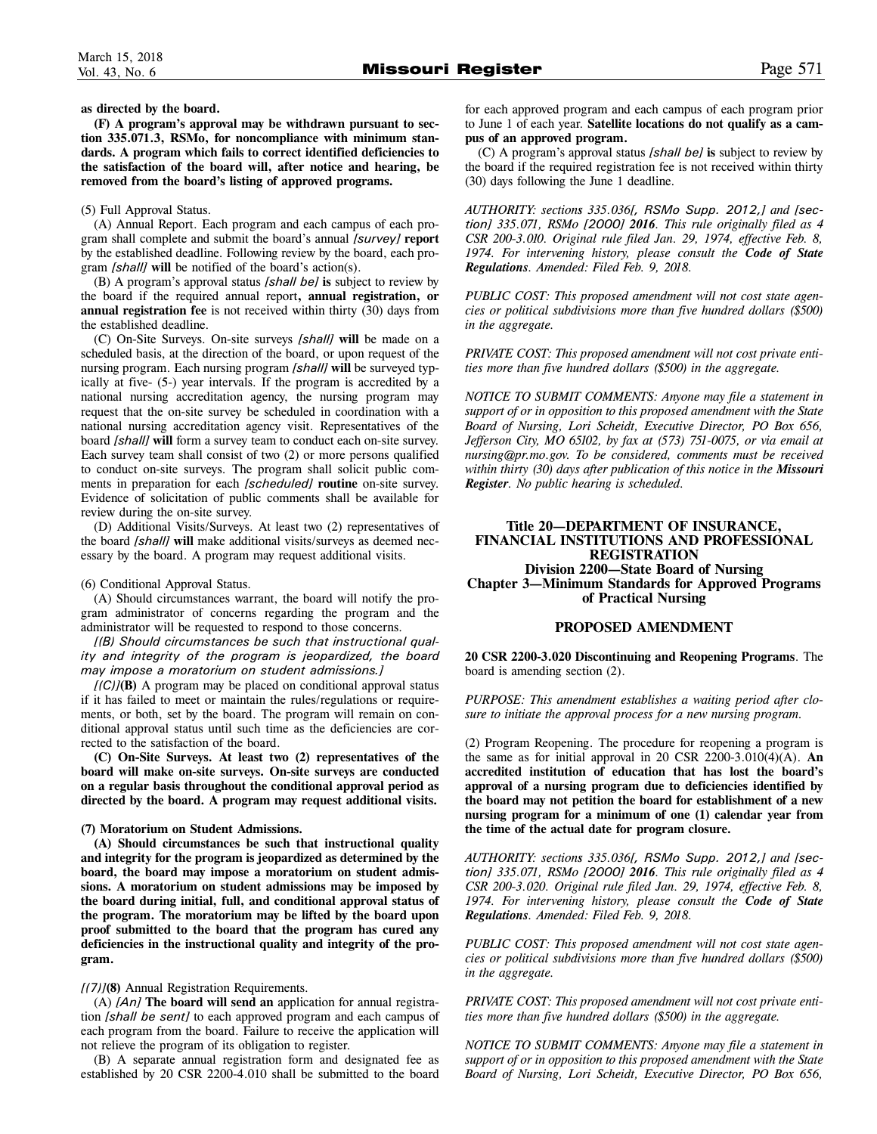**as directed by the board.** 

**(F) A program's approval may be withdrawn pursuant to section 335.071.3, RSMo, for noncompliance with minimum standards. A program which fails to correct identified deficiencies to the satisfaction of the board will, after notice and hearing, be removed from the board's listing of approved programs.**

#### (5) Full Approval Status.

(A) Annual Report. Each program and each campus of each program shall complete and submit the board's annual *[survey]* **report** by the established deadline. Following review by the board, each program *[shall]* **will** be notified of the board's action(s).

(B) A program's approval status *[shall be]* **is** subject to review by the board if the required annual report**, annual registration, or annual registration fee** is not received within thirty (30) days from the established deadline.

(C) On-Site Surveys. On-site surveys *[shall]* **will** be made on a scheduled basis, at the direction of the board, or upon request of the nursing program. Each nursing program *[shall]* **will** be surveyed typically at five- (5-) year intervals. If the program is accredited by a national nursing accreditation agency, the nursing program may request that the on-site survey be scheduled in coordination with a national nursing accreditation agency visit. Representatives of the board *[shall]* **will** form a survey team to conduct each on-site survey. Each survey team shall consist of two (2) or more persons qualified to conduct on-site surveys. The program shall solicit public comments in preparation for each *[scheduled]* **routine** on-site survey. Evidence of solicitation of public comments shall be available for review during the on-site survey.

(D) Additional Visits/Surveys. At least two (2) representatives of the board *[shall]* **will** make additional visits/surveys as deemed necessary by the board. A program may request additional visits.

#### (6) Conditional Approval Status.

(A) Should circumstances warrant, the board will notify the program administrator of concerns regarding the program and the administrator will be requested to respond to those concerns.

*[(B) Should circumstances be such that instructional quality and integrity of the program is jeopardized, the board may impose a moratorium on student admissions.]* 

*[(C)]***(B)** A program may be placed on conditional approval status if it has failed to meet or maintain the rules/regulations or requirements, or both, set by the board. The program will remain on conditional approval status until such time as the deficiencies are corrected to the satisfaction of the board.

**(C) On-Site Surveys. At least two (2) representatives of the board will make on-site surveys. On-site surveys are conducted on a regular basis throughout the conditional approval period as directed by the board. A program may request additional visits.** 

#### **(7) Moratorium on Student Admissions.**

**(A) Should circumstances be such that instructional quality and integrity for the program is jeopardized as determined by the board, the board may impose a moratorium on student admissions. A moratorium on student admissions may be imposed by the board during initial, full, and conditional approval status of the program. The moratorium may be lifted by the board upon proof submitted to the board that the program has cured any deficiencies in the instructional quality and integrity of the program.** 

*[(7)]***(8)** Annual Registration Requirements.

(A) *[An]* **The board will send an** application for annual registration *[shall be sent]* to each approved program and each campus of each program from the board. Failure to receive the application will not relieve the program of its obligation to register.

(B) A separate annual registration form and designated fee as established by 20 CSR 2200-4.010 shall be submitted to the board

for each approved program and each campus of each program prior to June 1 of each year. **Satellite locations do not qualify as a campus of an approved program.** 

(C) A program's approval status *[shall be]* **is** subject to review by the board if the required registration fee is not received within thirty (30) days following the June 1 deadline.

*AUTHORITY: sections 335.036[, RSMo Supp. 2012,] and [section] 335.071, RSMo [2000] 2016. This rule originally filed as 4 CSR 200-3.010. Original rule filed Jan. 29, 1974, effective Feb. 8, 1974. For intervening history, please consult the Code of State Regulations. Amended: Filed Feb. 9, 2018.*

*PUBLIC COST: This proposed amendment will not cost state agencies or political subdivisions more than five hundred dollars (\$500) in the aggregate.*

*PRIVATE COST: This proposed amendment will not cost private entities more than five hundred dollars (\$500) in the aggregate.*

*NOTICE TO SUBMIT COMMENTS: Anyone may file a statement in support of or in opposition to this proposed amendment with the State Board of Nursing, Lori Scheidt, Executive Director, PO Box 656, Jefferson City, MO 65102, by fax at (573) 751-0075, or via email at nursing@pr.mo.gov. To be considered, comments must be received within thirty (30) days after publication of this notice in the Missouri Register. No public hearing is scheduled.*

# **Title 20—DEPARTMENT OF INSURANCE, FINANCIAL INSTITUTIONS AND PROFESSIONAL REGISTRATION Division 2200—State Board of Nursing Chapter 3—Minimum Standards for Approved Programs of Practical Nursing**

#### **PROPOSED AMENDMENT**

**20 CSR 2200-3.020 Discontinuing and Reopening Programs**. The board is amending section (2).

*PURPOSE: This amendment establishes a waiting period after closure to initiate the approval process for a new nursing program.*

(2) Program Reopening. The procedure for reopening a program is the same as for initial approval in 20 CSR 2200-3.010(4)(A). **An accredited institution of education that has lost the board's approval of a nursing program due to deficiencies identified by the board may not petition the board for establishment of a new nursing program for a minimum of one (1) calendar year from the time of the actual date for program closure.** 

*AUTHORITY: sections 335.036[, RSMo Supp. 2012,] and [section] 335.071, RSMo [2000] 2016. This rule originally filed as 4 CSR 200-3.020. Original rule filed Jan. 29, 1974, effective Feb. 8, 1974. For intervening history, please consult the Code of State Regulations. Amended: Filed Feb. 9, 2018.*

*PUBLIC COST: This proposed amendment will not cost state agencies or political subdivisions more than five hundred dollars (\$500) in the aggregate.*

*PRIVATE COST: This proposed amendment will not cost private entities more than five hundred dollars (\$500) in the aggregate.*

*NOTICE TO SUBMIT COMMENTS: Anyone may file a statement in support of or in opposition to this proposed amendment with the State Board of Nursing, Lori Scheidt, Executive Director, PO Box 656,*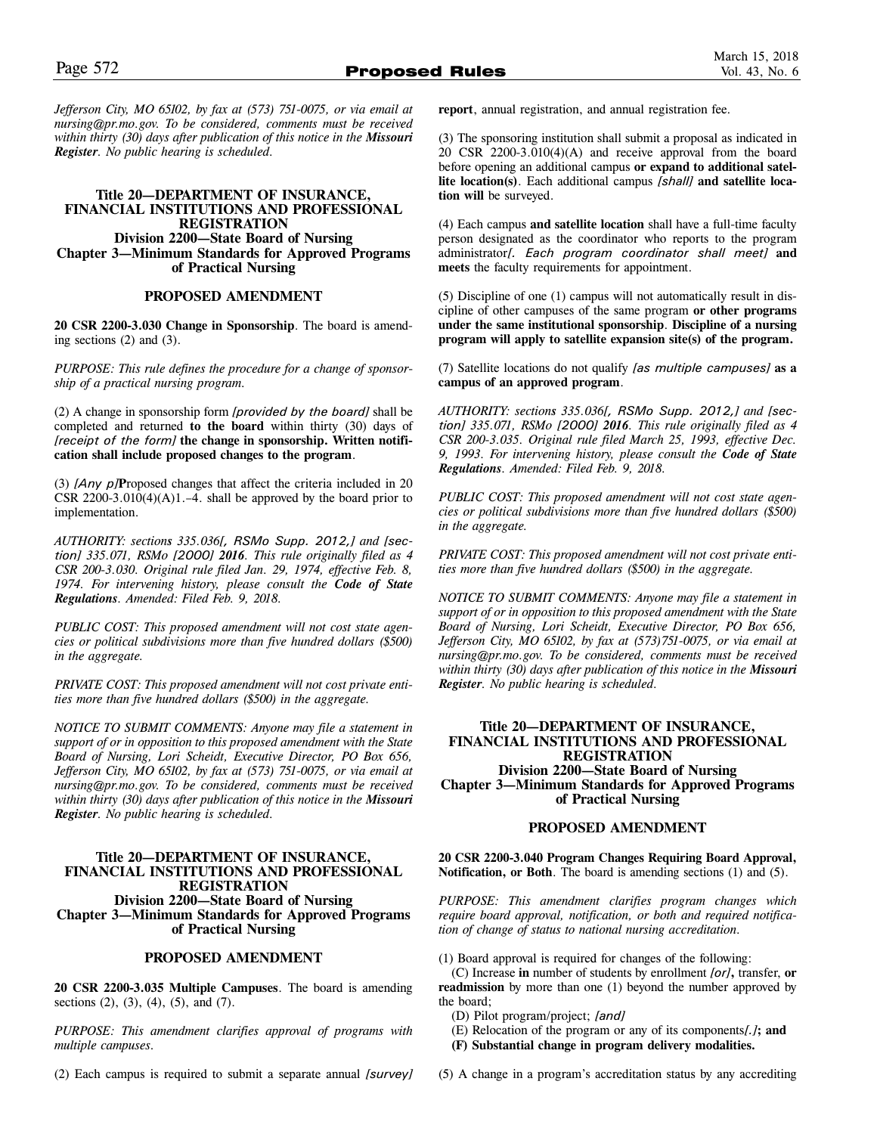*Jefferson City, MO 65102, by fax at (573) 751-0075, or via email at nursing@pr.mo.gov. To be considered, comments must be received within thirty (30) days after publication of this notice in the Missouri Register. No public hearing is scheduled.*

# **Title 20—DEPARTMENT OF INSURANCE, FINANCIAL INSTITUTIONS AND PROFESSIONAL REGISTRATION Division 2200—State Board of Nursing Chapter 3—Minimum Standards for Approved Programs of Practical Nursing**

# **PROPOSED AMENDMENT**

**20 CSR 2200-3.030 Change in Sponsorship**. The board is amending sections (2) and (3).

*PURPOSE: This rule defines the procedure for a change of sponsorship of a practical nursing program.* 

(2) A change in sponsorship form *[provided by the board]* shall be completed and returned **to the board** within thirty (30) days of *[receipt of the form]* **the change in sponsorship. Written notification shall include proposed changes to the program**.

(3) *[Any p]***P**roposed changes that affect the criteria included in 20 CSR  $2200-3.010(4)(A)1.-4$ . shall be approved by the board prior to implementation.

*AUTHORITY: sections 335.036[, RSMo Supp. 2012,] and [section] 335.071, RSMo [2000] 2016. This rule originally filed as 4 CSR 200-3.030. Original rule filed Jan. 29, 1974, effective Feb. 8, 1974. For intervening history, please consult the Code of State Regulations. Amended: Filed Feb. 9, 2018.*

*PUBLIC COST: This proposed amendment will not cost state agencies or political subdivisions more than five hundred dollars (\$500) in the aggregate.*

*PRIVATE COST: This proposed amendment will not cost private entities more than five hundred dollars (\$500) in the aggregate.*

*NOTICE TO SUBMIT COMMENTS: Anyone may file a statement in support of or in opposition to this proposed amendment with the State Board of Nursing, Lori Scheidt, Executive Director, PO Box 656, Jefferson City, MO 65102, by fax at (573) 751-0075, or via email at nursing@pr.mo.gov. To be considered, comments must be received within thirty (30) days after publication of this notice in the Missouri Register. No public hearing is scheduled.*

# **Title 20—DEPARTMENT OF INSURANCE, FINANCIAL INSTITUTIONS AND PROFESSIONAL REGISTRATION Division 2200—State Board of Nursing Chapter 3—Minimum Standards for Approved Programs of Practical Nursing**

# **PROPOSED AMENDMENT**

**20 CSR 2200-3.035 Multiple Campuses**. The board is amending sections (2), (3), (4), (5), and (7).

*PURPOSE: This amendment clarifies approval of programs with multiple campuses.*

(2) Each campus is required to submit a separate annual *[survey]*

**report**, annual registration, and annual registration fee.

(3) The sponsoring institution shall submit a proposal as indicated in 20 CSR 2200-3.010(4)(A) and receive approval from the board before opening an additional campus **or expand to additional satellite location(s)**. Each additional campus *[shall]* **and satellite location will** be surveyed.

(4) Each campus **and satellite location** shall have a full-time faculty person designated as the coordinator who reports to the program administrator*[. Each program coordinator shall meet]* **and meets** the faculty requirements for appointment.

(5) Discipline of one (1) campus will not automatically result in discipline of other campuses of the same program **or other programs under the same institutional sponsorship**. **Discipline of a nursing program will apply to satellite expansion site(s) of the program.** 

(7) Satellite locations do not qualify *[as multiple campuses]* **as a campus of an approved program**.

*AUTHORITY: sections 335.036[, RSMo Supp. 2012,] and [section] 335.071, RSMo [2000] 2016. This rule originally filed as 4 CSR 200-3.035. Original rule filed March 25, 1993, effective Dec. 9, 1993. For intervening history, please consult the Code of State Regulations. Amended: Filed Feb. 9, 2018.*

*PUBLIC COST: This proposed amendment will not cost state agencies or political subdivisions more than five hundred dollars (\$500) in the aggregate.*

*PRIVATE COST: This proposed amendment will not cost private entities more than five hundred dollars (\$500) in the aggregate.*

*NOTICE TO SUBMIT COMMENTS: Anyone may file a statement in support of or in opposition to this proposed amendment with the State Board of Nursing, Lori Scheidt, Executive Director, PO Box 656, Jefferson City, MO 65102, by fax at (573)751-0075, or via email at nursing@pr.mo.gov. To be considered, comments must be received within thirty (30) days after publication of this notice in the Missouri Register. No public hearing is scheduled.*

# **Title 20—DEPARTMENT OF INSURANCE, FINANCIAL INSTITUTIONS AND PROFESSIONAL REGISTRATION Division 2200—State Board of Nursing Chapter 3—Minimum Standards for Approved Programs of Practical Nursing**

# **PROPOSED AMENDMENT**

**20 CSR 2200-3.040 Program Changes Requiring Board Approval, Notification, or Both**. The board is amending sections (1) and (5).

*PURPOSE: This amendment clarifies program changes which require board approval, notification, or both and required notification of change of status to national nursing accreditation.* 

(1) Board approval is required for changes of the following:

(C) Increase **in** number of students by enrollment *[or]***,** transfer, **or readmission** by more than one (1) beyond the number approved by the board;

- (D) Pilot program/project; *[and]*
- (E) Relocation of the program or any of its components*[.]***; and**
- **(F) Substantial change in program delivery modalities.**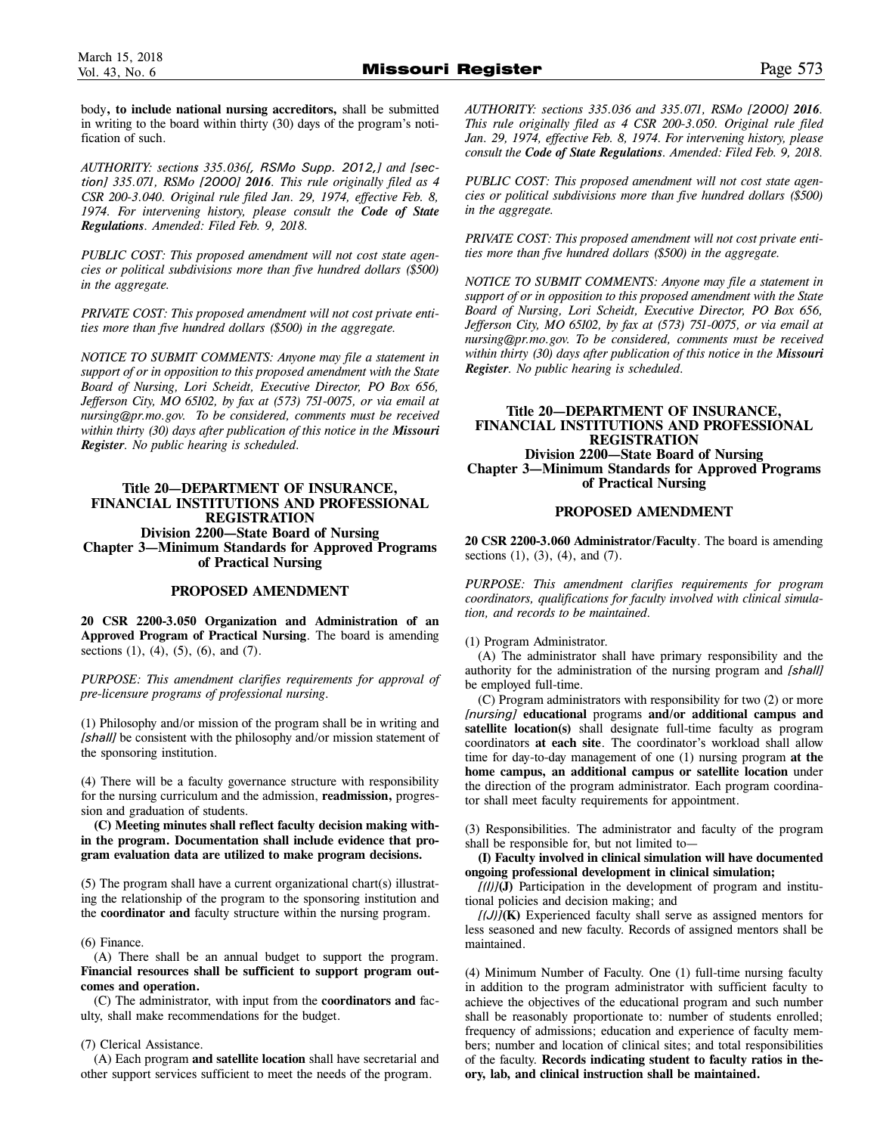body**, to include national nursing accreditors,** shall be submitted in writing to the board within thirty (30) days of the program's notification of such.

*AUTHORITY: sections 335.036[, RSMo Supp. 2012,] and [section] 335.071, RSMo [2000] 2016. This rule originally filed as 4 CSR 200-3.040. Original rule filed Jan. 29, 1974, effective Feb. 8, 1974. For intervening history, please consult the Code of State Regulations. Amended: Filed Feb. 9, 2018.*

*PUBLIC COST: This proposed amendment will not cost state agencies or political subdivisions more than five hundred dollars (\$500) in the aggregate.*

*PRIVATE COST: This proposed amendment will not cost private entities more than five hundred dollars (\$500) in the aggregate.*

*NOTICE TO SUBMIT COMMENTS: Anyone may file a statement in support of or in opposition to this proposed amendment with the State Board of Nursing, Lori Scheidt, Executive Director, PO Box 656, Jefferson City, MO 65102, by fax at (573) 751-0075, or via email at nursing@pr.mo.gov. To be considered, comments must be received within thirty (30) days after publication of this notice in the Missouri Register. No public hearing is scheduled.*

# **Title 20—DEPARTMENT OF INSURANCE, FINANCIAL INSTITUTIONS AND PROFESSIONAL REGISTRATION Division 2200—State Board of Nursing Chapter 3—Minimum Standards for Approved Programs of Practical Nursing**

# **PROPOSED AMENDMENT**

**20 CSR 2200-3.050 Organization and Administration of an Approved Program of Practical Nursing**. The board is amending sections  $(1)$ ,  $(4)$ ,  $(5)$ ,  $(6)$ , and  $(7)$ .

*PURPOSE: This amendment clarifies requirements for approval of pre-licensure programs of professional nursing.*

(1) Philosophy and/or mission of the program shall be in writing and *[shall]* be consistent with the philosophy and/or mission statement of the sponsoring institution.

(4) There will be a faculty governance structure with responsibility for the nursing curriculum and the admission, **readmission,** progression and graduation of students.

**(C) Meeting minutes shall reflect faculty decision making within the program. Documentation shall include evidence that program evaluation data are utilized to make program decisions.** 

(5) The program shall have a current organizational chart(s) illustrating the relationship of the program to the sponsoring institution and the **coordinator and** faculty structure within the nursing program.

# (6) Finance.

(A) There shall be an annual budget to support the program. **Financial resources shall be sufficient to support program outcomes and operation.** 

(C) The administrator, with input from the **coordinators and** faculty, shall make recommendations for the budget.

# (7) Clerical Assistance.

(A) Each program **and satellite location** shall have secretarial and other support services sufficient to meet the needs of the program.

*AUTHORITY: sections 335.036 and 335.071, RSMo [2000] 2016. This rule originally filed as 4 CSR 200-3.050. Original rule filed Jan. 29, 1974, effective Feb. 8, 1974. For intervening history, please consult the Code of State Regulations. Amended: Filed Feb. 9, 2018.*

*PUBLIC COST: This proposed amendment will not cost state agencies or political subdivisions more than five hundred dollars (\$500) in the aggregate.*

*PRIVATE COST: This proposed amendment will not cost private entities more than five hundred dollars (\$500) in the aggregate.*

*NOTICE TO SUBMIT COMMENTS: Anyone may file a statement in support of or in opposition to this proposed amendment with the State Board of Nursing, Lori Scheidt, Executive Director, PO Box 656, Jefferson City, MO 65102, by fax at (573) 751-0075, or via email at nursing@pr.mo.gov. To be considered, comments must be received within thirty (30) days after publication of this notice in the Missouri Register. No public hearing is scheduled.*

# **Title 20—DEPARTMENT OF INSURANCE, FINANCIAL INSTITUTIONS AND PROFESSIONAL REGISTRATION Division 2200—State Board of Nursing Chapter 3—Minimum Standards for Approved Programs of Practical Nursing**

# **PROPOSED AMENDMENT**

**20 CSR 2200-3.060 Administrator/Faculty**. The board is amending sections (1), (3), (4), and (7).

*PURPOSE: This amendment clarifies requirements for program coordinators, qualifications for faculty involved with clinical simulation, and records to be maintained.*

# (1) Program Administrator.

(A) The administrator shall have primary responsibility and the authority for the administration of the nursing program and *[shall]* be employed full-time.

(C) Program administrators with responsibility for two (2) or more *[nursing]* **educational** programs **and/or additional campus and satellite location(s)** shall designate full-time faculty as program coordinators **at each site**. The coordinator's workload shall allow time for day-to-day management of one (1) nursing program **at the home campus, an additional campus or satellite location** under the direction of the program administrator. Each program coordinator shall meet faculty requirements for appointment.

(3) Responsibilities. The administrator and faculty of the program shall be responsible for, but not limited to—

**(I) Faculty involved in clinical simulation will have documented ongoing professional development in clinical simulation;** 

*[(I)]***(J)** Participation in the development of program and institutional policies and decision making; and

*[(J)]***(K)** Experienced faculty shall serve as assigned mentors for less seasoned and new faculty. Records of assigned mentors shall be maintained.

(4) Minimum Number of Faculty. One (1) full-time nursing faculty in addition to the program administrator with sufficient faculty to achieve the objectives of the educational program and such number shall be reasonably proportionate to: number of students enrolled; frequency of admissions; education and experience of faculty members; number and location of clinical sites; and total responsibilities of the faculty. **Records indicating student to faculty ratios in theory, lab, and clinical instruction shall be maintained.**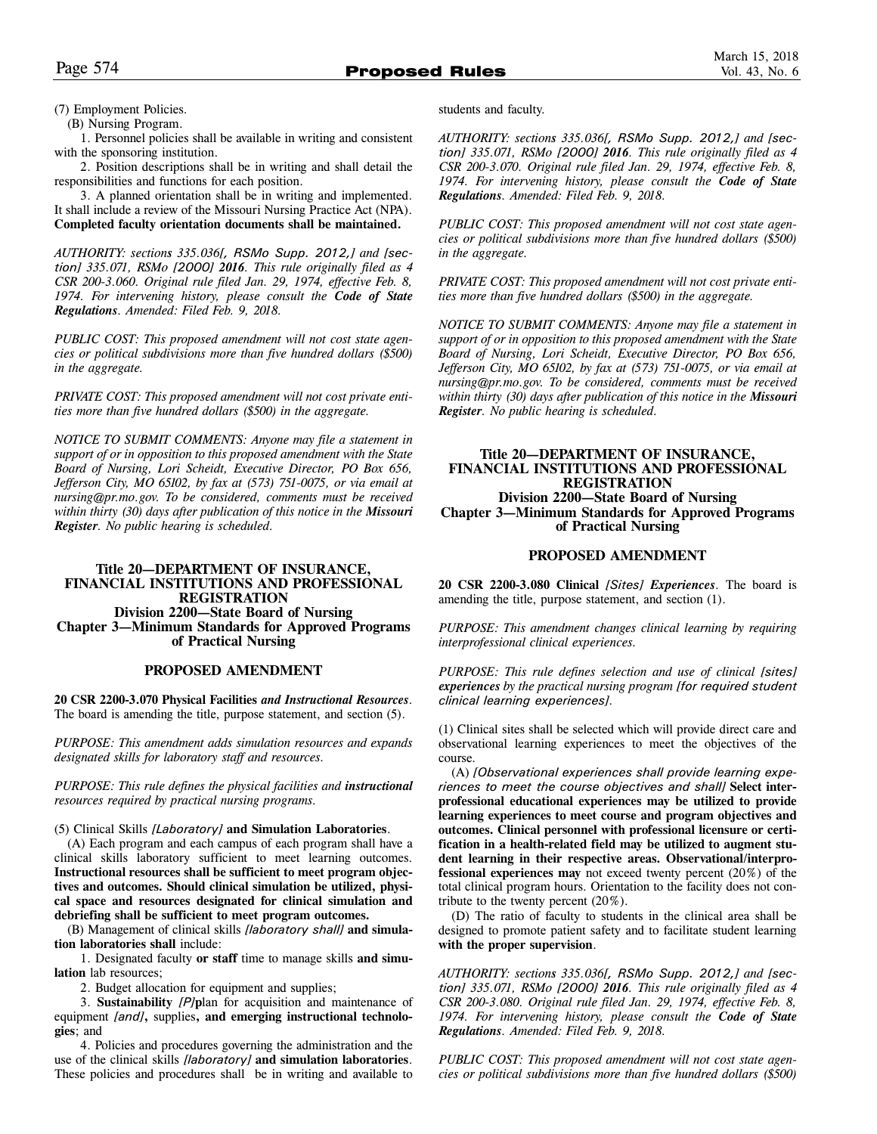(7) Employment Policies.

(B) Nursing Program.

1. Personnel policies shall be available in writing and consistent with the sponsoring institution.

2. Position descriptions shall be in writing and shall detail the responsibilities and functions for each position.

3. A planned orientation shall be in writing and implemented. It shall include a review of the Missouri Nursing Practice Act (NPA). **Completed faculty orientation documents shall be maintained.** 

*AUTHORITY: sections 335.036[, RSMo Supp. 2012,] and [section] 335.071, RSMo [2000] 2016. This rule originally filed as 4 CSR 200-3.060. Original rule filed Jan. 29, 1974, effective Feb. 8, 1974. For intervening history, please consult the Code of State Regulations. Amended: Filed Feb. 9, 2018.*

*PUBLIC COST: This proposed amendment will not cost state agencies or political subdivisions more than five hundred dollars (\$500) in the aggregate.*

*PRIVATE COST: This proposed amendment will not cost private entities more than five hundred dollars (\$500) in the aggregate.*

*NOTICE TO SUBMIT COMMENTS: Anyone may file a statement in support of or in opposition to this proposed amendment with the State Board of Nursing, Lori Scheidt, Executive Director, PO Box 656, Jefferson City, MO 65102, by fax at (573) 751-0075, or via email at nursing@pr.mo.gov. To be considered, comments must be received within thirty (30) days after publication of this notice in the Missouri Register. No public hearing is scheduled.*

# **Title 20—DEPARTMENT OF INSURANCE, FINANCIAL INSTITUTIONS AND PROFESSIONAL REGISTRATION Division 2200—State Board of Nursing Chapter 3—Minimum Standards for Approved Programs of Practical Nursing**

# **PROPOSED AMENDMENT**

**20 CSR 2200-3.070 Physical Facilities** *and Instructional Resources*. The board is amending the title, purpose statement, and section (5).

*PURPOSE: This amendment adds simulation resources and expands designated skills for laboratory staff and resources.*

*PURPOSE: This rule defines the physical facilities and instructional resources required by practical nursing programs.*

(5) Clinical Skills *[Laboratory]* **and Simulation Laboratories**.

(A) Each program and each campus of each program shall have a clinical skills laboratory sufficient to meet learning outcomes. **Instructional resources shall be sufficient to meet program objectives and outcomes. Should clinical simulation be utilized, physical space and resources designated for clinical simulation and debriefing shall be sufficient to meet program outcomes.** 

(B) Management of clinical skills *[laboratory shall]* **and simulation laboratories shall** include:

1. Designated faculty **or staff** time to manage skills **and simulation** lab resources;

2. Budget allocation for equipment and supplies;

3. **Sustainability** *[P]***p**lan for acquisition and maintenance of equipment *[and]***,** supplies**, and emerging instructional technologies**; and

4. Policies and procedures governing the administration and the use of the clinical skills *[laboratory]* **and simulation laboratories**. These policies and procedures shall be in writing and available to students and faculty.

*AUTHORITY: sections 335.036[, RSMo Supp. 2012,] and [section] 335.071, RSMo [2000] 2016. This rule originally filed as 4 CSR 200-3.070. Original rule filed Jan. 29, 1974, effective Feb. 8, 1974. For intervening history, please consult the Code of State Regulations. Amended: Filed Feb. 9, 2018.*

*PUBLIC COST: This proposed amendment will not cost state agencies or political subdivisions more than five hundred dollars (\$500) in the aggregate.*

*PRIVATE COST: This proposed amendment will not cost private entities more than five hundred dollars (\$500) in the aggregate.*

*NOTICE TO SUBMIT COMMENTS: Anyone may file a statement in support of or in opposition to this proposed amendment with the State Board of Nursing, Lori Scheidt, Executive Director, PO Box 656, Jefferson City, MO 65102, by fax at (573) 751-0075, or via email at nursing@pr.mo.gov. To be considered, comments must be received within thirty (30) days after publication of this notice in the Missouri Register. No public hearing is scheduled.*

# **Title 20—DEPARTMENT OF INSURANCE, FINANCIAL INSTITUTIONS AND PROFESSIONAL REGISTRATION Division 2200—State Board of Nursing Chapter 3—Minimum Standards for Approved Programs of Practical Nursing**

# **PROPOSED AMENDMENT**

**20 CSR 2200-3.080 Clinical** *[Sites] Experiences*. The board is amending the title, purpose statement, and section (1).

*PURPOSE: This amendment changes clinical learning by requiring interprofessional clinical experiences.*

*PURPOSE: This rule defines selection and use of clinical [sites] experiences by the practical nursing program [for required student clinical learning experiences].*

(1) Clinical sites shall be selected which will provide direct care and observational learning experiences to meet the objectives of the course.

(A) *[Observational experiences shall provide learning experiences to meet the course objectives and shall]* **Select interprofessional educational experiences may be utilized to provide learning experiences to meet course and program objectives and outcomes. Clinical personnel with professional licensure or certification in a health-related field may be utilized to augment student learning in their respective areas. Observational/interprofessional experiences may** not exceed twenty percent (20%) of the total clinical program hours. Orientation to the facility does not contribute to the twenty percent  $(20\%)$ .

(D) The ratio of faculty to students in the clinical area shall be designed to promote patient safety and to facilitate student learning **with the proper supervision**.

*AUTHORITY: sections 335.036[, RSMo Supp. 2012,] and [section] 335.071, RSMo [2000] 2016. This rule originally filed as 4 CSR 200-3.080. Original rule filed Jan. 29, 1974, effective Feb. 8, 1974. For intervening history, please consult the Code of State Regulations. Amended: Filed Feb. 9, 2018.*

*PUBLIC COST: This proposed amendment will not cost state agencies or political subdivisions more than five hundred dollars (\$500)*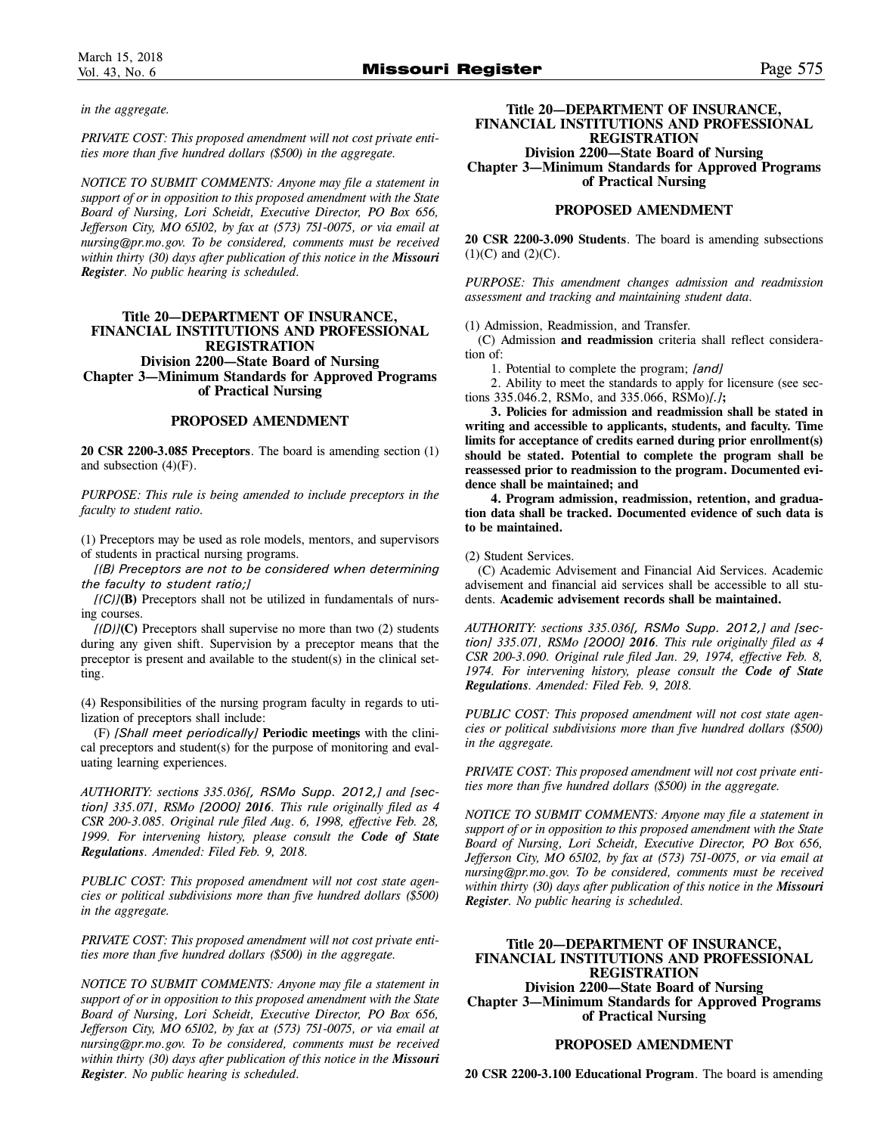*in the aggregate.*

*PRIVATE COST: This proposed amendment will not cost private entities more than five hundred dollars (\$500) in the aggregate.*

*NOTICE TO SUBMIT COMMENTS: Anyone may file a statement in support of or in opposition to this proposed amendment with the State Board of Nursing, Lori Scheidt, Executive Director, PO Box 656, Jefferson City, MO 65102, by fax at (573) 751-0075, or via email at nursing@pr.mo.gov. To be considered, comments must be received within thirty (30) days after publication of this notice in the Missouri Register. No public hearing is scheduled.*

# **Title 20—DEPARTMENT OF INSURANCE, FINANCIAL INSTITUTIONS AND PROFESSIONAL REGISTRATION Division 2200—State Board of Nursing Chapter 3—Minimum Standards for Approved Programs of Practical Nursing**

# **PROPOSED AMENDMENT**

**20 CSR 2200-3.085 Preceptors**. The board is amending section (1) and subsection (4)(F).

*PURPOSE: This rule is being amended to include preceptors in the faculty to student ratio.*

(1) Preceptors may be used as role models, mentors, and supervisors of students in practical nursing programs.

*[(B) Preceptors are not to be considered when determining the faculty to student ratio;]*

*[(C)]***(B)** Preceptors shall not be utilized in fundamentals of nursing courses.

*[(D)]***(C)** Preceptors shall supervise no more than two (2) students during any given shift. Supervision by a preceptor means that the preceptor is present and available to the student(s) in the clinical setting.

(4) Responsibilities of the nursing program faculty in regards to utilization of preceptors shall include:

(F) *[Shall meet periodically]* **Periodic meetings** with the clinical preceptors and student(s) for the purpose of monitoring and evaluating learning experiences.

*AUTHORITY: sections 335.036[, RSMo Supp. 2012,] and [section] 335.071, RSMo [2000] 2016. This rule originally filed as 4 CSR 200-3.085. Original rule filed Aug. 6, 1998, effective Feb. 28, 1999. For intervening history, please consult the Code of State Regulations. Amended: Filed Feb. 9, 2018.*

*PUBLIC COST: This proposed amendment will not cost state agencies or political subdivisions more than five hundred dollars (\$500) in the aggregate.*

*PRIVATE COST: This proposed amendment will not cost private entities more than five hundred dollars (\$500) in the aggregate.*

*NOTICE TO SUBMIT COMMENTS: Anyone may file a statement in support of or in opposition to this proposed amendment with the State Board of Nursing, Lori Scheidt, Executive Director, PO Box 656, Jefferson City, MO 65102, by fax at (573) 751-0075, or via email at nursing@pr.mo.gov. To be considered, comments must be received within thirty (30) days after publication of this notice in the Missouri Register. No public hearing is scheduled.*

**Title 20—DEPARTMENT OF INSURANCE, FINANCIAL INSTITUTIONS AND PROFESSIONAL REGISTRATION**

**Division 2200—State Board of Nursing Chapter 3—Minimum Standards for Approved Programs of Practical Nursing** 

#### **PROPOSED AMENDMENT**

**20 CSR 2200-3.090 Students**. The board is amending subsections  $(1)(C)$  and  $(2)(C)$ .

*PURPOSE: This amendment changes admission and readmission assessment and tracking and maintaining student data.* 

(1) Admission, Readmission, and Transfer.

(C) Admission **and readmission** criteria shall reflect consideration of:

1. Potential to complete the program; *[and]*

2. Ability to meet the standards to apply for licensure (see sections 335.046.2, RSMo, and 335.066, RSMo)*[.]***;**

**3. Policies for admission and readmission shall be stated in writing and accessible to applicants, students, and faculty. Time limits for acceptance of credits earned during prior enrollment(s) should be stated. Potential to complete the program shall be reassessed prior to readmission to the program. Documented evidence shall be maintained; and** 

**4. Program admission, readmission, retention, and graduation data shall be tracked. Documented evidence of such data is to be maintained.** 

#### (2) Student Services.

(C) Academic Advisement and Financial Aid Services. Academic advisement and financial aid services shall be accessible to all students. **Academic advisement records shall be maintained.** 

*AUTHORITY: sections 335.036[, RSMo Supp. 2012,] and [section] 335.071, RSMo [2000] 2016. This rule originally filed as 4 CSR 200-3.090. Original rule filed Jan. 29, 1974, effective Feb. 8, 1974. For intervening history, please consult the Code of State Regulations. Amended: Filed Feb. 9, 2018.*

*PUBLIC COST: This proposed amendment will not cost state agencies or political subdivisions more than five hundred dollars (\$500) in the aggregate.*

*PRIVATE COST: This proposed amendment will not cost private entities more than five hundred dollars (\$500) in the aggregate.*

*NOTICE TO SUBMIT COMMENTS: Anyone may file a statement in support of or in opposition to this proposed amendment with the State Board of Nursing, Lori Scheidt, Executive Director, PO Box 656, Jefferson City, MO 65102, by fax at (573) 751-0075, or via email at nursing@pr.mo.gov. To be considered, comments must be received within thirty (30) days after publication of this notice in the Missouri Register. No public hearing is scheduled.*

# **Title 20—DEPARTMENT OF INSURANCE, FINANCIAL INSTITUTIONS AND PROFESSIONAL REGISTRATION Division 2200—State Board of Nursing Chapter 3—Minimum Standards for Approved Programs**

**of Practical Nursing** 

# **PROPOSED AMENDMENT**

**20 CSR 2200-3.100 Educational Program**. The board is amending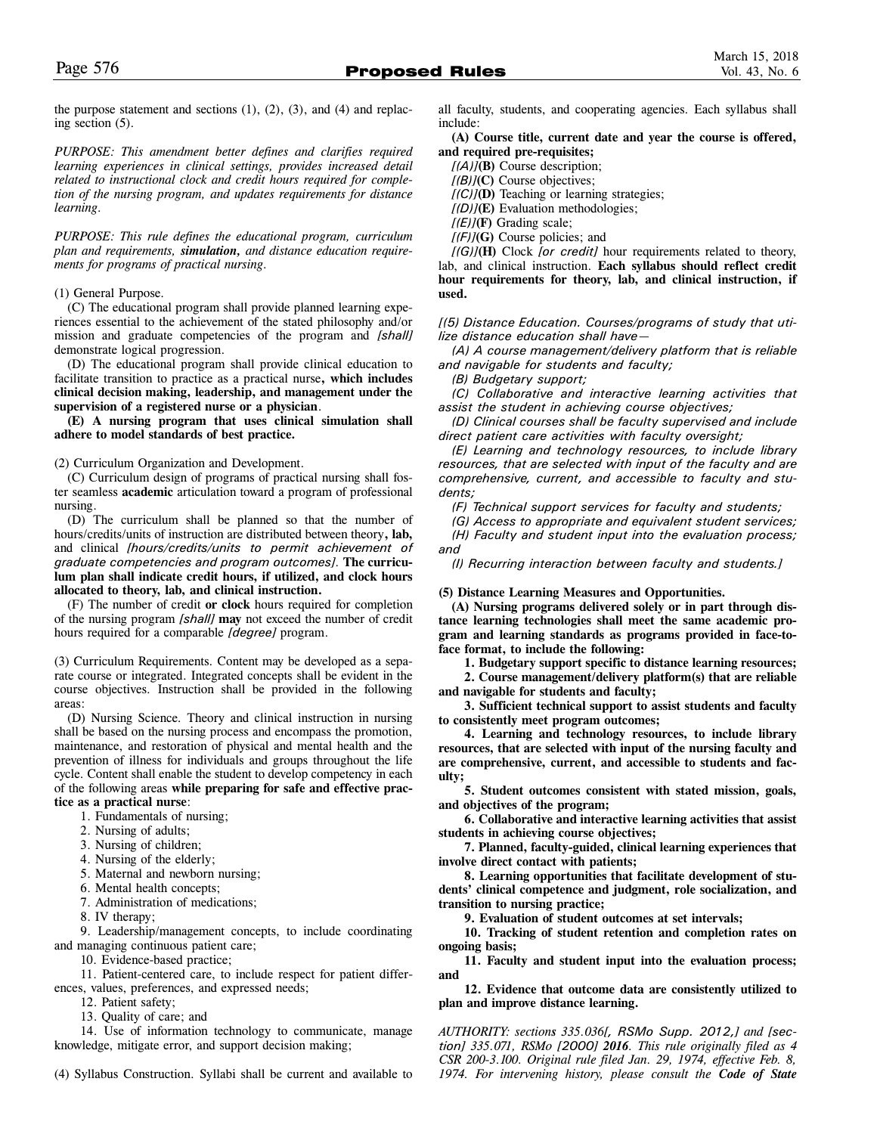the purpose statement and sections  $(1)$ ,  $(2)$ ,  $(3)$ , and  $(4)$  and replacing section (5).

*PURPOSE: This amendment better defines and clarifies required learning experiences in clinical settings, provides increased detail related to instructional clock and credit hours required for completion of the nursing program, and updates requirements for distance learning.* 

*PURPOSE: This rule defines the educational program, curriculum plan and requirements, simulation, and distance education requirements for programs of practical nursing.*

#### (1) General Purpose.

(C) The educational program shall provide planned learning experiences essential to the achievement of the stated philosophy and/or mission and graduate competencies of the program and *[shall]* demonstrate logical progression.

(D) The educational program shall provide clinical education to facilitate transition to practice as a practical nurse**, which includes clinical decision making, leadership, and management under the supervision of a registered nurse or a physician**.

**(E) A nursing program that uses clinical simulation shall adhere to model standards of best practice.** 

(2) Curriculum Organization and Development.

(C) Curriculum design of programs of practical nursing shall foster seamless **academic** articulation toward a program of professional nursing.

(D) The curriculum shall be planned so that the number of hours/credits/units of instruction are distributed between theory**, lab,** and clinical *[hours/credits/units to permit achievement of graduate competencies and program outcomes].* **The curriculum plan shall indicate credit hours, if utilized, and clock hours allocated to theory, lab, and clinical instruction.**

(F) The number of credit **or clock** hours required for completion of the nursing program *[shall]* **may** not exceed the number of credit hours required for a comparable *[degree]* program.

(3) Curriculum Requirements. Content may be developed as a separate course or integrated. Integrated concepts shall be evident in the course objectives. Instruction shall be provided in the following areas:

(D) Nursing Science. Theory and clinical instruction in nursing shall be based on the nursing process and encompass the promotion, maintenance, and restoration of physical and mental health and the prevention of illness for individuals and groups throughout the life cycle. Content shall enable the student to develop competency in each of the following areas **while preparing for safe and effective practice as a practical nurse**:

- 1. Fundamentals of nursing;
- 2. Nursing of adults;
- 3. Nursing of children;
- 4. Nursing of the elderly;
- 5. Maternal and newborn nursing;
- 6. Mental health concepts;
- 7. Administration of medications;
- 8. IV therapy;

9. Leadership/management concepts, to include coordinating and managing continuous patient care;

10. Evidence-based practice;

11. Patient-centered care, to include respect for patient differences, values, preferences, and expressed needs;

12. Patient safety;

13. Quality of care; and

14. Use of information technology to communicate, manage knowledge, mitigate error, and support decision making;

(4) Syllabus Construction. Syllabi shall be current and available to

all faculty, students, and cooperating agencies. Each syllabus shall include:

**(A) Course title, current date and year the course is offered, and required pre-requisites;** 

*[(A)]***(B)** Course description;

*[(B)]***(C)** Course objectives;

*[(C)]***(D)** Teaching or learning strategies;

*[(D)]***(E)** Evaluation methodologies;

*[(E)]***(F)** Grading scale;

*[(F)]***(G)** Course policies; and

*[(G)]***(H)** Clock *[or credit]* hour requirements related to theory, lab, and clinical instruction. **Each syllabus should reflect credit hour requirements for theory, lab, and clinical instruction, if used.**

*[(5) Distance Education. Courses/programs of study that utilize distance education shall have—*

*(A) A course management/delivery platform that is reliable and navigable for students and faculty;*

*(B) Budgetary support;*

*(C) Collaborative and interactive learning activities that assist the student in achieving course objectives;*

*(D) Clinical courses shall be faculty supervised and include direct patient care activities with faculty oversight;*

*(E) Learning and technology resources, to include library resources, that are selected with input of the faculty and are comprehensive, current, and accessible to faculty and students;*

*(F) Technical support services for faculty and students;* 

*(G) Access to appropriate and equivalent student services; (H) Faculty and student input into the evaluation process;*

*and*

*(I) Recurring interaction between faculty and students.]*

#### **(5) Distance Learning Measures and Opportunities.**

**(A) Nursing programs delivered solely or in part through distance learning technologies shall meet the same academic program and learning standards as programs provided in face-toface format, to include the following:** 

**1. Budgetary support specific to distance learning resources;** 

**2. Course management/delivery platform(s) that are reliable and navigable for students and faculty;**

**3. Sufficient technical support to assist students and faculty to consistently meet program outcomes;** 

**4. Learning and technology resources, to include library resources, that are selected with input of the nursing faculty and are comprehensive, current, and accessible to students and faculty;**

**5. Student outcomes consistent with stated mission, goals, and objectives of the program;**

**6. Collaborative and interactive learning activities that assist students in achieving course objectives;**

**7. Planned, faculty-guided, clinical learning experiences that involve direct contact with patients;** 

**8. Learning opportunities that facilitate development of students' clinical competence and judgment, role socialization, and transition to nursing practice;** 

**9. Evaluation of student outcomes at set intervals;** 

**10. Tracking of student retention and completion rates on ongoing basis;** 

**11. Faculty and student input into the evaluation process; and**

**12. Evidence that outcome data are consistently utilized to plan and improve distance learning.**

*AUTHORITY: sections 335.036[, RSMo Supp. 2012,] and [section] 335.071, RSMo [2000] 2016. This rule originally filed as 4 CSR 200-3.100. Original rule filed Jan. 29, 1974, effective Feb. 8, 1974. For intervening history, please consult the Code of State*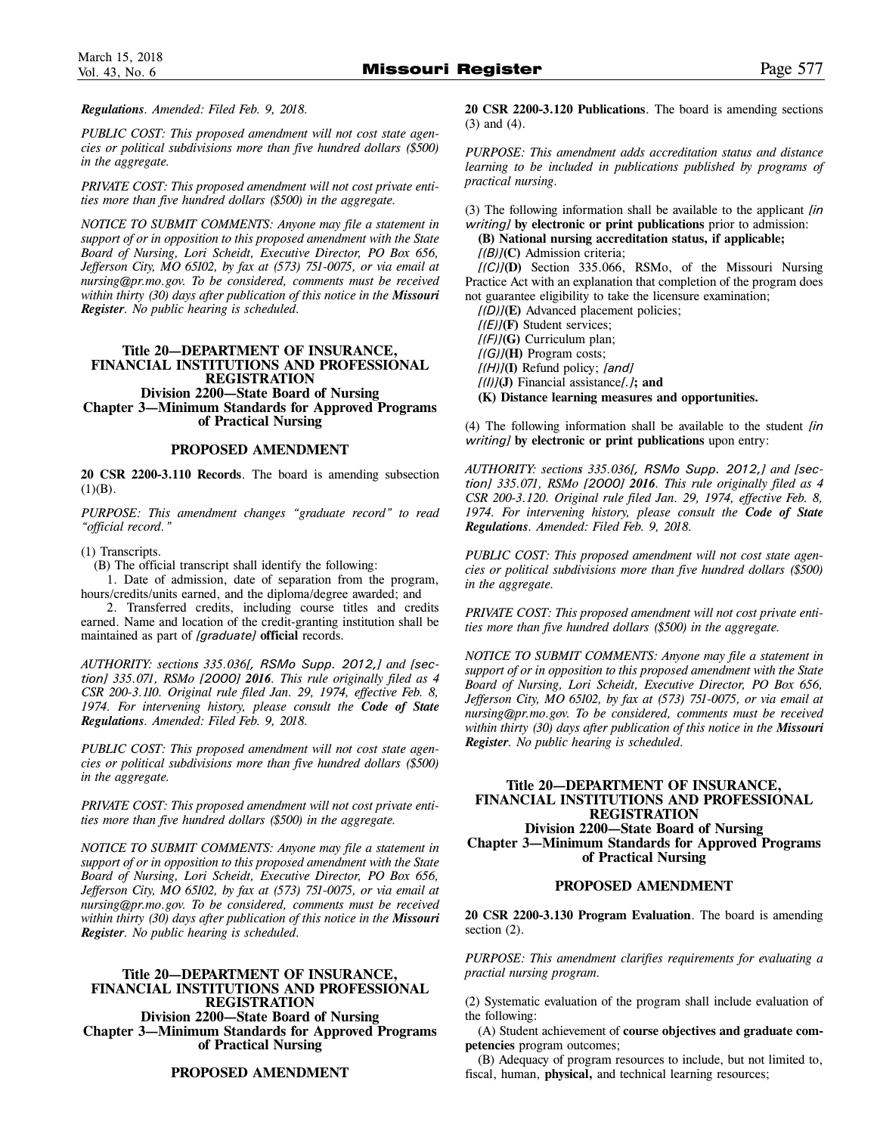*Regulations. Amended: Filed Feb. 9, 2018.*

*PUBLIC COST: This proposed amendment will not cost state agencies or political subdivisions more than five hundred dollars (\$500) in the aggregate.*

*PRIVATE COST: This proposed amendment will not cost private entities more than five hundred dollars (\$500) in the aggregate.*

*NOTICE TO SUBMIT COMMENTS: Anyone may file a statement in support of or in opposition to this proposed amendment with the State Board of Nursing, Lori Scheidt, Executive Director, PO Box 656, Jefferson City, MO 65102, by fax at (573) 751-0075, or via email at nursing@pr.mo.gov. To be considered, comments must be received within thirty (30) days after publication of this notice in the Missouri Register. No public hearing is scheduled.*

# **Title 20—DEPARTMENT OF INSURANCE, FINANCIAL INSTITUTIONS AND PROFESSIONAL REGISTRATION Division 2200—State Board of Nursing Chapter 3—Minimum Standards for Approved Programs**

**of Practical Nursing** 

# **PROPOSED AMENDMENT**

**20 CSR 2200-3.110 Records**. The board is amending subsection  $(1)(B)$ .

*PURPOSE: This amendment changes "graduate record" to read "official record."*

(1) Transcripts.

(B) The official transcript shall identify the following:

1. Date of admission, date of separation from the program, hours/credits/units earned, and the diploma/degree awarded; and

2. Transferred credits, including course titles and credits earned. Name and location of the credit-granting institution shall be maintained as part of *[graduate]* **official** records.

*AUTHORITY: sections 335.036[, RSMo Supp. 2012,] and [section] 335.071, RSMo [2000] 2016. This rule originally filed as 4 CSR 200-3.110. Original rule filed Jan. 29, 1974, effective Feb. 8, 1974. For intervening history, please consult the Code of State Regulations. Amended: Filed Feb. 9, 2018.*

*PUBLIC COST: This proposed amendment will not cost state agencies or political subdivisions more than five hundred dollars (\$500) in the aggregate.*

*PRIVATE COST: This proposed amendment will not cost private entities more than five hundred dollars (\$500) in the aggregate.*

*NOTICE TO SUBMIT COMMENTS: Anyone may file a statement in support of or in opposition to this proposed amendment with the State Board of Nursing, Lori Scheidt, Executive Director, PO Box 656, Jefferson City, MO 65102, by fax at (573) 751-0075, or via email at nursing@pr.mo.gov. To be considered, comments must be received within thirty (30) days after publication of this notice in the Missouri Register. No public hearing is scheduled.*

## **Title 20—DEPARTMENT OF INSURANCE, FINANCIAL INSTITUTIONS AND PROFESSIONAL REGISTRATION Division 2200—State Board of Nursing Chapter 3—Minimum Standards for Approved Programs of Practical Nursing**

#### **PROPOSED AMENDMENT**

**20 CSR 2200-3.120 Publications**. The board is amending sections (3) and (4).

*PURPOSE: This amendment adds accreditation status and distance learning to be included in publications published by programs of practical nursing.*

(3) The following information shall be available to the applicant *[in writing]* **by electronic or print publications** prior to admission:

**(B) National nursing accreditation status, if applicable;**  *[(B)]***(C)** Admission criteria;

*[(C)]***(D)** Section 335.066, RSMo, of the Missouri Nursing Practice Act with an explanation that completion of the program does not guarantee eligibility to take the licensure examination;

*[(D)]***(E)** Advanced placement policies;

*[(E)]***(F)** Student services; *[(F)]***(G)** Curriculum plan; *[(G)]***(H)** Program costs; *[(H)]***(I)** Refund policy; *[and]*

*[(I)]***(J)** Financial assistance*[.]***; and** 

**(K) Distance learning measures and opportunities.** 

(4) The following information shall be available to the student *[in writing]* **by electronic or print publications** upon entry:

*AUTHORITY: sections 335.036[, RSMo Supp. 2012,] and [section] 335.071, RSMo [2000] 2016. This rule originally filed as 4 CSR 200-3.120. Original rule filed Jan. 29, 1974, effective Feb. 8, 1974. For intervening history, please consult the Code of State Regulations. Amended: Filed Feb. 9, 2018.*

*PUBLIC COST: This proposed amendment will not cost state agencies or political subdivisions more than five hundred dollars (\$500) in the aggregate.*

*PRIVATE COST: This proposed amendment will not cost private entities more than five hundred dollars (\$500) in the aggregate.*

*NOTICE TO SUBMIT COMMENTS: Anyone may file a statement in support of or in opposition to this proposed amendment with the State Board of Nursing, Lori Scheidt, Executive Director, PO Box 656, Jefferson City, MO 65102, by fax at (573) 751-0075, or via email at nursing@pr.mo.gov. To be considered, comments must be received within thirty (30) days after publication of this notice in the Missouri Register. No public hearing is scheduled.*

# **Title 20—DEPARTMENT OF INSURANCE, FINANCIAL INSTITUTIONS AND PROFESSIONAL REGISTRATION Division 2200—State Board of Nursing Chapter 3—Minimum Standards for Approved Programs of Practical Nursing**

# **PROPOSED AMENDMENT**

**20 CSR 2200-3.130 Program Evaluation**. The board is amending section  $(2)$ .

*PURPOSE: This amendment clarifies requirements for evaluating a practial nursing program.* 

(2) Systematic evaluation of the program shall include evaluation of the following:

(A) Student achievement of **course objectives and graduate competencies** program outcomes;

(B) Adequacy of program resources to include, but not limited to, fiscal, human, **physical,** and technical learning resources;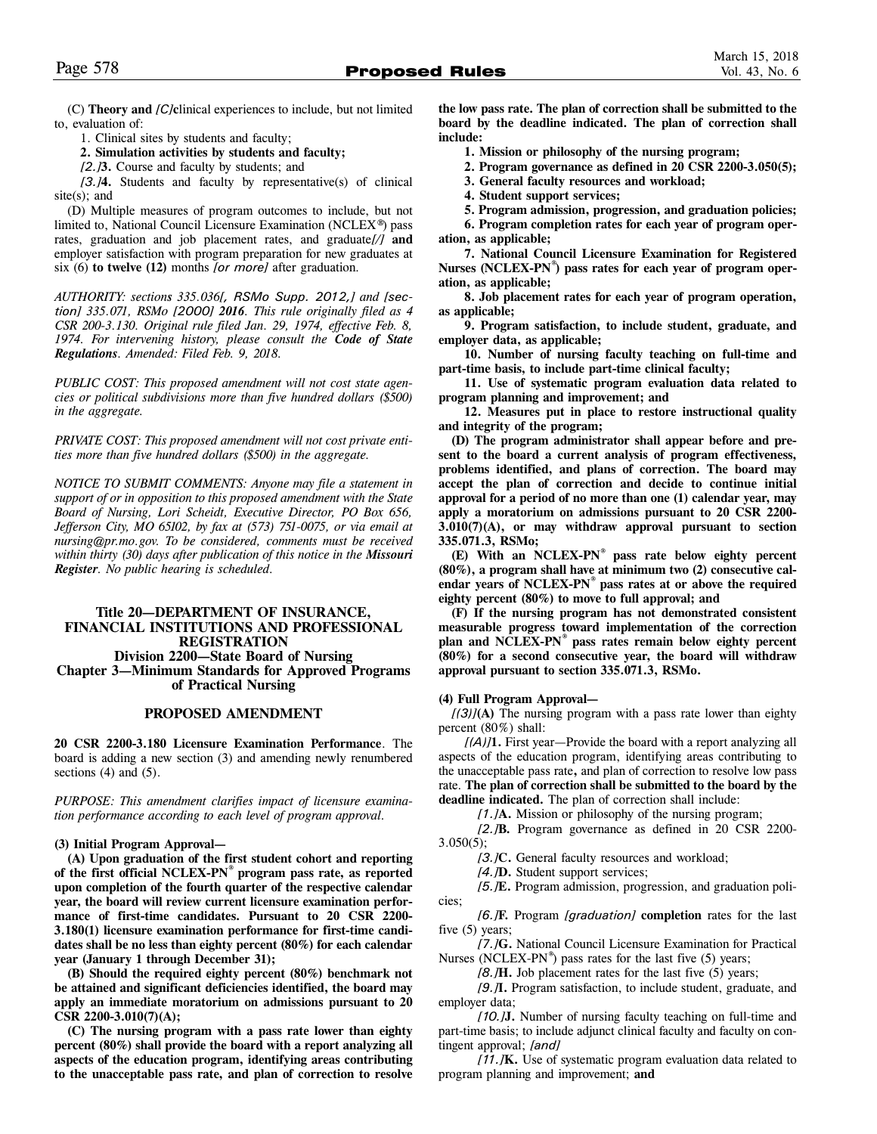(C) **Theory and** *[C]***c**linical experiences to include, but not limited to, evaluation of:

1. Clinical sites by students and faculty;

**2. Simulation activities by students and faculty;**

*[2.]***3.** Course and faculty by students; and

*[3.]***4.** Students and faculty by representative(s) of clinical site(s); and

(D) Multiple measures of program outcomes to include, but not limited to, National Council Licensure Examination (NCLEX**®**) pass rates, graduation and job placement rates, and graduate*[/]* **and** employer satisfaction with program preparation for new graduates at six (6) **to twelve (12)** months *[or more]* after graduation*.*

*AUTHORITY: sections 335.036[, RSMo Supp. 2012,] and [section] 335.071, RSMo [2000] 2016. This rule originally filed as 4 CSR 200-3.130. Original rule filed Jan. 29, 1974, effective Feb. 8, 1974. For intervening history, please consult the Code of State Regulations. Amended: Filed Feb. 9, 2018.*

*PUBLIC COST: This proposed amendment will not cost state agencies or political subdivisions more than five hundred dollars (\$500) in the aggregate.*

*PRIVATE COST: This proposed amendment will not cost private entities more than five hundred dollars (\$500) in the aggregate.*

*NOTICE TO SUBMIT COMMENTS: Anyone may file a statement in support of or in opposition to this proposed amendment with the State Board of Nursing, Lori Scheidt, Executive Director, PO Box 656, Jefferson City, MO 65102, by fax at (573) 751-0075, or via email at nursing@pr.mo.gov. To be considered, comments must be received within thirty (30) days after publication of this notice in the Missouri Register. No public hearing is scheduled.*

# **Title 20—DEPARTMENT OF INSURANCE, FINANCIAL INSTITUTIONS AND PROFESSIONAL REGISTRATION Division 2200—State Board of Nursing Chapter 3—Minimum Standards for Approved Programs of Practical Nursing**

#### **PROPOSED AMENDMENT**

**20 CSR 2200-3.180 Licensure Examination Performance**. The board is adding a new section (3) and amending newly renumbered sections  $(4)$  and  $(5)$ .

*PURPOSE: This amendment clarifies impact of licensure examination performance according to each level of program approval.*

#### **(3) Initial Program Approval—**

**(A) Upon graduation of the first student cohort and reporting of the first official NCLEX-PN® program pass rate, as reported upon completion of the fourth quarter of the respective calendar year, the board will review current licensure examination performance of first-time candidates. Pursuant to 20 CSR 2200- 3.180(1) licensure examination performance for first-time candidates shall be no less than eighty percent (80%) for each calendar year (January 1 through December 31);** 

**(B) Should the required eighty percent (80%) benchmark not be attained and significant deficiencies identified, the board may apply an immediate moratorium on admissions pursuant to 20 CSR 2200-3.010(7)(A);** 

**(C) The nursing program with a pass rate lower than eighty percent (80%) shall provide the board with a report analyzing all aspects of the education program, identifying areas contributing to the unacceptable pass rate, and plan of correction to resolve** **the low pass rate. The plan of correction shall be submitted to the board by the deadline indicated. The plan of correction shall include:**

**1. Mission or philosophy of the nursing program;** 

**2. Program governance as defined in 20 CSR 2200-3.050(5);** 

**3. General faculty resources and workload;** 

**4. Student support services;** 

**5. Program admission, progression, and graduation policies;** 

**6. Program completion rates for each year of program operation, as applicable;** 

**7. National Council Licensure Examination for Registered Nurses (NCLEX-PN®) pass rates for each year of program operation, as applicable;** 

**8. Job placement rates for each year of program operation, as applicable;** 

**9. Program satisfaction, to include student, graduate, and employer data, as applicable;**

**10. Number of nursing faculty teaching on full-time and part-time basis, to include part-time clinical faculty;** 

**11. Use of systematic program evaluation data related to program planning and improvement; and**

**12. Measures put in place to restore instructional quality and integrity of the program;** 

**(D) The program administrator shall appear before and present to the board a current analysis of program effectiveness, problems identified, and plans of correction. The board may accept the plan of correction and decide to continue initial approval for a period of no more than one (1) calendar year, may apply a moratorium on admissions pursuant to 20 CSR 2200- 3.010(7)(A), or may withdraw approval pursuant to section 335.071.3, RSMo;** 

**(E) With an NCLEX-PN® pass rate below eighty percent (80%), a program shall have at minimum two (2) consecutive calendar years of NCLEX-PN® pass rates at or above the required eighty percent (80%) to move to full approval; and** 

**(F) If the nursing program has not demonstrated consistent measurable progress toward implementation of the correction plan and NCLEX-PN® pass rates remain below eighty percent (80%) for a second consecutive year, the board will withdraw approval pursuant to section 335.071.3, RSMo.** 

#### **(4) Full Program Approval—**

*[(3)]***(A)** The nursing program with a pass rate lower than eighty percent (80%) shall:

*[(A)]***1.** First year—Provide the board with a report analyzing all aspects of the education program, identifying areas contributing to the unacceptable pass rate**,** and plan of correction to resolve low pass rate. **The plan of correction shall be submitted to the board by the deadline indicated.** The plan of correction shall include:

*[1.]***A.** Mission or philosophy of the nursing program;

*[2.]***B.** Program governance as defined in 20 CSR 2200-  $3.050(5);$ 

*[3.]***C.** General faculty resources and workload;

*[4.]***D.** Student support services;

*[5.]***E.** Program admission, progression, and graduation policies;

*[6.]***F.** Program *[graduation]* **completion** rates for the last five (5) years;

*[7.]***G.** National Council Licensure Examination for Practical Nurses (NCLEX-PN $^{\circ}$ ) pass rates for the last five (5) years;

*[8.]***H.** Job placement rates for the last five (5) years;

*[9.]***I.** Program satisfaction, to include student, graduate, and employer data;

*[10.]***J.** Number of nursing faculty teaching on full-time and part-time basis; to include adjunct clinical faculty and faculty on contingent approval; *[and]*

*[11.]***K.** Use of systematic program evaluation data related to program planning and improvement; **and**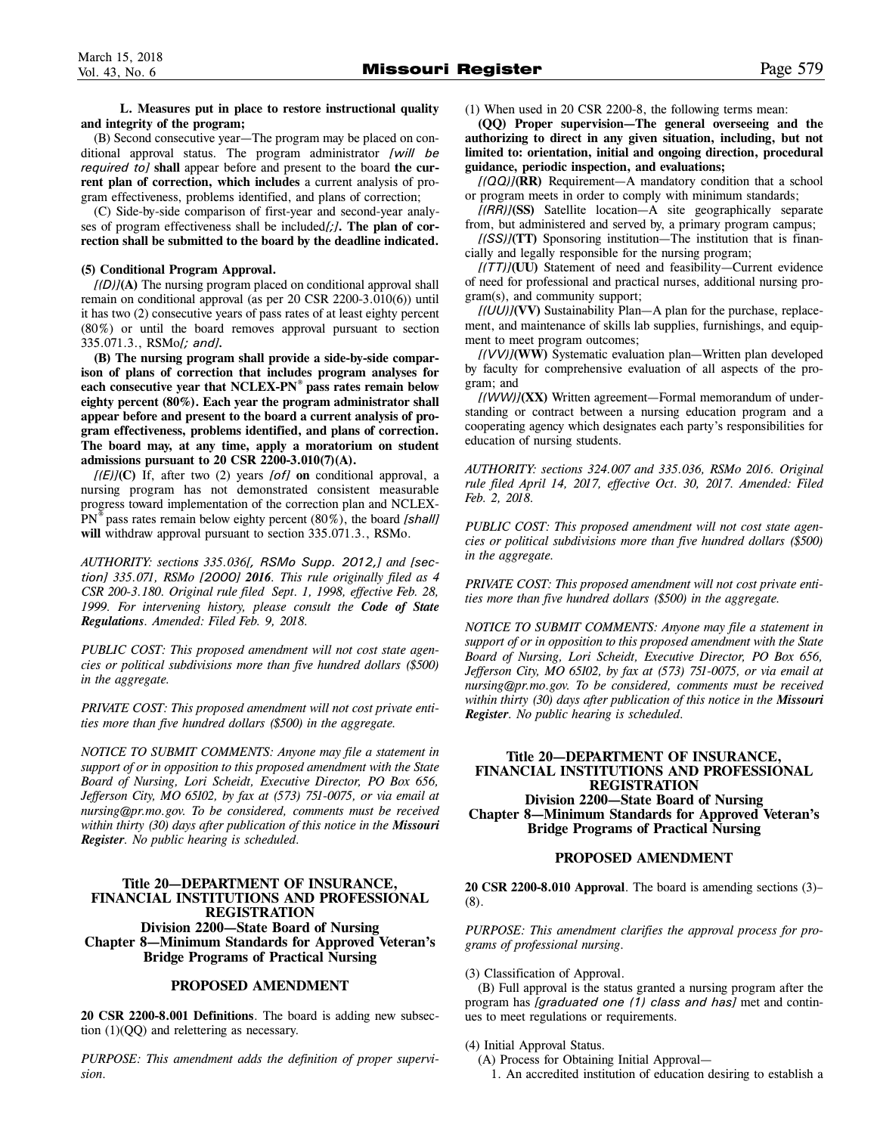**L. Measures put in place to restore instructional quality and integrity of the program;** 

(B) Second consecutive year—The program may be placed on conditional approval status. The program administrator *[will be required to]* **shall** appear before and present to the board **the current plan of correction, which includes** a current analysis of program effectiveness, problems identified, and plans of correction;

(C) Side-by-side comparison of first-year and second-year analyses of program effectiveness shall be included*[;]***. The plan of correction shall be submitted to the board by the deadline indicated.** 

#### **(5) Conditional Program Approval.**

*[(D)]***(A)** The nursing program placed on conditional approval shall remain on conditional approval (as per 20 CSR 2200-3.010(6)) until it has two (2) consecutive years of pass rates of at least eighty percent (80%) or until the board removes approval pursuant to section 335.071.3., RSMo*[; and].*

**(B) The nursing program shall provide a side-by-side comparison of plans of correction that includes program analyses for each consecutive year that NCLEX-PN® pass rates remain below eighty percent (80%). Each year the program administrator shall appear before and present to the board a current analysis of program effectiveness, problems identified, and plans of correction. The board may, at any time, apply a moratorium on student admissions pursuant to 20 CSR 2200-3.010(7)(A).**

*[(E)]***(C)** If, after two (2) years *[of]* **on** conditional approval, a nursing program has not demonstrated consistent measurable progress toward implementation of the correction plan and NCLEX-PN® pass rates remain below eighty percent (80%), the board *[shall]* **will** withdraw approval pursuant to section 335.071.3., RSMo.

*AUTHORITY: sections 335.036[, RSMo Supp. 2012,] and [section] 335.071, RSMo [2000] 2016. This rule originally filed as 4 CSR 200-3.180. Original rule filed Sept. 1, 1998, effective Feb. 28, 1999. For intervening history, please consult the Code of State Regulations. Amended: Filed Feb. 9, 2018.*

*PUBLIC COST: This proposed amendment will not cost state agencies or political subdivisions more than five hundred dollars (\$500) in the aggregate.*

*PRIVATE COST: This proposed amendment will not cost private entities more than five hundred dollars (\$500) in the aggregate.*

*NOTICE TO SUBMIT COMMENTS: Anyone may file a statement in support of or in opposition to this proposed amendment with the State Board of Nursing, Lori Scheidt, Executive Director, PO Box 656, Jefferson City, MO 65102, by fax at (573) 751-0075, or via email at nursing@pr.mo.gov. To be considered, comments must be received within thirty (30) days after publication of this notice in the Missouri Register. No public hearing is scheduled.*

# **Title 20—DEPARTMENT OF INSURANCE, FINANCIAL INSTITUTIONS AND PROFESSIONAL REGISTRATION Division 2200—State Board of Nursing Chapter 8—Minimum Standards for Approved Veteran's Bridge Programs of Practical Nursing**

#### **PROPOSED AMENDMENT**

**20 CSR 2200-8.001 Definitions**. The board is adding new subsection (1)(QQ) and relettering as necessary.

*PURPOSE: This amendment adds the definition of proper supervision.*

(1) When used in 20 CSR 2200-8, the following terms mean:

**(QQ) Proper supervision—The general overseeing and the authorizing to direct in any given situation, including, but not limited to: orientation, initial and ongoing direction, procedural guidance, periodic inspection, and evaluations;**

*[(QQ)]***(RR)** Requirement—A mandatory condition that a school or program meets in order to comply with minimum standards;

*[(RR)]***(SS)** Satellite location—A site geographically separate from, but administered and served by, a primary program campus;

*[(SS)]***(TT)** Sponsoring institution—The institution that is financially and legally responsible for the nursing program;

*[(TT)]***(UU)** Statement of need and feasibility—Current evidence of need for professional and practical nurses, additional nursing program(s), and community support;

*[(UU)]***(VV)** Sustainability Plan—A plan for the purchase, replacement, and maintenance of skills lab supplies, furnishings, and equipment to meet program outcomes;

*[(VV)]***(WW)** Systematic evaluation plan—Written plan developed by faculty for comprehensive evaluation of all aspects of the program; and

*[(WW)]***(XX)** Written agreement—Formal memorandum of understanding or contract between a nursing education program and a cooperating agency which designates each party's responsibilities for education of nursing students.

*AUTHORITY: sections 324.007 and 335.036, RSMo 2016. Original rule filed April 14, 2017, effective Oct. 30, 2017. Amended: Filed Feb. 2, 2018.*

*PUBLIC COST: This proposed amendment will not cost state agencies or political subdivisions more than five hundred dollars (\$500) in the aggregate.*

*PRIVATE COST: This proposed amendment will not cost private entities more than five hundred dollars (\$500) in the aggregate.*

*NOTICE TO SUBMIT COMMENTS: Anyone may file a statement in support of or in opposition to this proposed amendment with the State Board of Nursing, Lori Scheidt, Executive Director, PO Box 656, Jefferson City, MO 65102, by fax at (573) 751-0075, or via email at nursing@pr.mo.gov. To be considered, comments must be received within thirty (30) days after publication of this notice in the Missouri Register. No public hearing is scheduled.*

# **Title 20—DEPARTMENT OF INSURANCE, FINANCIAL INSTITUTIONS AND PROFESSIONAL REGISTRATION Division 2200—State Board of Nursing Chapter 8—Minimum Standards for Approved Veteran's Bridge Programs of Practical Nursing**

#### **PROPOSED AMENDMENT**

**20 CSR 2200-8.010 Approval**. The board is amending sections (3)– (8).

*PURPOSE: This amendment clarifies the approval process for programs of professional nursing.* 

(3) Classification of Approval.

(B) Full approval is the status granted a nursing program after the program has *[graduated one (1) class and has]* met and continues to meet regulations or requirements.

#### (4) Initial Approval Status.

(A) Process for Obtaining Initial Approval—

1. An accredited institution of education desiring to establish a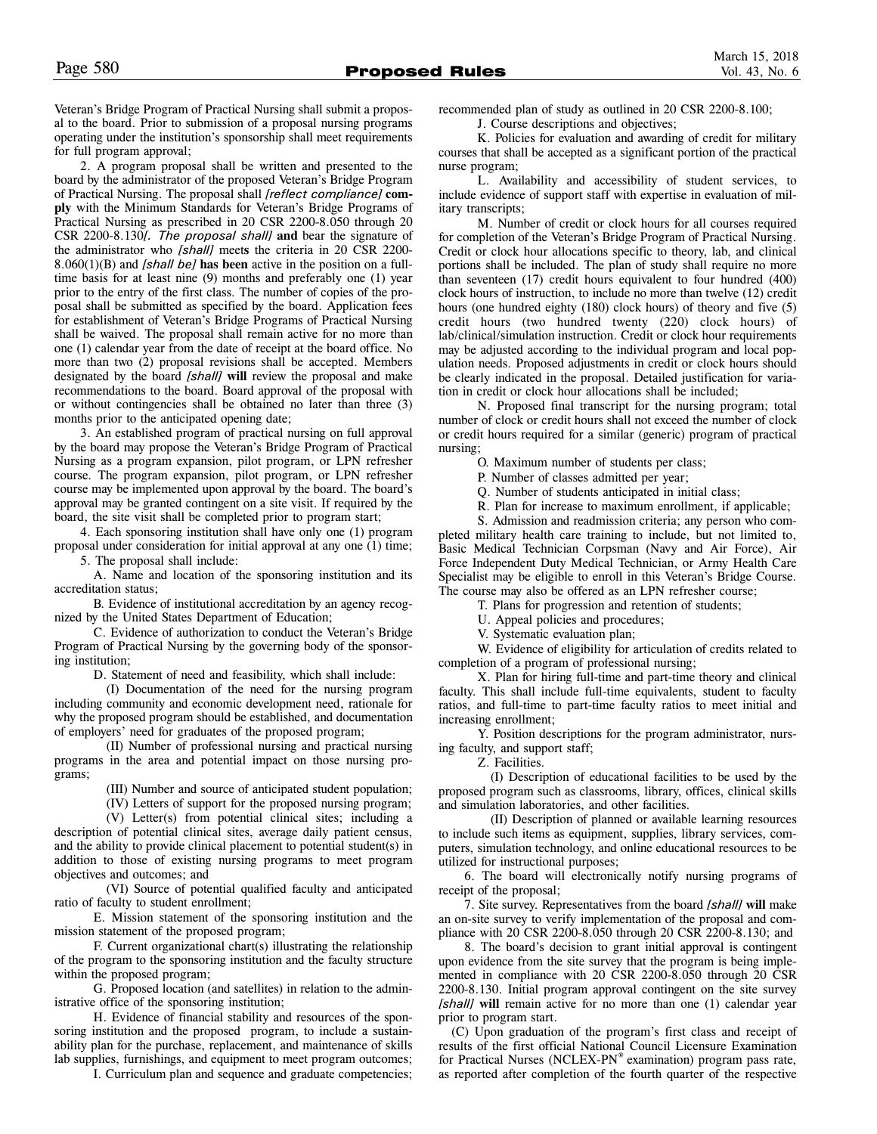Veteran's Bridge Program of Practical Nursing shall submit a proposal to the board. Prior to submission of a proposal nursing programs operating under the institution's sponsorship shall meet requirements for full program approval;

2. A program proposal shall be written and presented to the board by the administrator of the proposed Veteran's Bridge Program of Practical Nursing. The proposal shall *[reflect compliance]* **comply** with the Minimum Standards for Veteran's Bridge Programs of Practical Nursing as prescribed in 20 CSR 2200-8.050 through 20 CSR 2200-8.130*[. The proposal shall]* **and** bear the signature of the administrator who *[shall]* meet**s** the criteria in 20 CSR 2200- 8.060(1)(B) and *[shall be]* **has been** active in the position on a fulltime basis for at least nine (9) months and preferably one (1) year prior to the entry of the first class. The number of copies of the proposal shall be submitted as specified by the board. Application fees for establishment of Veteran's Bridge Programs of Practical Nursing shall be waived. The proposal shall remain active for no more than one (1) calendar year from the date of receipt at the board office. No more than two (2) proposal revisions shall be accepted. Members designated by the board *[shall]* **will** review the proposal and make recommendations to the board. Board approval of the proposal with or without contingencies shall be obtained no later than three (3) months prior to the anticipated opening date;

3. An established program of practical nursing on full approval by the board may propose the Veteran's Bridge Program of Practical Nursing as a program expansion, pilot program, or LPN refresher course. The program expansion, pilot program, or LPN refresher course may be implemented upon approval by the board. The board's approval may be granted contingent on a site visit. If required by the board, the site visit shall be completed prior to program start;

4. Each sponsoring institution shall have only one (1) program proposal under consideration for initial approval at any one (1) time; 5. The proposal shall include:

A. Name and location of the sponsoring institution and its accreditation status;

B. Evidence of institutional accreditation by an agency recognized by the United States Department of Education;

C. Evidence of authorization to conduct the Veteran's Bridge Program of Practical Nursing by the governing body of the sponsoring institution;

D. Statement of need and feasibility, which shall include:

(I) Documentation of the need for the nursing program including community and economic development need, rationale for why the proposed program should be established, and documentation of employers' need for graduates of the proposed program;

(II) Number of professional nursing and practical nursing programs in the area and potential impact on those nursing programs;

(III) Number and source of anticipated student population;

(IV) Letters of support for the proposed nursing program;

(V) Letter(s) from potential clinical sites; including a description of potential clinical sites, average daily patient census, and the ability to provide clinical placement to potential student(s) in addition to those of existing nursing programs to meet program objectives and outcomes; and

(VI) Source of potential qualified faculty and anticipated ratio of faculty to student enrollment;

E. Mission statement of the sponsoring institution and the mission statement of the proposed program;

F. Current organizational chart(s) illustrating the relationship of the program to the sponsoring institution and the faculty structure within the proposed program;

G. Proposed location (and satellites) in relation to the administrative office of the sponsoring institution;

H. Evidence of financial stability and resources of the sponsoring institution and the proposed program, to include a sustainability plan for the purchase, replacement, and maintenance of skills lab supplies, furnishings, and equipment to meet program outcomes;

I. Curriculum plan and sequence and graduate competencies;

recommended plan of study as outlined in 20 CSR 2200-8.100;

J. Course descriptions and objectives;

K. Policies for evaluation and awarding of credit for military courses that shall be accepted as a significant portion of the practical nurse program;

L. Availability and accessibility of student services, to include evidence of support staff with expertise in evaluation of military transcripts;

M. Number of credit or clock hours for all courses required for completion of the Veteran's Bridge Program of Practical Nursing. Credit or clock hour allocations specific to theory, lab, and clinical portions shall be included. The plan of study shall require no more than seventeen (17) credit hours equivalent to four hundred (400) clock hours of instruction, to include no more than twelve (12) credit hours (one hundred eighty (180) clock hours) of theory and five (5) credit hours (two hundred twenty (220) clock hours) of lab/clinical/simulation instruction. Credit or clock hour requirements may be adjusted according to the individual program and local population needs. Proposed adjustments in credit or clock hours should be clearly indicated in the proposal. Detailed justification for variation in credit or clock hour allocations shall be included;

N. Proposed final transcript for the nursing program; total number of clock or credit hours shall not exceed the number of clock or credit hours required for a similar (generic) program of practical nursing;

O. Maximum number of students per class;

P. Number of classes admitted per year;

Q. Number of students anticipated in initial class;

R. Plan for increase to maximum enrollment, if applicable;

S. Admission and readmission criteria; any person who completed military health care training to include, but not limited to, Basic Medical Technician Corpsman (Navy and Air Force), Air Force Independent Duty Medical Technician, or Army Health Care Specialist may be eligible to enroll in this Veteran's Bridge Course. The course may also be offered as an LPN refresher course;

T. Plans for progression and retention of students;

U. Appeal policies and procedures;

V. Systematic evaluation plan;

W. Evidence of eligibility for articulation of credits related to completion of a program of professional nursing;

X. Plan for hiring full-time and part-time theory and clinical faculty. This shall include full-time equivalents, student to faculty ratios, and full-time to part-time faculty ratios to meet initial and increasing enrollment;

Y. Position descriptions for the program administrator, nursing faculty, and support staff;

Z. Facilities.

(I) Description of educational facilities to be used by the proposed program such as classrooms, library, offices, clinical skills and simulation laboratories, and other facilities.

(II) Description of planned or available learning resources to include such items as equipment, supplies, library services, computers, simulation technology, and online educational resources to be utilized for instructional purposes;

6. The board will electronically notify nursing programs of receipt of the proposal;

7. Site survey. Representatives from the board *[shall]* **will** make an on-site survey to verify implementation of the proposal and compliance with 20 CSR 2200-8.050 through 20 CSR 2200-8.130; and

8. The board's decision to grant initial approval is contingent upon evidence from the site survey that the program is being implemented in compliance with 20 CSR 2200-8.050 through 20 CSR 2200-8.130. Initial program approval contingent on the site survey *[shall]* **will** remain active for no more than one (1) calendar year prior to program start.

(C) Upon graduation of the program's first class and receipt of results of the first official National Council Licensure Examination for Practical Nurses (NCLEX-PN® examination) program pass rate, as reported after completion of the fourth quarter of the respective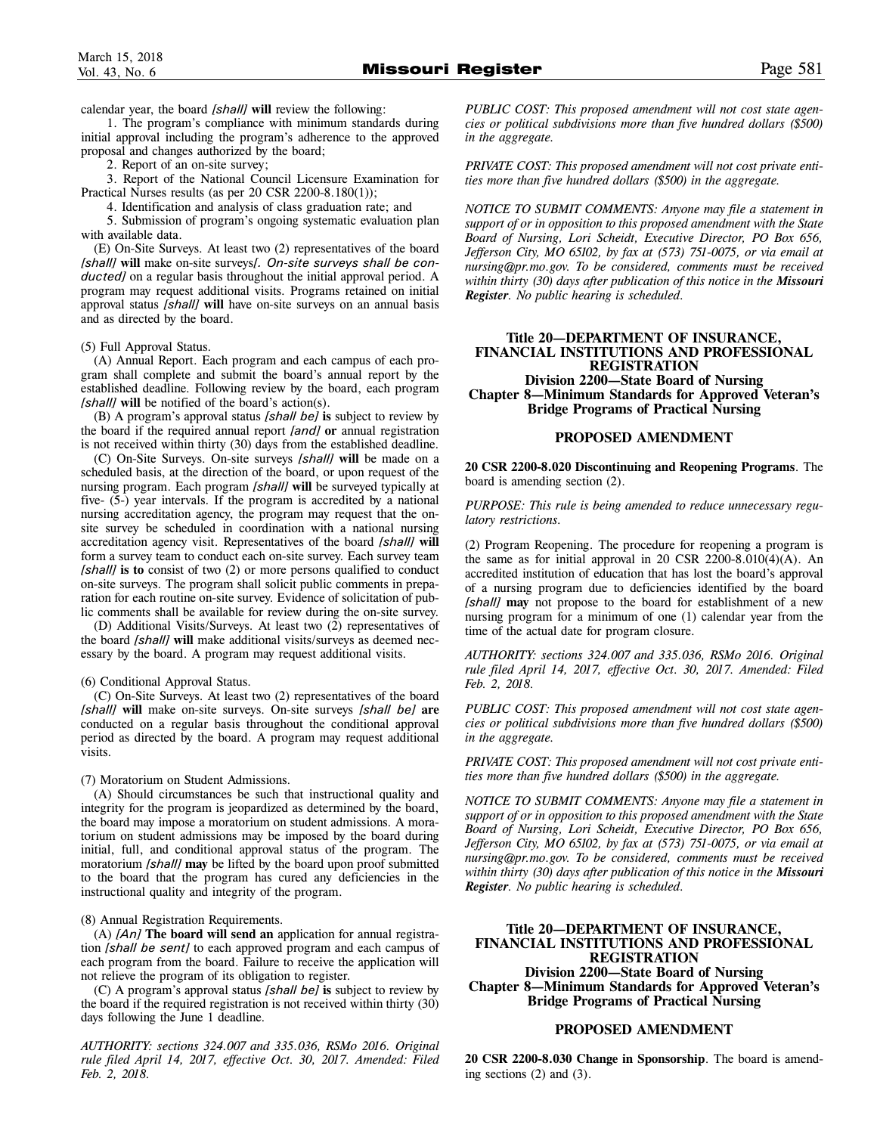1. The program's compliance with minimum standards during initial approval including the program's adherence to the approved proposal and changes authorized by the board;

2. Report of an on-site survey;

3. Report of the National Council Licensure Examination for Practical Nurses results (as per 20 CSR 2200-8.180(1));

4. Identification and analysis of class graduation rate; and

5. Submission of program's ongoing systematic evaluation plan with available data.

(E) On-Site Surveys. At least two (2) representatives of the board *[shall]* **will** make on-site surveys*[. On-site surveys shall be conducted]* on a regular basis throughout the initial approval period. A program may request additional visits. Programs retained on initial approval status *[shall]* **will** have on-site surveys on an annual basis and as directed by the board.

#### (5) Full Approval Status.

(A) Annual Report. Each program and each campus of each program shall complete and submit the board's annual report by the established deadline. Following review by the board, each program *[shall]* **will** be notified of the board's action(s).

(B) A program's approval status *[shall be]* **is** subject to review by the board if the required annual report *[and]* **or** annual registration is not received within thirty (30) days from the established deadline.

(C) On-Site Surveys. On-site surveys *[shall]* **will** be made on a scheduled basis, at the direction of the board, or upon request of the nursing program. Each program *[shall]* **will** be surveyed typically at five- (5-) year intervals. If the program is accredited by a national nursing accreditation agency, the program may request that the onsite survey be scheduled in coordination with a national nursing accreditation agency visit. Representatives of the board *[shall]* **will** form a survey team to conduct each on-site survey. Each survey team *[shall]* **is to** consist of two (2) or more persons qualified to conduct on-site surveys. The program shall solicit public comments in preparation for each routine on-site survey. Evidence of solicitation of public comments shall be available for review during the on-site survey.

(D) Additional Visits/Surveys. At least two (2) representatives of the board *[shall]* **will** make additional visits/surveys as deemed necessary by the board. A program may request additional visits.

#### (6) Conditional Approval Status.

(C) On-Site Surveys. At least two (2) representatives of the board *[shall]* **will** make on-site surveys. On-site surveys *[shall be]* **are** conducted on a regular basis throughout the conditional approval period as directed by the board. A program may request additional visits.

#### (7) Moratorium on Student Admissions.

(A) Should circumstances be such that instructional quality and integrity for the program is jeopardized as determined by the board, the board may impose a moratorium on student admissions. A moratorium on student admissions may be imposed by the board during initial, full, and conditional approval status of the program. The moratorium *[shall]* **may** be lifted by the board upon proof submitted to the board that the program has cured any deficiencies in the instructional quality and integrity of the program.

#### (8) Annual Registration Requirements.

(A) *[An]* **The board will send an** application for annual registration *[shall be sent]* to each approved program and each campus of each program from the board. Failure to receive the application will not relieve the program of its obligation to register.

(C) A program's approval status *[shall be]* **is** subject to review by the board if the required registration is not received within thirty (30) days following the June 1 deadline.

*AUTHORITY: sections 324.007 and 335.036, RSMo 2016. Original rule filed April 14, 2017, effective Oct. 30, 2017. Amended: Filed Feb. 2, 2018.*

*PUBLIC COST: This proposed amendment will not cost state agencies or political subdivisions more than five hundred dollars (\$500) in the aggregate.*

*PRIVATE COST: This proposed amendment will not cost private entities more than five hundred dollars (\$500) in the aggregate.*

*NOTICE TO SUBMIT COMMENTS: Anyone may file a statement in support of or in opposition to this proposed amendment with the State Board of Nursing, Lori Scheidt, Executive Director, PO Box 656, Jefferson City, MO 65102, by fax at (573) 751-0075, or via email at nursing@pr.mo.gov. To be considered, comments must be received within thirty (30) days after publication of this notice in the Missouri Register. No public hearing is scheduled.*

# **Title 20—DEPARTMENT OF INSURANCE, FINANCIAL INSTITUTIONS AND PROFESSIONAL REGISTRATION Division 2200—State Board of Nursing Chapter 8—Minimum Standards for Approved Veteran's Bridge Programs of Practical Nursing**

#### **PROPOSED AMENDMENT**

**20 CSR 2200-8.020 Discontinuing and Reopening Programs**. The board is amending section (2).

*PURPOSE: This rule is being amended to reduce unnecessary regulatory restrictions.* 

(2) Program Reopening. The procedure for reopening a program is the same as for initial approval in 20 CSR  $2200-8.010(4)(A)$ . An accredited institution of education that has lost the board's approval of a nursing program due to deficiencies identified by the board *[shall]* **may** not propose to the board for establishment of a new nursing program for a minimum of one (1) calendar year from the time of the actual date for program closure.

*AUTHORITY: sections 324.007 and 335.036, RSMo 2016. Original rule filed April 14, 2017, effective Oct. 30, 2017. Amended: Filed Feb. 2, 2018.*

*PUBLIC COST: This proposed amendment will not cost state agencies or political subdivisions more than five hundred dollars (\$500) in the aggregate.*

*PRIVATE COST: This proposed amendment will not cost private entities more than five hundred dollars (\$500) in the aggregate.*

*NOTICE TO SUBMIT COMMENTS: Anyone may file a statement in support of or in opposition to this proposed amendment with the State Board of Nursing, Lori Scheidt, Executive Director, PO Box 656, Jefferson City, MO 65102, by fax at (573) 751-0075, or via email at nursing@pr.mo.gov. To be considered, comments must be received within thirty (30) days after publication of this notice in the Missouri Register. No public hearing is scheduled.*

# **Title 20—DEPARTMENT OF INSURANCE, FINANCIAL INSTITUTIONS AND PROFESSIONAL REGISTRATION Division 2200—State Board of Nursing**

**Chapter 8—Minimum Standards for Approved Veteran's Bridge Programs of Practical Nursing**

# **PROPOSED AMENDMENT**

**20 CSR 2200-8.030 Change in Sponsorship**. The board is amending sections (2) and (3).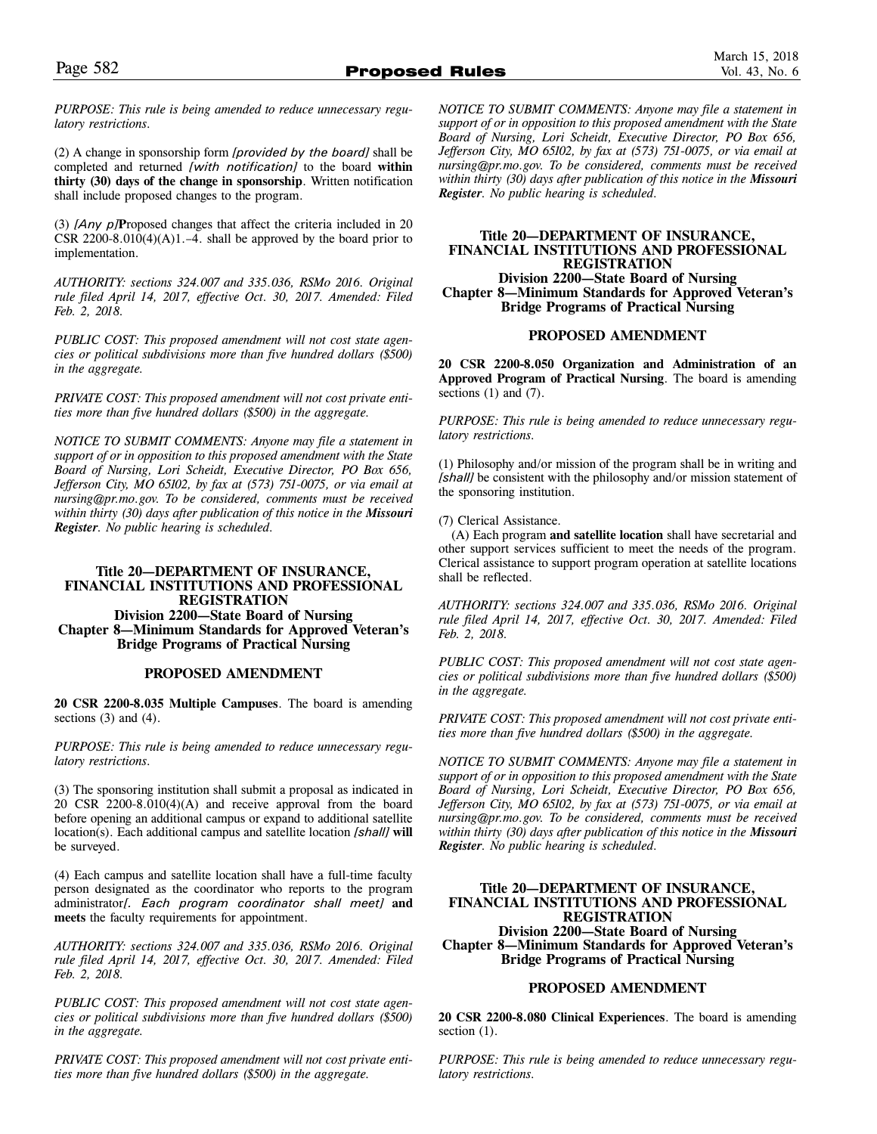*PURPOSE: This rule is being amended to reduce unnecessary regulatory restrictions.*

(2) A change in sponsorship form *[provided by the board]* shall be completed and returned *[with notification]* to the board **within thirty (30) days of the change in sponsorship**. Written notification shall include proposed changes to the program.

(3) *[Any p]***P**roposed changes that affect the criteria included in 20 CSR 2200-8.010(4)(A)1.–4. shall be approved by the board prior to implementation.

*AUTHORITY: sections 324.007 and 335.036, RSMo 2016. Original rule filed April 14, 2017, effective Oct. 30, 2017. Amended: Filed Feb. 2, 2018.*

*PUBLIC COST: This proposed amendment will not cost state agencies or political subdivisions more than five hundred dollars (\$500) in the aggregate.*

*PRIVATE COST: This proposed amendment will not cost private entities more than five hundred dollars (\$500) in the aggregate.*

*NOTICE TO SUBMIT COMMENTS: Anyone may file a statement in support of or in opposition to this proposed amendment with the State Board of Nursing, Lori Scheidt, Executive Director, PO Box 656, Jefferson City, MO 65102, by fax at (573) 751-0075, or via email at nursing@pr.mo.gov. To be considered, comments must be received within thirty (30) days after publication of this notice in the Missouri Register. No public hearing is scheduled.*

# **Title 20—DEPARTMENT OF INSURANCE, FINANCIAL INSTITUTIONS AND PROFESSIONAL REGISTRATION Division 2200—State Board of Nursing Chapter 8—Minimum Standards for Approved Veteran's Bridge Programs of Practical Nursing**

# **PROPOSED AMENDMENT**

**20 CSR 2200-8.035 Multiple Campuses**. The board is amending sections  $(3)$  and  $(4)$ .

*PURPOSE: This rule is being amended to reduce unnecessary regulatory restrictions.* 

(3) The sponsoring institution shall submit a proposal as indicated in 20 CSR 2200-8.010(4)(A) and receive approval from the board before opening an additional campus or expand to additional satellite location(s). Each additional campus and satellite location *[shall]* **will** be surveyed.

(4) Each campus and satellite location shall have a full-time faculty person designated as the coordinator who reports to the program administrator*[. Each program coordinator shall meet]* **and meets** the faculty requirements for appointment.

*AUTHORITY: sections 324.007 and 335.036, RSMo 2016. Original rule filed April 14, 2017, effective Oct. 30, 2017. Amended: Filed Feb. 2, 2018.*

*PUBLIC COST: This proposed amendment will not cost state agencies or political subdivisions more than five hundred dollars (\$500) in the aggregate.*

*PRIVATE COST: This proposed amendment will not cost private entities more than five hundred dollars (\$500) in the aggregate.*

*NOTICE TO SUBMIT COMMENTS: Anyone may file a statement in support of or in opposition to this proposed amendment with the State Board of Nursing, Lori Scheidt, Executive Director, PO Box 656, Jefferson City, MO 65102, by fax at (573) 751-0075, or via email at nursing@pr.mo.gov. To be considered, comments must be received within thirty (30) days after publication of this notice in the Missouri Register. No public hearing is scheduled.*

# **Title 20—DEPARTMENT OF INSURANCE, FINANCIAL INSTITUTIONS AND PROFESSIONAL REGISTRATION**

**Division 2200—State Board of Nursing Chapter 8—Minimum Standards for Approved Veteran's Bridge Programs of Practical Nursing**

# **PROPOSED AMENDMENT**

**20 CSR 2200-8.050 Organization and Administration of an Approved Program of Practical Nursing**. The board is amending sections  $(1)$  and  $(7)$ .

*PURPOSE: This rule is being amended to reduce unnecessary regulatory restrictions.* 

(1) Philosophy and/or mission of the program shall be in writing and *[shall]* be consistent with the philosophy and/or mission statement of the sponsoring institution.

(7) Clerical Assistance.

(A) Each program **and satellite location** shall have secretarial and other support services sufficient to meet the needs of the program. Clerical assistance to support program operation at satellite locations shall be reflected.

*AUTHORITY: sections 324.007 and 335.036, RSMo 2016. Original rule filed April 14, 2017, effective Oct. 30, 2017. Amended: Filed Feb. 2, 2018.*

*PUBLIC COST: This proposed amendment will not cost state agencies or political subdivisions more than five hundred dollars (\$500) in the aggregate.*

*PRIVATE COST: This proposed amendment will not cost private entities more than five hundred dollars (\$500) in the aggregate.*

*NOTICE TO SUBMIT COMMENTS: Anyone may file a statement in support of or in opposition to this proposed amendment with the State Board of Nursing, Lori Scheidt, Executive Director, PO Box 656, Jefferson City, MO 65102, by fax at (573) 751-0075, or via email at nursing@pr.mo.gov. To be considered, comments must be received within thirty (30) days after publication of this notice in the Missouri Register. No public hearing is scheduled.*

## **Title 20—DEPARTMENT OF INSURANCE, FINANCIAL INSTITUTIONS AND PROFESSIONAL REGISTRATION Division 2200—State Board of Nursing**

**Chapter 8—Minimum Standards for Approved Veteran's Bridge Programs of Practical Nursing**

# **PROPOSED AMENDMENT**

**20 CSR 2200-8.080 Clinical Experiences**. The board is amending section  $(1)$ .

*PURPOSE: This rule is being amended to reduce unnecessary regulatory restrictions.*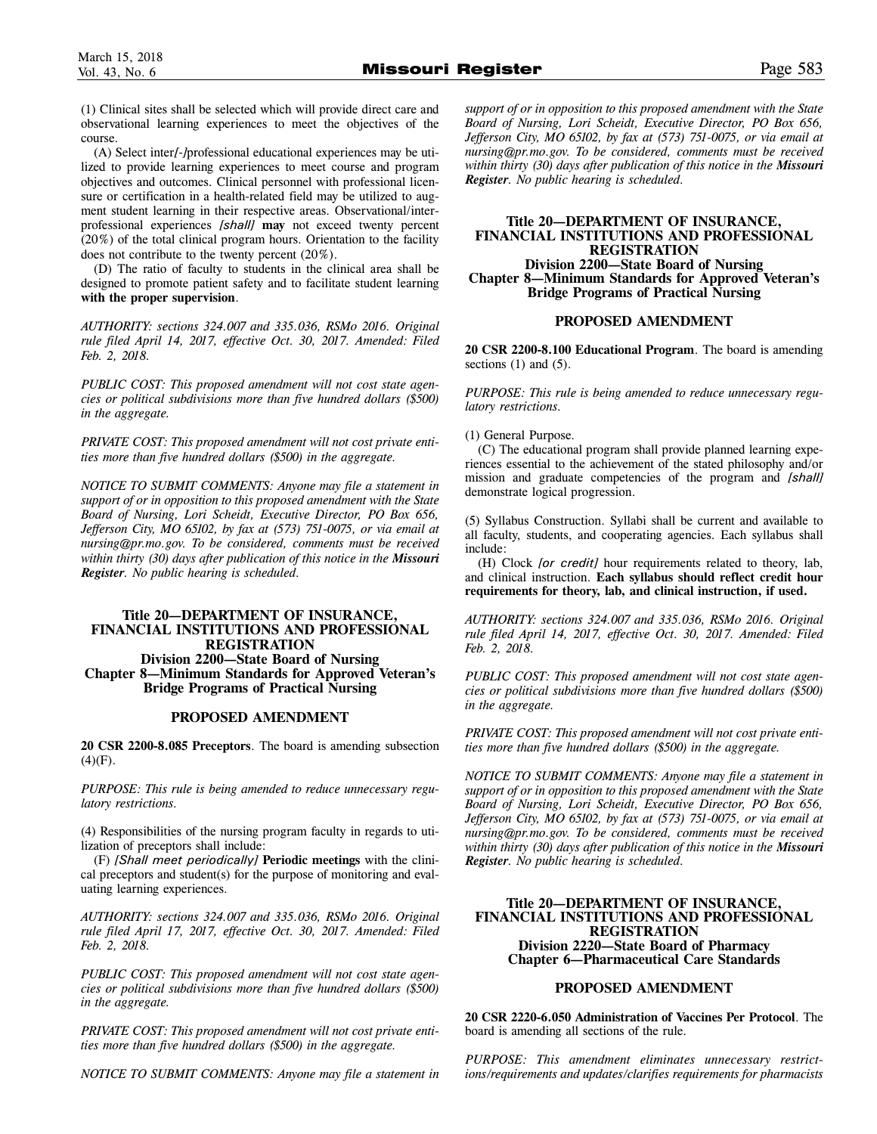(1) Clinical sites shall be selected which will provide direct care and observational learning experiences to meet the objectives of the course.

(A) Select inter*[-]*professional educational experiences may be utilized to provide learning experiences to meet course and program objectives and outcomes. Clinical personnel with professional licensure or certification in a health-related field may be utilized to augment student learning in their respective areas. Observational/interprofessional experiences *[shall]* **may** not exceed twenty percent (20%) of the total clinical program hours. Orientation to the facility does not contribute to the twenty percent (20%).

(D) The ratio of faculty to students in the clinical area shall be designed to promote patient safety and to facilitate student learning **with the proper supervision**.

*AUTHORITY: sections 324.007 and 335.036, RSMo 2016. Original rule filed April 14, 2017, effective Oct. 30, 2017. Amended: Filed Feb. 2, 2018.*

*PUBLIC COST: This proposed amendment will not cost state agencies or political subdivisions more than five hundred dollars (\$500) in the aggregate.*

*PRIVATE COST: This proposed amendment will not cost private entities more than five hundred dollars (\$500) in the aggregate.*

*NOTICE TO SUBMIT COMMENTS: Anyone may file a statement in support of or in opposition to this proposed amendment with the State Board of Nursing, Lori Scheidt, Executive Director, PO Box 656, Jefferson City, MO 65102, by fax at (573) 751-0075, or via email at nursing@pr.mo.gov. To be considered, comments must be received within thirty (30) days after publication of this notice in the Missouri Register. No public hearing is scheduled.*

# **Title 20—DEPARTMENT OF INSURANCE, FINANCIAL INSTITUTIONS AND PROFESSIONAL REGISTRATION Division 2200—State Board of Nursing Chapter 8—Minimum Standards for Approved Veteran's Bridge Programs of Practical Nursing**

# **PROPOSED AMENDMENT**

**20 CSR 2200-8.085 Preceptors**. The board is amending subsection  $(4)(F)$ .

*PURPOSE: This rule is being amended to reduce unnecessary regulatory restrictions.*

(4) Responsibilities of the nursing program faculty in regards to utilization of preceptors shall include:

(F) *[Shall meet periodically]* **Periodic meetings** with the clinical preceptors and student(s) for the purpose of monitoring and evaluating learning experiences.

*AUTHORITY: sections 324.007 and 335.036, RSMo 2016. Original rule filed April 17, 2017, effective Oct. 30, 2017. Amended: Filed Feb. 2, 2018.*

*PUBLIC COST: This proposed amendment will not cost state agencies or political subdivisions more than five hundred dollars (\$500) in the aggregate.*

*PRIVATE COST: This proposed amendment will not cost private entities more than five hundred dollars (\$500) in the aggregate.*

*NOTICE TO SUBMIT COMMENTS: Anyone may file a statement in*

*support of or in opposition to this proposed amendment with the State Board of Nursing, Lori Scheidt, Executive Director, PO Box 656, Jefferson City, MO 65102, by fax at (573) 751-0075, or via email at nursing@pr.mo.gov. To be considered, comments must be received within thirty (30) days after publication of this notice in the Missouri Register. No public hearing is scheduled.*

# **Title 20—DEPARTMENT OF INSURANCE, FINANCIAL INSTITUTIONS AND PROFESSIONAL REGISTRATION Division 2200—State Board of Nursing Chapter 8—Minimum Standards for Approved Veteran's Bridge Programs of Practical Nursing**

#### **PROPOSED AMENDMENT**

**20 CSR 2200-8.100 Educational Program**. The board is amending sections  $(1)$  and  $(5)$ .

*PURPOSE: This rule is being amended to reduce unnecessary regulatory restrictions.* 

# (1) General Purpose.

(C) The educational program shall provide planned learning experiences essential to the achievement of the stated philosophy and/or mission and graduate competencies of the program and *[shall]* demonstrate logical progression.

(5) Syllabus Construction. Syllabi shall be current and available to all faculty, students, and cooperating agencies. Each syllabus shall include:

(H) Clock *[or credit]* hour requirements related to theory, lab, and clinical instruction. **Each syllabus should reflect credit hour requirements for theory, lab, and clinical instruction, if used.**

*AUTHORITY: sections 324.007 and 335.036, RSMo 2016. Original rule filed April 14, 2017, effective Oct. 30, 2017. Amended: Filed Feb. 2, 2018.*

*PUBLIC COST: This proposed amendment will not cost state agencies or political subdivisions more than five hundred dollars (\$500) in the aggregate.*

*PRIVATE COST: This proposed amendment will not cost private entities more than five hundred dollars (\$500) in the aggregate.*

*NOTICE TO SUBMIT COMMENTS: Anyone may file a statement in support of or in opposition to this proposed amendment with the State Board of Nursing, Lori Scheidt, Executive Director, PO Box 656, Jefferson City, MO 65102, by fax at (573) 751-0075, or via email at nursing@pr.mo.gov. To be considered, comments must be received within thirty (30) days after publication of this notice in the Missouri Register. No public hearing is scheduled.*

# **Title 20—DEPARTMENT OF INSURANCE, FINANCIAL INSTITUTIONS AND PROFESSIONAL REGISTRATION Division 2220—State Board of Pharmacy Chapter 6—Pharmaceutical Care Standards**

# **PROPOSED AMENDMENT**

**20 CSR 2220-6.050 Administration of Vaccines Per Protocol**. The board is amending all sections of the rule.

*PURPOSE: This amendment eliminates unnecessary restrictions/requirements and updates/clarifies requirements for pharmacists*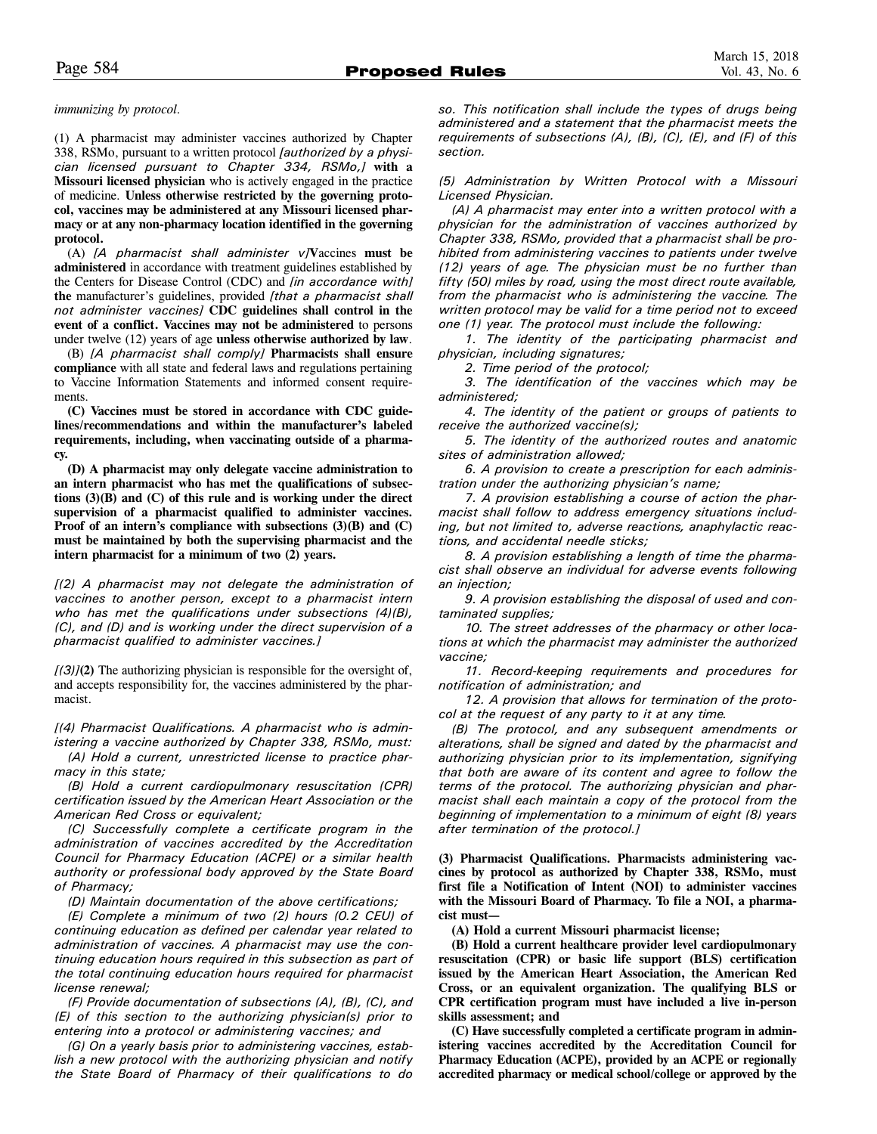*immunizing by protocol.*

(1) A pharmacist may administer vaccines authorized by Chapter 338, RSMo, pursuant to a written protocol *[authorized by a physician licensed pursuant to Chapter 334, RSMo,]* **with a Missouri licensed physician** who is actively engaged in the practice of medicine. **Unless otherwise restricted by the governing protocol, vaccines may be administered at any Missouri licensed pharmacy or at any non-pharmacy location identified in the governing protocol.**

(A) *[A pharmacist shall administer v]***V**accines **must be administered** in accordance with treatment guidelines established by the Centers for Disease Control (CDC) and *[in accordance with]* **the** manufacturer's guidelines, provided *[that a pharmacist shall not administer vaccines]* **CDC guidelines shall control in the event of a conflict. Vaccines may not be administered** to persons under twelve (12) years of age **unless otherwise authorized by law**.

(B) *[A pharmacist shall comply]* **Pharmacists shall ensure compliance** with all state and federal laws and regulations pertaining to Vaccine Information Statements and informed consent requirements.

**(C) Vaccines must be stored in accordance with CDC guidelines/recommendations and within the manufacturer's labeled requirements, including, when vaccinating outside of a pharmacy.**

**(D) A pharmacist may only delegate vaccine administration to an intern pharmacist who has met the qualifications of subsections (3)(B) and (C) of this rule and is working under the direct supervision of a pharmacist qualified to administer vaccines. Proof of an intern's compliance with subsections (3)(B) and (C) must be maintained by both the supervising pharmacist and the intern pharmacist for a minimum of two (2) years.** 

*[(2) A pharmacist may not delegate the administration of vaccines to another person, except to a pharmacist intern who has met the qualifications under subsections (4)(B), (C), and (D) and is working under the direct supervision of a pharmacist qualified to administer vaccines.]*

*[(3)]***(2)** The authorizing physician is responsible for the oversight of, and accepts responsibility for, the vaccines administered by the pharmacist.

*[(4) Pharmacist Qualifications. A pharmacist who is administering a vaccine authorized by Chapter 338, RSMo, must: (A) Hold a current, unrestricted license to practice pharmacy in this state;*

*(B) Hold a current cardiopulmonary resuscitation (CPR) certification issued by the American Heart Association or the American Red Cross or equivalent;* 

*(C) Successfully complete a certificate program in the administration of vaccines accredited by the Accreditation Council for Pharmacy Education (ACPE) or a similar health authority or professional body approved by the State Board of Pharmacy;* 

*(D) Maintain documentation of the above certifications;*

*(E) Complete a minimum of two (2) hours (0.2 CEU) of continuing education as defined per calendar year related to administration of vaccines. A pharmacist may use the continuing education hours required in this subsection as part of the total continuing education hours required for pharmacist license renewal;* 

*(F) Provide documentation of subsections (A), (B), (C), and (E) of this section to the authorizing physician(s) prior to entering into a protocol or administering vaccines; and*

*(G) On a yearly basis prior to administering vaccines, establish a new protocol with the authorizing physician and notify the State Board of Pharmacy of their qualifications to do* *so. This notification shall include the types of drugs being administered and a statement that the pharmacist meets the requirements of subsections (A), (B), (C), (E), and (F) of this section.*

*(5) Administration by Written Protocol with a Missouri Licensed Physician.*

*(A) A pharmacist may enter into a written protocol with a physician for the administration of vaccines authorized by Chapter 338, RSMo, provided that a pharmacist shall be prohibited from administering vaccines to patients under twelve (12) years of age. The physician must be no further than fifty (50) miles by road, using the most direct route available, from the pharmacist who is administering the vaccine. The written protocol may be valid for a time period not to exceed one (1) year. The protocol must include the following:* 

*1. The identity of the participating pharmacist and physician, including signatures;*

*2. Time period of the protocol;*

*3. The identification of the vaccines which may be administered;*

*4. The identity of the patient or groups of patients to receive the authorized vaccine(s);*

*5. The identity of the authorized routes and anatomic sites of administration allowed;* 

*6. A provision to create a prescription for each administration under the authorizing physician's name;*

*7. A provision establishing a course of action the pharmacist shall follow to address emergency situations including, but not limited to, adverse reactions, anaphylactic reactions, and accidental needle sticks;* 

*8. A provision establishing a length of time the pharmacist shall observe an individual for adverse events following an injection;* 

*9. A provision establishing the disposal of used and contaminated supplies;*

*10. The street addresses of the pharmacy or other locations at which the pharmacist may administer the authorized vaccine;*

*11. Record-keeping requirements and procedures for notification of administration; and* 

*12. A provision that allows for termination of the protocol at the request of any party to it at any time.*

*(B) The protocol, and any subsequent amendments or alterations, shall be signed and dated by the pharmacist and authorizing physician prior to its implementation, signifying that both are aware of its content and agree to follow the terms of the protocol. The authorizing physician and pharmacist shall each maintain a copy of the protocol from the beginning of implementation to a minimum of eight (8) years after termination of the protocol.]*

**(3) Pharmacist Qualifications. Pharmacists administering vaccines by protocol as authorized by Chapter 338, RSMo, must first file a Notification of Intent (NOI) to administer vaccines with the Missouri Board of Pharmacy. To file a NOI, a pharmacist must—** 

**(A) Hold a current Missouri pharmacist license;** 

**(B) Hold a current healthcare provider level cardiopulmonary resuscitation (CPR) or basic life support (BLS) certification issued by the American Heart Association, the American Red Cross, or an equivalent organization. The qualifying BLS or CPR certification program must have included a live in-person skills assessment; and**

**(C) Have successfully completed a certificate program in administering vaccines accredited by the Accreditation Council for Pharmacy Education (ACPE), provided by an ACPE or regionally accredited pharmacy or medical school/college or approved by the**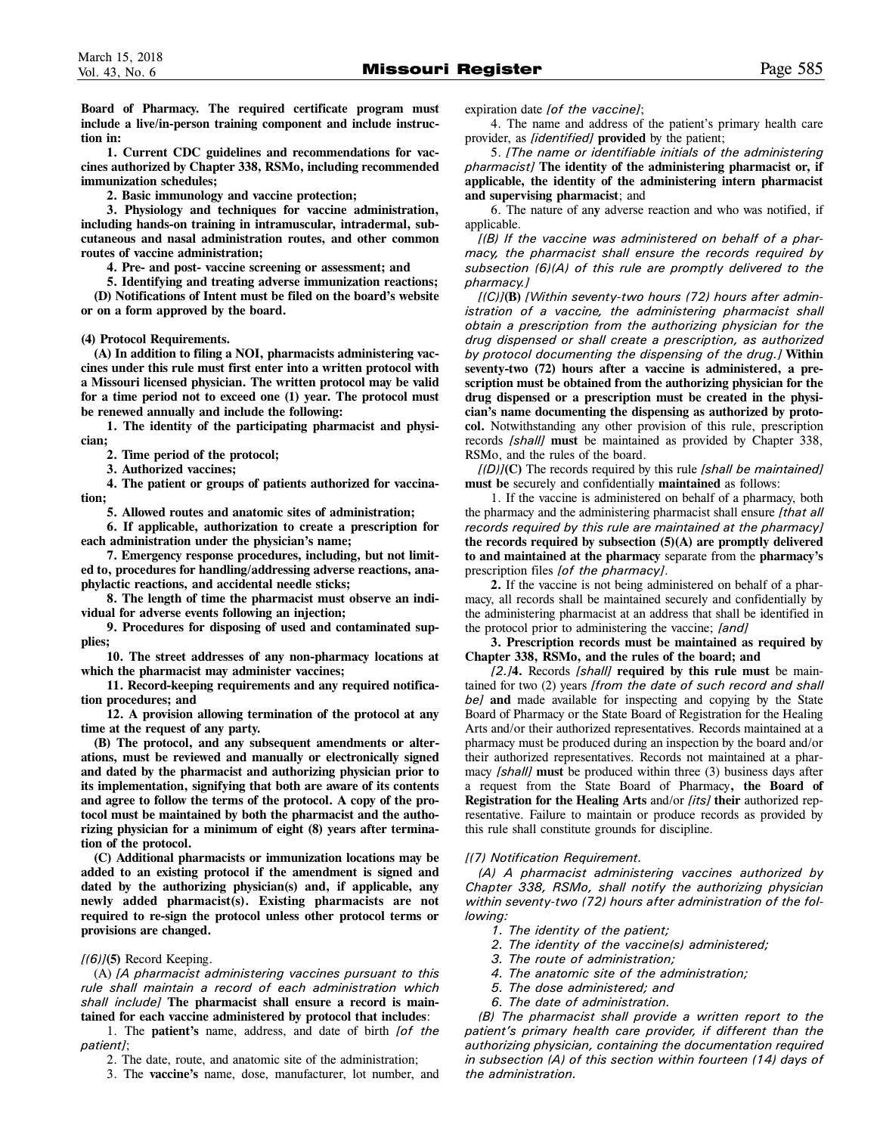**Board of Pharmacy. The required certificate program must include a live/in-person training component and include instruction in:**

**1. Current CDC guidelines and recommendations for vaccines authorized by Chapter 338, RSMo, including recommended immunization schedules;**

**2. Basic immunology and vaccine protection;**

**3. Physiology and techniques for vaccine administration, including hands-on training in intramuscular, intradermal, subcutaneous and nasal administration routes, and other common routes of vaccine administration;** 

**4. Pre- and post- vaccine screening or assessment; and**

**5. Identifying and treating adverse immunization reactions; (D) Notifications of Intent must be filed on the board's website or on a form approved by the board.**

**(4) Protocol Requirements.** 

**(A) In addition to filing a NOI, pharmacists administering vaccines under this rule must first enter into a written protocol with a Missouri licensed physician. The written protocol may be valid for a time period not to exceed one (1) year. The protocol must be renewed annually and include the following:**

**1. The identity of the participating pharmacist and physician;**

**2. Time period of the protocol;**

**3. Authorized vaccines;**

**4. The patient or groups of patients authorized for vaccination;**

**5. Allowed routes and anatomic sites of administration;** 

**6. If applicable, authorization to create a prescription for each administration under the physician's name;**

**7. Emergency response procedures, including, but not limited to, procedures for handling/addressing adverse reactions, anaphylactic reactions, and accidental needle sticks;** 

**8. The length of time the pharmacist must observe an individual for adverse events following an injection;** 

**9. Procedures for disposing of used and contaminated supplies;**

**10. The street addresses of any non-pharmacy locations at which the pharmacist may administer vaccines;**

**11. Record-keeping requirements and any required notification procedures; and** 

**12. A provision allowing termination of the protocol at any time at the request of any party.**

**(B) The protocol, and any subsequent amendments or alterations, must be reviewed and manually or electronically signed and dated by the pharmacist and authorizing physician prior to its implementation, signifying that both are aware of its contents and agree to follow the terms of the protocol. A copy of the protocol must be maintained by both the pharmacist and the authorizing physician for a minimum of eight (8) years after termination of the protocol.** 

**(C) Additional pharmacists or immunization locations may be added to an existing protocol if the amendment is signed and dated by the authorizing physician(s) and, if applicable, any newly added pharmacist(s). Existing pharmacists are not required to re-sign the protocol unless other protocol terms or provisions are changed.** 

#### *[(6)]***(5)** Record Keeping.

(A) *[A pharmacist administering vaccines pursuant to this rule shall maintain a record of each administration which shall include]* **The pharmacist shall ensure a record is maintained for each vaccine administered by protocol that includes**:

1. The **patient's** name, address, and date of birth *[of the patient]*;

2. The date, route, and anatomic site of the administration;

3. The **vaccine's** name, dose, manufacturer, lot number, and

expiration date *[of the vaccine]*;

4. The name and address of the patient's primary health care provider, as *[identified]* **provided** by the patient;

5. *[The name or identifiable initials of the administering pharmacist]* **The identity of the administering pharmacist or, if applicable, the identity of the administering intern pharmacist and supervising pharmacist**; and

6. The nature of an**y** adverse reaction and who was notified, if applicable.

*[(B) If the vaccine was administered on behalf of a pharmacy, the pharmacist shall ensure the records required by subsection (6)(A) of this rule are promptly delivered to the pharmacy.]* 

*[(C)]***(B)** *[Within seventy-two hours (72) hours after administration of a vaccine, the administering pharmacist shall obtain a prescription from the authorizing physician for the drug dispensed or shall create a prescription, as authorized by protocol documenting the dispensing of the drug.]* **Within seventy-two (72) hours after a vaccine is administered, a prescription must be obtained from the authorizing physician for the drug dispensed or a prescription must be created in the physician's name documenting the dispensing as authorized by protocol.** Notwithstanding any other provision of this rule, prescription records *[shall]* **must** be maintained as provided by Chapter 338, RSMo, and the rules of the board.

*[(D)]***(C)** The records required by this rule *[shall be maintained]* **must be** securely and confidentially **maintained** as follows:

1. If the vaccine is administered on behalf of a pharmacy, both the pharmacy and the administering pharmacist shall ensure *[that all records required by this rule are maintained at the pharmacy]* **the records required by subsection (5)(A) are promptly delivered to and maintained at the pharmacy** separate from the **pharmacy's** prescription files *[of the pharmacy]*.

**2.** If the vaccine is not being administered on behalf of a pharmacy, all records shall be maintained securely and confidentially by the administering pharmacist at an address that shall be identified in the protocol prior to administering the vaccine; *[and]*

**3. Prescription records must be maintained as required by Chapter 338, RSMo, and the rules of the board; and**

*[2.]***4.** Records *[shall]* **required by this rule must** be maintained for two (2) years *[from the date of such record and shall be]* **and** made available for inspecting and copying by the State Board of Pharmacy or the State Board of Registration for the Healing Arts and/or their authorized representatives. Records maintained at a pharmacy must be produced during an inspection by the board and/or their authorized representatives. Records not maintained at a pharmacy *[shall]* **must** be produced within three (3) business days after a request from the State Board of Pharmacy**, the Board of Registration for the Healing Arts** and/or *[its]* **their** authorized representative. Failure to maintain or produce records as provided by this rule shall constitute grounds for discipline.

#### *[(7) Notification Requirement.*

*(A) A pharmacist administering vaccines authorized by Chapter 338, RSMo, shall notify the authorizing physician within seventy-two (72) hours after administration of the following:* 

- *1. The identity of the patient;*
- *2. The identity of the vaccine(s) administered;*
- *3. The route of administration;*
- *4. The anatomic site of the administration;*
- *5. The dose administered; and*
- *6. The date of administration.*

*(B) The pharmacist shall provide a written report to the patient's primary health care provider, if different than the authorizing physician, containing the documentation required in subsection (A) of this section within fourteen (14) days of the administration.*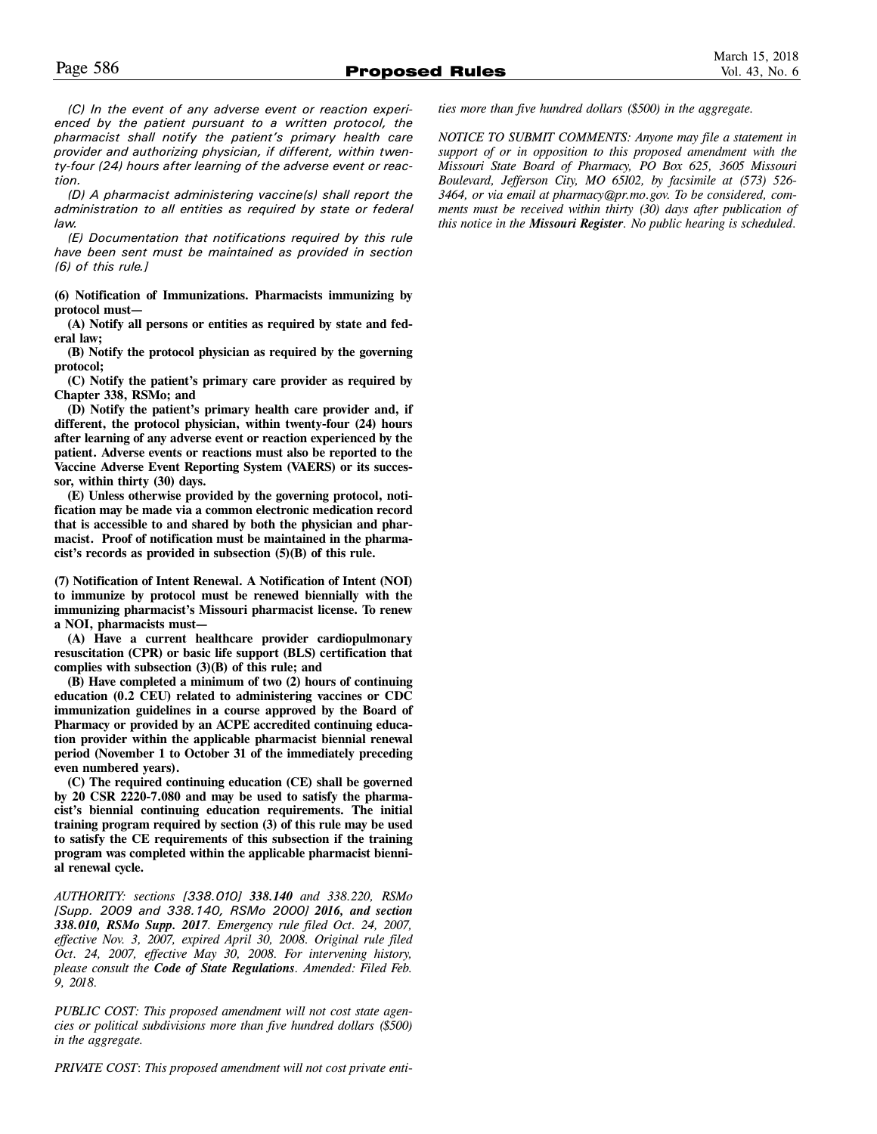*(C) In the event of any adverse event or reaction experienced by the patient pursuant to a written protocol, the pharmacist shall notify the patient's primary health care provider and authorizing physician, if different, within twenty-four (24) hours after learning of the adverse event or reaction.*

*(D) A pharmacist administering vaccine(s) shall report the administration to all entities as required by state or federal law.*

*(E) Documentation that notifications required by this rule have been sent must be maintained as provided in section (6) of this rule.]*

**(6) Notification of Immunizations. Pharmacists immunizing by protocol must—**

**(A) Notify all persons or entities as required by state and federal law;**

**(B) Notify the protocol physician as required by the governing protocol;**

**(C) Notify the patient's primary care provider as required by Chapter 338, RSMo; and** 

**(D) Notify the patient's primary health care provider and, if different, the protocol physician, within twenty-four (24) hours after learning of any adverse event or reaction experienced by the patient. Adverse events or reactions must also be reported to the Vaccine Adverse Event Reporting System (VAERS) or its successor, within thirty (30) days.** 

**(E) Unless otherwise provided by the governing protocol, notification may be made via a common electronic medication record that is accessible to and shared by both the physician and pharmacist. Proof of notification must be maintained in the pharmacist's records as provided in subsection (5)(B) of this rule.** 

**(7) Notification of Intent Renewal. A Notification of Intent (NOI) to immunize by protocol must be renewed biennially with the immunizing pharmacist's Missouri pharmacist license. To renew a NOI, pharmacists must—**

**(A) Have a current healthcare provider cardiopulmonary resuscitation (CPR) or basic life support (BLS) certification that complies with subsection (3)(B) of this rule; and**

**(B) Have completed a minimum of two (2) hours of continuing education (0.2 CEU) related to administering vaccines or CDC immunization guidelines in a course approved by the Board of Pharmacy or provided by an ACPE accredited continuing education provider within the applicable pharmacist biennial renewal period (November 1 to October 31 of the immediately preceding even numbered years).** 

**(C) The required continuing education (CE) shall be governed by 20 CSR 2220-7.080 and may be used to satisfy the pharmacist's biennial continuing education requirements. The initial training program required by section (3) of this rule may be used to satisfy the CE requirements of this subsection if the training program was completed within the applicable pharmacist biennial renewal cycle.**

*AUTHORITY: sections [338.010] 338.140 and 338.220, RSMo [Supp. 2009 and 338.140, RSMo 2000] 2016, and section 338.010, RSMo Supp. 2017. Emergency rule filed Oct. 24, 2007, effective Nov. 3, 2007, expired April 30, 2008. Original rule filed Oct. 24, 2007, effective May 30, 2008. For intervening history, please consult the Code of State Regulations. Amended: Filed Feb. 9, 2018.*

*PUBLIC COST: This proposed amendment will not cost state agencies or political subdivisions more than five hundred dollars (\$500) in the aggregate.* 

*PRIVATE COST*: *This proposed amendment will not cost private enti-*

*ties more than five hundred dollars (\$500) in the aggregate.*

*NOTICE TO SUBMIT COMMENTS: Anyone may file a statement in support of or in opposition to this proposed amendment with the Missouri State Board of Pharmacy, PO Box 625, 3605 Missouri Boulevard, Jefferson City, MO 65102, by facsimile at (573) 526- 3464, or via email at pharmacy@pr.mo.gov. To be considered, comments must be received within thirty (30) days after publication of this notice in the Missouri Register. No public hearing is scheduled.*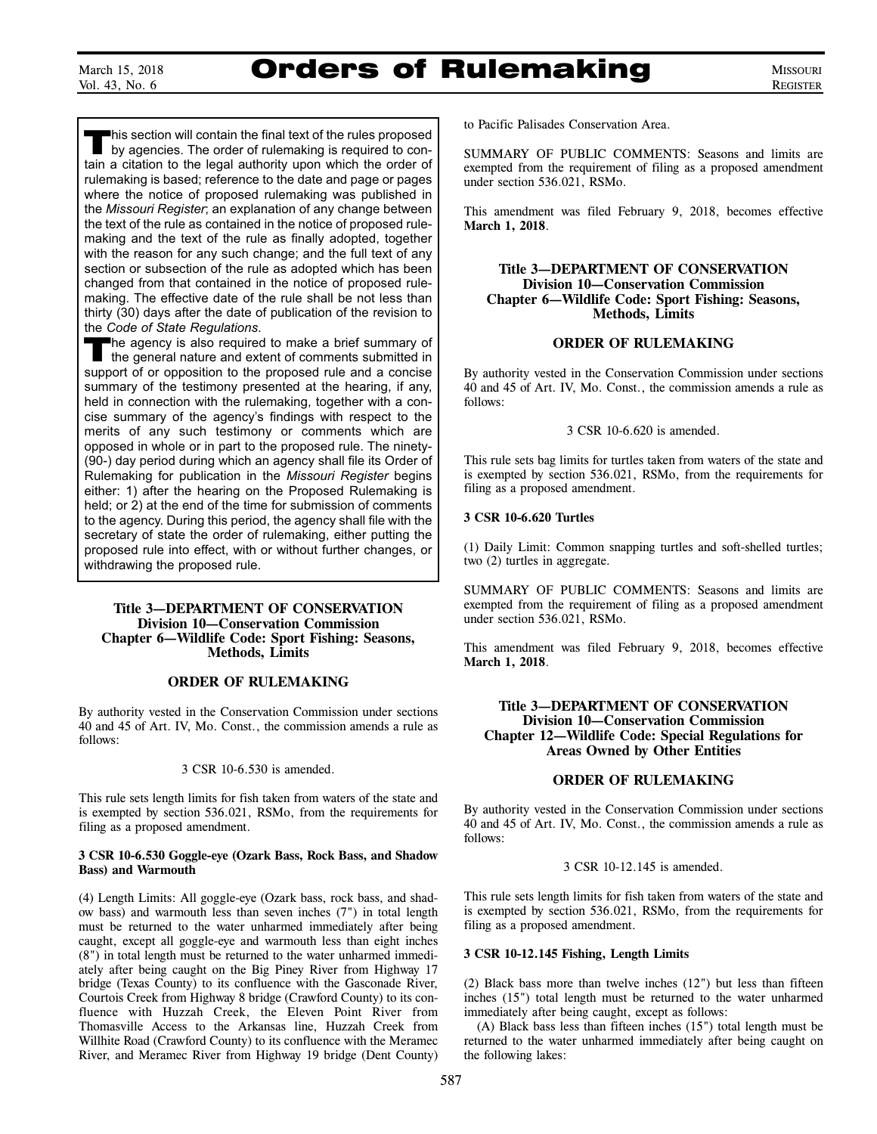# Orders of Rulemaking

This section will contain the final text of the rules proposed<br>by agencies. The order of rulemaking is required to contain a citation to the legal authority upon which the order of rulemaking is based; reference to the date and page or pages where the notice of proposed rulemaking was published in the *Missouri Register*; an explanation of any change between the text of the rule as contained in the notice of proposed rulemaking and the text of the rule as finally adopted, together with the reason for any such change; and the full text of any section or subsection of the rule as adopted which has been changed from that contained in the notice of proposed rulemaking. The effective date of the rule shall be not less than thirty (30) days after the date of publication of the revision to the *Code of State Regulations*.

The agency is also required to make a brief summary of the general nature and extent of comments submitted in support of or opposition to the proposed rule and a concise summary of the testimony presented at the hearing, if any, held in connection with the rulemaking, together with a concise summary of the agency's findings with respect to the merits of any such testimony or comments which are opposed in whole or in part to the proposed rule. The ninety- (90-) day period during which an agency shall file its Order of Rulemaking for publication in the *Missouri Register* begins either: 1) after the hearing on the Proposed Rulemaking is held; or 2) at the end of the time for submission of comments to the agency. During this period, the agency shall file with the secretary of state the order of rulemaking, either putting the proposed rule into effect, with or without further changes, or withdrawing the proposed rule.

# **Title 3—DEPARTMENT OF CONSERVATION Division 10—Conservation Commission Chapter 6—Wildlife Code: Sport Fishing: Seasons, Methods, Limits**

# **ORDER OF RULEMAKING**

By authority vested in the Conservation Commission under sections 40 and 45 of Art. IV, Mo. Const., the commission amends a rule as follows:

#### 3 CSR 10-6.530 is amended.

This rule sets length limits for fish taken from waters of the state and is exempted by section 536.021, RSMo, from the requirements for filing as a proposed amendment.

#### **3 CSR 10-6.530 Goggle-eye (Ozark Bass, Rock Bass, and Shadow Bass) and Warmouth**

(4) Length Limits: All goggle-eye (Ozark bass, rock bass, and shadow bass) and warmouth less than seven inches (7") in total length must be returned to the water unharmed immediately after being caught, except all goggle-eye and warmouth less than eight inches (8") in total length must be returned to the water unharmed immediately after being caught on the Big Piney River from Highway 17 bridge (Texas County) to its confluence with the Gasconade River, Courtois Creek from Highway 8 bridge (Crawford County) to its confluence with Huzzah Creek, the Eleven Point River from Thomasville Access to the Arkansas line, Huzzah Creek from Willhite Road (Crawford County) to its confluence with the Meramec River, and Meramec River from Highway 19 bridge (Dent County)

to Pacific Palisades Conservation Area.

SUMMARY OF PUBLIC COMMENTS: Seasons and limits are exempted from the requirement of filing as a proposed amendment under section 536.021, RSMo.

This amendment was filed February 9, 2018, becomes effective **March 1, 2018**.

# **Title 3—DEPARTMENT OF CONSERVATION Division 10—Conservation Commission Chapter 6—Wildlife Code: Sport Fishing: Seasons, Methods, Limits**

# **ORDER OF RULEMAKING**

By authority vested in the Conservation Commission under sections 40 and 45 of Art. IV, Mo. Const., the commission amends a rule as follows:

3 CSR 10-6.620 is amended.

This rule sets bag limits for turtles taken from waters of the state and is exempted by section 536.021, RSMo, from the requirements for filing as a proposed amendment.

# **3 CSR 10-6.620 Turtles**

(1) Daily Limit: Common snapping turtles and soft-shelled turtles; two (2) turtles in aggregate.

SUMMARY OF PUBLIC COMMENTS: Seasons and limits are exempted from the requirement of filing as a proposed amendment under section 536.021, RSMo.

This amendment was filed February 9, 2018, becomes effective **March 1, 2018**.

# **Title 3—DEPARTMENT OF CONSERVATION Division 10—Conservation Commission Chapter 12—Wildlife Code: Special Regulations for Areas Owned by Other Entities**

# **ORDER OF RULEMAKING**

By authority vested in the Conservation Commission under sections 40 and 45 of Art. IV, Mo. Const., the commission amends a rule as follows:

# 3 CSR 10-12.145 is amended.

This rule sets length limits for fish taken from waters of the state and is exempted by section 536.021, RSMo, from the requirements for filing as a proposed amendment.

#### **3 CSR 10-12.145 Fishing, Length Limits**

(2) Black bass more than twelve inches (12") but less than fifteen inches (15") total length must be returned to the water unharmed immediately after being caught, except as follows:

(A) Black bass less than fifteen inches (15") total length must be returned to the water unharmed immediately after being caught on the following lakes: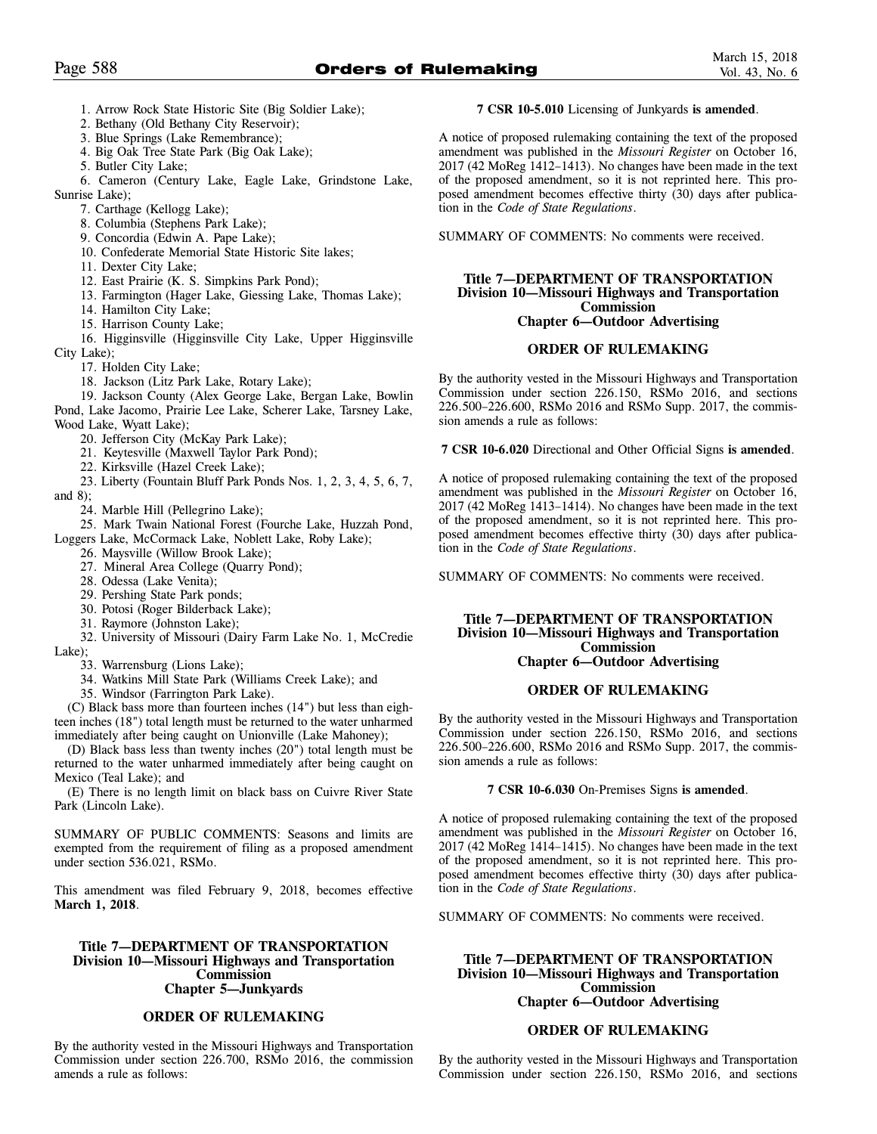- 1. Arrow Rock State Historic Site (Big Soldier Lake);
- 2. Bethany (Old Bethany City Reservoir);
- 3. Blue Springs (Lake Remembrance);
- 4. Big Oak Tree State Park (Big Oak Lake);
- 5. Butler City Lake;
- 6. Cameron (Century Lake, Eagle Lake, Grindstone Lake, Sunrise Lake);
	- 7. Carthage (Kellogg Lake);
	- 8. Columbia (Stephens Park Lake);
	- 9. Concordia (Edwin A. Pape Lake);
	- 10. Confederate Memorial State Historic Site lakes;
	- 11. Dexter City Lake;
	- 12. East Prairie (K. S. Simpkins Park Pond);
	- 13. Farmington (Hager Lake, Giessing Lake, Thomas Lake);
	- 14. Hamilton City Lake;
	- 15. Harrison County Lake;
- 16. Higginsville (Higginsville City Lake, Upper Higginsville City Lake);
	- 17. Holden City Lake;
	- 18. Jackson (Litz Park Lake, Rotary Lake);
- 19. Jackson County (Alex George Lake, Bergan Lake, Bowlin Pond, Lake Jacomo, Prairie Lee Lake, Scherer Lake, Tarsney Lake, Wood Lake, Wyatt Lake);
	- 20. Jefferson City (McKay Park Lake);
	- 21. Keytesville (Maxwell Taylor Park Pond);
	- 22. Kirksville (Hazel Creek Lake);
- 23. Liberty (Fountain Bluff Park Ponds Nos. 1, 2, 3, 4, 5, 6, 7, and 8);
	- 24. Marble Hill (Pellegrino Lake);
- 25. Mark Twain National Forest (Fourche Lake, Huzzah Pond, Loggers Lake, McCormack Lake, Noblett Lake, Roby Lake);
	- 26. Maysville (Willow Brook Lake);
	- 27. Mineral Area College (Quarry Pond);
	- 28. Odessa (Lake Venita);
	- 29. Pershing State Park ponds;
	- 30. Potosi (Roger Bilderback Lake);
	- 31. Raymore (Johnston Lake);
- 32. University of Missouri (Dairy Farm Lake No. 1, McCredie Lake);
	- 33. Warrensburg (Lions Lake);
	- 34. Watkins Mill State Park (Williams Creek Lake); and
	- 35. Windsor (Farrington Park Lake).

(C) Black bass more than fourteen inches (14") but less than eighteen inches (18") total length must be returned to the water unharmed immediately after being caught on Unionville (Lake Mahoney);

(D) Black bass less than twenty inches (20") total length must be returned to the water unharmed immediately after being caught on Mexico (Teal Lake); and

(E) There is no length limit on black bass on Cuivre River State Park (Lincoln Lake).

SUMMARY OF PUBLIC COMMENTS: Seasons and limits are exempted from the requirement of filing as a proposed amendment under section 536.021, RSMo.

This amendment was filed February 9, 2018, becomes effective **March 1, 2018**.

# **Title 7—DEPARTMENT OF TRANSPORTATION Division 10—Missouri Highways and Transportation Commission Chapter 5—Junkyards**

# **ORDER OF RULEMAKING**

By the authority vested in the Missouri Highways and Transportation Commission under section 226.700, RSMo 2016, the commission amends a rule as follows:

# **7 CSR 10-5.010** Licensing of Junkyards **is amended**.

A notice of proposed rulemaking containing the text of the proposed amendment was published in the *Missouri Register* on October 16, 2017 (42 MoReg 1412–1413). No changes have been made in the text of the proposed amendment, so it is not reprinted here. This proposed amendment becomes effective thirty (30) days after publication in the *Code of State Regulations*.

SUMMARY OF COMMENTS: No comments were received.

# **Title 7—DEPARTMENT OF TRANSPORTATION Division 10—Missouri Highways and Transportation Commission Chapter 6—Outdoor Advertising**

# **ORDER OF RULEMAKING**

By the authority vested in the Missouri Highways and Transportation Commission under section 226.150, RSMo 2016, and sections 226.500–226.600, RSMo 2016 and RSMo Supp. 2017, the commission amends a rule as follows:

**7 CSR 10-6.020** Directional and Other Official Signs **is amended**.

A notice of proposed rulemaking containing the text of the proposed amendment was published in the *Missouri Register* on October 16, 2017 (42 MoReg 1413–1414). No changes have been made in the text of the proposed amendment, so it is not reprinted here. This proposed amendment becomes effective thirty (30) days after publication in the *Code of State Regulations*.

SUMMARY OF COMMENTS: No comments were received.

### **Title 7—DEPARTMENT OF TRANSPORTATION Division 10—Missouri Highways and Transportation Commission Chapter 6—Outdoor Advertising**

# **ORDER OF RULEMAKING**

By the authority vested in the Missouri Highways and Transportation Commission under section 226.150, RSMo 2016, and sections 226.500–226.600, RSMo 2016 and RSMo Supp. 2017, the commission amends a rule as follows:

#### **7 CSR 10-6.030** On-Premises Signs **is amended**.

A notice of proposed rulemaking containing the text of the proposed amendment was published in the *Missouri Register* on October 16, 2017 (42 MoReg 1414–1415). No changes have been made in the text of the proposed amendment, so it is not reprinted here. This proposed amendment becomes effective thirty (30) days after publication in the *Code of State Regulations*.

SUMMARY OF COMMENTS: No comments were received.

#### **Title 7—DEPARTMENT OF TRANSPORTATION Division 10—Missouri Highways and Transportation Commission Chapter 6—Outdoor Advertising**

# **ORDER OF RULEMAKING**

By the authority vested in the Missouri Highways and Transportation Commission under section 226.150, RSMo 2016, and sections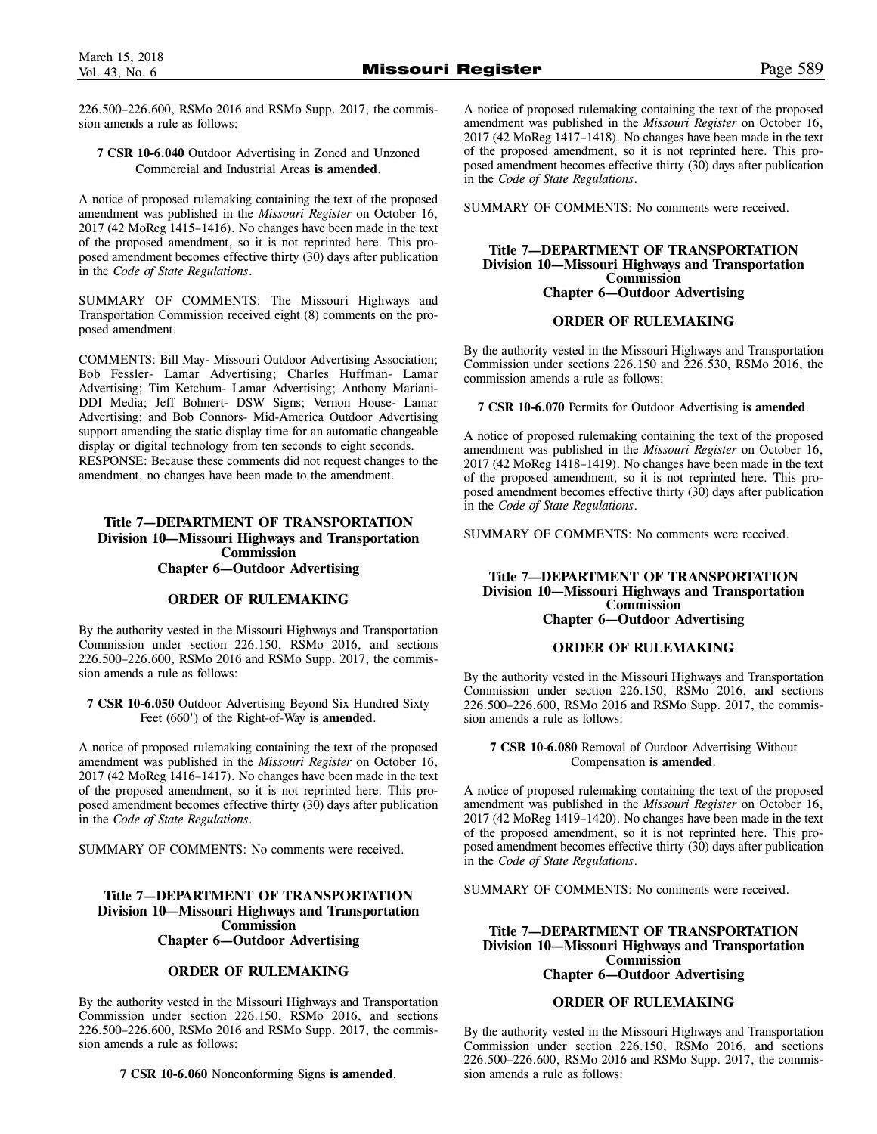226.500–226.600, RSMo 2016 and RSMo Supp. 2017, the commission amends a rule as follows:

# **7 CSR 10-6.040** Outdoor Advertising in Zoned and Unzoned Commercial and Industrial Areas **is amended**.

A notice of proposed rulemaking containing the text of the proposed amendment was published in the *Missouri Register* on October 16, 2017 (42 MoReg 1415–1416). No changes have been made in the text of the proposed amendment, so it is not reprinted here. This proposed amendment becomes effective thirty (30) days after publication in the *Code of State Regulations*.

SUMMARY OF COMMENTS: The Missouri Highways and Transportation Commission received eight (8) comments on the proposed amendment.

COMMENTS: Bill May- Missouri Outdoor Advertising Association; Bob Fessler- Lamar Advertising; Charles Huffman- Lamar Advertising; Tim Ketchum- Lamar Advertising; Anthony Mariani-DDI Media; Jeff Bohnert- DSW Signs; Vernon House- Lamar Advertising; and Bob Connors- Mid-America Outdoor Advertising support amending the static display time for an automatic changeable display or digital technology from ten seconds to eight seconds. RESPONSE: Because these comments did not request changes to the amendment, no changes have been made to the amendment.

# **Title 7—DEPARTMENT OF TRANSPORTATION Division 10—Missouri Highways and Transportation Commission Chapter 6—Outdoor Advertising**

# **ORDER OF RULEMAKING**

By the authority vested in the Missouri Highways and Transportation Commission under section 226.150, RSMo 2016, and sections 226.500–226.600, RSMo 2016 and RSMo Supp. 2017, the commission amends a rule as follows:

**7 CSR 10-6.050** Outdoor Advertising Beyond Six Hundred Sixty Feet (660') of the Right-of-Way **is amended**.

A notice of proposed rulemaking containing the text of the proposed amendment was published in the *Missouri Register* on October 16, 2017 (42 MoReg 1416–1417). No changes have been made in the text of the proposed amendment, so it is not reprinted here. This proposed amendment becomes effective thirty (30) days after publication in the *Code of State Regulations*.

SUMMARY OF COMMENTS: No comments were received.

# **Title 7—DEPARTMENT OF TRANSPORTATION Division 10—Missouri Highways and Transportation Commission Chapter 6—Outdoor Advertising**

# **ORDER OF RULEMAKING**

By the authority vested in the Missouri Highways and Transportation Commission under section 226.150, RSMo 2016, and sections 226.500–226.600, RSMo 2016 and RSMo Supp. 2017, the commission amends a rule as follows:

**7 CSR 10-6.060** Nonconforming Signs **is amended**.

A notice of proposed rulemaking containing the text of the proposed amendment was published in the *Missouri Register* on October 16, 2017 (42 MoReg 1417–1418). No changes have been made in the text of the proposed amendment, so it is not reprinted here. This proposed amendment becomes effective thirty (30) days after publication in the *Code of State Regulations*.

SUMMARY OF COMMENTS: No comments were received.

#### **Title 7—DEPARTMENT OF TRANSPORTATION Division 10—Missouri Highways and Transportation Commission Chapter 6—Outdoor Advertising**

# **ORDER OF RULEMAKING**

By the authority vested in the Missouri Highways and Transportation Commission under sections 226.150 and 226.530, RSMo 2016, the commission amends a rule as follows:

**7 CSR 10-6.070** Permits for Outdoor Advertising **is amended**.

A notice of proposed rulemaking containing the text of the proposed amendment was published in the *Missouri Register* on October 16, 2017 (42 MoReg 1418–1419). No changes have been made in the text of the proposed amendment, so it is not reprinted here. This proposed amendment becomes effective thirty (30) days after publication in the *Code of State Regulations*.

SUMMARY OF COMMENTS: No comments were received.

#### **Title 7—DEPARTMENT OF TRANSPORTATION Division 10—Missouri Highways and Transportation Commission Chapter 6—Outdoor Advertising**

# **ORDER OF RULEMAKING**

By the authority vested in the Missouri Highways and Transportation Commission under section 226.150, RSMo 2016, and sections 226.500–226.600, RSMo 2016 and RSMo Supp. 2017, the commission amends a rule as follows:

#### **7 CSR 10-6.080** Removal of Outdoor Advertising Without Compensation **is amended**.

A notice of proposed rulemaking containing the text of the proposed amendment was published in the *Missouri Register* on October 16, 2017 (42 MoReg 1419–1420). No changes have been made in the text of the proposed amendment, so it is not reprinted here. This proposed amendment becomes effective thirty (30) days after publication in the *Code of State Regulations*.

SUMMARY OF COMMENTS: No comments were received.

# **Title 7—DEPARTMENT OF TRANSPORTATION Division 10—Missouri Highways and Transportation Commission Chapter 6—Outdoor Advertising**

# **ORDER OF RULEMAKING**

By the authority vested in the Missouri Highways and Transportation Commission under section 226.150, RSMo 2016, and sections 226.500–226.600, RSMo 2016 and RSMo Supp. 2017, the commission amends a rule as follows: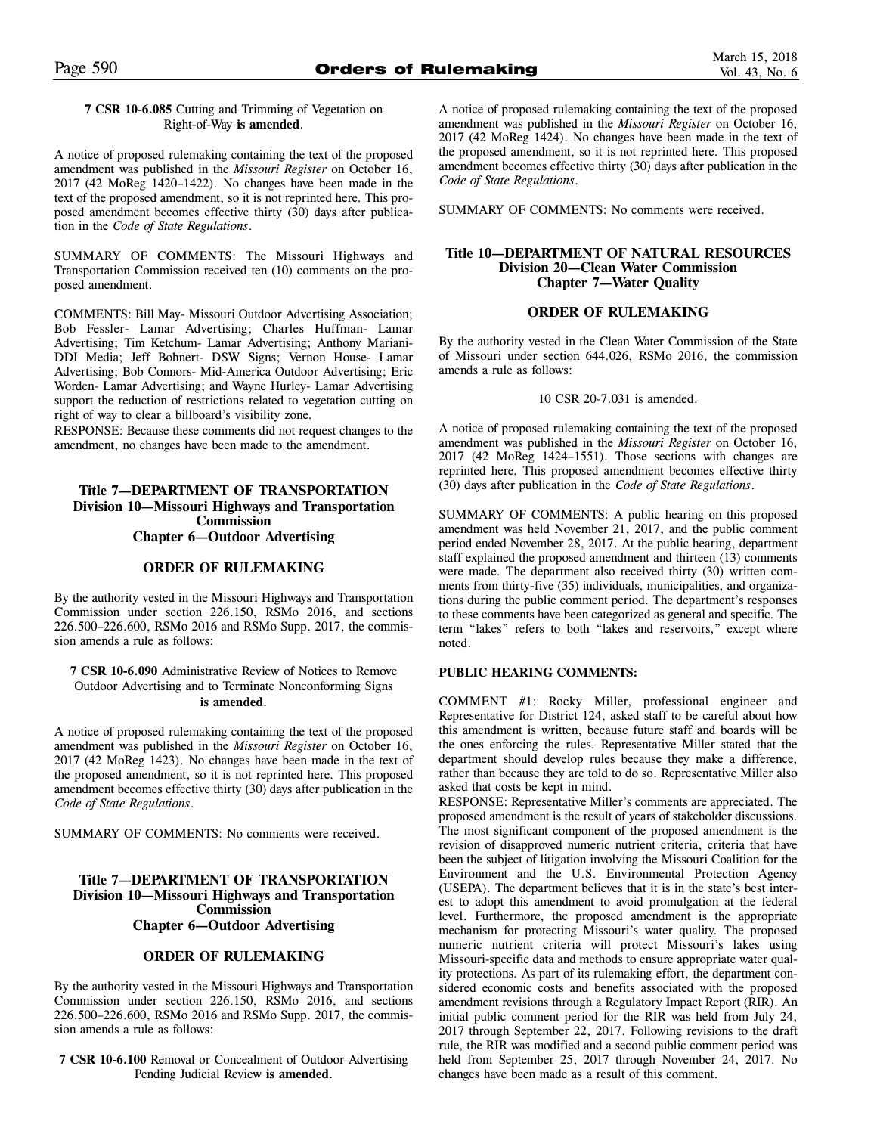# **7 CSR 10-6.085** Cutting and Trimming of Vegetation on Right-of-Way **is amended**.

A notice of proposed rulemaking containing the text of the proposed amendment was published in the *Missouri Register* on October 16, 2017 (42 MoReg 1420–1422). No changes have been made in the text of the proposed amendment, so it is not reprinted here. This proposed amendment becomes effective thirty (30) days after publication in the *Code of State Regulations*.

SUMMARY OF COMMENTS: The Missouri Highways and Transportation Commission received ten (10) comments on the proposed amendment.

COMMENTS: Bill May- Missouri Outdoor Advertising Association; Bob Fessler- Lamar Advertising; Charles Huffman- Lamar Advertising; Tim Ketchum- Lamar Advertising; Anthony Mariani-DDI Media; Jeff Bohnert- DSW Signs; Vernon House- Lamar Advertising; Bob Connors- Mid-America Outdoor Advertising; Eric Worden- Lamar Advertising; and Wayne Hurley- Lamar Advertising support the reduction of restrictions related to vegetation cutting on right of way to clear a billboard's visibility zone.

RESPONSE: Because these comments did not request changes to the amendment, no changes have been made to the amendment.

# **Title 7—DEPARTMENT OF TRANSPORTATION Division 10—Missouri Highways and Transportation Commission Chapter 6—Outdoor Advertising**

# **ORDER OF RULEMAKING**

By the authority vested in the Missouri Highways and Transportation Commission under section 226.150, RSMo 2016, and sections 226.500–226.600, RSMo 2016 and RSMo Supp. 2017, the commission amends a rule as follows:

**7 CSR 10-6.090** Administrative Review of Notices to Remove Outdoor Advertising and to Terminate Nonconforming Signs **is amended**.

A notice of proposed rulemaking containing the text of the proposed amendment was published in the *Missouri Register* on October 16, 2017 (42 MoReg 1423). No changes have been made in the text of the proposed amendment, so it is not reprinted here. This proposed amendment becomes effective thirty (30) days after publication in the *Code of State Regulations*.

SUMMARY OF COMMENTS: No comments were received.

# **Title 7—DEPARTMENT OF TRANSPORTATION Division 10—Missouri Highways and Transportation Commission Chapter 6—Outdoor Advertising**

# **ORDER OF RULEMAKING**

By the authority vested in the Missouri Highways and Transportation Commission under section 226.150, RSMo 2016, and sections 226.500–226.600, RSMo 2016 and RSMo Supp. 2017, the commission amends a rule as follows:

**7 CSR 10-6.100** Removal or Concealment of Outdoor Advertising Pending Judicial Review **is amended**.

A notice of proposed rulemaking containing the text of the proposed amendment was published in the *Missouri Register* on October 16, 2017 (42 MoReg 1424). No changes have been made in the text of the proposed amendment, so it is not reprinted here. This proposed amendment becomes effective thirty (30) days after publication in the *Code of State Regulations*.

SUMMARY OF COMMENTS: No comments were received.

# **Title 10—DEPARTMENT OF NATURAL RESOURCES Division 20—Clean Water Commission Chapter 7—Water Quality**

# **ORDER OF RULEMAKING**

By the authority vested in the Clean Water Commission of the State of Missouri under section 644.026, RSMo 2016, the commission amends a rule as follows:

#### 10 CSR 20-7.031 is amended.

A notice of proposed rulemaking containing the text of the proposed amendment was published in the *Missouri Register* on October 16, 2017 (42 MoReg 1424–1551). Those sections with changes are reprinted here. This proposed amendment becomes effective thirty (30) days after publication in the *Code of State Regulations*.

SUMMARY OF COMMENTS: A public hearing on this proposed amendment was held November 21, 2017, and the public comment period ended November 28, 2017. At the public hearing, department staff explained the proposed amendment and thirteen (13) comments were made. The department also received thirty (30) written comments from thirty-five (35) individuals, municipalities, and organizations during the public comment period. The department's responses to these comments have been categorized as general and specific. The term "lakes" refers to both "lakes and reservoirs," except where noted.

# **PUBLIC HEARING COMMENTS:**

COMMENT #1: Rocky Miller, professional engineer and Representative for District 124, asked staff to be careful about how this amendment is written, because future staff and boards will be the ones enforcing the rules. Representative Miller stated that the department should develop rules because they make a difference, rather than because they are told to do so. Representative Miller also asked that costs be kept in mind.

RESPONSE: Representative Miller's comments are appreciated. The proposed amendment is the result of years of stakeholder discussions. The most significant component of the proposed amendment is the revision of disapproved numeric nutrient criteria, criteria that have been the subject of litigation involving the Missouri Coalition for the Environment and the U.S. Environmental Protection Agency (USEPA). The department believes that it is in the state's best interest to adopt this amendment to avoid promulgation at the federal level. Furthermore, the proposed amendment is the appropriate mechanism for protecting Missouri's water quality. The proposed numeric nutrient criteria will protect Missouri's lakes using Missouri-specific data and methods to ensure appropriate water quality protections. As part of its rulemaking effort, the department considered economic costs and benefits associated with the proposed amendment revisions through a Regulatory Impact Report (RIR). An initial public comment period for the RIR was held from July 24, 2017 through September 22, 2017. Following revisions to the draft rule, the RIR was modified and a second public comment period was held from September 25, 2017 through November 24, 2017. No changes have been made as a result of this comment.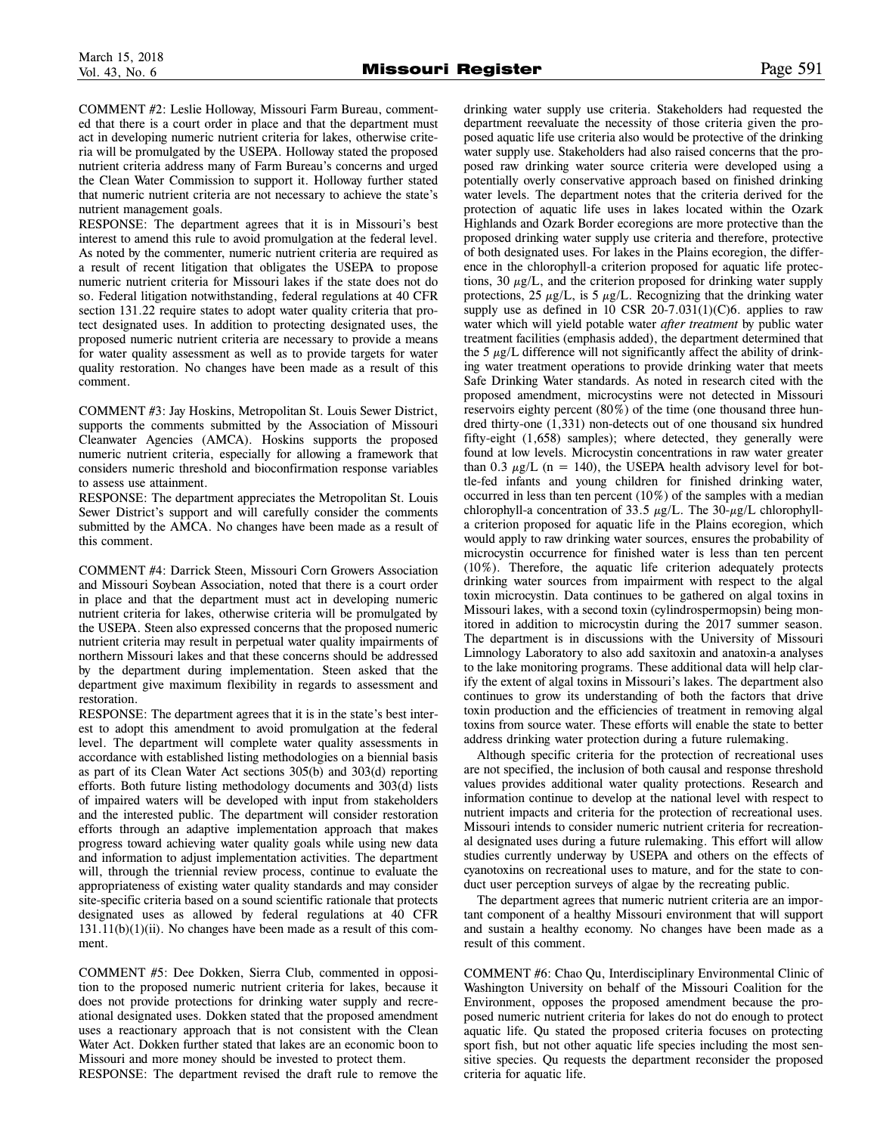COMMENT #2: Leslie Holloway, Missouri Farm Bureau, commented that there is a court order in place and that the department must act in developing numeric nutrient criteria for lakes, otherwise criteria will be promulgated by the USEPA. Holloway stated the proposed nutrient criteria address many of Farm Bureau's concerns and urged the Clean Water Commission to support it. Holloway further stated that numeric nutrient criteria are not necessary to achieve the state's nutrient management goals.

RESPONSE: The department agrees that it is in Missouri's best interest to amend this rule to avoid promulgation at the federal level. As noted by the commenter, numeric nutrient criteria are required as a result of recent litigation that obligates the USEPA to propose numeric nutrient criteria for Missouri lakes if the state does not do so. Federal litigation notwithstanding, federal regulations at 40 CFR section 131.22 require states to adopt water quality criteria that protect designated uses. In addition to protecting designated uses, the proposed numeric nutrient criteria are necessary to provide a means for water quality assessment as well as to provide targets for water quality restoration. No changes have been made as a result of this comment.

COMMENT #3: Jay Hoskins, Metropolitan St. Louis Sewer District, supports the comments submitted by the Association of Missouri Cleanwater Agencies (AMCA). Hoskins supports the proposed numeric nutrient criteria, especially for allowing a framework that considers numeric threshold and bioconfirmation response variables to assess use attainment.

RESPONSE: The department appreciates the Metropolitan St. Louis Sewer District's support and will carefully consider the comments submitted by the AMCA. No changes have been made as a result of this comment.

COMMENT #4: Darrick Steen, Missouri Corn Growers Association and Missouri Soybean Association, noted that there is a court order in place and that the department must act in developing numeric nutrient criteria for lakes, otherwise criteria will be promulgated by the USEPA. Steen also expressed concerns that the proposed numeric nutrient criteria may result in perpetual water quality impairments of northern Missouri lakes and that these concerns should be addressed by the department during implementation. Steen asked that the department give maximum flexibility in regards to assessment and restoration.

RESPONSE: The department agrees that it is in the state's best interest to adopt this amendment to avoid promulgation at the federal level. The department will complete water quality assessments in accordance with established listing methodologies on a biennial basis as part of its Clean Water Act sections 305(b) and 303(d) reporting efforts. Both future listing methodology documents and 303(d) lists of impaired waters will be developed with input from stakeholders and the interested public. The department will consider restoration efforts through an adaptive implementation approach that makes progress toward achieving water quality goals while using new data and information to adjust implementation activities. The department will, through the triennial review process, continue to evaluate the appropriateness of existing water quality standards and may consider site-specific criteria based on a sound scientific rationale that protects designated uses as allowed by federal regulations at 40 CFR  $131.11(b)(1)(ii)$ . No changes have been made as a result of this comment.

COMMENT #5: Dee Dokken, Sierra Club, commented in opposition to the proposed numeric nutrient criteria for lakes, because it does not provide protections for drinking water supply and recreational designated uses. Dokken stated that the proposed amendment uses a reactionary approach that is not consistent with the Clean Water Act. Dokken further stated that lakes are an economic boon to Missouri and more money should be invested to protect them.

RESPONSE: The department revised the draft rule to remove the

drinking water supply use criteria. Stakeholders had requested the department reevaluate the necessity of those criteria given the proposed aquatic life use criteria also would be protective of the drinking water supply use. Stakeholders had also raised concerns that the proposed raw drinking water source criteria were developed using a potentially overly conservative approach based on finished drinking water levels. The department notes that the criteria derived for the protection of aquatic life uses in lakes located within the Ozark Highlands and Ozark Border ecoregions are more protective than the proposed drinking water supply use criteria and therefore, protective of both designated uses. For lakes in the Plains ecoregion, the difference in the chlorophyll-a criterion proposed for aquatic life protections, 30  $\mu$ g/L, and the criterion proposed for drinking water supply protections, 25  $\mu$ g/L, is 5  $\mu$ g/L. Recognizing that the drinking water supply use as defined in 10 CSR 20-7.031(1)(C)6. applies to raw water which will yield potable water *after treatment* by public water treatment facilities (emphasis added), the department determined that the 5  $\mu$ g/L difference will not significantly affect the ability of drinking water treatment operations to provide drinking water that meets Safe Drinking Water standards. As noted in research cited with the proposed amendment, microcystins were not detected in Missouri reservoirs eighty percent (80%) of the time (one thousand three hundred thirty-one (1,331) non-detects out of one thousand six hundred fifty-eight (1,658) samples); where detected, they generally were found at low levels. Microcystin concentrations in raw water greater than 0.3  $\mu$ g/L (n = 140), the USEPA health advisory level for bottle-fed infants and young children for finished drinking water, occurred in less than ten percent (10%) of the samples with a median chlorophyll-a concentration of 33.5  $\mu$ g/L. The 30- $\mu$ g/L chlorophylla criterion proposed for aquatic life in the Plains ecoregion, which would apply to raw drinking water sources, ensures the probability of microcystin occurrence for finished water is less than ten percent (10%). Therefore, the aquatic life criterion adequately protects drinking water sources from impairment with respect to the algal toxin microcystin. Data continues to be gathered on algal toxins in Missouri lakes, with a second toxin (cylindrospermopsin) being monitored in addition to microcystin during the 2017 summer season. The department is in discussions with the University of Missouri Limnology Laboratory to also add saxitoxin and anatoxin-a analyses to the lake monitoring programs. These additional data will help clarify the extent of algal toxins in Missouri's lakes. The department also continues to grow its understanding of both the factors that drive toxin production and the efficiencies of treatment in removing algal toxins from source water. These efforts will enable the state to better address drinking water protection during a future rulemaking.

Although specific criteria for the protection of recreational uses are not specified, the inclusion of both causal and response threshold values provides additional water quality protections. Research and information continue to develop at the national level with respect to nutrient impacts and criteria for the protection of recreational uses. Missouri intends to consider numeric nutrient criteria for recreational designated uses during a future rulemaking. This effort will allow studies currently underway by USEPA and others on the effects of cyanotoxins on recreational uses to mature, and for the state to conduct user perception surveys of algae by the recreating public.

The department agrees that numeric nutrient criteria are an important component of a healthy Missouri environment that will support and sustain a healthy economy. No changes have been made as a result of this comment.

COMMENT #6: Chao Qu, Interdisciplinary Environmental Clinic of Washington University on behalf of the Missouri Coalition for the Environment, opposes the proposed amendment because the proposed numeric nutrient criteria for lakes do not do enough to protect aquatic life. Qu stated the proposed criteria focuses on protecting sport fish, but not other aquatic life species including the most sensitive species. Qu requests the department reconsider the proposed criteria for aquatic life.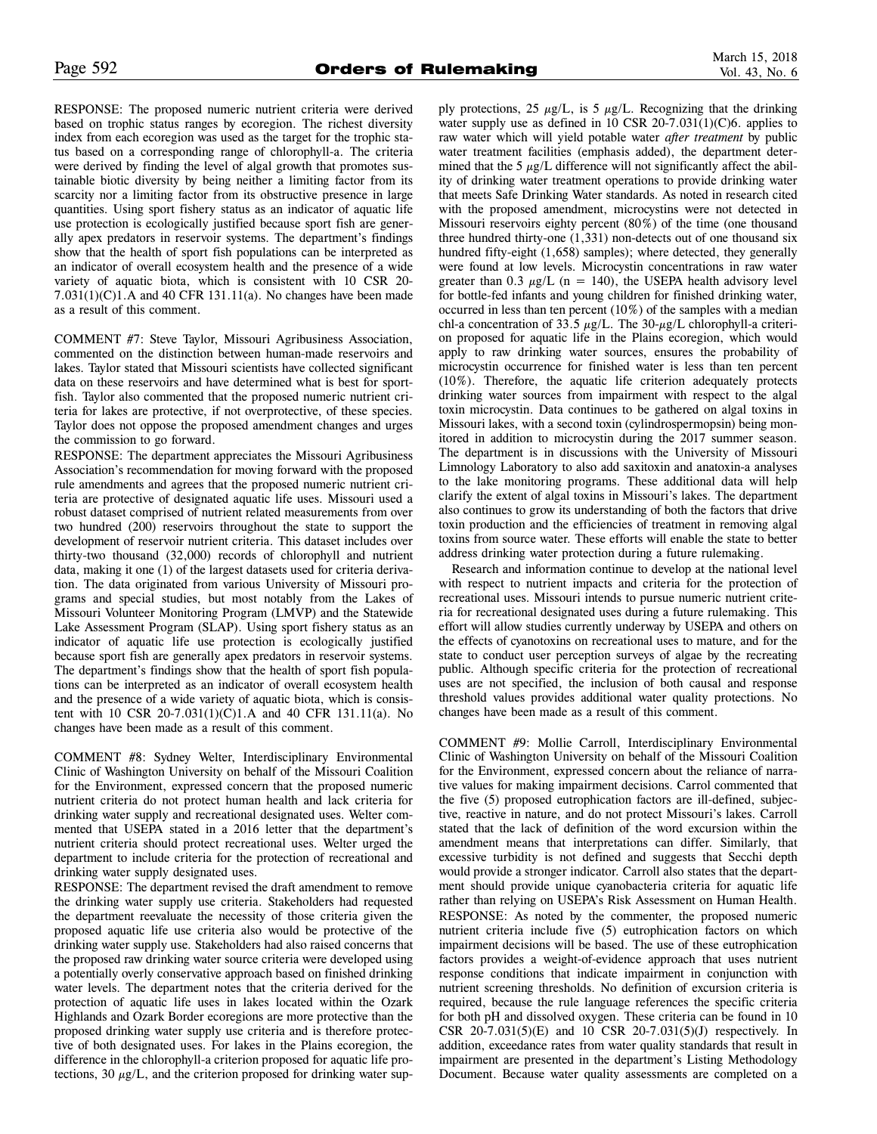RESPONSE: The proposed numeric nutrient criteria were derived based on trophic status ranges by ecoregion. The richest diversity index from each ecoregion was used as the target for the trophic status based on a corresponding range of chlorophyll-a. The criteria were derived by finding the level of algal growth that promotes sustainable biotic diversity by being neither a limiting factor from its scarcity nor a limiting factor from its obstructive presence in large quantities. Using sport fishery status as an indicator of aquatic life use protection is ecologically justified because sport fish are generally apex predators in reservoir systems. The department's findings show that the health of sport fish populations can be interpreted as an indicator of overall ecosystem health and the presence of a wide variety of aquatic biota, which is consistent with 10 CSR 20-  $7.031(1)(C)1.A$  and 40 CFR 131.11(a). No changes have been made as a result of this comment.

COMMENT #7: Steve Taylor, Missouri Agribusiness Association, commented on the distinction between human-made reservoirs and lakes. Taylor stated that Missouri scientists have collected significant data on these reservoirs and have determined what is best for sportfish. Taylor also commented that the proposed numeric nutrient criteria for lakes are protective, if not overprotective, of these species. Taylor does not oppose the proposed amendment changes and urges the commission to go forward.

RESPONSE: The department appreciates the Missouri Agribusiness Association's recommendation for moving forward with the proposed rule amendments and agrees that the proposed numeric nutrient criteria are protective of designated aquatic life uses. Missouri used a robust dataset comprised of nutrient related measurements from over two hundred (200) reservoirs throughout the state to support the development of reservoir nutrient criteria. This dataset includes over thirty-two thousand (32,000) records of chlorophyll and nutrient data, making it one (1) of the largest datasets used for criteria derivation. The data originated from various University of Missouri programs and special studies, but most notably from the Lakes of Missouri Volunteer Monitoring Program (LMVP) and the Statewide Lake Assessment Program (SLAP). Using sport fishery status as an indicator of aquatic life use protection is ecologically justified because sport fish are generally apex predators in reservoir systems. The department's findings show that the health of sport fish populations can be interpreted as an indicator of overall ecosystem health and the presence of a wide variety of aquatic biota, which is consistent with 10 CSR 20-7.031(1)(C)1.A and 40 CFR 131.11(a). No changes have been made as a result of this comment.

COMMENT #8: Sydney Welter, Interdisciplinary Environmental Clinic of Washington University on behalf of the Missouri Coalition for the Environment, expressed concern that the proposed numeric nutrient criteria do not protect human health and lack criteria for drinking water supply and recreational designated uses. Welter commented that USEPA stated in a 2016 letter that the department's nutrient criteria should protect recreational uses. Welter urged the department to include criteria for the protection of recreational and drinking water supply designated uses.

RESPONSE: The department revised the draft amendment to remove the drinking water supply use criteria. Stakeholders had requested the department reevaluate the necessity of those criteria given the proposed aquatic life use criteria also would be protective of the drinking water supply use. Stakeholders had also raised concerns that the proposed raw drinking water source criteria were developed using a potentially overly conservative approach based on finished drinking water levels. The department notes that the criteria derived for the protection of aquatic life uses in lakes located within the Ozark Highlands and Ozark Border ecoregions are more protective than the proposed drinking water supply use criteria and is therefore protective of both designated uses. For lakes in the Plains ecoregion, the difference in the chlorophyll-a criterion proposed for aquatic life protections, 30  $\mu$ g/L, and the criterion proposed for drinking water supply protections, 25  $\mu$ g/L, is 5  $\mu$ g/L. Recognizing that the drinking water supply use as defined in 10 CSR 20-7.031(1)(C)6. applies to raw water which will yield potable water *after treatment* by public water treatment facilities (emphasis added), the department determined that the 5  $\mu$ g/L difference will not significantly affect the ability of drinking water treatment operations to provide drinking water that meets Safe Drinking Water standards. As noted in research cited with the proposed amendment, microcystins were not detected in Missouri reservoirs eighty percent (80%) of the time (one thousand three hundred thirty-one (1,331) non-detects out of one thousand six hundred fifty-eight (1,658) samples); where detected, they generally were found at low levels. Microcystin concentrations in raw water greater than 0.3  $\mu$ g/L (n = 140), the USEPA health advisory level for bottle-fed infants and young children for finished drinking water, occurred in less than ten percent (10%) of the samples with a median chl-a concentration of 33.5  $\mu$ g/L. The 30- $\mu$ g/L chlorophyll-a criterion proposed for aquatic life in the Plains ecoregion, which would apply to raw drinking water sources, ensures the probability of microcystin occurrence for finished water is less than ten percent (10%). Therefore, the aquatic life criterion adequately protects drinking water sources from impairment with respect to the algal toxin microcystin. Data continues to be gathered on algal toxins in Missouri lakes, with a second toxin (cylindrospermopsin) being monitored in addition to microcystin during the 2017 summer season. The department is in discussions with the University of Missouri Limnology Laboratory to also add saxitoxin and anatoxin-a analyses to the lake monitoring programs. These additional data will help clarify the extent of algal toxins in Missouri's lakes. The department also continues to grow its understanding of both the factors that drive toxin production and the efficiencies of treatment in removing algal toxins from source water. These efforts will enable the state to better address drinking water protection during a future rulemaking.

Research and information continue to develop at the national level with respect to nutrient impacts and criteria for the protection of recreational uses. Missouri intends to pursue numeric nutrient criteria for recreational designated uses during a future rulemaking. This effort will allow studies currently underway by USEPA and others on the effects of cyanotoxins on recreational uses to mature, and for the state to conduct user perception surveys of algae by the recreating public. Although specific criteria for the protection of recreational uses are not specified, the inclusion of both causal and response threshold values provides additional water quality protections. No changes have been made as a result of this comment.

COMMENT #9: Mollie Carroll, Interdisciplinary Environmental Clinic of Washington University on behalf of the Missouri Coalition for the Environment, expressed concern about the reliance of narrative values for making impairment decisions. Carrol commented that the five (5) proposed eutrophication factors are ill-defined, subjective, reactive in nature, and do not protect Missouri's lakes. Carroll stated that the lack of definition of the word excursion within the amendment means that interpretations can differ. Similarly, that excessive turbidity is not defined and suggests that Secchi depth would provide a stronger indicator. Carroll also states that the department should provide unique cyanobacteria criteria for aquatic life rather than relying on USEPA's Risk Assessment on Human Health. RESPONSE: As noted by the commenter, the proposed numeric nutrient criteria include five (5) eutrophication factors on which impairment decisions will be based. The use of these eutrophication factors provides a weight-of-evidence approach that uses nutrient response conditions that indicate impairment in conjunction with nutrient screening thresholds. No definition of excursion criteria is required, because the rule language references the specific criteria for both pH and dissolved oxygen. These criteria can be found in 10 CSR 20-7.031(5)(E) and 10 CSR 20-7.031(5)(J) respectively. In addition, exceedance rates from water quality standards that result in impairment are presented in the department's Listing Methodology Document. Because water quality assessments are completed on a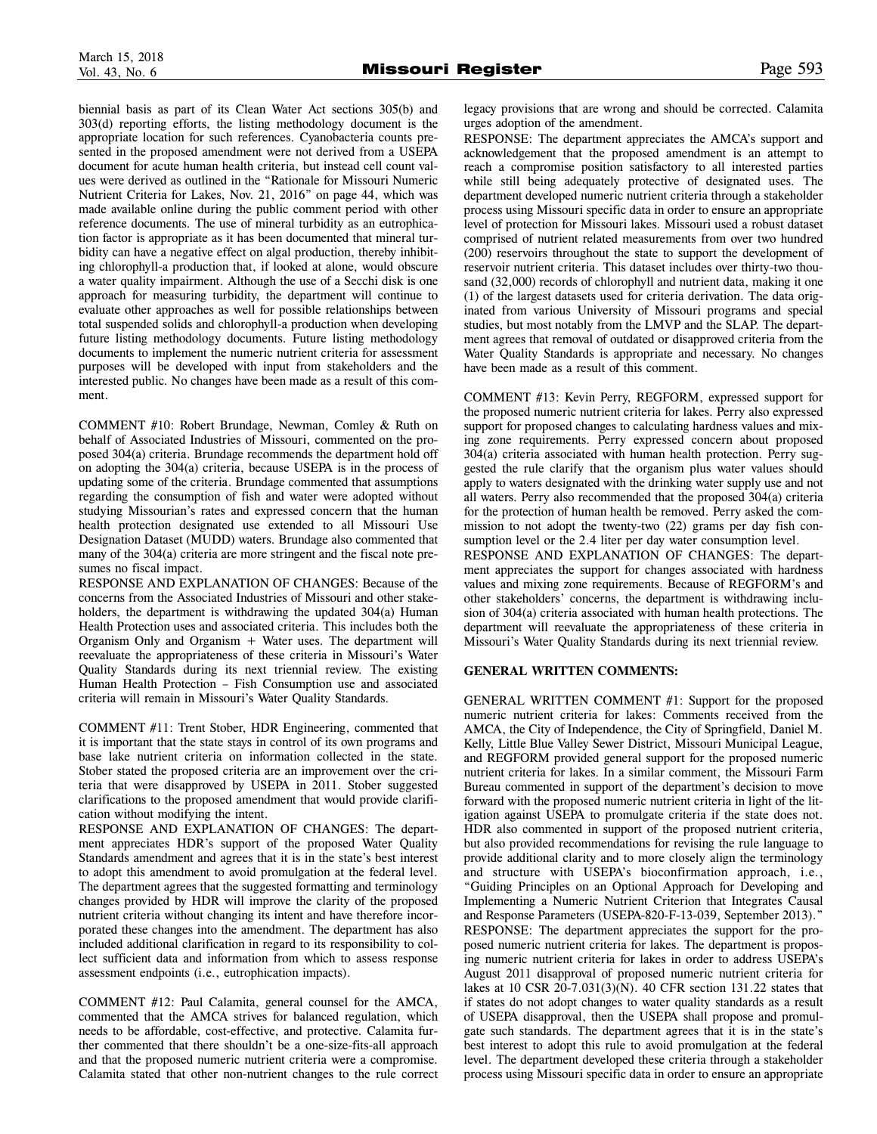biennial basis as part of its Clean Water Act sections 305(b) and 303(d) reporting efforts, the listing methodology document is the appropriate location for such references. Cyanobacteria counts presented in the proposed amendment were not derived from a USEPA document for acute human health criteria, but instead cell count values were derived as outlined in the "Rationale for Missouri Numeric Nutrient Criteria for Lakes, Nov. 21, 2016" on page 44, which was made available online during the public comment period with other reference documents. The use of mineral turbidity as an eutrophication factor is appropriate as it has been documented that mineral turbidity can have a negative effect on algal production, thereby inhibiting chlorophyll-a production that, if looked at alone, would obscure a water quality impairment. Although the use of a Secchi disk is one approach for measuring turbidity, the department will continue to evaluate other approaches as well for possible relationships between total suspended solids and chlorophyll-a production when developing future listing methodology documents. Future listing methodology documents to implement the numeric nutrient criteria for assessment purposes will be developed with input from stakeholders and the interested public. No changes have been made as a result of this comment.

COMMENT #10: Robert Brundage, Newman, Comley & Ruth on behalf of Associated Industries of Missouri, commented on the proposed 304(a) criteria. Brundage recommends the department hold off on adopting the 304(a) criteria, because USEPA is in the process of updating some of the criteria. Brundage commented that assumptions regarding the consumption of fish and water were adopted without studying Missourian's rates and expressed concern that the human health protection designated use extended to all Missouri Use Designation Dataset (MUDD) waters. Brundage also commented that many of the 304(a) criteria are more stringent and the fiscal note presumes no fiscal impact.

RESPONSE AND EXPLANATION OF CHANGES: Because of the concerns from the Associated Industries of Missouri and other stakeholders, the department is withdrawing the updated 304(a) Human Health Protection uses and associated criteria. This includes both the Organism Only and Organism  $+$  Water uses. The department will reevaluate the appropriateness of these criteria in Missouri's Water Quality Standards during its next triennial review. The existing Human Health Protection – Fish Consumption use and associated criteria will remain in Missouri's Water Quality Standards.

COMMENT #11: Trent Stober, HDR Engineering, commented that it is important that the state stays in control of its own programs and base lake nutrient criteria on information collected in the state. Stober stated the proposed criteria are an improvement over the criteria that were disapproved by USEPA in 2011. Stober suggested clarifications to the proposed amendment that would provide clarification without modifying the intent.

RESPONSE AND EXPLANATION OF CHANGES: The department appreciates HDR's support of the proposed Water Quality Standards amendment and agrees that it is in the state's best interest to adopt this amendment to avoid promulgation at the federal level. The department agrees that the suggested formatting and terminology changes provided by HDR will improve the clarity of the proposed nutrient criteria without changing its intent and have therefore incorporated these changes into the amendment. The department has also included additional clarification in regard to its responsibility to collect sufficient data and information from which to assess response assessment endpoints (i.e., eutrophication impacts).

COMMENT #12: Paul Calamita, general counsel for the AMCA, commented that the AMCA strives for balanced regulation, which needs to be affordable, cost-effective, and protective. Calamita further commented that there shouldn't be a one-size-fits-all approach and that the proposed numeric nutrient criteria were a compromise. Calamita stated that other non-nutrient changes to the rule correct

legacy provisions that are wrong and should be corrected. Calamita urges adoption of the amendment.

RESPONSE: The department appreciates the AMCA's support and acknowledgement that the proposed amendment is an attempt to reach a compromise position satisfactory to all interested parties while still being adequately protective of designated uses. The department developed numeric nutrient criteria through a stakeholder process using Missouri specific data in order to ensure an appropriate level of protection for Missouri lakes. Missouri used a robust dataset comprised of nutrient related measurements from over two hundred (200) reservoirs throughout the state to support the development of reservoir nutrient criteria. This dataset includes over thirty-two thousand (32,000) records of chlorophyll and nutrient data, making it one (1) of the largest datasets used for criteria derivation. The data originated from various University of Missouri programs and special studies, but most notably from the LMVP and the SLAP. The department agrees that removal of outdated or disapproved criteria from the Water Quality Standards is appropriate and necessary. No changes have been made as a result of this comment.

COMMENT #13: Kevin Perry, REGFORM, expressed support for the proposed numeric nutrient criteria for lakes. Perry also expressed support for proposed changes to calculating hardness values and mixing zone requirements. Perry expressed concern about proposed 304(a) criteria associated with human health protection. Perry suggested the rule clarify that the organism plus water values should apply to waters designated with the drinking water supply use and not all waters. Perry also recommended that the proposed 304(a) criteria for the protection of human health be removed. Perry asked the commission to not adopt the twenty-two (22) grams per day fish consumption level or the 2.4 liter per day water consumption level.

RESPONSE AND EXPLANATION OF CHANGES: The department appreciates the support for changes associated with hardness values and mixing zone requirements. Because of REGFORM's and other stakeholders' concerns, the department is withdrawing inclusion of 304(a) criteria associated with human health protections. The department will reevaluate the appropriateness of these criteria in Missouri's Water Quality Standards during its next triennial review.

# **GENERAL WRITTEN COMMENTS:**

GENERAL WRITTEN COMMENT #1: Support for the proposed numeric nutrient criteria for lakes: Comments received from the AMCA, the City of Independence, the City of Springfield, Daniel M. Kelly, Little Blue Valley Sewer District, Missouri Municipal League, and REGFORM provided general support for the proposed numeric nutrient criteria for lakes. In a similar comment, the Missouri Farm Bureau commented in support of the department's decision to move forward with the proposed numeric nutrient criteria in light of the litigation against USEPA to promulgate criteria if the state does not. HDR also commented in support of the proposed nutrient criteria, but also provided recommendations for revising the rule language to provide additional clarity and to more closely align the terminology and structure with USEPA's bioconfirmation approach, i.e., "Guiding Principles on an Optional Approach for Developing and Implementing a Numeric Nutrient Criterion that Integrates Causal and Response Parameters (USEPA-820-F-13-039, September 2013)." RESPONSE: The department appreciates the support for the proposed numeric nutrient criteria for lakes. The department is proposing numeric nutrient criteria for lakes in order to address USEPA's August 2011 disapproval of proposed numeric nutrient criteria for lakes at 10 CSR 20-7.031(3)(N). 40 CFR section 131.22 states that if states do not adopt changes to water quality standards as a result of USEPA disapproval, then the USEPA shall propose and promulgate such standards. The department agrees that it is in the state's best interest to adopt this rule to avoid promulgation at the federal level. The department developed these criteria through a stakeholder process using Missouri specific data in order to ensure an appropriate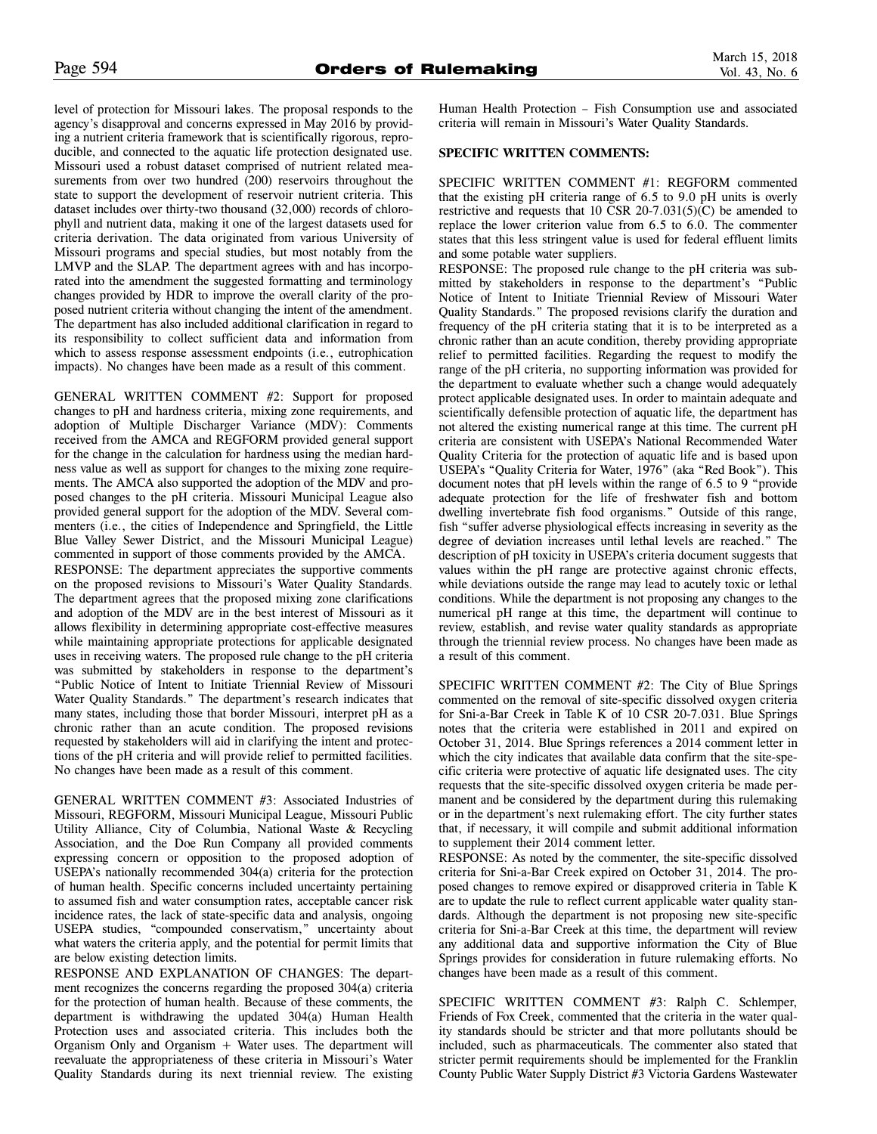level of protection for Missouri lakes. The proposal responds to the agency's disapproval and concerns expressed in May 2016 by providing a nutrient criteria framework that is scientifically rigorous, reproducible, and connected to the aquatic life protection designated use. Missouri used a robust dataset comprised of nutrient related measurements from over two hundred (200) reservoirs throughout the state to support the development of reservoir nutrient criteria. This dataset includes over thirty-two thousand (32,000) records of chlorophyll and nutrient data, making it one of the largest datasets used for criteria derivation. The data originated from various University of Missouri programs and special studies, but most notably from the LMVP and the SLAP. The department agrees with and has incorporated into the amendment the suggested formatting and terminology changes provided by HDR to improve the overall clarity of the proposed nutrient criteria without changing the intent of the amendment. The department has also included additional clarification in regard to its responsibility to collect sufficient data and information from which to assess response assessment endpoints (i.e., eutrophication impacts). No changes have been made as a result of this comment.

GENERAL WRITTEN COMMENT #2: Support for proposed changes to pH and hardness criteria, mixing zone requirements, and adoption of Multiple Discharger Variance (MDV): Comments received from the AMCA and REGFORM provided general support for the change in the calculation for hardness using the median hardness value as well as support for changes to the mixing zone requirements. The AMCA also supported the adoption of the MDV and proposed changes to the pH criteria. Missouri Municipal League also provided general support for the adoption of the MDV. Several commenters (i.e., the cities of Independence and Springfield, the Little Blue Valley Sewer District, and the Missouri Municipal League) commented in support of those comments provided by the AMCA. RESPONSE: The department appreciates the supportive comments on the proposed revisions to Missouri's Water Quality Standards. The department agrees that the proposed mixing zone clarifications and adoption of the MDV are in the best interest of Missouri as it allows flexibility in determining appropriate cost-effective measures while maintaining appropriate protections for applicable designated uses in receiving waters. The proposed rule change to the pH criteria was submitted by stakeholders in response to the department's "Public Notice of Intent to Initiate Triennial Review of Missouri Water Quality Standards." The department's research indicates that many states, including those that border Missouri, interpret pH as a chronic rather than an acute condition. The proposed revisions requested by stakeholders will aid in clarifying the intent and protections of the pH criteria and will provide relief to permitted facilities. No changes have been made as a result of this comment.

GENERAL WRITTEN COMMENT #3: Associated Industries of Missouri, REGFORM, Missouri Municipal League, Missouri Public Utility Alliance, City of Columbia, National Waste & Recycling Association, and the Doe Run Company all provided comments expressing concern or opposition to the proposed adoption of USEPA's nationally recommended 304(a) criteria for the protection of human health. Specific concerns included uncertainty pertaining to assumed fish and water consumption rates, acceptable cancer risk incidence rates, the lack of state-specific data and analysis, ongoing USEPA studies, "compounded conservatism," uncertainty about what waters the criteria apply, and the potential for permit limits that are below existing detection limits.

RESPONSE AND EXPLANATION OF CHANGES: The department recognizes the concerns regarding the proposed 304(a) criteria for the protection of human health. Because of these comments, the department is withdrawing the updated 304(a) Human Health Protection uses and associated criteria. This includes both the Organism Only and Organism  $+$  Water uses. The department will reevaluate the appropriateness of these criteria in Missouri's Water Quality Standards during its next triennial review. The existing Human Health Protection – Fish Consumption use and associated criteria will remain in Missouri's Water Quality Standards.

# **SPECIFIC WRITTEN COMMENTS:**

SPECIFIC WRITTEN COMMENT #1: REGFORM commented that the existing pH criteria range of 6.5 to 9.0 pH units is overly restrictive and requests that 10 CSR 20-7.031(5)(C) be amended to replace the lower criterion value from 6.5 to 6.0. The commenter states that this less stringent value is used for federal effluent limits and some potable water suppliers.

RESPONSE: The proposed rule change to the pH criteria was submitted by stakeholders in response to the department's "Public Notice of Intent to Initiate Triennial Review of Missouri Water Quality Standards." The proposed revisions clarify the duration and frequency of the pH criteria stating that it is to be interpreted as a chronic rather than an acute condition, thereby providing appropriate relief to permitted facilities. Regarding the request to modify the range of the pH criteria, no supporting information was provided for the department to evaluate whether such a change would adequately protect applicable designated uses. In order to maintain adequate and scientifically defensible protection of aquatic life, the department has not altered the existing numerical range at this time. The current pH criteria are consistent with USEPA's National Recommended Water Quality Criteria for the protection of aquatic life and is based upon USEPA's "Quality Criteria for Water, 1976" (aka "Red Book"). This document notes that pH levels within the range of 6.5 to 9 "provide adequate protection for the life of freshwater fish and bottom dwelling invertebrate fish food organisms." Outside of this range, fish "suffer adverse physiological effects increasing in severity as the degree of deviation increases until lethal levels are reached." The description of pH toxicity in USEPA's criteria document suggests that values within the pH range are protective against chronic effects, while deviations outside the range may lead to acutely toxic or lethal conditions. While the department is not proposing any changes to the numerical pH range at this time, the department will continue to review, establish, and revise water quality standards as appropriate through the triennial review process. No changes have been made as a result of this comment.

SPECIFIC WRITTEN COMMENT #2: The City of Blue Springs commented on the removal of site-specific dissolved oxygen criteria for Sni-a-Bar Creek in Table K of 10 CSR 20-7.031. Blue Springs notes that the criteria were established in 2011 and expired on October 31, 2014. Blue Springs references a 2014 comment letter in which the city indicates that available data confirm that the site-specific criteria were protective of aquatic life designated uses. The city requests that the site-specific dissolved oxygen criteria be made permanent and be considered by the department during this rulemaking or in the department's next rulemaking effort. The city further states that, if necessary, it will compile and submit additional information to supplement their 2014 comment letter.

RESPONSE: As noted by the commenter, the site-specific dissolved criteria for Sni-a-Bar Creek expired on October 31, 2014. The proposed changes to remove expired or disapproved criteria in Table K are to update the rule to reflect current applicable water quality standards. Although the department is not proposing new site-specific criteria for Sni-a-Bar Creek at this time, the department will review any additional data and supportive information the City of Blue Springs provides for consideration in future rulemaking efforts. No changes have been made as a result of this comment.

SPECIFIC WRITTEN COMMENT #3: Ralph C. Schlemper, Friends of Fox Creek, commented that the criteria in the water quality standards should be stricter and that more pollutants should be included, such as pharmaceuticals. The commenter also stated that stricter permit requirements should be implemented for the Franklin County Public Water Supply District #3 Victoria Gardens Wastewater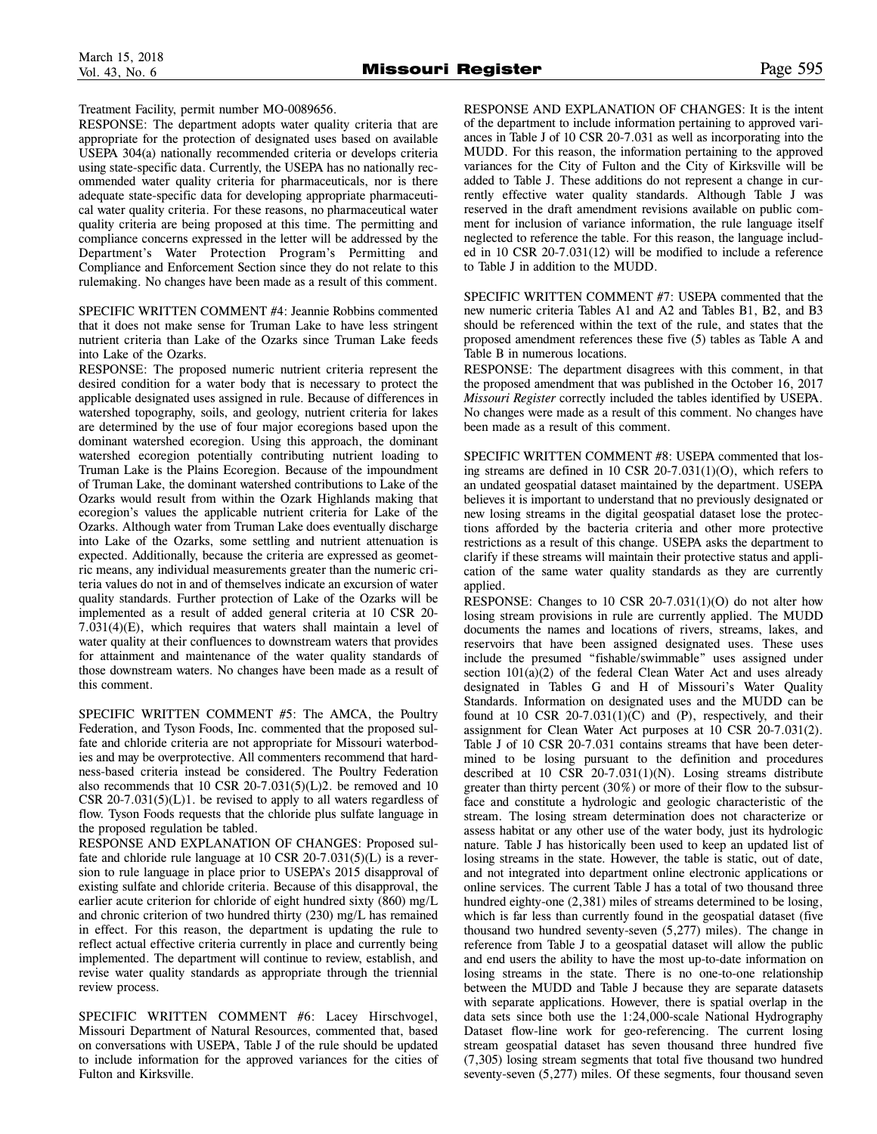Treatment Facility, permit number MO-0089656.

RESPONSE: The department adopts water quality criteria that are appropriate for the protection of designated uses based on available USEPA 304(a) nationally recommended criteria or develops criteria using state-specific data. Currently, the USEPA has no nationally recommended water quality criteria for pharmaceuticals, nor is there adequate state-specific data for developing appropriate pharmaceutical water quality criteria. For these reasons, no pharmaceutical water quality criteria are being proposed at this time. The permitting and compliance concerns expressed in the letter will be addressed by the Department's Water Protection Program's Permitting and Compliance and Enforcement Section since they do not relate to this rulemaking. No changes have been made as a result of this comment.

SPECIFIC WRITTEN COMMENT #4: Jeannie Robbins commented that it does not make sense for Truman Lake to have less stringent nutrient criteria than Lake of the Ozarks since Truman Lake feeds into Lake of the Ozarks.

RESPONSE: The proposed numeric nutrient criteria represent the desired condition for a water body that is necessary to protect the applicable designated uses assigned in rule. Because of differences in watershed topography, soils, and geology, nutrient criteria for lakes are determined by the use of four major ecoregions based upon the dominant watershed ecoregion. Using this approach, the dominant watershed ecoregion potentially contributing nutrient loading to Truman Lake is the Plains Ecoregion. Because of the impoundment of Truman Lake, the dominant watershed contributions to Lake of the Ozarks would result from within the Ozark Highlands making that ecoregion's values the applicable nutrient criteria for Lake of the Ozarks. Although water from Truman Lake does eventually discharge into Lake of the Ozarks, some settling and nutrient attenuation is expected. Additionally, because the criteria are expressed as geometric means, any individual measurements greater than the numeric criteria values do not in and of themselves indicate an excursion of water quality standards. Further protection of Lake of the Ozarks will be implemented as a result of added general criteria at 10 CSR 20- 7.031(4)(E), which requires that waters shall maintain a level of water quality at their confluences to downstream waters that provides for attainment and maintenance of the water quality standards of those downstream waters. No changes have been made as a result of this comment.

SPECIFIC WRITTEN COMMENT #5: The AMCA, the Poultry Federation, and Tyson Foods, Inc. commented that the proposed sulfate and chloride criteria are not appropriate for Missouri waterbodies and may be overprotective. All commenters recommend that hardness-based criteria instead be considered. The Poultry Federation also recommends that 10 CSR 20-7.031(5)(L)2. be removed and 10 CSR  $20-7.031(5)(L)1$ . be revised to apply to all waters regardless of flow. Tyson Foods requests that the chloride plus sulfate language in the proposed regulation be tabled.

RESPONSE AND EXPLANATION OF CHANGES: Proposed sulfate and chloride rule language at 10 CSR 20-7.031(5)(L) is a reversion to rule language in place prior to USEPA's 2015 disapproval of existing sulfate and chloride criteria. Because of this disapproval, the earlier acute criterion for chloride of eight hundred sixty (860) mg/L and chronic criterion of two hundred thirty (230) mg/L has remained in effect. For this reason, the department is updating the rule to reflect actual effective criteria currently in place and currently being implemented. The department will continue to review, establish, and revise water quality standards as appropriate through the triennial review process.

SPECIFIC WRITTEN COMMENT #6: Lacey Hirschvogel, Missouri Department of Natural Resources, commented that, based on conversations with USEPA, Table J of the rule should be updated to include information for the approved variances for the cities of Fulton and Kirksville.

RESPONSE AND EXPLANATION OF CHANGES: It is the intent of the department to include information pertaining to approved variances in Table J of 10 CSR 20-7.031 as well as incorporating into the MUDD. For this reason, the information pertaining to the approved variances for the City of Fulton and the City of Kirksville will be added to Table J. These additions do not represent a change in currently effective water quality standards. Although Table J was reserved in the draft amendment revisions available on public comment for inclusion of variance information, the rule language itself neglected to reference the table. For this reason, the language included in 10 CSR 20-7.031(12) will be modified to include a reference to Table J in addition to the MUDD.

SPECIFIC WRITTEN COMMENT #7: USEPA commented that the new numeric criteria Tables A1 and A2 and Tables B1, B2, and B3 should be referenced within the text of the rule, and states that the proposed amendment references these five (5) tables as Table A and Table B in numerous locations.

RESPONSE: The department disagrees with this comment, in that the proposed amendment that was published in the October 16, 2017 *Missouri Register* correctly included the tables identified by USEPA. No changes were made as a result of this comment. No changes have been made as a result of this comment.

SPECIFIC WRITTEN COMMENT #8: USEPA commented that losing streams are defined in 10 CSR 20-7.031(1)(O), which refers to an undated geospatial dataset maintained by the department. USEPA believes it is important to understand that no previously designated or new losing streams in the digital geospatial dataset lose the protections afforded by the bacteria criteria and other more protective restrictions as a result of this change. USEPA asks the department to clarify if these streams will maintain their protective status and application of the same water quality standards as they are currently applied.

RESPONSE: Changes to 10 CSR 20-7.031(1)(O) do not alter how losing stream provisions in rule are currently applied. The MUDD documents the names and locations of rivers, streams, lakes, and reservoirs that have been assigned designated uses. These uses include the presumed "fishable/swimmable" uses assigned under section  $101(a)(2)$  of the federal Clean Water Act and uses already designated in Tables G and H of Missouri's Water Quality Standards. Information on designated uses and the MUDD can be found at 10 CSR 20-7.031 $(1)(C)$  and  $(P)$ , respectively, and their assignment for Clean Water Act purposes at 10 CSR 20-7.031(2). Table J of 10 CSR 20-7.031 contains streams that have been determined to be losing pursuant to the definition and procedures described at 10 CSR 20-7.031(1)(N). Losing streams distribute greater than thirty percent (30%) or more of their flow to the subsurface and constitute a hydrologic and geologic characteristic of the stream. The losing stream determination does not characterize or assess habitat or any other use of the water body, just its hydrologic nature. Table J has historically been used to keep an updated list of losing streams in the state. However, the table is static, out of date, and not integrated into department online electronic applications or online services. The current Table J has a total of two thousand three hundred eighty-one (2,381) miles of streams determined to be losing, which is far less than currently found in the geospatial dataset (five thousand two hundred seventy-seven (5,277) miles). The change in reference from Table J to a geospatial dataset will allow the public and end users the ability to have the most up-to-date information on losing streams in the state. There is no one-to-one relationship between the MUDD and Table J because they are separate datasets with separate applications. However, there is spatial overlap in the data sets since both use the 1:24,000-scale National Hydrography Dataset flow-line work for geo-referencing. The current losing stream geospatial dataset has seven thousand three hundred five (7,305) losing stream segments that total five thousand two hundred seventy-seven  $(5,277)$  miles. Of these segments, four thousand seven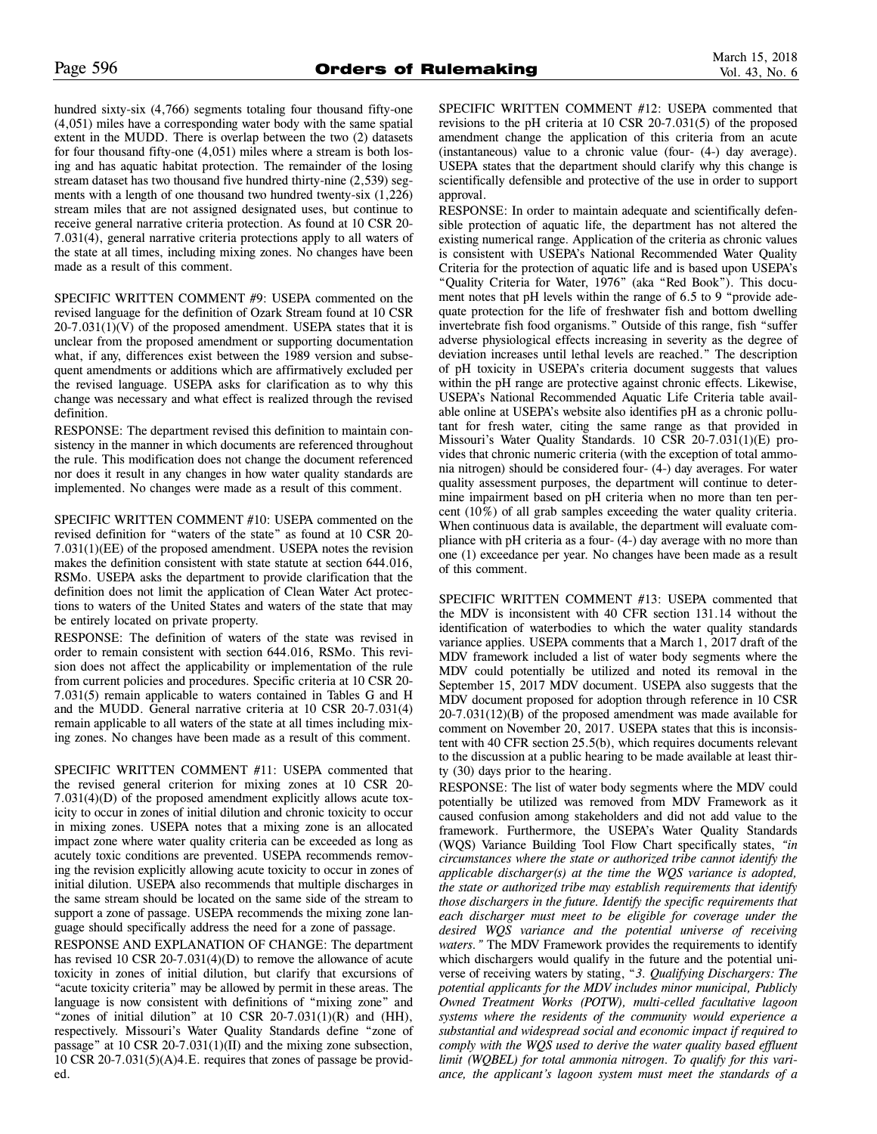hundred sixty-six (4,766) segments totaling four thousand fifty-one (4,051) miles have a corresponding water body with the same spatial extent in the MUDD. There is overlap between the two (2) datasets for four thousand fifty-one (4,051) miles where a stream is both losing and has aquatic habitat protection. The remainder of the losing stream dataset has two thousand five hundred thirty-nine (2,539) segments with a length of one thousand two hundred twenty-six (1,226) stream miles that are not assigned designated uses, but continue to receive general narrative criteria protection. As found at 10 CSR 20- 7.031(4), general narrative criteria protections apply to all waters of the state at all times, including mixing zones. No changes have been made as a result of this comment.

SPECIFIC WRITTEN COMMENT #9: USEPA commented on the revised language for the definition of Ozark Stream found at 10 CSR  $20-7.031(1)(V)$  of the proposed amendment. USEPA states that it is unclear from the proposed amendment or supporting documentation what, if any, differences exist between the 1989 version and subsequent amendments or additions which are affirmatively excluded per the revised language. USEPA asks for clarification as to why this change was necessary and what effect is realized through the revised definition.

RESPONSE: The department revised this definition to maintain consistency in the manner in which documents are referenced throughout the rule. This modification does not change the document referenced nor does it result in any changes in how water quality standards are implemented. No changes were made as a result of this comment.

SPECIFIC WRITTEN COMMENT #10: USEPA commented on the revised definition for "waters of the state" as found at 10 CSR 20- 7.031(1)(EE) of the proposed amendment. USEPA notes the revision makes the definition consistent with state statute at section 644.016, RSMo. USEPA asks the department to provide clarification that the definition does not limit the application of Clean Water Act protections to waters of the United States and waters of the state that may be entirely located on private property.

RESPONSE: The definition of waters of the state was revised in order to remain consistent with section 644.016, RSMo. This revision does not affect the applicability or implementation of the rule from current policies and procedures. Specific criteria at 10 CSR 20- 7.031(5) remain applicable to waters contained in Tables G and H and the MUDD. General narrative criteria at 10 CSR 20-7.031(4) remain applicable to all waters of the state at all times including mixing zones. No changes have been made as a result of this comment.

SPECIFIC WRITTEN COMMENT #11: USEPA commented that the revised general criterion for mixing zones at 10 CSR 20- 7.031(4)(D) of the proposed amendment explicitly allows acute toxicity to occur in zones of initial dilution and chronic toxicity to occur in mixing zones. USEPA notes that a mixing zone is an allocated impact zone where water quality criteria can be exceeded as long as acutely toxic conditions are prevented. USEPA recommends removing the revision explicitly allowing acute toxicity to occur in zones of initial dilution. USEPA also recommends that multiple discharges in the same stream should be located on the same side of the stream to support a zone of passage. USEPA recommends the mixing zone language should specifically address the need for a zone of passage.

RESPONSE AND EXPLANATION OF CHANGE: The department has revised 10 CSR 20-7.031(4)(D) to remove the allowance of acute toxicity in zones of initial dilution, but clarify that excursions of "acute toxicity criteria" may be allowed by permit in these areas. The language is now consistent with definitions of "mixing zone" and "zones of initial dilution" at 10 CSR 20-7.031(1)(R) and (HH), respectively. Missouri's Water Quality Standards define "zone of passage" at 10 CSR 20-7.031(1)(II) and the mixing zone subsection, 10 CSR 20-7.031(5)(A)4.E. requires that zones of passage be provided.

SPECIFIC WRITTEN COMMENT #12: USEPA commented that revisions to the pH criteria at 10 CSR 20-7.031(5) of the proposed amendment change the application of this criteria from an acute (instantaneous) value to a chronic value (four- (4-) day average). USEPA states that the department should clarify why this change is scientifically defensible and protective of the use in order to support approval.

RESPONSE: In order to maintain adequate and scientifically defensible protection of aquatic life, the department has not altered the existing numerical range. Application of the criteria as chronic values is consistent with USEPA's National Recommended Water Quality Criteria for the protection of aquatic life and is based upon USEPA's "Quality Criteria for Water, 1976" (aka "Red Book"). This document notes that pH levels within the range of 6.5 to 9 "provide adequate protection for the life of freshwater fish and bottom dwelling invertebrate fish food organisms." Outside of this range, fish "suffer adverse physiological effects increasing in severity as the degree of deviation increases until lethal levels are reached." The description of pH toxicity in USEPA's criteria document suggests that values within the pH range are protective against chronic effects. Likewise, USEPA's National Recommended Aquatic Life Criteria table available online at USEPA's website also identifies pH as a chronic pollutant for fresh water, citing the same range as that provided in Missouri's Water Quality Standards. 10 CSR 20-7.031(1)(E) provides that chronic numeric criteria (with the exception of total ammonia nitrogen) should be considered four- (4-) day averages. For water quality assessment purposes, the department will continue to determine impairment based on pH criteria when no more than ten percent  $(10\%)$  of all grab samples exceeding the water quality criteria. When continuous data is available, the department will evaluate compliance with pH criteria as a four- (4-) day average with no more than one (1) exceedance per year. No changes have been made as a result of this comment.

SPECIFIC WRITTEN COMMENT #13: USEPA commented that the MDV is inconsistent with 40 CFR section 131.14 without the identification of waterbodies to which the water quality standards variance applies. USEPA comments that a March 1, 2017 draft of the MDV framework included a list of water body segments where the MDV could potentially be utilized and noted its removal in the September 15, 2017 MDV document. USEPA also suggests that the MDV document proposed for adoption through reference in 10 CSR 20-7.031(12)(B) of the proposed amendment was made available for comment on November 20, 2017. USEPA states that this is inconsistent with 40 CFR section 25.5(b), which requires documents relevant to the discussion at a public hearing to be made available at least thirty (30) days prior to the hearing.

RESPONSE: The list of water body segments where the MDV could potentially be utilized was removed from MDV Framework as it caused confusion among stakeholders and did not add value to the framework. Furthermore, the USEPA's Water Quality Standards (WQS) Variance Building Tool Flow Chart specifically states, *"in circumstances where the state or authorized tribe cannot identify the applicable discharger(s) at the time the WQS variance is adopted, the state or authorized tribe may establish requirements that identify those dischargers in the future. Identify the specific requirements that each discharger must meet to be eligible for coverage under the desired WQS variance and the potential universe of receiving waters."* The MDV Framework provides the requirements to identify which dischargers would qualify in the future and the potential universe of receiving waters by stating, "*3. Qualifying Dischargers: The potential applicants for the MDV includes minor municipal, Publicly Owned Treatment Works (POTW), multi-celled facultative lagoon systems where the residents of the community would experience a substantial and widespread social and economic impact if required to comply with the WQS used to derive the water quality based effluent limit (WQBEL) for total ammonia nitrogen. To qualify for this variance, the applicant's lagoon system must meet the standards of a*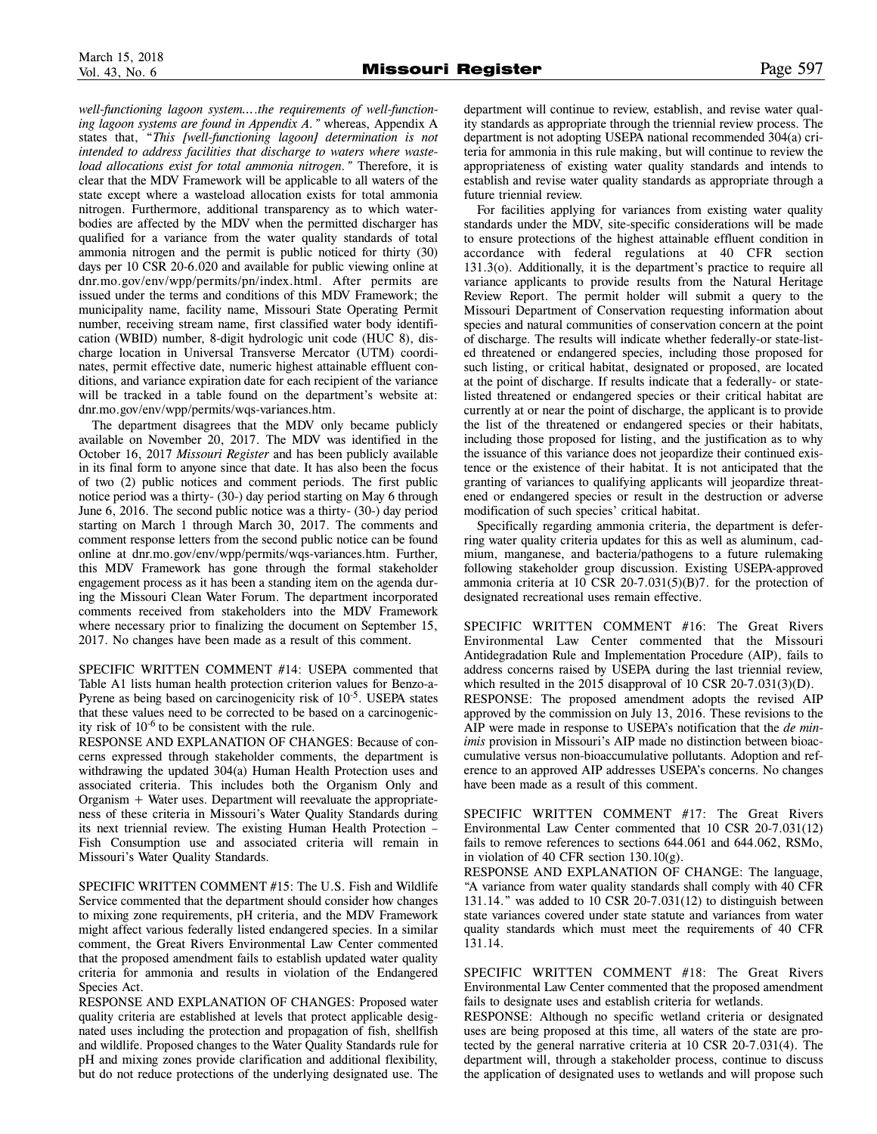*well-functioning lagoon system…*.*the requirements of well-functioning lagoon systems are found in Appendix A."* whereas, Appendix A states that, "*This [well-functioning lagoon] determination is not intended to address facilities that discharge to waters where wasteload allocations exist for total ammonia nitrogen."* Therefore, it is clear that the MDV Framework will be applicable to all waters of the state except where a wasteload allocation exists for total ammonia nitrogen. Furthermore, additional transparency as to which waterbodies are affected by the MDV when the permitted discharger has qualified for a variance from the water quality standards of total ammonia nitrogen and the permit is public noticed for thirty (30) days per 10 CSR 20-6.020 and available for public viewing online at dnr.mo.gov/env/wpp/permits/pn/index.html. After permits are issued under the terms and conditions of this MDV Framework; the municipality name, facility name, Missouri State Operating Permit number, receiving stream name, first classified water body identification (WBID) number, 8-digit hydrologic unit code (HUC 8), discharge location in Universal Transverse Mercator (UTM) coordinates, permit effective date, numeric highest attainable effluent conditions, and variance expiration date for each recipient of the variance will be tracked in a table found on the department's website at: dnr.mo.gov/env/wpp/permits/wqs-variances.htm.

The department disagrees that the MDV only became publicly available on November 20, 2017. The MDV was identified in the October 16, 2017 *Missouri Register* and has been publicly available in its final form to anyone since that date. It has also been the focus of two (2) public notices and comment periods. The first public notice period was a thirty- (30-) day period starting on May 6 through June 6, 2016. The second public notice was a thirty- (30-) day period starting on March 1 through March 30, 2017. The comments and comment response letters from the second public notice can be found online at dnr.mo.gov/env/wpp/permits/wqs-variances.htm. Further, this MDV Framework has gone through the formal stakeholder engagement process as it has been a standing item on the agenda during the Missouri Clean Water Forum. The department incorporated comments received from stakeholders into the MDV Framework where necessary prior to finalizing the document on September 15, 2017. No changes have been made as a result of this comment.

SPECIFIC WRITTEN COMMENT #14: USEPA commented that Table A1 lists human health protection criterion values for Benzo-a-Pyrene as being based on carcinogenicity risk of  $10^{-5}$ . USEPA states that these values need to be corrected to be based on a carcinogenicity risk of  $10^{-6}$  to be consistent with the rule.

RESPONSE AND EXPLANATION OF CHANGES: Because of concerns expressed through stakeholder comments, the department is withdrawing the updated 304(a) Human Health Protection uses and associated criteria. This includes both the Organism Only and Organism + Water uses. Department will reevaluate the appropriateness of these criteria in Missouri's Water Quality Standards during its next triennial review. The existing Human Health Protection – Fish Consumption use and associated criteria will remain in Missouri's Water Quality Standards.

SPECIFIC WRITTEN COMMENT #15: The U.S. Fish and Wildlife Service commented that the department should consider how changes to mixing zone requirements, pH criteria, and the MDV Framework might affect various federally listed endangered species. In a similar comment, the Great Rivers Environmental Law Center commented that the proposed amendment fails to establish updated water quality criteria for ammonia and results in violation of the Endangered Species Act.

RESPONSE AND EXPLANATION OF CHANGES: Proposed water quality criteria are established at levels that protect applicable designated uses including the protection and propagation of fish, shellfish and wildlife. Proposed changes to the Water Quality Standards rule for pH and mixing zones provide clarification and additional flexibility, but do not reduce protections of the underlying designated use. The

department will continue to review, establish, and revise water quality standards as appropriate through the triennial review process. The department is not adopting USEPA national recommended 304(a) criteria for ammonia in this rule making, but will continue to review the appropriateness of existing water quality standards and intends to establish and revise water quality standards as appropriate through a future triennial review.

For facilities applying for variances from existing water quality standards under the MDV, site-specific considerations will be made to ensure protections of the highest attainable effluent condition in accordance with federal regulations at 40 CFR section 131.3(o). Additionally, it is the department's practice to require all variance applicants to provide results from the Natural Heritage Review Report. The permit holder will submit a query to the Missouri Department of Conservation requesting information about species and natural communities of conservation concern at the point of discharge. The results will indicate whether federally-or state-listed threatened or endangered species, including those proposed for such listing, or critical habitat, designated or proposed, are located at the point of discharge. If results indicate that a federally- or statelisted threatened or endangered species or their critical habitat are currently at or near the point of discharge, the applicant is to provide the list of the threatened or endangered species or their habitats, including those proposed for listing, and the justification as to why the issuance of this variance does not jeopardize their continued existence or the existence of their habitat. It is not anticipated that the granting of variances to qualifying applicants will jeopardize threatened or endangered species or result in the destruction or adverse modification of such species' critical habitat.

Specifically regarding ammonia criteria, the department is deferring water quality criteria updates for this as well as aluminum, cadmium, manganese, and bacteria/pathogens to a future rulemaking following stakeholder group discussion. Existing USEPA-approved ammonia criteria at 10 CSR 20-7.031(5)(B)7. for the protection of designated recreational uses remain effective.

SPECIFIC WRITTEN COMMENT #16: The Great Rivers Environmental Law Center commented that the Missouri Antidegradation Rule and Implementation Procedure (AIP), fails to address concerns raised by USEPA during the last triennial review, which resulted in the 2015 disapproval of 10 CSR 20-7.031(3)(D). RESPONSE: The proposed amendment adopts the revised AIP approved by the commission on July 13, 2016. These revisions to the AIP were made in response to USEPA's notification that the *de minimis* provision in Missouri's AIP made no distinction between bioaccumulative versus non-bioaccumulative pollutants. Adoption and reference to an approved AIP addresses USEPA's concerns. No changes have been made as a result of this comment.

SPECIFIC WRITTEN COMMENT #17: The Great Rivers Environmental Law Center commented that 10 CSR 20-7.031(12) fails to remove references to sections 644.061 and 644.062, RSMo, in violation of 40 CFR section  $130.10(g)$ .

RESPONSE AND EXPLANATION OF CHANGE: The language, "A variance from water quality standards shall comply with 40 CFR 131.14." was added to 10 CSR 20-7.031(12) to distinguish between state variances covered under state statute and variances from water quality standards which must meet the requirements of 40 CFR 131.14.

SPECIFIC WRITTEN COMMENT #18: The Great Rivers Environmental Law Center commented that the proposed amendment fails to designate uses and establish criteria for wetlands.

RESPONSE: Although no specific wetland criteria or designated uses are being proposed at this time, all waters of the state are protected by the general narrative criteria at 10 CSR 20-7.031(4). The department will, through a stakeholder process, continue to discuss the application of designated uses to wetlands and will propose such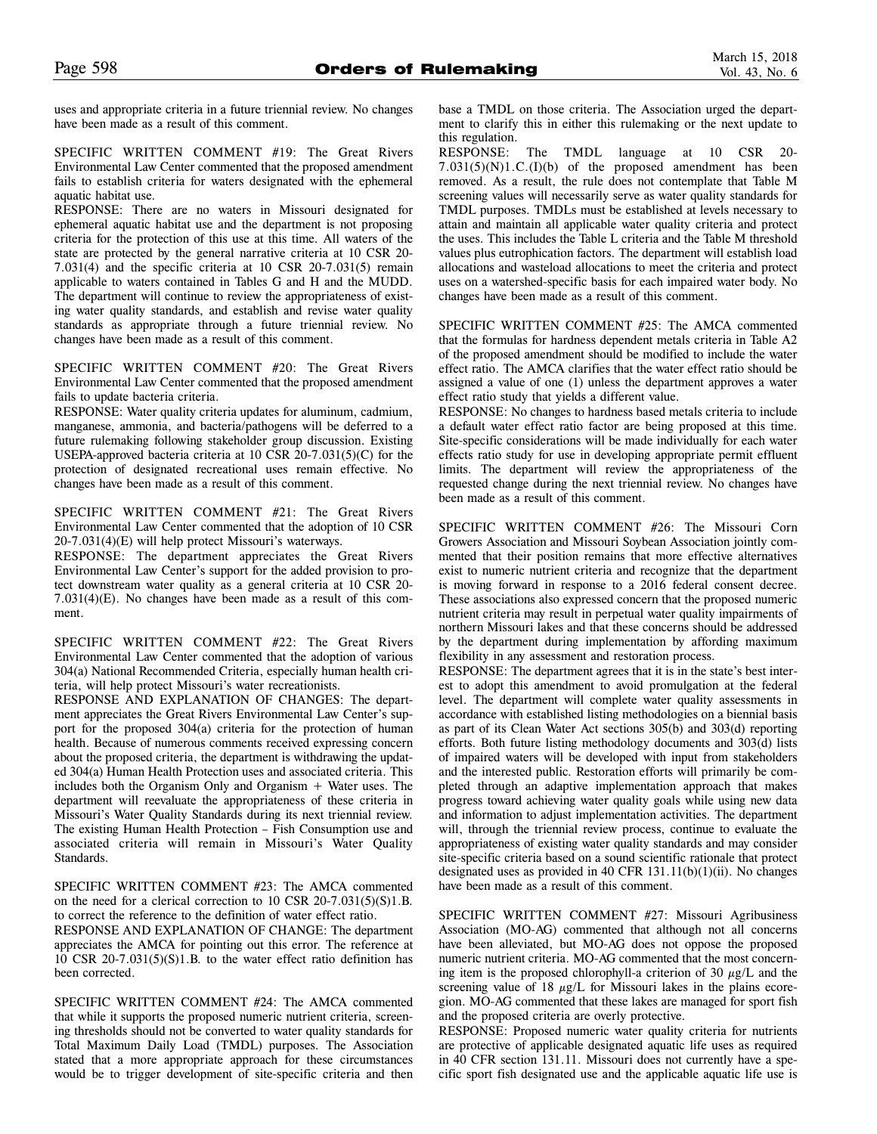uses and appropriate criteria in a future triennial review. No changes have been made as a result of this comment.

SPECIFIC WRITTEN COMMENT #19: The Great Rivers Environmental Law Center commented that the proposed amendment fails to establish criteria for waters designated with the ephemeral aquatic habitat use.

RESPONSE: There are no waters in Missouri designated for ephemeral aquatic habitat use and the department is not proposing criteria for the protection of this use at this time. All waters of the state are protected by the general narrative criteria at 10 CSR 20- 7.031(4) and the specific criteria at 10 CSR 20-7.031(5) remain applicable to waters contained in Tables G and H and the MUDD. The department will continue to review the appropriateness of existing water quality standards, and establish and revise water quality standards as appropriate through a future triennial review. No changes have been made as a result of this comment.

SPECIFIC WRITTEN COMMENT #20: The Great Rivers Environmental Law Center commented that the proposed amendment fails to update bacteria criteria.

RESPONSE: Water quality criteria updates for aluminum, cadmium, manganese, ammonia, and bacteria/pathogens will be deferred to a future rulemaking following stakeholder group discussion. Existing USEPA-approved bacteria criteria at 10 CSR 20-7.031(5)(C) for the protection of designated recreational uses remain effective. No changes have been made as a result of this comment.

SPECIFIC WRITTEN COMMENT #21: The Great Rivers Environmental Law Center commented that the adoption of 10 CSR 20-7.031(4)(E) will help protect Missouri's waterways.

RESPONSE: The department appreciates the Great Rivers Environmental Law Center's support for the added provision to protect downstream water quality as a general criteria at 10 CSR 20- 7.031(4)(E). No changes have been made as a result of this comment.

SPECIFIC WRITTEN COMMENT #22: The Great Rivers Environmental Law Center commented that the adoption of various 304(a) National Recommended Criteria, especially human health criteria, will help protect Missouri's water recreationists.

RESPONSE AND EXPLANATION OF CHANGES: The department appreciates the Great Rivers Environmental Law Center's support for the proposed 304(a) criteria for the protection of human health. Because of numerous comments received expressing concern about the proposed criteria, the department is withdrawing the updated 304(a) Human Health Protection uses and associated criteria. This includes both the Organism Only and Organism + Water uses. The department will reevaluate the appropriateness of these criteria in Missouri's Water Quality Standards during its next triennial review. The existing Human Health Protection – Fish Consumption use and associated criteria will remain in Missouri's Water Quality Standards.

SPECIFIC WRITTEN COMMENT #23: The AMCA commented on the need for a clerical correction to 10 CSR 20-7.031(5)(S)1.B. to correct the reference to the definition of water effect ratio.

RESPONSE AND EXPLANATION OF CHANGE: The department appreciates the AMCA for pointing out this error. The reference at 10 CSR 20-7.031(5)(S)1.B. to the water effect ratio definition has been corrected.

SPECIFIC WRITTEN COMMENT #24: The AMCA commented that while it supports the proposed numeric nutrient criteria, screening thresholds should not be converted to water quality standards for Total Maximum Daily Load (TMDL) purposes. The Association stated that a more appropriate approach for these circumstances would be to trigger development of site-specific criteria and then base a TMDL on those criteria. The Association urged the department to clarify this in either this rulemaking or the next update to this regulation.

RESPONSE: The TMDL language at 10 CSR 20- 7.031(5)(N)1.C.(I)(b) of the proposed amendment has been removed. As a result, the rule does not contemplate that Table M screening values will necessarily serve as water quality standards for TMDL purposes. TMDLs must be established at levels necessary to attain and maintain all applicable water quality criteria and protect the uses. This includes the Table L criteria and the Table M threshold values plus eutrophication factors. The department will establish load allocations and wasteload allocations to meet the criteria and protect uses on a watershed-specific basis for each impaired water body. No changes have been made as a result of this comment.

SPECIFIC WRITTEN COMMENT #25: The AMCA commented that the formulas for hardness dependent metals criteria in Table A2 of the proposed amendment should be modified to include the water effect ratio. The AMCA clarifies that the water effect ratio should be assigned a value of one (1) unless the department approves a water effect ratio study that yields a different value.

RESPONSE: No changes to hardness based metals criteria to include a default water effect ratio factor are being proposed at this time. Site-specific considerations will be made individually for each water effects ratio study for use in developing appropriate permit effluent limits. The department will review the appropriateness of the requested change during the next triennial review. No changes have been made as a result of this comment.

SPECIFIC WRITTEN COMMENT #26: The Missouri Corn Growers Association and Missouri Soybean Association jointly commented that their position remains that more effective alternatives exist to numeric nutrient criteria and recognize that the department is moving forward in response to a 2016 federal consent decree. These associations also expressed concern that the proposed numeric nutrient criteria may result in perpetual water quality impairments of northern Missouri lakes and that these concerns should be addressed by the department during implementation by affording maximum flexibility in any assessment and restoration process.

RESPONSE: The department agrees that it is in the state's best interest to adopt this amendment to avoid promulgation at the federal level. The department will complete water quality assessments in accordance with established listing methodologies on a biennial basis as part of its Clean Water Act sections 305(b) and 303(d) reporting efforts. Both future listing methodology documents and 303(d) lists of impaired waters will be developed with input from stakeholders and the interested public. Restoration efforts will primarily be completed through an adaptive implementation approach that makes progress toward achieving water quality goals while using new data and information to adjust implementation activities. The department will, through the triennial review process, continue to evaluate the appropriateness of existing water quality standards and may consider site-specific criteria based on a sound scientific rationale that protect designated uses as provided in 40 CFR 131.11(b)(1)(ii). No changes have been made as a result of this comment.

SPECIFIC WRITTEN COMMENT #27: Missouri Agribusiness Association (MO-AG) commented that although not all concerns have been alleviated, but MO-AG does not oppose the proposed numeric nutrient criteria. MO-AG commented that the most concerning item is the proposed chlorophyll-a criterion of 30  $\mu$ g/L and the screening value of 18  $\mu$ g/L for Missouri lakes in the plains ecoregion. MO-AG commented that these lakes are managed for sport fish and the proposed criteria are overly protective.

RESPONSE: Proposed numeric water quality criteria for nutrients are protective of applicable designated aquatic life uses as required in 40 CFR section 131.11. Missouri does not currently have a specific sport fish designated use and the applicable aquatic life use is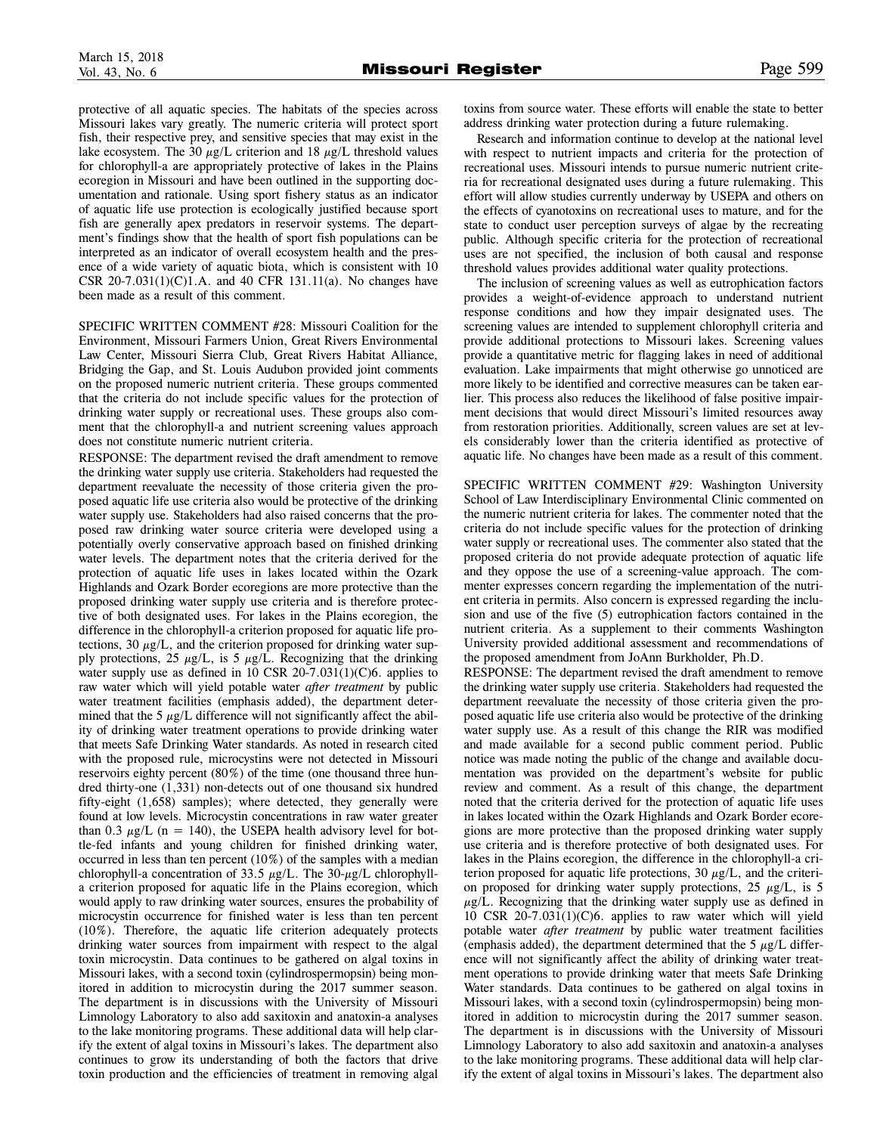protective of all aquatic species. The habitats of the species across Missouri lakes vary greatly. The numeric criteria will protect sport fish, their respective prey, and sensitive species that may exist in the lake ecosystem. The 30  $\mu$ g/L criterion and 18  $\mu$ g/L threshold values for chlorophyll-a are appropriately protective of lakes in the Plains ecoregion in Missouri and have been outlined in the supporting documentation and rationale. Using sport fishery status as an indicator of aquatic life use protection is ecologically justified because sport fish are generally apex predators in reservoir systems. The department's findings show that the health of sport fish populations can be interpreted as an indicator of overall ecosystem health and the presence of a wide variety of aquatic biota, which is consistent with 10 CSR 20-7.031(1)(C)1.A. and 40 CFR 131.11(a). No changes have been made as a result of this comment.

SPECIFIC WRITTEN COMMENT #28: Missouri Coalition for the Environment, Missouri Farmers Union, Great Rivers Environmental Law Center, Missouri Sierra Club, Great Rivers Habitat Alliance, Bridging the Gap, and St. Louis Audubon provided joint comments on the proposed numeric nutrient criteria. These groups commented that the criteria do not include specific values for the protection of drinking water supply or recreational uses. These groups also comment that the chlorophyll-a and nutrient screening values approach does not constitute numeric nutrient criteria.

RESPONSE: The department revised the draft amendment to remove the drinking water supply use criteria. Stakeholders had requested the department reevaluate the necessity of those criteria given the proposed aquatic life use criteria also would be protective of the drinking water supply use. Stakeholders had also raised concerns that the proposed raw drinking water source criteria were developed using a potentially overly conservative approach based on finished drinking water levels. The department notes that the criteria derived for the protection of aquatic life uses in lakes located within the Ozark Highlands and Ozark Border ecoregions are more protective than the proposed drinking water supply use criteria and is therefore protective of both designated uses. For lakes in the Plains ecoregion, the difference in the chlorophyll-a criterion proposed for aquatic life protections, 30  $\mu$ g/L, and the criterion proposed for drinking water supply protections, 25  $\mu$ g/L, is 5  $\mu$ g/L. Recognizing that the drinking water supply use as defined in 10 CSR 20-7.031(1)(C)6. applies to raw water which will yield potable water *after treatment* by public water treatment facilities (emphasis added), the department determined that the 5  $\mu$ g/L difference will not significantly affect the ability of drinking water treatment operations to provide drinking water that meets Safe Drinking Water standards. As noted in research cited with the proposed rule, microcystins were not detected in Missouri reservoirs eighty percent (80%) of the time (one thousand three hundred thirty-one (1,331) non-detects out of one thousand six hundred fifty-eight (1,658) samples); where detected, they generally were found at low levels. Microcystin concentrations in raw water greater than 0.3  $\mu$ g/L (n = 140), the USEPA health advisory level for bottle-fed infants and young children for finished drinking water, occurred in less than ten percent (10%) of the samples with a median chlorophyll-a concentration of 33.5  $\mu$ g/L. The 30- $\mu$ g/L chlorophylla criterion proposed for aquatic life in the Plains ecoregion, which would apply to raw drinking water sources, ensures the probability of microcystin occurrence for finished water is less than ten percent (10%). Therefore, the aquatic life criterion adequately protects drinking water sources from impairment with respect to the algal toxin microcystin. Data continues to be gathered on algal toxins in Missouri lakes, with a second toxin (cylindrospermopsin) being monitored in addition to microcystin during the 2017 summer season. The department is in discussions with the University of Missouri Limnology Laboratory to also add saxitoxin and anatoxin-a analyses to the lake monitoring programs. These additional data will help clarify the extent of algal toxins in Missouri's lakes. The department also continues to grow its understanding of both the factors that drive toxin production and the efficiencies of treatment in removing algal

toxins from source water. These efforts will enable the state to better address drinking water protection during a future rulemaking.

Research and information continue to develop at the national level with respect to nutrient impacts and criteria for the protection of recreational uses. Missouri intends to pursue numeric nutrient criteria for recreational designated uses during a future rulemaking. This effort will allow studies currently underway by USEPA and others on the effects of cyanotoxins on recreational uses to mature, and for the state to conduct user perception surveys of algae by the recreating public. Although specific criteria for the protection of recreational uses are not specified, the inclusion of both causal and response threshold values provides additional water quality protections.

The inclusion of screening values as well as eutrophication factors provides a weight-of-evidence approach to understand nutrient response conditions and how they impair designated uses. The screening values are intended to supplement chlorophyll criteria and provide additional protections to Missouri lakes. Screening values provide a quantitative metric for flagging lakes in need of additional evaluation. Lake impairments that might otherwise go unnoticed are more likely to be identified and corrective measures can be taken earlier. This process also reduces the likelihood of false positive impairment decisions that would direct Missouri's limited resources away from restoration priorities. Additionally, screen values are set at levels considerably lower than the criteria identified as protective of aquatic life. No changes have been made as a result of this comment.

SPECIFIC WRITTEN COMMENT #29: Washington University School of Law Interdisciplinary Environmental Clinic commented on the numeric nutrient criteria for lakes. The commenter noted that the criteria do not include specific values for the protection of drinking water supply or recreational uses. The commenter also stated that the proposed criteria do not provide adequate protection of aquatic life and they oppose the use of a screening-value approach. The commenter expresses concern regarding the implementation of the nutrient criteria in permits. Also concern is expressed regarding the inclusion and use of the five (5) eutrophication factors contained in the nutrient criteria. As a supplement to their comments Washington University provided additional assessment and recommendations of the proposed amendment from JoAnn Burkholder, Ph.D.

RESPONSE: The department revised the draft amendment to remove the drinking water supply use criteria. Stakeholders had requested the department reevaluate the necessity of those criteria given the proposed aquatic life use criteria also would be protective of the drinking water supply use. As a result of this change the RIR was modified and made available for a second public comment period. Public notice was made noting the public of the change and available documentation was provided on the department's website for public review and comment. As a result of this change, the department noted that the criteria derived for the protection of aquatic life uses in lakes located within the Ozark Highlands and Ozark Border ecoregions are more protective than the proposed drinking water supply use criteria and is therefore protective of both designated uses. For lakes in the Plains ecoregion, the difference in the chlorophyll-a criterion proposed for aquatic life protections,  $30 \mu g/L$ , and the criterion proposed for drinking water supply protections,  $25 \mu g/L$ , is 5  $\mu$ g/L. Recognizing that the drinking water supply use as defined in 10 CSR 20-7.031(1)(C)6. applies to raw water which will yield potable water *after treatment* by public water treatment facilities (emphasis added), the department determined that the 5  $\mu$ g/L difference will not significantly affect the ability of drinking water treatment operations to provide drinking water that meets Safe Drinking Water standards. Data continues to be gathered on algal toxins in Missouri lakes, with a second toxin (cylindrospermopsin) being monitored in addition to microcystin during the 2017 summer season. The department is in discussions with the University of Missouri Limnology Laboratory to also add saxitoxin and anatoxin-a analyses to the lake monitoring programs. These additional data will help clarify the extent of algal toxins in Missouri's lakes. The department also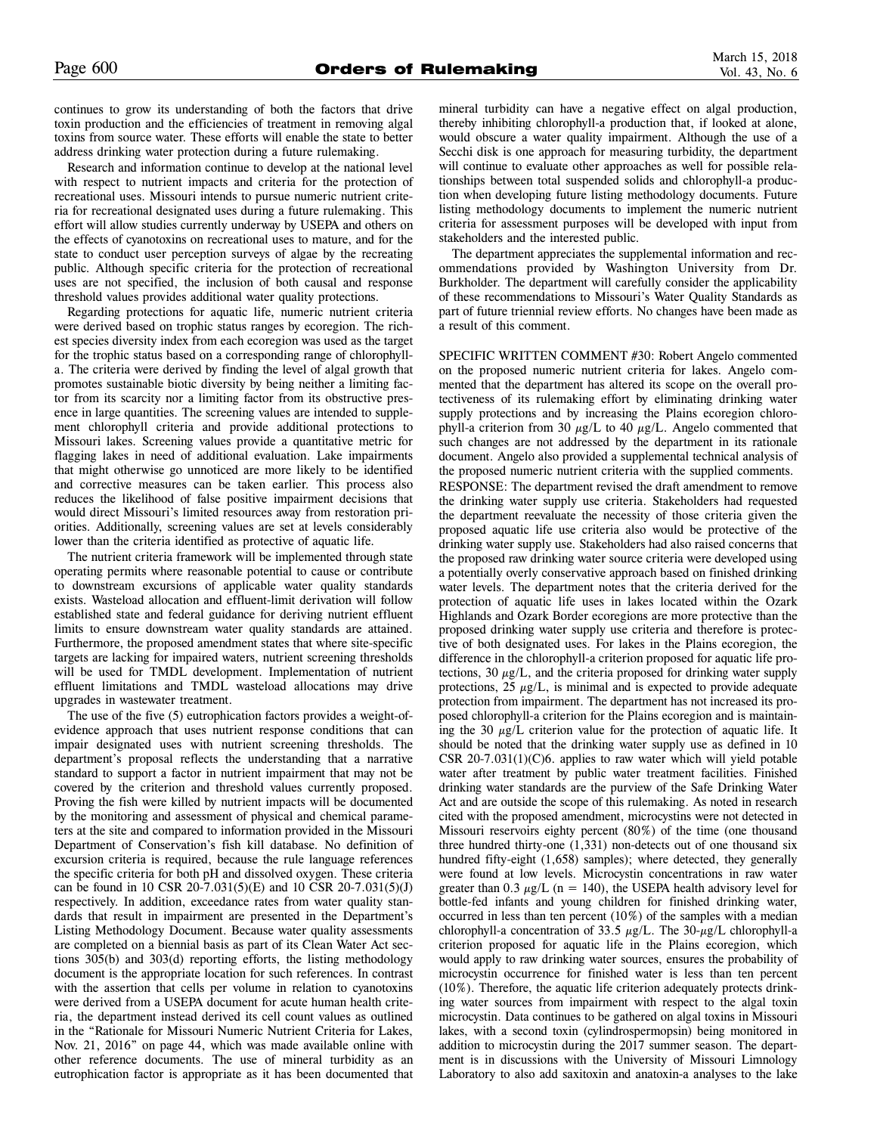continues to grow its understanding of both the factors that drive toxin production and the efficiencies of treatment in removing algal toxins from source water. These efforts will enable the state to better address drinking water protection during a future rulemaking.

Research and information continue to develop at the national level with respect to nutrient impacts and criteria for the protection of recreational uses. Missouri intends to pursue numeric nutrient criteria for recreational designated uses during a future rulemaking. This effort will allow studies currently underway by USEPA and others on the effects of cyanotoxins on recreational uses to mature, and for the state to conduct user perception surveys of algae by the recreating public. Although specific criteria for the protection of recreational uses are not specified, the inclusion of both causal and response threshold values provides additional water quality protections.

Regarding protections for aquatic life, numeric nutrient criteria were derived based on trophic status ranges by ecoregion. The richest species diversity index from each ecoregion was used as the target for the trophic status based on a corresponding range of chlorophylla. The criteria were derived by finding the level of algal growth that promotes sustainable biotic diversity by being neither a limiting factor from its scarcity nor a limiting factor from its obstructive presence in large quantities. The screening values are intended to supplement chlorophyll criteria and provide additional protections to Missouri lakes. Screening values provide a quantitative metric for flagging lakes in need of additional evaluation. Lake impairments that might otherwise go unnoticed are more likely to be identified and corrective measures can be taken earlier. This process also reduces the likelihood of false positive impairment decisions that would direct Missouri's limited resources away from restoration priorities. Additionally, screening values are set at levels considerably lower than the criteria identified as protective of aquatic life.

The nutrient criteria framework will be implemented through state operating permits where reasonable potential to cause or contribute to downstream excursions of applicable water quality standards exists. Wasteload allocation and effluent-limit derivation will follow established state and federal guidance for deriving nutrient effluent limits to ensure downstream water quality standards are attained. Furthermore, the proposed amendment states that where site-specific targets are lacking for impaired waters, nutrient screening thresholds will be used for TMDL development. Implementation of nutrient effluent limitations and TMDL wasteload allocations may drive upgrades in wastewater treatment.

The use of the five (5) eutrophication factors provides a weight-ofevidence approach that uses nutrient response conditions that can impair designated uses with nutrient screening thresholds. The department's proposal reflects the understanding that a narrative standard to support a factor in nutrient impairment that may not be covered by the criterion and threshold values currently proposed. Proving the fish were killed by nutrient impacts will be documented by the monitoring and assessment of physical and chemical parameters at the site and compared to information provided in the Missouri Department of Conservation's fish kill database. No definition of excursion criteria is required, because the rule language references the specific criteria for both pH and dissolved oxygen. These criteria can be found in 10 CSR 20-7.031(5)(E) and 10 CSR 20-7.031(5)(J) respectively. In addition, exceedance rates from water quality standards that result in impairment are presented in the Department's Listing Methodology Document. Because water quality assessments are completed on a biennial basis as part of its Clean Water Act sections 305(b) and 303(d) reporting efforts, the listing methodology document is the appropriate location for such references. In contrast with the assertion that cells per volume in relation to cyanotoxins were derived from a USEPA document for acute human health criteria, the department instead derived its cell count values as outlined in the "Rationale for Missouri Numeric Nutrient Criteria for Lakes, Nov. 21, 2016" on page 44, which was made available online with other reference documents. The use of mineral turbidity as an eutrophication factor is appropriate as it has been documented that mineral turbidity can have a negative effect on algal production, thereby inhibiting chlorophyll-a production that, if looked at alone, would obscure a water quality impairment. Although the use of a Secchi disk is one approach for measuring turbidity, the department will continue to evaluate other approaches as well for possible relationships between total suspended solids and chlorophyll-a production when developing future listing methodology documents. Future listing methodology documents to implement the numeric nutrient criteria for assessment purposes will be developed with input from stakeholders and the interested public.

The department appreciates the supplemental information and recommendations provided by Washington University from Dr. Burkholder. The department will carefully consider the applicability of these recommendations to Missouri's Water Quality Standards as part of future triennial review efforts. No changes have been made as a result of this comment.

SPECIFIC WRITTEN COMMENT #30: Robert Angelo commented on the proposed numeric nutrient criteria for lakes. Angelo commented that the department has altered its scope on the overall protectiveness of its rulemaking effort by eliminating drinking water supply protections and by increasing the Plains ecoregion chlorophyll-a criterion from 30  $\mu$ g/L to 40  $\mu$ g/L. Angelo commented that such changes are not addressed by the department in its rationale document. Angelo also provided a supplemental technical analysis of the proposed numeric nutrient criteria with the supplied comments. RESPONSE: The department revised the draft amendment to remove the drinking water supply use criteria. Stakeholders had requested the department reevaluate the necessity of those criteria given the proposed aquatic life use criteria also would be protective of the drinking water supply use. Stakeholders had also raised concerns that the proposed raw drinking water source criteria were developed using a potentially overly conservative approach based on finished drinking water levels. The department notes that the criteria derived for the protection of aquatic life uses in lakes located within the Ozark Highlands and Ozark Border ecoregions are more protective than the proposed drinking water supply use criteria and therefore is protective of both designated uses. For lakes in the Plains ecoregion, the difference in the chlorophyll-a criterion proposed for aquatic life protections, 30  $\mu$ g/L, and the criteria proposed for drinking water supply protections,  $25 \mu g/L$ , is minimal and is expected to provide adequate protection from impairment. The department has not increased its proposed chlorophyll-a criterion for the Plains ecoregion and is maintaining the 30  $\mu$ g/L criterion value for the protection of aquatic life. It should be noted that the drinking water supply use as defined in 10 CSR  $20-7.031(1)(C)6$ . applies to raw water which will yield potable water after treatment by public water treatment facilities. Finished drinking water standards are the purview of the Safe Drinking Water Act and are outside the scope of this rulemaking. As noted in research cited with the proposed amendment, microcystins were not detected in Missouri reservoirs eighty percent (80%) of the time (one thousand three hundred thirty-one (1,331) non-detects out of one thousand six hundred fifty-eight (1,658) samples); where detected, they generally were found at low levels. Microcystin concentrations in raw water greater than 0.3  $\mu$ g/L (n = 140), the USEPA health advisory level for bottle-fed infants and young children for finished drinking water, occurred in less than ten percent (10%) of the samples with a median chlorophyll-a concentration of 33.5  $\mu$ g/L. The 30- $\mu$ g/L chlorophyll-a criterion proposed for aquatic life in the Plains ecoregion, which would apply to raw drinking water sources, ensures the probability of microcystin occurrence for finished water is less than ten percent (10%). Therefore, the aquatic life criterion adequately protects drinking water sources from impairment with respect to the algal toxin microcystin. Data continues to be gathered on algal toxins in Missouri lakes, with a second toxin (cylindrospermopsin) being monitored in addition to microcystin during the 2017 summer season. The department is in discussions with the University of Missouri Limnology Laboratory to also add saxitoxin and anatoxin-a analyses to the lake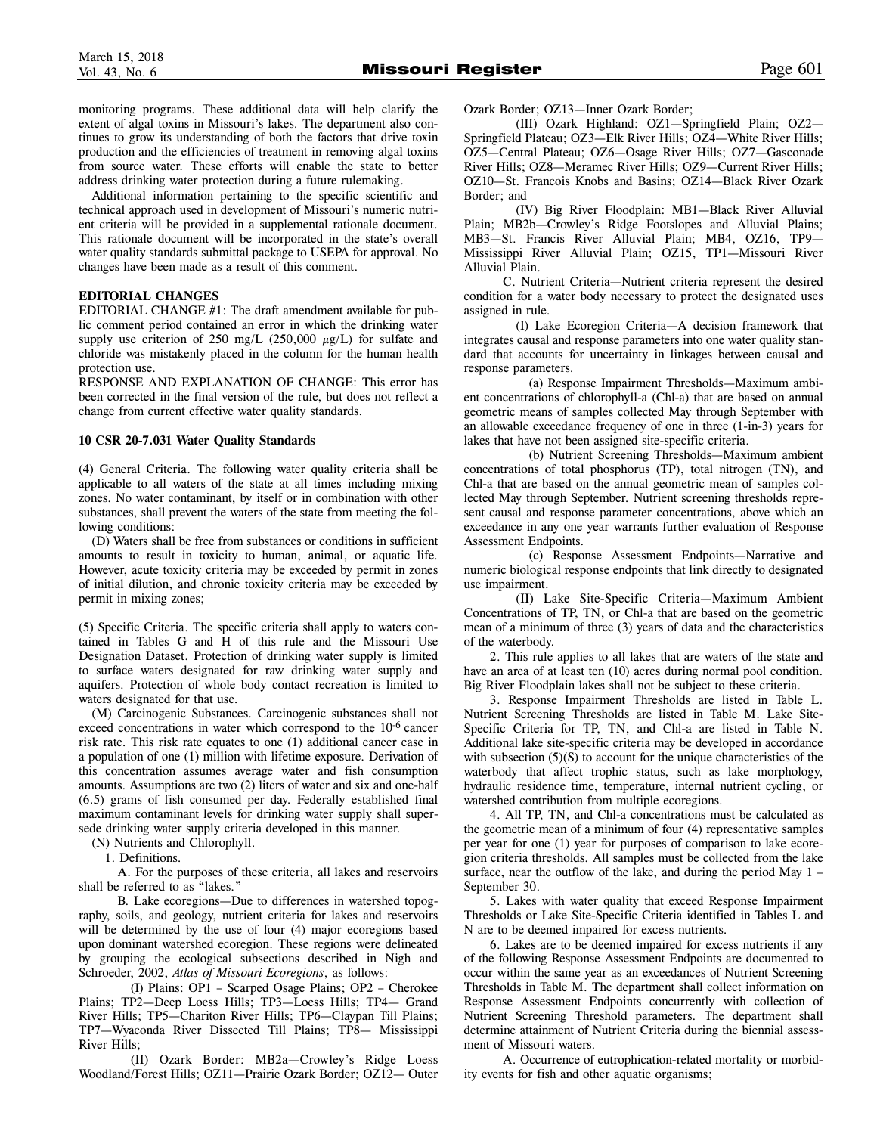monitoring programs. These additional data will help clarify the extent of algal toxins in Missouri's lakes. The department also continues to grow its understanding of both the factors that drive toxin production and the efficiencies of treatment in removing algal toxins from source water. These efforts will enable the state to better address drinking water protection during a future rulemaking.

Additional information pertaining to the specific scientific and technical approach used in development of Missouri's numeric nutrient criteria will be provided in a supplemental rationale document. This rationale document will be incorporated in the state's overall water quality standards submittal package to USEPA for approval. No changes have been made as a result of this comment.

# **EDITORIAL CHANGES**

EDITORIAL CHANGE #1: The draft amendment available for public comment period contained an error in which the drinking water supply use criterion of 250 mg/L (250,000  $\mu$ g/L) for sulfate and chloride was mistakenly placed in the column for the human health protection use.

RESPONSE AND EXPLANATION OF CHANGE: This error has been corrected in the final version of the rule, but does not reflect a change from current effective water quality standards.

#### **10 CSR 20-7.031 Water Quality Standards**

(4) General Criteria. The following water quality criteria shall be applicable to all waters of the state at all times including mixing zones. No water contaminant, by itself or in combination with other substances, shall prevent the waters of the state from meeting the following conditions:

(D) Waters shall be free from substances or conditions in sufficient amounts to result in toxicity to human, animal, or aquatic life. However, acute toxicity criteria may be exceeded by permit in zones of initial dilution, and chronic toxicity criteria may be exceeded by permit in mixing zones;

(5) Specific Criteria. The specific criteria shall apply to waters contained in Tables G and H of this rule and the Missouri Use Designation Dataset. Protection of drinking water supply is limited to surface waters designated for raw drinking water supply and aquifers. Protection of whole body contact recreation is limited to waters designated for that use.

(M) Carcinogenic Substances. Carcinogenic substances shall not exceed concentrations in water which correspond to the 10<sup>-6</sup> cancer risk rate. This risk rate equates to one (1) additional cancer case in a population of one (1) million with lifetime exposure. Derivation of this concentration assumes average water and fish consumption amounts. Assumptions are two (2) liters of water and six and one-half (6.5) grams of fish consumed per day. Federally established final maximum contaminant levels for drinking water supply shall supersede drinking water supply criteria developed in this manner.

(N) Nutrients and Chlorophyll.

1. Definitions.

A. For the purposes of these criteria, all lakes and reservoirs shall be referred to as "lakes."

B. Lake ecoregions—Due to differences in watershed topography, soils, and geology, nutrient criteria for lakes and reservoirs will be determined by the use of four (4) major ecoregions based upon dominant watershed ecoregion. These regions were delineated by grouping the ecological subsections described in Nigh and Schroeder, 2002, *Atlas of Missouri Ecoregions*, as follows:

(I) Plains: OP1 – Scarped Osage Plains; OP2 – Cherokee Plains; TP2—Deep Loess Hills; TP3—Loess Hills; TP4— Grand River Hills; TP5—Chariton River Hills; TP6—Claypan Till Plains; TP7—Wyaconda River Dissected Till Plains; TP8— Mississippi River Hills;

(II) Ozark Border: MB2a—Crowley's Ridge Loess Woodland/Forest Hills; OZ11—Prairie Ozark Border; OZ12— Outer Ozark Border; OZ13—Inner Ozark Border;

(III) Ozark Highland: OZ1—Springfield Plain; OZ2— Springfield Plateau; OZ3—Elk River Hills; OZ4—White River Hills; OZ5—Central Plateau; OZ6—Osage River Hills; OZ7—Gasconade River Hills; OZ8—Meramec River Hills; OZ9—Current River Hills; OZ10—St. Francois Knobs and Basins; OZ14—Black River Ozark Border; and

(IV) Big River Floodplain: MB1—Black River Alluvial Plain; MB2b—Crowley's Ridge Footslopes and Alluvial Plains; MB3—St. Francis River Alluvial Plain; MB4, OZ16, TP9— Mississippi River Alluvial Plain; OZ15, TP1—Missouri River Alluvial Plain.

C. Nutrient Criteria—Nutrient criteria represent the desired condition for a water body necessary to protect the designated uses assigned in rule.

(I) Lake Ecoregion Criteria—A decision framework that integrates causal and response parameters into one water quality standard that accounts for uncertainty in linkages between causal and response parameters.

(a) Response Impairment Thresholds—Maximum ambient concentrations of chlorophyll-a (Chl-a) that are based on annual geometric means of samples collected May through September with an allowable exceedance frequency of one in three (1-in-3) years for lakes that have not been assigned site-specific criteria.

(b) Nutrient Screening Thresholds—Maximum ambient concentrations of total phosphorus (TP), total nitrogen (TN), and Chl-a that are based on the annual geometric mean of samples collected May through September. Nutrient screening thresholds represent causal and response parameter concentrations, above which an exceedance in any one year warrants further evaluation of Response Assessment Endpoints.

(c) Response Assessment Endpoints—Narrative and numeric biological response endpoints that link directly to designated use impairment.

(II) Lake Site-Specific Criteria—Maximum Ambient Concentrations of TP, TN, or Chl-a that are based on the geometric mean of a minimum of three (3) years of data and the characteristics of the waterbody.

2. This rule applies to all lakes that are waters of the state and have an area of at least ten (10) acres during normal pool condition. Big River Floodplain lakes shall not be subject to these criteria.

3. Response Impairment Thresholds are listed in Table L. Nutrient Screening Thresholds are listed in Table M. Lake Site-Specific Criteria for TP, TN, and Chl-a are listed in Table N. Additional lake site-specific criteria may be developed in accordance with subsection  $(5)(S)$  to account for the unique characteristics of the waterbody that affect trophic status, such as lake morphology, hydraulic residence time, temperature, internal nutrient cycling, or watershed contribution from multiple ecoregions.

4. All TP, TN, and Chl-a concentrations must be calculated as the geometric mean of a minimum of four (4) representative samples per year for one (1) year for purposes of comparison to lake ecoregion criteria thresholds. All samples must be collected from the lake surface, near the outflow of the lake, and during the period May 1 – September 30.

5. Lakes with water quality that exceed Response Impairment Thresholds or Lake Site-Specific Criteria identified in Tables L and N are to be deemed impaired for excess nutrients.

6. Lakes are to be deemed impaired for excess nutrients if any of the following Response Assessment Endpoints are documented to occur within the same year as an exceedances of Nutrient Screening Thresholds in Table M. The department shall collect information on Response Assessment Endpoints concurrently with collection of Nutrient Screening Threshold parameters. The department shall determine attainment of Nutrient Criteria during the biennial assessment of Missouri waters.

A. Occurrence of eutrophication-related mortality or morbidity events for fish and other aquatic organisms;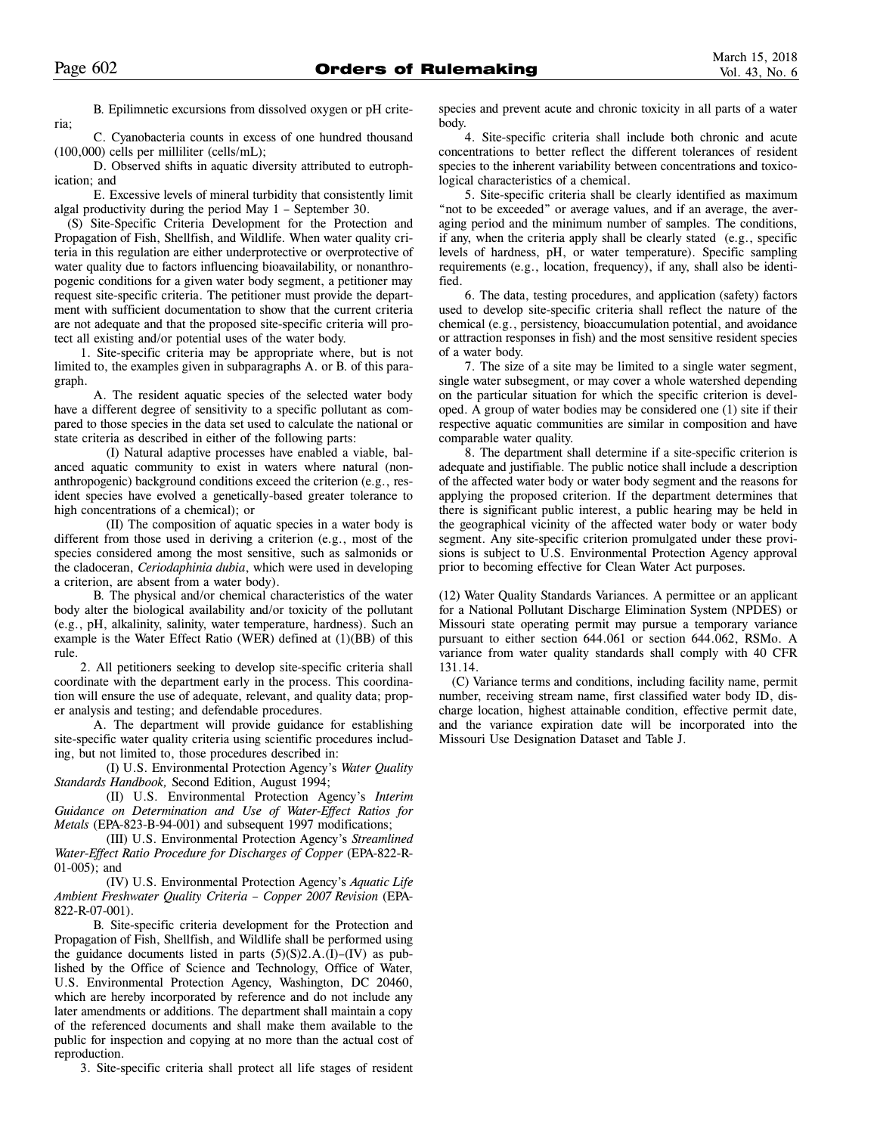B. Epilimnetic excursions from dissolved oxygen or pH criteria;

C. Cyanobacteria counts in excess of one hundred thousand (100,000) cells per milliliter (cells/mL);

D. Observed shifts in aquatic diversity attributed to eutrophication; and

E. Excessive levels of mineral turbidity that consistently limit algal productivity during the period May 1 – September 30.

(S) Site-Specific Criteria Development for the Protection and Propagation of Fish, Shellfish, and Wildlife. When water quality criteria in this regulation are either underprotective or overprotective of water quality due to factors influencing bioavailability, or nonanthropogenic conditions for a given water body segment, a petitioner may request site-specific criteria. The petitioner must provide the department with sufficient documentation to show that the current criteria are not adequate and that the proposed site-specific criteria will protect all existing and/or potential uses of the water body.

1. Site-specific criteria may be appropriate where, but is not limited to, the examples given in subparagraphs A. or B. of this paragraph.

A. The resident aquatic species of the selected water body have a different degree of sensitivity to a specific pollutant as compared to those species in the data set used to calculate the national or state criteria as described in either of the following parts:

(I) Natural adaptive processes have enabled a viable, balanced aquatic community to exist in waters where natural (nonanthropogenic) background conditions exceed the criterion (e.g., resident species have evolved a genetically-based greater tolerance to high concentrations of a chemical); or

(II) The composition of aquatic species in a water body is different from those used in deriving a criterion (e.g., most of the species considered among the most sensitive, such as salmonids or the cladoceran, *Ceriodaphinia dubia*, which were used in developing a criterion, are absent from a water body).

B. The physical and/or chemical characteristics of the water body alter the biological availability and/or toxicity of the pollutant (e.g., pH, alkalinity, salinity, water temperature, hardness). Such an example is the Water Effect Ratio (WER) defined at (1)(BB) of this rule.

2. All petitioners seeking to develop site-specific criteria shall coordinate with the department early in the process. This coordination will ensure the use of adequate, relevant, and quality data; proper analysis and testing; and defendable procedures.

A. The department will provide guidance for establishing site-specific water quality criteria using scientific procedures including, but not limited to, those procedures described in:

(I) U.S. Environmental Protection Agency's *Water Quality Standards Handbook,* Second Edition, August 1994;

(II) U.S. Environmental Protection Agency's *Interim Guidance on Determination and Use of Water-Effect Ratios for Metals* (EPA-823-B-94-001) and subsequent 1997 modifications;

(III) U.S. Environmental Protection Agency's *Streamlined Water-Effect Ratio Procedure for Discharges of Copper* (EPA-822-R-01-005); and

(IV) U.S. Environmental Protection Agency's *Aquatic Life Ambient Freshwater Quality Criteria – Copper 2007 Revision* (EPA-822-R-07-001).

B. Site-specific criteria development for the Protection and Propagation of Fish, Shellfish, and Wildlife shall be performed using the guidance documents listed in parts  $(5)(S)2.A.(I)–(IV)$  as published by the Office of Science and Technology, Office of Water, U.S. Environmental Protection Agency, Washington, DC 20460, which are hereby incorporated by reference and do not include any later amendments or additions. The department shall maintain a copy of the referenced documents and shall make them available to the public for inspection and copying at no more than the actual cost of reproduction.

3. Site-specific criteria shall protect all life stages of resident

species and prevent acute and chronic toxicity in all parts of a water body.

4. Site-specific criteria shall include both chronic and acute concentrations to better reflect the different tolerances of resident species to the inherent variability between concentrations and toxicological characteristics of a chemical.

5. Site-specific criteria shall be clearly identified as maximum "not to be exceeded" or average values, and if an average, the averaging period and the minimum number of samples. The conditions, if any, when the criteria apply shall be clearly stated (e.g., specific levels of hardness, pH, or water temperature). Specific sampling requirements (e.g., location, frequency), if any, shall also be identified.

6. The data, testing procedures, and application (safety) factors used to develop site-specific criteria shall reflect the nature of the chemical (e.g., persistency, bioaccumulation potential, and avoidance or attraction responses in fish) and the most sensitive resident species of a water body.

7. The size of a site may be limited to a single water segment, single water subsegment, or may cover a whole watershed depending on the particular situation for which the specific criterion is developed. A group of water bodies may be considered one (1) site if their respective aquatic communities are similar in composition and have comparable water quality.

8. The department shall determine if a site-specific criterion is adequate and justifiable. The public notice shall include a description of the affected water body or water body segment and the reasons for applying the proposed criterion. If the department determines that there is significant public interest, a public hearing may be held in the geographical vicinity of the affected water body or water body segment. Any site-specific criterion promulgated under these provisions is subject to U.S. Environmental Protection Agency approval prior to becoming effective for Clean Water Act purposes.

(12) Water Quality Standards Variances. A permittee or an applicant for a National Pollutant Discharge Elimination System (NPDES) or Missouri state operating permit may pursue a temporary variance pursuant to either section 644.061 or section 644.062, RSMo. A variance from water quality standards shall comply with 40 CFR 131.14.

(C) Variance terms and conditions, including facility name, permit number, receiving stream name, first classified water body ID, discharge location, highest attainable condition, effective permit date, and the variance expiration date will be incorporated into the Missouri Use Designation Dataset and Table J.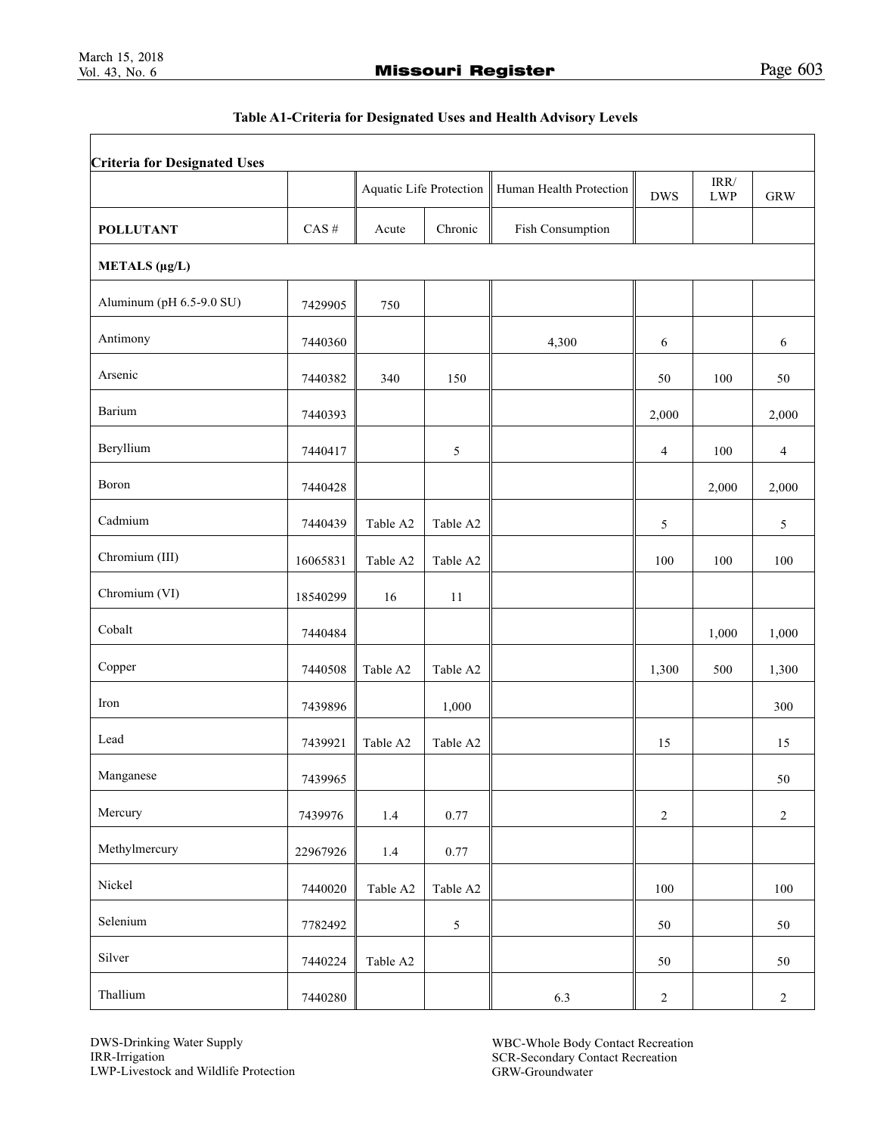Г

# Table A1-Criteria for Designated Uses and Health Advisory Levels

|                          |                   |          | Aquatic Life Protection | Human Health Protection | <b>DWS</b>       | $\mbox{IRR}/\mbox{}$<br><b>LWP</b> | <b>GRW</b>     |
|--------------------------|-------------------|----------|-------------------------|-------------------------|------------------|------------------------------------|----------------|
| <b>POLLUTANT</b>         | $\mathrm{CAS}~\#$ | Acute    | Chronic                 | Fish Consumption        |                  |                                    |                |
| METALS (μg/L)            |                   |          |                         |                         |                  |                                    |                |
| Aluminum (pH 6.5-9.0 SU) | 7429905           | 750      |                         |                         |                  |                                    |                |
| Antimony                 | 7440360           |          |                         | 4,300                   | 6                |                                    | 6              |
| Arsenic                  | 7440382           | 340      | 150                     |                         | 50               | 100                                | 50             |
| Barium                   | 7440393           |          |                         |                         | 2,000            |                                    | 2,000          |
| Beryllium                | 7440417           |          | 5                       |                         | 4                | 100                                | $\overline{4}$ |
| Boron                    | 7440428           |          |                         |                         |                  | 2,000                              | 2,000          |
| Cadmium                  | 7440439           | Table A2 | Table A2                |                         | 5                |                                    | 5              |
| Chromium (III)           | 16065831          | Table A2 | Table A2                |                         | 100              | 100                                | 100            |
| Chromium (VI)            | 18540299          | 16       | 11                      |                         |                  |                                    |                |
| Cobalt                   | 7440484           |          |                         |                         |                  | 1,000                              | 1,000          |
| Copper                   | 7440508           | Table A2 | Table A2                |                         | 1,300            | 500                                | 1,300          |
| Iron                     | 7439896           |          | 1,000                   |                         |                  |                                    | 300            |
| Lead                     | 7439921           | Table A2 | Table A2                |                         | 15               |                                    | 15             |
| Manganese                | 7439965           |          |                         |                         |                  |                                    | 50             |
| Mercury                  | 7439976           | $1.4\,$  | 0.77                    |                         | $\boldsymbol{2}$ |                                    | $\sqrt{2}$     |
| Methylmercury            | 22967926          | 1.4      | 0.77                    |                         |                  |                                    |                |
| Nickel                   | 7440020           | Table A2 | Table A2                |                         | 100              |                                    | 100            |
| Selenium                 | 7782492           |          | 5                       |                         | 50               |                                    | 50             |
| Silver                   | 7440224           | Table A2 |                         |                         | 50               |                                    | $50\,$         |
| Thallium                 | 7440280           |          |                         | 6.3                     | $\boldsymbol{2}$ |                                    | $\sqrt{2}$     |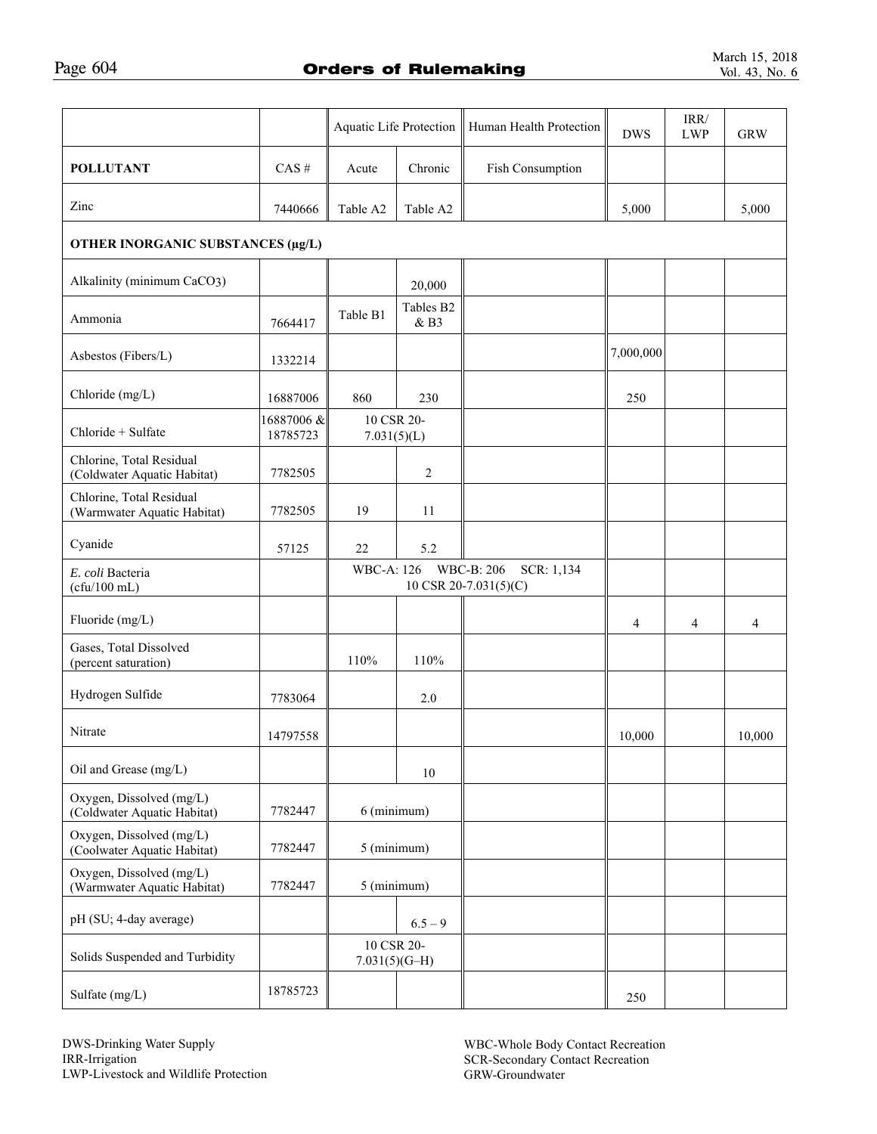|                                                         |                        | Aquatic Life Protection       |                   | Human Health Protection                           | <b>DWS</b>     | $\ensuremath{\mathsf{IRR}}\xspace$<br><b>LWP</b> | <b>GRW</b>     |
|---------------------------------------------------------|------------------------|-------------------------------|-------------------|---------------------------------------------------|----------------|--------------------------------------------------|----------------|
| <b>POLLUTANT</b>                                        | $CAS$ #                | Acute                         | Chronic           | Fish Consumption                                  |                |                                                  |                |
| Zinc                                                    | 7440666                | Table A2                      | Table A2          |                                                   | 5,000          |                                                  | 5,000          |
| OTHER INORGANIC SUBSTANCES (µg/L)                       |                        |                               |                   |                                                   |                |                                                  |                |
| Alkalinity (minimum CaCO3)                              |                        |                               | 20,000            |                                                   |                |                                                  |                |
| Ammonia                                                 | 7664417                | Table B1                      | Tables B2<br>& B3 |                                                   |                |                                                  |                |
| Asbestos (Fibers/L)                                     | 1332214                |                               |                   |                                                   | 7,000,000      |                                                  |                |
| Chloride (mg/L)                                         | 16887006               | 860                           | 230               |                                                   | 250            |                                                  |                |
| Chloride + Sulfate                                      | 16887006 &<br>18785723 | 10 CSR 20-<br>7.031(5)(L)     |                   |                                                   |                |                                                  |                |
| Chlorine, Total Residual<br>(Coldwater Aquatic Habitat) | 7782505                |                               | 2                 |                                                   |                |                                                  |                |
| Chlorine, Total Residual<br>(Warmwater Aquatic Habitat) | 7782505                | 19                            | 11                |                                                   |                |                                                  |                |
| Cyanide                                                 | 57125                  | 22                            | 5.2               |                                                   |                |                                                  |                |
| E. coli Bacteria<br>(cfu/100 mL)                        |                        | WBC-A: 126                    |                   | WBC-B: 206<br>SCR: 1,134<br>10 CSR 20-7.031(5)(C) |                |                                                  |                |
| Fluoride (mg/L)                                         |                        |                               |                   |                                                   | $\overline{4}$ | 4                                                | $\overline{4}$ |
| Gases, Total Dissolved<br>(percent saturation)          |                        | 110%                          | 110%              |                                                   |                |                                                  |                |
| Hydrogen Sulfide                                        | 7783064                |                               | 2.0               |                                                   |                |                                                  |                |
| Nitrate                                                 | 14797558               |                               |                   |                                                   | 10,000         |                                                  | 10,000         |
| Oil and Grease (mg/L)                                   |                        |                               | 10                |                                                   |                |                                                  |                |
| Oxygen, Dissolved (mg/L)<br>(Coldwater Aquatic Habitat) | 7782447                | 6 (minimum)                   |                   |                                                   |                |                                                  |                |
| Oxygen, Dissolved (mg/L)<br>(Coolwater Aquatic Habitat) | 7782447                | 5 (minimum)                   |                   |                                                   |                |                                                  |                |
| Oxygen, Dissolved (mg/L)<br>(Warmwater Aquatic Habitat) | 7782447                | 5 (minimum)                   |                   |                                                   |                |                                                  |                |
| pH (SU; 4-day average)                                  |                        |                               | $6.5 - 9$         |                                                   |                |                                                  |                |
| Solids Suspended and Turbidity                          |                        | 10 CSR 20-<br>$7.031(5)(G-H)$ |                   |                                                   |                |                                                  |                |
| Sulfate (mg/L)                                          | 18785723               |                               |                   |                                                   | 250            |                                                  |                |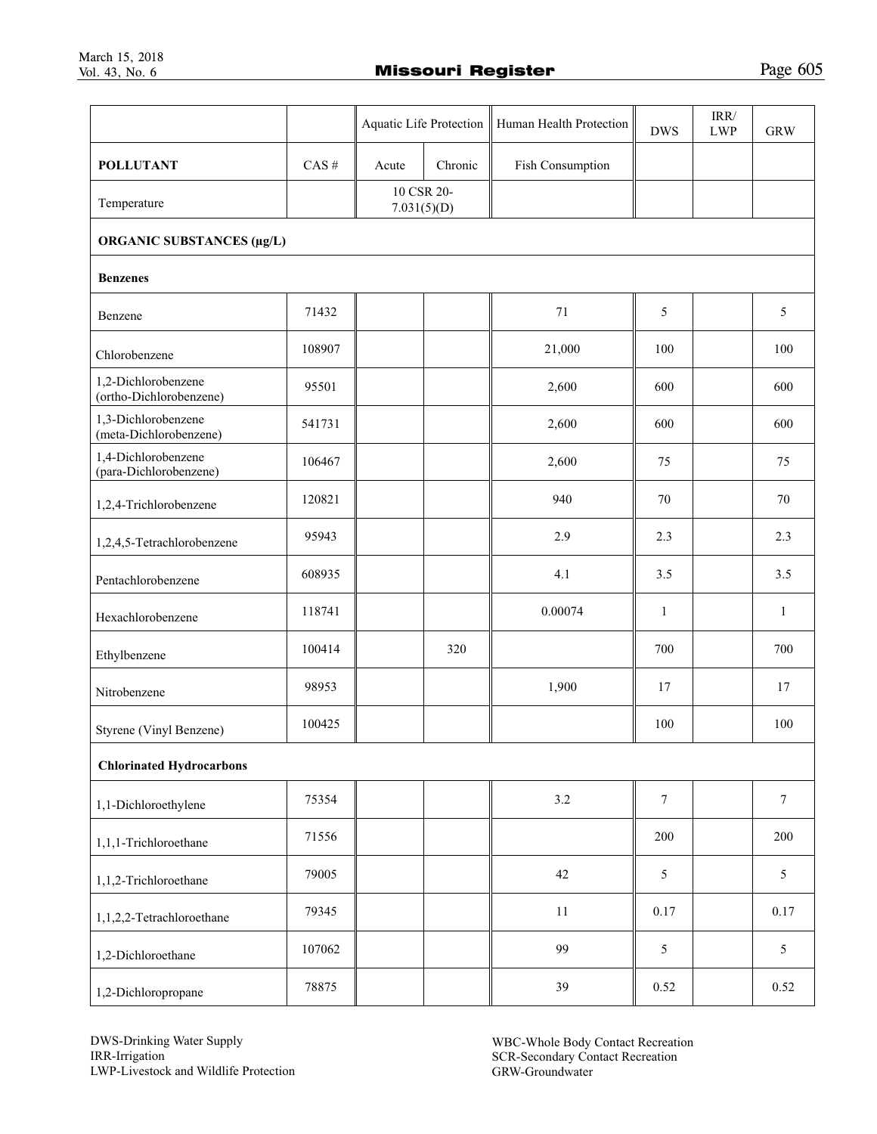|                                                |                   |                           |         | Aquatic Life Protection   Human Health Protection | <b>DWS</b>       | IRR/<br><b>LWP</b> | <b>GRW</b>   |  |
|------------------------------------------------|-------------------|---------------------------|---------|---------------------------------------------------|------------------|--------------------|--------------|--|
| <b>POLLUTANT</b>                               | $\mathrm{CAS}~\#$ | Acute                     | Chronic | Fish Consumption                                  |                  |                    |              |  |
| Temperature                                    |                   | 10 CSR 20-<br>7.031(5)(D) |         |                                                   |                  |                    |              |  |
| <b>ORGANIC SUBSTANCES (µg/L)</b>               |                   |                           |         |                                                   |                  |                    |              |  |
| <b>Benzenes</b>                                |                   |                           |         |                                                   |                  |                    |              |  |
| Benzene                                        | 71432             |                           |         | 71                                                | 5                |                    | 5            |  |
| Chlorobenzene                                  | 108907            |                           |         | 21,000                                            | 100              |                    | 100          |  |
| 1,2-Dichlorobenzene<br>(ortho-Dichlorobenzene) | 95501             |                           |         | 2,600                                             | 600              |                    | 600          |  |
| 1,3-Dichlorobenzene<br>(meta-Dichlorobenzene)  | 541731            |                           |         | 2,600                                             | 600              |                    | 600          |  |
| 1,4-Dichlorobenzene<br>(para-Dichlorobenzene)  | 106467            |                           |         | 2,600                                             | 75               |                    | 75           |  |
| 1,2,4-Trichlorobenzene                         | 120821            |                           |         | 940                                               | 70               |                    | 70           |  |
| 1,2,4,5-Tetrachlorobenzene                     | 95943             |                           |         | 2.9                                               | 2.3              |                    | 2.3          |  |
| Pentachlorobenzene                             | 608935            |                           |         | 4.1                                               | 3.5              |                    | 3.5          |  |
| Hexachlorobenzene                              | 118741            |                           |         | 0.00074                                           | $\mathbf{1}$     |                    | $\mathbf{1}$ |  |
| Ethylbenzene                                   | 100414            |                           | 320     |                                                   | 700              |                    | 700          |  |
| Nitrobenzene                                   | 98953             |                           |         | 1,900                                             | 17               |                    | 17           |  |
| Styrene (Vinyl Benzene)                        | 100425            |                           |         |                                                   | 100              |                    | 100          |  |
| <b>Chlorinated Hydrocarbons</b>                |                   |                           |         |                                                   |                  |                    |              |  |
| 1,1-Dichloroethylene                           | 75354             |                           |         | 3.2                                               | $\boldsymbol{7}$ |                    | $\tau$       |  |
| 1,1,1-Trichloroethane                          | 71556             |                           |         |                                                   | 200              |                    | 200          |  |
| 1,1,2-Trichloroethane                          | 79005             |                           |         | 42                                                | $\mathfrak{S}$   |                    | $\sqrt{5}$   |  |
| 1,1,2,2-Tetrachloroethane                      | 79345             |                           |         | $11\,$                                            | 0.17             |                    | 0.17         |  |
| 1,2-Dichloroethane                             | 107062            |                           |         | 99                                                | 5                |                    | 5            |  |
| 1,2-Dichloropropane                            | 78875             |                           |         | 39                                                | 0.52             |                    | 0.52         |  |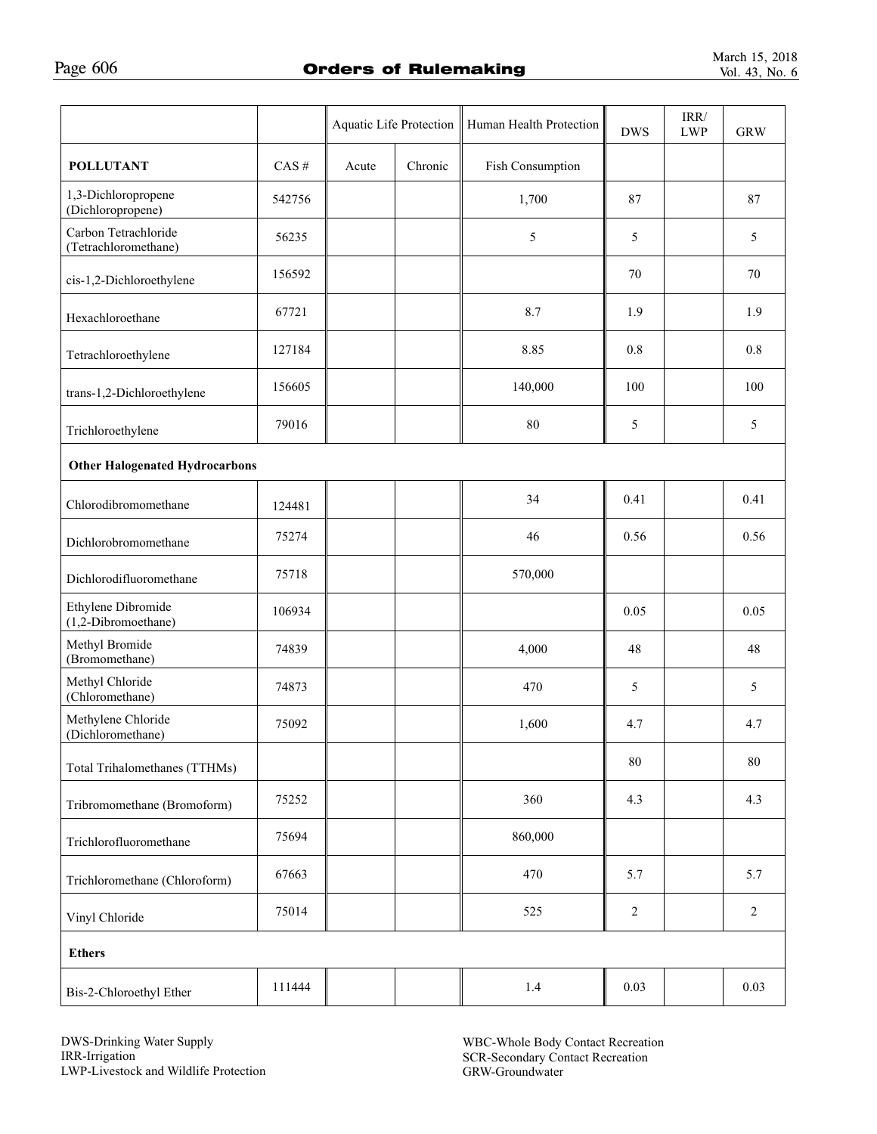|                                              |                   | Aquatic Life Protection |         | Human Health Protection | <b>DWS</b> | IRR/<br>${\rm LWP}$ | <b>GRW</b>     |  |
|----------------------------------------------|-------------------|-------------------------|---------|-------------------------|------------|---------------------|----------------|--|
| <b>POLLUTANT</b>                             | $\mathrm{CAS}~\#$ | Acute                   | Chronic | Fish Consumption        |            |                     |                |  |
| 1,3-Dichloropropene<br>(Dichloropropene)     | 542756            |                         |         | 1,700                   | 87         |                     | 87             |  |
| Carbon Tetrachloride<br>(Tetrachloromethane) | 56235             |                         |         | 5                       | 5          |                     | 5              |  |
| cis-1,2-Dichloroethylene                     | 156592            |                         |         |                         | 70         |                     | 70             |  |
| Hexachloroethane                             | 67721             |                         |         | 8.7                     | 1.9        |                     | 1.9            |  |
| Tetrachloroethylene                          | 127184            |                         |         | 8.85                    | 0.8        |                     | 0.8            |  |
| trans-1,2-Dichloroethylene                   | 156605            |                         |         | 140,000                 | 100        |                     | 100            |  |
| Trichloroethylene                            | 79016             |                         |         | 80                      | 5          |                     | 5              |  |
| <b>Other Halogenated Hydrocarbons</b>        |                   |                         |         |                         |            |                     |                |  |
| Chlorodibromomethane                         | 124481            |                         |         | 34                      | 0.41       |                     | 0.41           |  |
| Dichlorobromomethane                         | 75274             |                         |         | 46                      | 0.56       |                     | 0.56           |  |
| Dichlorodifluoromethane                      | 75718             |                         |         | 570,000                 |            |                     |                |  |
| Ethylene Dibromide<br>(1,2-Dibromoethane)    | 106934            |                         |         |                         | 0.05       |                     | 0.05           |  |
| Methyl Bromide<br>(Bromomethane)             | 74839             |                         |         | 4,000                   | 48         |                     | 48             |  |
| Methyl Chloride<br>(Chloromethane)           | 74873             |                         |         | 470                     | 5          |                     | 5              |  |
| Methylene Chloride<br>(Dichloromethane)      | 75092             |                         |         | 1,600                   | 4.7        |                     | 4.7            |  |
| Total Trihalomethanes (TTHMs)                |                   |                         |         |                         | 80         |                     | 80             |  |
| Tribromomethane (Bromoform)                  | 75252             |                         |         | 360                     | 4.3        |                     | 4.3            |  |
| Trichlorofluoromethane                       | 75694             |                         |         | 860,000                 |            |                     |                |  |
| Trichloromethane (Chloroform)                | 67663             |                         |         | 470                     | 5.7        |                     | 5.7            |  |
| Vinyl Chloride                               | 75014             |                         |         | 525                     | 2          |                     | $\overline{2}$ |  |
| <b>Ethers</b>                                |                   |                         |         |                         |            |                     |                |  |
| Bis-2-Chloroethyl Ether                      | 111444            |                         |         | 1.4                     | 0.03       |                     | 0.03           |  |

DWS-Drinking Water Supply IRR-Irrigation LWP-Livestock and Wildlife Protection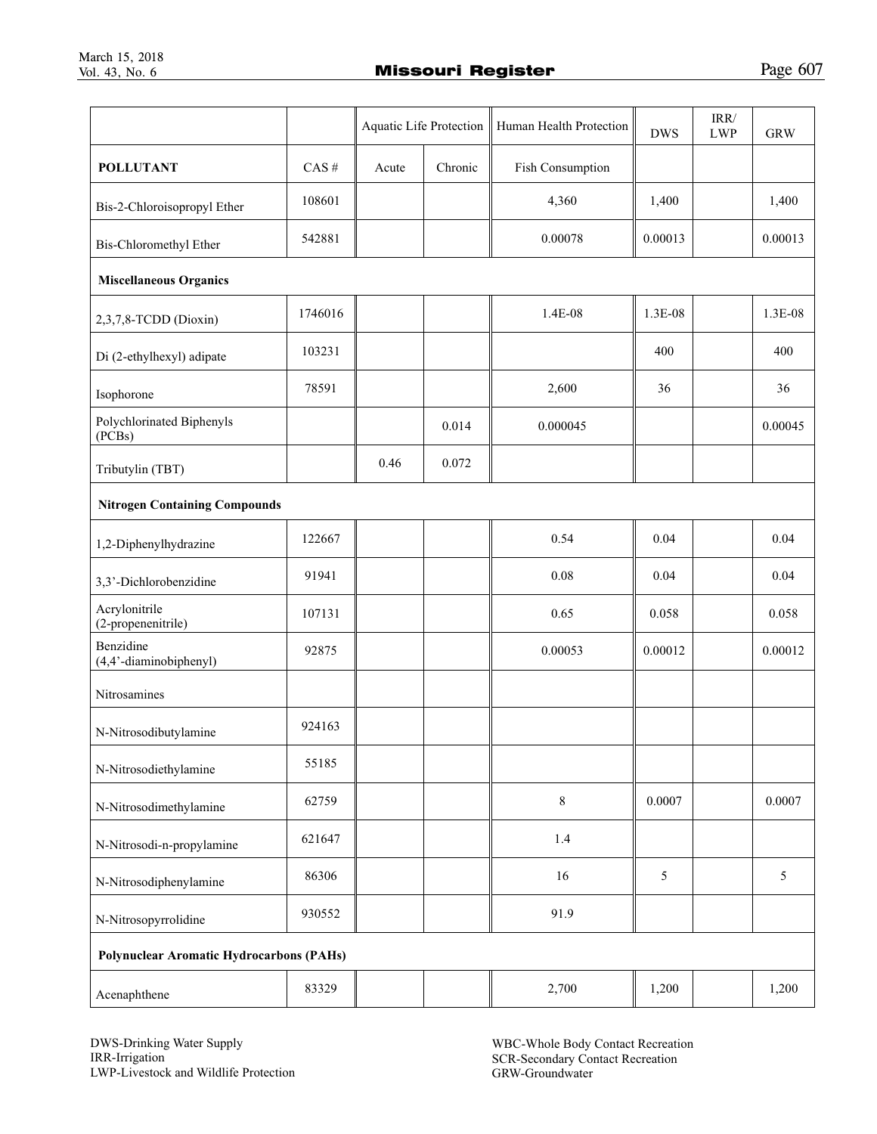|                                                 |                   | Aquatic Life Protection |         | Human Health Protection | <b>DWS</b> | IRR/<br>${\rm LWP}$ | <b>GRW</b>     |  |
|-------------------------------------------------|-------------------|-------------------------|---------|-------------------------|------------|---------------------|----------------|--|
| <b>POLLUTANT</b>                                | $\mathrm{CAS}~\#$ | Acute                   | Chronic | Fish Consumption        |            |                     |                |  |
| Bis-2-Chloroisopropyl Ether                     | 108601            |                         |         | 4,360                   | 1,400      |                     | 1,400          |  |
| Bis-Chloromethyl Ether                          | 542881            |                         |         | 0.00078                 | 0.00013    |                     | 0.00013        |  |
| <b>Miscellaneous Organics</b>                   |                   |                         |         |                         |            |                     |                |  |
| 2,3,7,8-TCDD (Dioxin)                           | 1746016           |                         |         | 1.4E-08                 | 1.3E-08    |                     | 1.3E-08        |  |
| Di (2-ethylhexyl) adipate                       | 103231            |                         |         |                         | 400        |                     | 400            |  |
| Isophorone                                      | 78591             |                         |         | 2,600                   | 36         |                     | 36             |  |
| Polychlorinated Biphenyls<br>(PCBs)             |                   |                         | 0.014   | 0.000045                |            |                     | 0.00045        |  |
| Tributylin (TBT)                                |                   | 0.46                    | 0.072   |                         |            |                     |                |  |
| <b>Nitrogen Containing Compounds</b>            |                   |                         |         |                         |            |                     |                |  |
| 1,2-Diphenylhydrazine                           | 122667            |                         |         | 0.54                    | 0.04       |                     | 0.04           |  |
| 3,3'-Dichlorobenzidine                          | 91941             |                         |         | 0.08                    | 0.04       |                     | 0.04           |  |
| Acrylonitrile<br>(2-propenenitrile)             | 107131            |                         |         | 0.65                    | 0.058      |                     | 0.058          |  |
| Benzidine<br>(4,4'-diaminobiphenyl)             | 92875             |                         |         | 0.00053                 | 0.00012    |                     | 0.00012        |  |
| Nitrosamines                                    |                   |                         |         |                         |            |                     |                |  |
| N-Nitrosodibutylamine                           | 924163            |                         |         |                         |            |                     |                |  |
| N-Nitrosodiethylamine                           | 55185             |                         |         |                         |            |                     |                |  |
| N-Nitrosodimethylamine                          | 62759             |                         |         | $\,8\,$                 | 0.0007     |                     | 0.0007         |  |
| N-Nitrosodi-n-propylamine                       | 621647            |                         |         | 1.4                     |            |                     |                |  |
| N-Nitrosodiphenylamine                          | 86306             |                         |         | 16                      | 5          |                     | $\mathfrak{S}$ |  |
| N-Nitrosopyrrolidine                            | 930552            |                         |         | 91.9                    |            |                     |                |  |
| <b>Polynuclear Aromatic Hydrocarbons (PAHs)</b> |                   |                         |         |                         |            |                     |                |  |
| Acenaphthene                                    | 83329             |                         |         | 2,700                   | 1,200      |                     | 1,200          |  |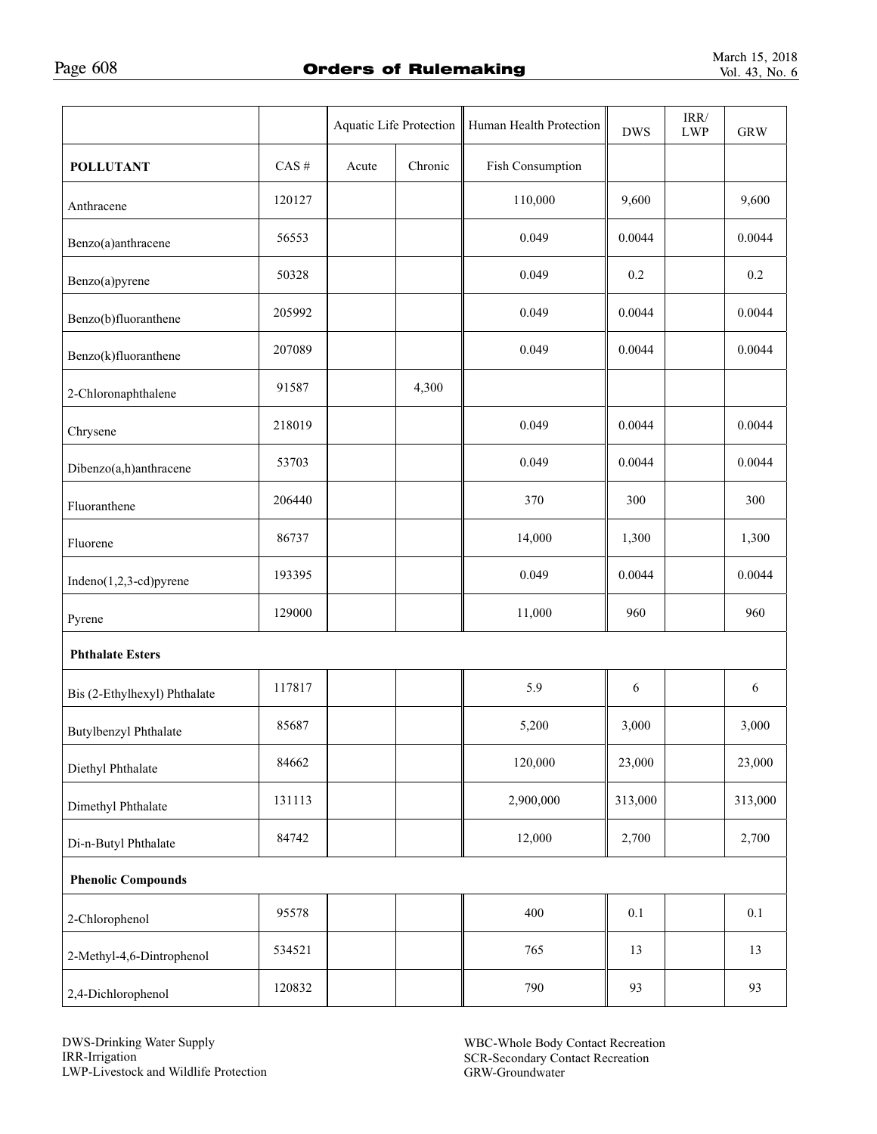|                              |          | Aquatic Life Protection |         | Human Health Protection | <b>DWS</b> | $\mbox{IRR}/$<br>${\rm LWP}$ | <b>GRW</b> |
|------------------------------|----------|-------------------------|---------|-------------------------|------------|------------------------------|------------|
| <b>POLLUTANT</b>             | $CAS \#$ | Acute                   | Chronic | Fish Consumption        |            |                              |            |
| Anthracene                   | 120127   |                         |         | 110,000                 | 9,600      |                              | 9,600      |
| Benzo(a)anthracene           | 56553    |                         |         | 0.049                   | 0.0044     |                              | 0.0044     |
| Benzo(a)pyrene               | 50328    |                         |         | 0.049                   | 0.2        |                              | 0.2        |
| Benzo(b)fluoranthene         | 205992   |                         |         | 0.049                   | 0.0044     |                              | 0.0044     |
| Benzo(k)fluoranthene         | 207089   |                         |         | 0.049                   | 0.0044     |                              | 0.0044     |
| 2-Chloronaphthalene          | 91587    |                         | 4,300   |                         |            |                              |            |
| Chrysene                     | 218019   |                         |         | 0.049                   | 0.0044     |                              | 0.0044     |
| Dibenzo(a,h)anthracene       | 53703    |                         |         | 0.049                   | 0.0044     |                              | 0.0044     |
| Fluoranthene                 | 206440   |                         |         | 370                     | 300        |                              | 300        |
| Fluorene                     | 86737    |                         |         | 14,000                  | 1,300      |                              | 1,300      |
| Indeno(1,2,3-cd)pyrene       | 193395   |                         |         | 0.049                   | 0.0044     |                              | 0.0044     |
| Pyrene                       | 129000   |                         |         | 11,000                  | 960        |                              | 960        |
| <b>Phthalate Esters</b>      |          |                         |         |                         |            |                              |            |
| Bis (2-Ethylhexyl) Phthalate | 117817   |                         |         | 5.9                     | 6          |                              | 6          |
| Butylbenzyl Phthalate        | 85687    |                         |         | 5,200                   | 3,000      |                              | 3,000      |
| Diethyl Phthalate            | 84662    |                         |         | 120,000                 | 23,000     |                              | 23,000     |
| Dimethyl Phthalate           | 131113   |                         |         | 2,900,000               | 313,000    |                              | 313,000    |
| Di-n-Butyl Phthalate         | 84742    |                         |         | 12,000                  | 2,700      |                              | 2,700      |
| <b>Phenolic Compounds</b>    |          |                         |         |                         |            |                              |            |
| 2-Chlorophenol               | 95578    |                         |         | 400                     | $0.1\,$    |                              | $0.1\,$    |
| 2-Methyl-4,6-Dintrophenol    | 534521   |                         |         | 765                     | 13         |                              | 13         |
| 2,4-Dichlorophenol           | 120832   |                         |         | 790                     | 93         |                              | 93         |

DWS-Drinking Water Supply IRR-Irrigation LWP-Livestock and Wildlife Protection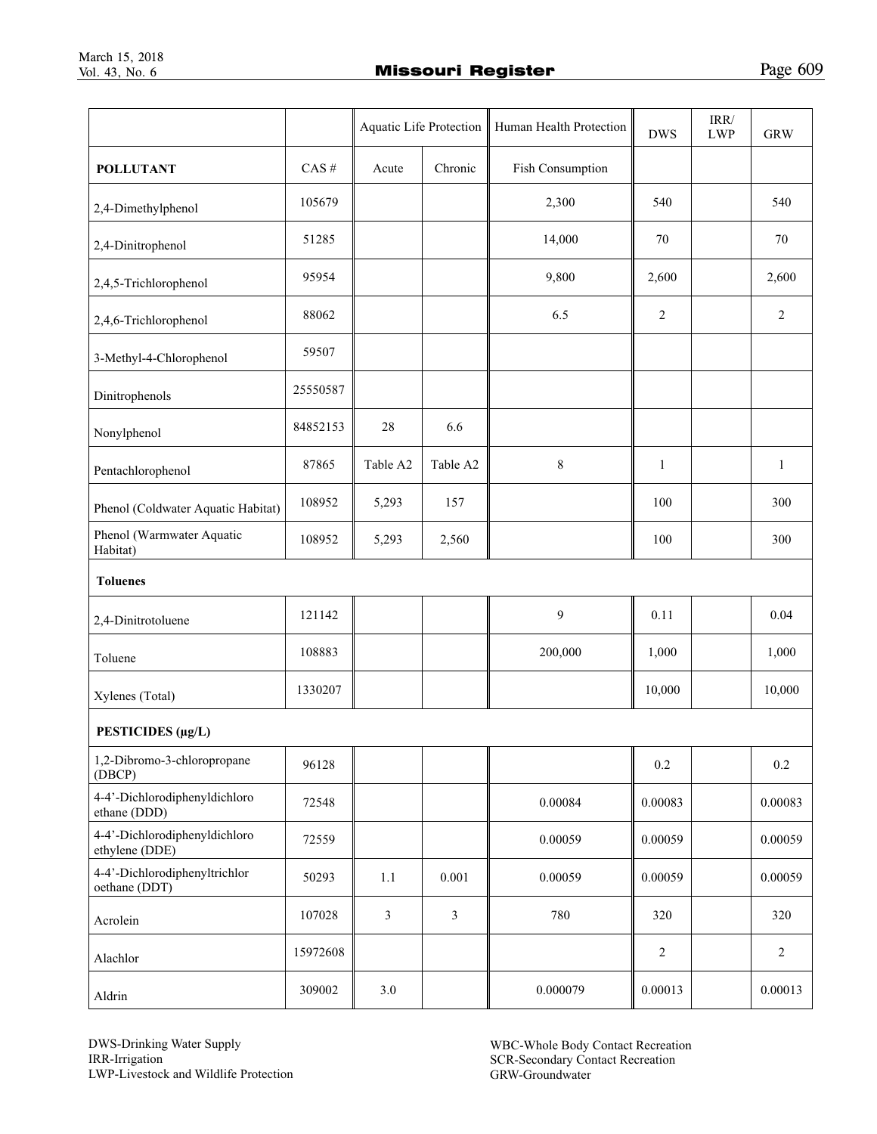|                                                 |          |          |                | Aquatic Life Protection   Human Health Protection | <b>DWS</b>   | $\mbox{IRR}/\mbox{}$<br><b>LWP</b> | <b>GRW</b>     |
|-------------------------------------------------|----------|----------|----------------|---------------------------------------------------|--------------|------------------------------------|----------------|
| <b>POLLUTANT</b>                                | $CAS$ #  | Acute    | Chronic        | Fish Consumption                                  |              |                                    |                |
| 2,4-Dimethylphenol                              | 105679   |          |                | 2,300                                             | 540          |                                    | 540            |
| 2,4-Dinitrophenol                               | 51285    |          |                | 14,000                                            | 70           |                                    | 70             |
| 2,4,5-Trichlorophenol                           | 95954    |          |                | 9,800                                             | 2,600        |                                    | 2,600          |
| 2,4,6-Trichlorophenol                           | 88062    |          |                | 6.5                                               | 2            |                                    | 2              |
| 3-Methyl-4-Chlorophenol                         | 59507    |          |                |                                                   |              |                                    |                |
| Dinitrophenols                                  | 25550587 |          |                |                                                   |              |                                    |                |
| Nonylphenol                                     | 84852153 | 28       | 6.6            |                                                   |              |                                    |                |
| Pentachlorophenol                               | 87865    | Table A2 | Table A2       | $\,$ $\,$                                         | $\mathbf{1}$ |                                    | $\mathbf{1}$   |
| Phenol (Coldwater Aquatic Habitat)              | 108952   | 5,293    | 157            |                                                   | 100          |                                    | 300            |
| Phenol (Warmwater Aquatic<br>Habitat)           | 108952   | 5,293    | 2,560          |                                                   | 100          |                                    | 300            |
| <b>Toluenes</b>                                 |          |          |                |                                                   |              |                                    |                |
| 2,4-Dinitrotoluene                              | 121142   |          |                | 9                                                 | 0.11         |                                    | 0.04           |
| Toluene                                         | 108883   |          |                | 200,000                                           | 1,000        |                                    | 1,000          |
| Xylenes (Total)                                 | 1330207  |          |                |                                                   | 10,000       |                                    | 10,000         |
| PESTICIDES (µg/L)                               |          |          |                |                                                   |              |                                    |                |
| 1,2-Dibromo-3-chloropropane<br>(DBCP)           | 96128    |          |                |                                                   | $0.2\,$      |                                    | 0.2            |
| 4-4'-Dichlorodiphenyldichloro<br>ethane (DDD)   | 72548    |          |                | 0.00084                                           | 0.00083      |                                    | 0.00083        |
| 4-4'-Dichlorodiphenyldichloro<br>ethylene (DDE) | 72559    |          |                | 0.00059                                           | 0.00059      |                                    | 0.00059        |
| 4-4'-Dichlorodiphenyltrichlor<br>oethane (DDT)  | 50293    | 1.1      | 0.001          | 0.00059                                           | 0.00059      |                                    | 0.00059        |
| Acrolein                                        | 107028   | 3        | $\mathfrak{Z}$ | 780                                               | 320          |                                    | 320            |
| Alachlor                                        | 15972608 |          |                |                                                   | 2            |                                    | $\overline{c}$ |
| Aldrin                                          | 309002   | 3.0      |                | 0.000079                                          | 0.00013      |                                    | 0.00013        |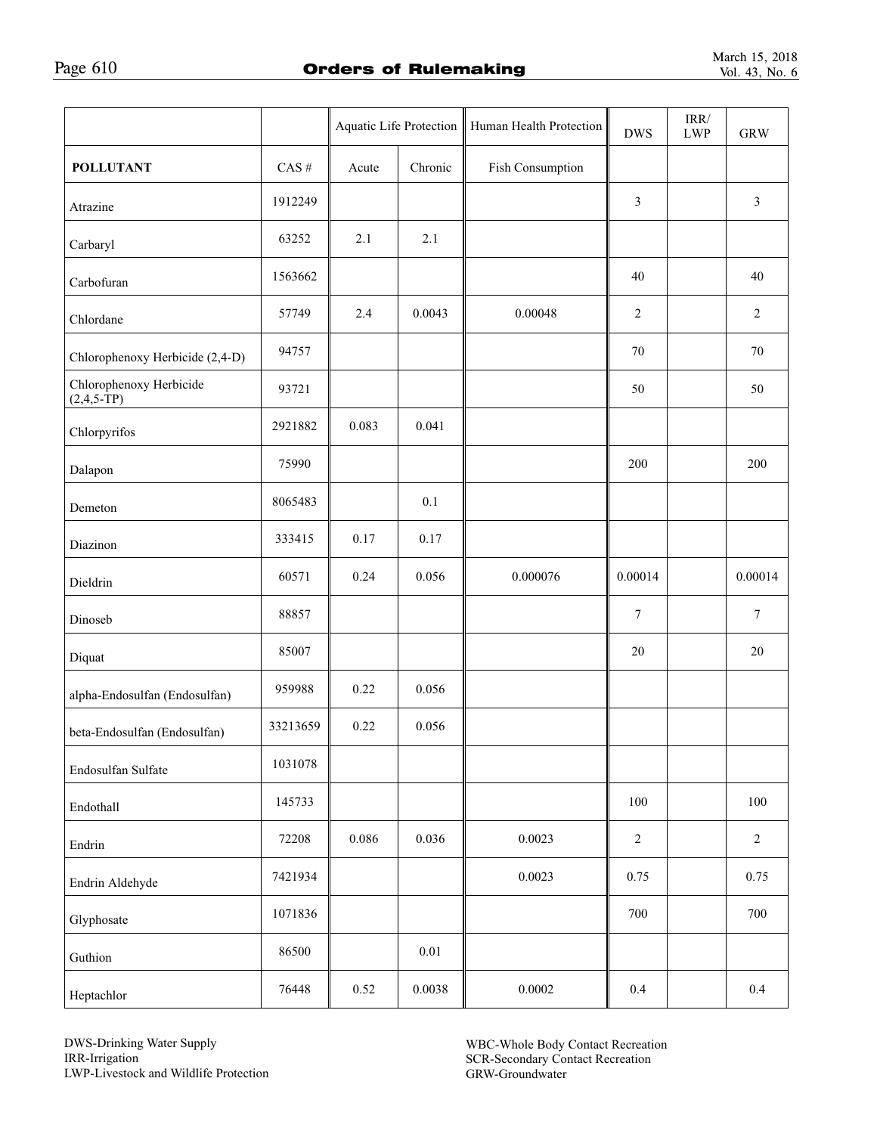|                                             |          |       | Aquatic Life Protection | Human Health Protection | <b>DWS</b>     | IRR/<br><b>LWP</b> | <b>GRW</b>       |
|---------------------------------------------|----------|-------|-------------------------|-------------------------|----------------|--------------------|------------------|
| <b>POLLUTANT</b>                            | $CAS$ #  | Acute | Chronic                 | Fish Consumption        |                |                    |                  |
| Atrazine                                    | 1912249  |       |                         |                         | 3              |                    | $\mathfrak{Z}$   |
| Carbaryl                                    | 63252    | 2.1   | 2.1                     |                         |                |                    |                  |
| Carbofuran                                  | 1563662  |       |                         |                         | 40             |                    | 40               |
| Chlordane                                   | 57749    | 2.4   | 0.0043                  | 0.00048                 | $\overline{c}$ |                    | $\sqrt{2}$       |
| Chlorophenoxy Herbicide (2,4-D)             | 94757    |       |                         |                         | 70             |                    | 70               |
| Chlorophenoxy Herbicide<br>$(2, 4, 5 - TP)$ | 93721    |       |                         |                         | 50             |                    | 50               |
| Chlorpyrifos                                | 2921882  | 0.083 | 0.041                   |                         |                |                    |                  |
| Dalapon                                     | 75990    |       |                         |                         | 200            |                    | 200              |
| Demeton                                     | 8065483  |       | 0.1                     |                         |                |                    |                  |
| Diazinon                                    | 333415   | 0.17  | 0.17                    |                         |                |                    |                  |
| Dieldrin                                    | 60571    | 0.24  | 0.056                   | 0.000076                | 0.00014        |                    | 0.00014          |
| Dinoseb                                     | 88857    |       |                         |                         | 7              |                    | $\boldsymbol{7}$ |
| Diquat                                      | 85007    |       |                         |                         | $20\,$         |                    | $20\,$           |
| alpha-Endosulfan (Endosulfan)               | 959988   | 0.22  | 0.056                   |                         |                |                    |                  |
| beta-Endosulfan (Endosulfan)                | 33213659 | 0.22  | 0.056                   |                         |                |                    |                  |
| Endosulfan Sulfate                          | 1031078  |       |                         |                         |                |                    |                  |
| Endothall                                   | 145733   |       |                         |                         | $100\,$        |                    | $100\,$          |
| Endrin                                      | 72208    | 0.086 | 0.036                   | 0.0023                  | $\sqrt{2}$     |                    | $\overline{2}$   |
| Endrin Aldehyde                             | 7421934  |       |                         | 0.0023                  | 0.75           |                    | 0.75             |
| Glyphosate                                  | 1071836  |       |                         |                         | 700            |                    | 700              |
| Guthion                                     | 86500    |       | $0.01\,$                |                         |                |                    |                  |
| Heptachlor                                  | 76448    | 0.52  | 0.0038                  | 0.0002                  | $0.4\,$        |                    | 0.4              |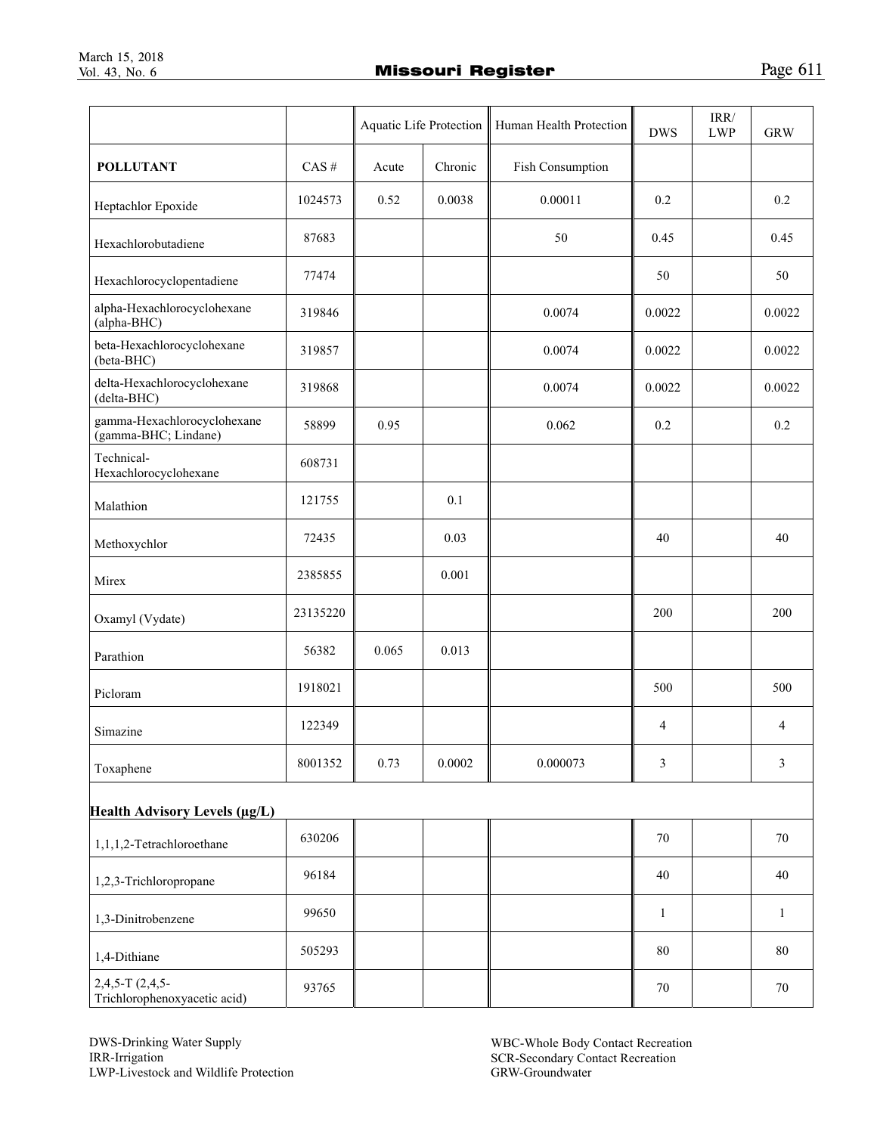| $\cdot$ (Te)<br>.,<br>. . | L |
|---------------------------|---|
|                           |   |

|                                                       |          | Aquatic Life Protection |         | Human Health Protection | <b>DWS</b>     | $\ensuremath{\mathsf{IRR}}\xspace$<br><b>LWP</b> | <b>GRW</b>     |
|-------------------------------------------------------|----------|-------------------------|---------|-------------------------|----------------|--------------------------------------------------|----------------|
| <b>POLLUTANT</b>                                      | $CAS \#$ | Acute                   | Chronic | Fish Consumption        |                |                                                  |                |
| Heptachlor Epoxide                                    | 1024573  | 0.52                    | 0.0038  | 0.00011                 | 0.2            |                                                  | 0.2            |
| Hexachlorobutadiene                                   | 87683    |                         |         | 50                      | 0.45           |                                                  | 0.45           |
| Hexachlorocyclopentadiene                             | 77474    |                         |         |                         | 50             |                                                  | 50             |
| alpha-Hexachlorocyclohexane<br>(alpha-BHC)            | 319846   |                         |         | 0.0074                  | 0.0022         |                                                  | 0.0022         |
| beta-Hexachlorocyclohexane<br>(beta-BHC)              | 319857   |                         |         | 0.0074                  | 0.0022         |                                                  | 0.0022         |
| delta-Hexachlorocyclohexane<br>(delta-BHC)            | 319868   |                         |         | 0.0074                  | 0.0022         |                                                  | 0.0022         |
| gamma-Hexachlorocyclohexane<br>(gamma-BHC; Lindane)   | 58899    | 0.95                    |         | 0.062                   | 0.2            |                                                  | 0.2            |
| Technical-<br>Hexachlorocyclohexane                   | 608731   |                         |         |                         |                |                                                  |                |
| Malathion                                             | 121755   |                         | 0.1     |                         |                |                                                  |                |
| Methoxychlor                                          | 72435    |                         | 0.03    |                         | 40             |                                                  | 40             |
| Mirex                                                 | 2385855  |                         | 0.001   |                         |                |                                                  |                |
| Oxamyl (Vydate)                                       | 23135220 |                         |         |                         | 200            |                                                  | 200            |
| Parathion                                             | 56382    | 0.065                   | 0.013   |                         |                |                                                  |                |
| Picloram                                              | 1918021  |                         |         |                         | 500            |                                                  | 500            |
| Simazine                                              | 122349   |                         |         |                         | $\overline{4}$ |                                                  | $\overline{4}$ |
| Toxaphene                                             | 8001352  | 0.73                    | 0.0002  | 0.000073                | 3              |                                                  | 3              |
| Health Advisory Levels (µg/L)                         |          |                         |         |                         |                |                                                  |                |
| 1,1,1,2-Tetrachloroethane                             | 630206   |                         |         |                         | 70             |                                                  | 70             |
| 1,2,3-Trichloropropane                                | 96184    |                         |         |                         | 40             |                                                  | 40             |
| 1,3-Dinitrobenzene                                    | 99650    |                         |         |                         | $\mathbf{1}$   |                                                  | $\mathbf{1}$   |
| 1,4-Dithiane                                          | 505293   |                         |         |                         | 80             |                                                  | 80             |
| $2,4,5$ -T $(2,4,5$ -<br>Trichlorophenoxyacetic acid) | 93765    |                         |         |                         | $70\,$         |                                                  | $70\,$         |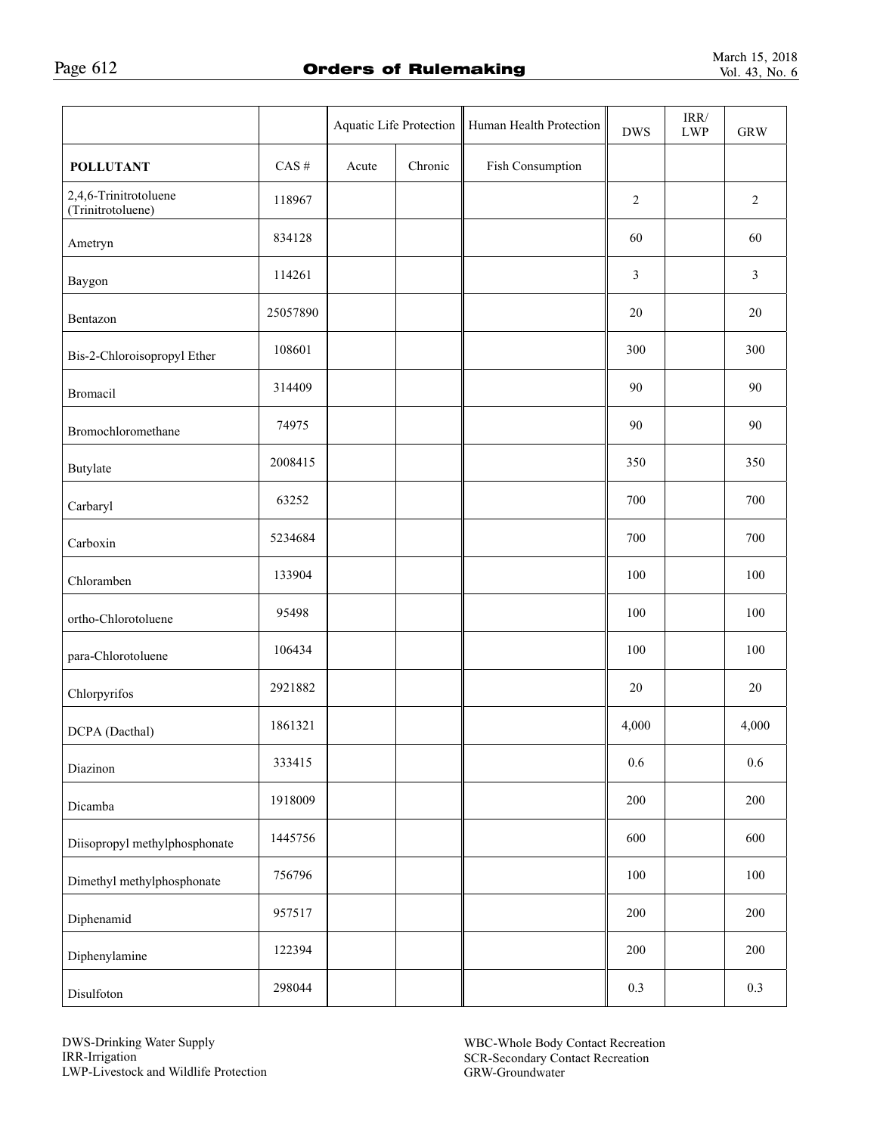|                                            |          | Aquatic Life Protection |         | Human Health Protection | <b>DWS</b>     | $\mbox{IRR}/\mbox{}$<br><b>LWP</b> | <b>GRW</b>     |
|--------------------------------------------|----------|-------------------------|---------|-------------------------|----------------|------------------------------------|----------------|
| <b>POLLUTANT</b>                           | $CAS$ #  | Acute                   | Chronic | Fish Consumption        |                |                                    |                |
| 2,4,6-Trinitrotoluene<br>(Trinitrotoluene) | 118967   |                         |         |                         | $\sqrt{2}$     |                                    | $\sqrt{2}$     |
| Ametryn                                    | 834128   |                         |         |                         | 60             |                                    | 60             |
| Baygon                                     | 114261   |                         |         |                         | $\mathfrak{Z}$ |                                    | $\mathfrak{Z}$ |
| Bentazon                                   | 25057890 |                         |         |                         | 20             |                                    | $20\,$         |
| Bis-2-Chloroisopropyl Ether                | 108601   |                         |         |                         | 300            |                                    | 300            |
| <b>Bromacil</b>                            | 314409   |                         |         |                         | 90             |                                    | 90             |
| Bromochloromethane                         | 74975    |                         |         |                         | 90             |                                    | 90             |
| <b>Butylate</b>                            | 2008415  |                         |         |                         | 350            |                                    | 350            |
| Carbaryl                                   | 63252    |                         |         |                         | 700            |                                    | 700            |
| Carboxin                                   | 5234684  |                         |         |                         | 700            |                                    | 700            |
| Chloramben                                 | 133904   |                         |         |                         | 100            |                                    | 100            |
| ortho-Chlorotoluene                        | 95498    |                         |         |                         | 100            |                                    | 100            |
| para-Chlorotoluene                         | 106434   |                         |         |                         | 100            |                                    | 100            |
| Chlorpyrifos                               | 2921882  |                         |         |                         | 20             |                                    | $20\,$         |
| DCPA (Dacthal)                             | 1861321  |                         |         |                         | 4,000          |                                    | 4,000          |
| Diazinon                                   | 333415   |                         |         |                         | 0.6            |                                    | 0.6            |
| Dicamba                                    | 1918009  |                         |         |                         | 200            |                                    | 200            |
| Diisopropyl methylphosphonate              | 1445756  |                         |         |                         | 600            |                                    | 600            |
| Dimethyl methylphosphonate                 | 756796   |                         |         |                         | $100\,$        |                                    | 100            |
| Diphenamid                                 | 957517   |                         |         |                         | 200            |                                    | 200            |
| Diphenylamine                              | 122394   |                         |         |                         | 200            |                                    | 200            |
| Disulfoton                                 | 298044   |                         |         |                         | 0.3            |                                    | 0.3            |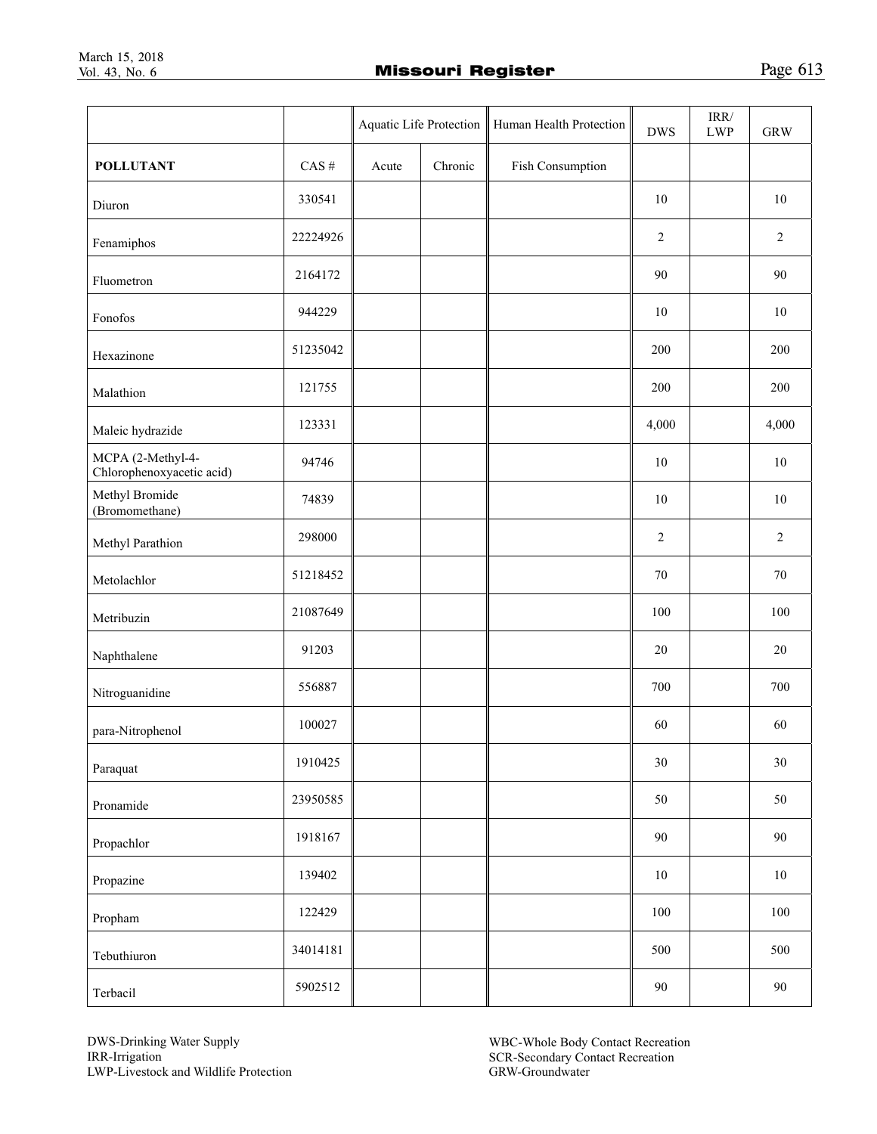| Page 613 |  |
|----------|--|
|          |  |

|                                                |          | Aquatic Life Protection |         | Human Health Protection | <b>DWS</b>     | $\mbox{IRR}/\mbox{}$<br><b>LWP</b> | <b>GRW</b>     |
|------------------------------------------------|----------|-------------------------|---------|-------------------------|----------------|------------------------------------|----------------|
| <b>POLLUTANT</b>                               | $CAS \#$ | Acute                   | Chronic | Fish Consumption        |                |                                    |                |
| Diuron                                         | 330541   |                         |         |                         | 10             |                                    | 10             |
| Fenamiphos                                     | 22224926 |                         |         |                         | $\overline{2}$ |                                    | $\overline{2}$ |
| Fluometron                                     | 2164172  |                         |         |                         | 90             |                                    | 90             |
| Fonofos                                        | 944229   |                         |         |                         | 10             |                                    | 10             |
| Hexazinone                                     | 51235042 |                         |         |                         | 200            |                                    | 200            |
| Malathion                                      | 121755   |                         |         |                         | 200            |                                    | 200            |
| Maleic hydrazide                               | 123331   |                         |         |                         | 4,000          |                                    | 4,000          |
| MCPA (2-Methyl-4-<br>Chlorophenoxyacetic acid) | 94746    |                         |         |                         | 10             |                                    | $10\,$         |
| Methyl Bromide<br>(Bromomethane)               | 74839    |                         |         |                         | 10             |                                    | 10             |
| Methyl Parathion                               | 298000   |                         |         |                         | $\sqrt{2}$     |                                    | $\sqrt{2}$     |
| Metolachlor                                    | 51218452 |                         |         |                         | 70             |                                    | 70             |
| Metribuzin                                     | 21087649 |                         |         |                         | 100            |                                    | 100            |
| Naphthalene                                    | 91203    |                         |         |                         | 20             |                                    | $20\,$         |
| Nitroguanidine                                 | 556887   |                         |         |                         | 700            |                                    | 700            |
| para-Nitrophenol                               | 100027   |                         |         |                         | 60             |                                    | 60             |
| Paraquat                                       | 1910425  |                         |         |                         | 30             |                                    | 30             |
| Pronamide                                      | 23950585 |                         |         |                         | 50             |                                    | 50             |
| Propachlor                                     | 1918167  |                         |         |                         | 90             |                                    | 90             |
| Propazine                                      | 139402   |                         |         |                         | $10\,$         |                                    | $10\,$         |
| Propham                                        | 122429   |                         |         |                         | 100            |                                    | 100            |
| Tebuthiuron                                    | 34014181 |                         |         |                         | 500            |                                    | 500            |
| Terbacil                                       | 5902512  |                         |         |                         | $90\,$         |                                    | 90             |

DWS-Drinking Water Supply IRR-Irrigation LWP-Livestock and Wildlife Protection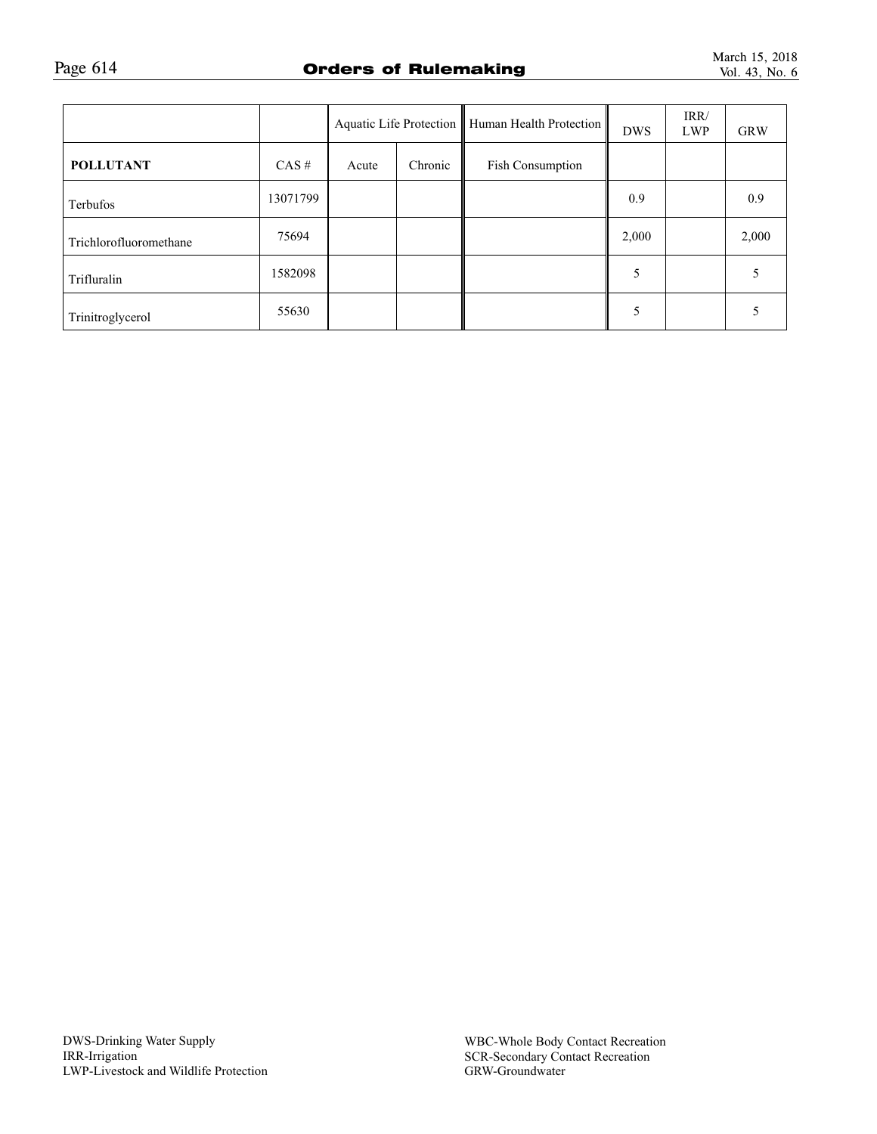|                        |          |       |         | Aquatic Life Protection   Human Health Protection | <b>DWS</b> | IRR/<br><b>LWP</b> | <b>GRW</b> |
|------------------------|----------|-------|---------|---------------------------------------------------|------------|--------------------|------------|
| <b>POLLUTANT</b>       | CAS#     | Acute | Chronic | Fish Consumption                                  |            |                    |            |
| Terbufos               | 13071799 |       |         |                                                   | 0.9        |                    | 0.9        |
| Trichlorofluoromethane | 75694    |       |         |                                                   | 2,000      |                    | 2,000      |
| Trifluralin            | 1582098  |       |         |                                                   |            |                    |            |
| Trinitroglycerol       | 55630    |       |         |                                                   |            |                    |            |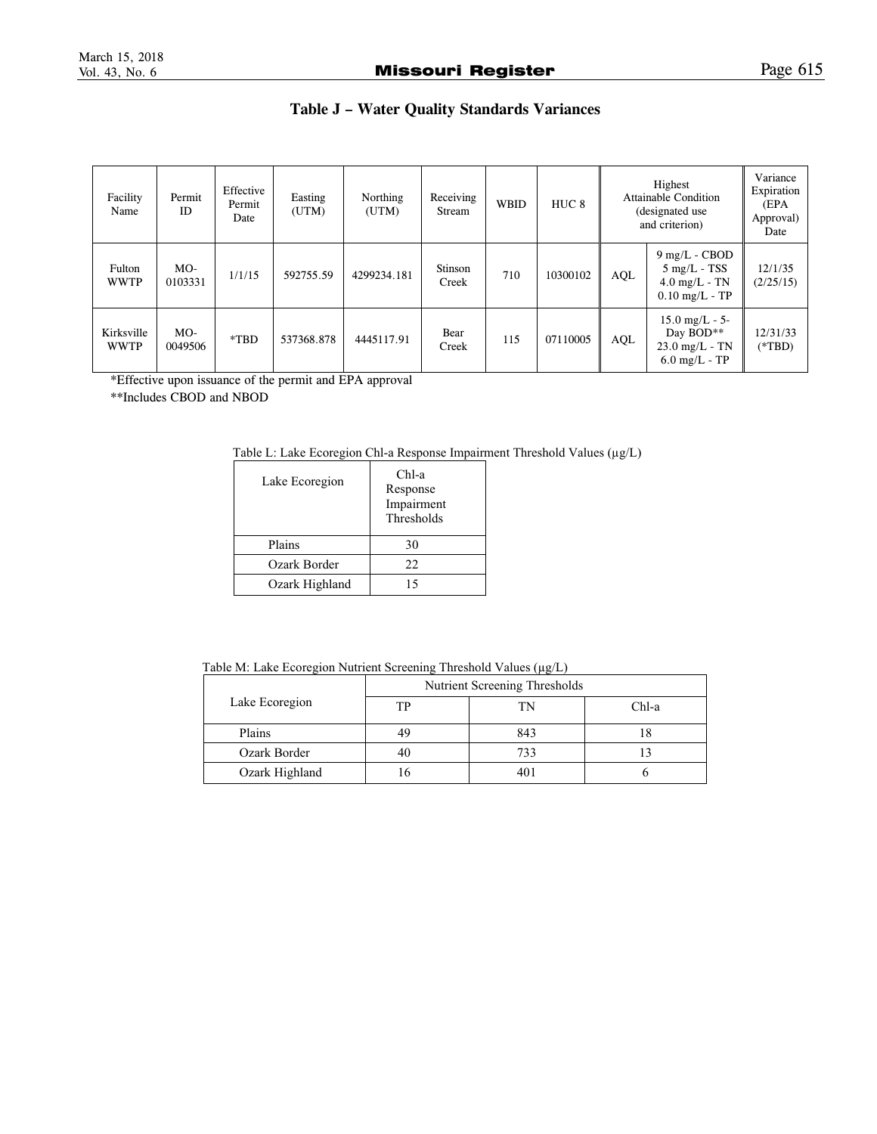# **Table J – Water Quality Standards Variances**

| Facility<br>Name          | Permit<br>ID     | Effective<br>Permit<br>Date | Easting<br>(UTM) | Northing<br>(UTM) | Receiving<br>Stream | <b>WBID</b> | HUC <sub>8</sub> | Highest<br><b>Attainable Condition</b><br>(designated use<br>and criterion) |                                                                                  | Variance<br>Expiration<br>(EPA<br>Approval)<br>Date |
|---------------------------|------------------|-----------------------------|------------------|-------------------|---------------------|-------------|------------------|-----------------------------------------------------------------------------|----------------------------------------------------------------------------------|-----------------------------------------------------|
| Fulton<br><b>WWTP</b>     | $MO-$<br>0103331 | 1/1/15                      | 592755.59        | 4299234.181       | Stinson<br>Creek    | 710         | 10300102         | AQL                                                                         | $9$ mg/L - CBOD<br>$5 \text{ mg/L}$ - TSS<br>$4.0$ mg/L - TN<br>$0.10$ mg/L - TP | 12/1/35<br>(2/25/15)                                |
| Kirksville<br><b>WWTP</b> | $MO-$<br>0049506 | $*TBD$                      | 537368.878       | 4445117.91        | Bear<br>Creek       | 115         | 07110005         | AQL                                                                         | $15.0$ mg/L - 5-<br>Day BOD**<br>$23.0$ mg/L - TN<br>$6.0$ mg/L - TP             | 12/31/33<br>$(*TBD)$                                |

\*Effective upon issuance of the permit and EPA approval

\*\*Includes CBOD and NBOD

| Lake Ecoregion | $Chl-a$<br>Response<br>Impairment<br>Thresholds |  |  |
|----------------|-------------------------------------------------|--|--|
| Plains         | 30                                              |  |  |
| Ozark Border   | 22.                                             |  |  |
| Ozark Highland | 15                                              |  |  |

Table M: Lake Ecoregion Nutrient Screening Threshold Values (µg/L)

|                | Nutrient Screening Thresholds |     |       |  |  |
|----------------|-------------------------------|-----|-------|--|--|
| Lake Ecoregion | TР                            | TN  | Chl-a |  |  |
| Plains         | 49                            | 843 |       |  |  |
| Ozark Border   | 40                            | 733 |       |  |  |
| Ozark Highland |                               | 401 |       |  |  |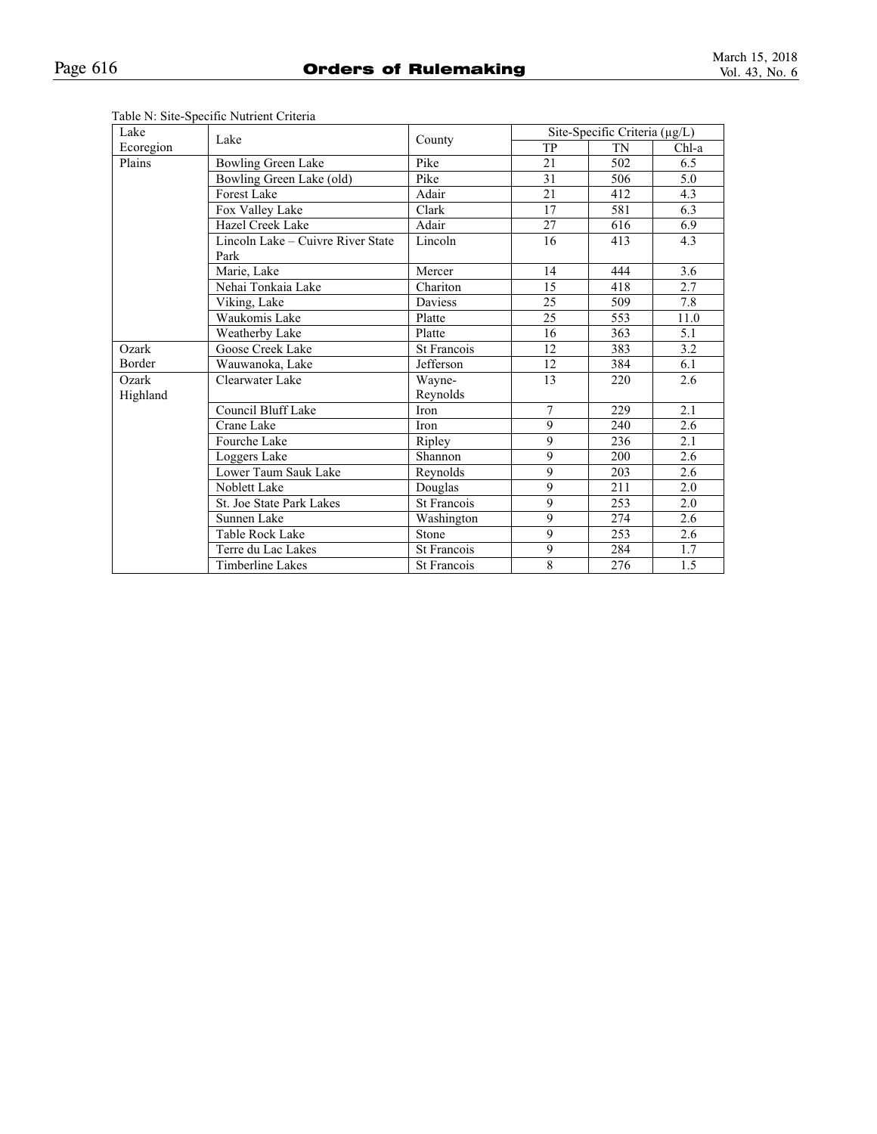| Lake      | Lake                                      |                    | Site-Specific Criteria (µg/L) |     |       |  |
|-----------|-------------------------------------------|--------------------|-------------------------------|-----|-------|--|
| Ecoregion |                                           | County             | TP                            | TN  | Chl-a |  |
| Plains    | <b>Bowling Green Lake</b>                 | Pike               | 21                            | 502 | 6.5   |  |
|           | Bowling Green Lake (old)                  | Pike               | 31                            | 506 | 5.0   |  |
|           | <b>Forest Lake</b>                        | Adair              | 21                            | 412 | 4.3   |  |
|           | Fox Valley Lake                           | Clark              | 17                            | 581 | 6.3   |  |
|           | Hazel Creek Lake                          | Adair              | 27                            | 616 | 6.9   |  |
|           | Lincoln Lake - Cuivre River State<br>Park | Lincoln            | 16                            | 413 | 4.3   |  |
|           | Marie, Lake                               | Mercer             | 14                            | 444 | 3.6   |  |
|           | Nehai Tonkaia Lake                        | Chariton           | 15                            | 418 | 2.7   |  |
|           | Viking, Lake                              | Daviess            | 25                            | 509 | 7.8   |  |
|           | Waukomis Lake                             | Platte             | 25                            | 553 | 11.0  |  |
|           | <b>Weatherby Lake</b>                     | Platte             | 16                            | 363 | 5.1   |  |
| Ozark     | Goose Creek Lake                          | St Francois        | 12                            | 383 | 3.2   |  |
| Border    | Wauwanoka, Lake                           | Jefferson          | 12                            | 384 | 6.1   |  |
| Ozark     | Clearwater Lake                           | Wayne-             | 13                            | 220 | 2.6   |  |
| Highland  |                                           | Reynolds           |                               |     |       |  |
|           | Council Bluff Lake                        | Iron               | $\overline{7}$                | 229 | 2.1   |  |
|           | Crane Lake                                | Iron               | 9                             | 240 | 2.6   |  |
|           | Fourche Lake                              | Ripley             | 9                             | 236 | 2.1   |  |
|           | Loggers Lake                              | Shannon            | 9                             | 200 | 2.6   |  |
|           | Lower Taum Sauk Lake                      | Reynolds           | 9                             | 203 | 2.6   |  |
|           | Noblett Lake                              | Douglas            | 9                             | 211 | 2.0   |  |
|           | St. Joe State Park Lakes                  | <b>St Francois</b> | 9                             | 253 | 2.0   |  |
|           | Sunnen Lake                               | Washington         | 9                             | 274 | 2.6   |  |
|           | Table Rock Lake                           | Stone              | 9                             | 253 | 2.6   |  |
|           | Terre du Lac Lakes                        | St Francois        | 9                             | 284 | 1.7   |  |
|           | Timberline Lakes                          | <b>St Francois</b> | 8                             | 276 | 1.5   |  |

# Table N: Site-Specific Nutrient Criteria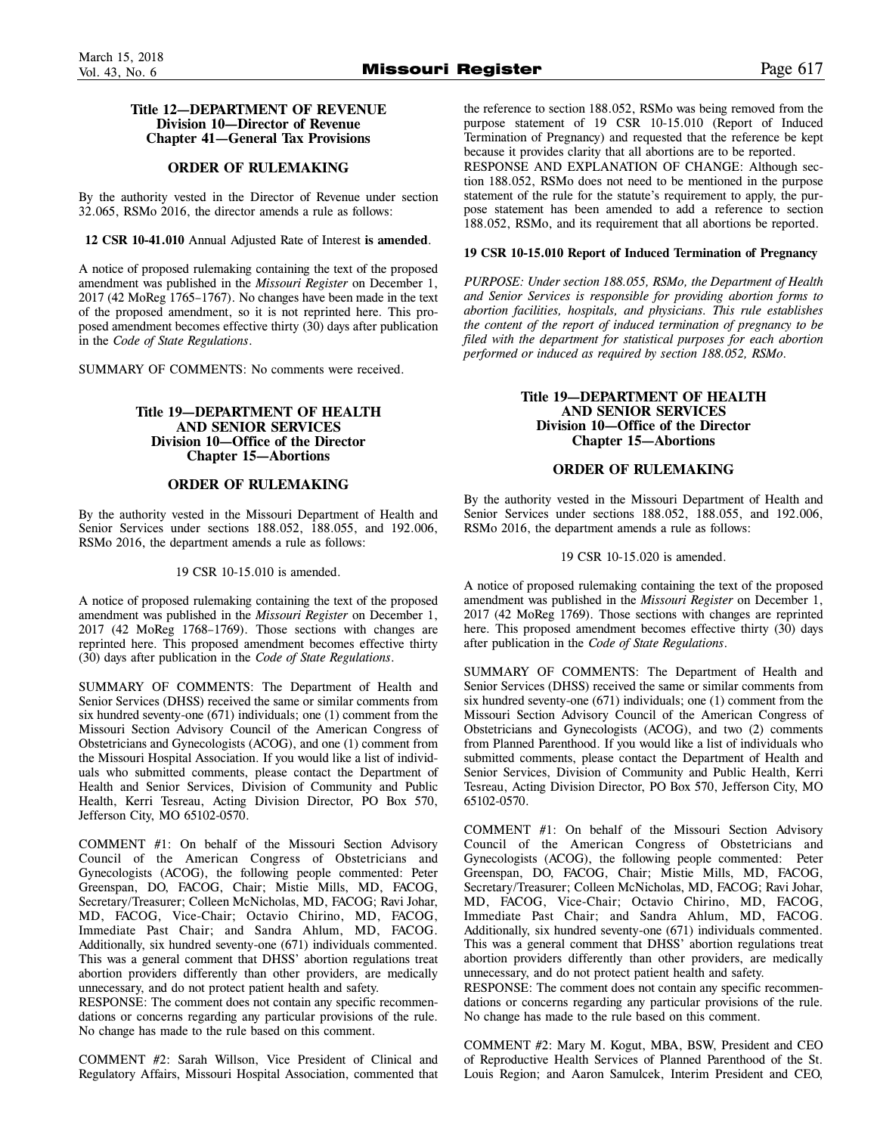# **Title 12—DEPARTMENT OF REVENUE Division 10—Director of Revenue Chapter 41—General Tax Provisions**

# **ORDER OF RULEMAKING**

By the authority vested in the Director of Revenue under section 32.065, RSMo 2016, the director amends a rule as follows:

**12 CSR 10-41.010** Annual Adjusted Rate of Interest **is amended**.

A notice of proposed rulemaking containing the text of the proposed amendment was published in the *Missouri Register* on December 1, 2017 (42 MoReg 1765–1767). No changes have been made in the text of the proposed amendment, so it is not reprinted here. This proposed amendment becomes effective thirty (30) days after publication in the *Code of State Regulations*.

SUMMARY OF COMMENTS: No comments were received.

# **Title 19—DEPARTMENT OF HEALTH AND SENIOR SERVICES Division 10—Office of the Director Chapter 15—Abortions**

# **ORDER OF RULEMAKING**

By the authority vested in the Missouri Department of Health and Senior Services under sections 188.052, 188.055, and 192.006, RSMo 2016, the department amends a rule as follows:

19 CSR 10-15.010 is amended.

A notice of proposed rulemaking containing the text of the proposed amendment was published in the *Missouri Register* on December 1, 2017 (42 MoReg 1768–1769). Those sections with changes are reprinted here. This proposed amendment becomes effective thirty (30) days after publication in the *Code of State Regulations*.

SUMMARY OF COMMENTS: The Department of Health and Senior Services (DHSS) received the same or similar comments from six hundred seventy-one (671) individuals; one (1) comment from the Missouri Section Advisory Council of the American Congress of Obstetricians and Gynecologists (ACOG), and one (1) comment from the Missouri Hospital Association. If you would like a list of individuals who submitted comments, please contact the Department of Health and Senior Services, Division of Community and Public Health, Kerri Tesreau, Acting Division Director, PO Box 570, Jefferson City, MO 65102-0570.

COMMENT #1: On behalf of the Missouri Section Advisory Council of the American Congress of Obstetricians and Gynecologists (ACOG), the following people commented: Peter Greenspan, DO, FACOG, Chair; Mistie Mills, MD, FACOG, Secretary/Treasurer; Colleen McNicholas, MD, FACOG; Ravi Johar, MD, FACOG, Vice-Chair; Octavio Chirino, MD, FACOG, Immediate Past Chair; and Sandra Ahlum, MD, FACOG. Additionally, six hundred seventy-one (671) individuals commented. This was a general comment that DHSS' abortion regulations treat abortion providers differently than other providers, are medically unnecessary, and do not protect patient health and safety.

RESPONSE: The comment does not contain any specific recommendations or concerns regarding any particular provisions of the rule. No change has made to the rule based on this comment.

COMMENT #2: Sarah Willson, Vice President of Clinical and Regulatory Affairs, Missouri Hospital Association, commented that

the reference to section 188.052, RSMo was being removed from the purpose statement of 19 CSR 10-15.010 (Report of Induced Termination of Pregnancy) and requested that the reference be kept because it provides clarity that all abortions are to be reported. RESPONSE AND EXPLANATION OF CHANGE: Although section 188.052, RSMo does not need to be mentioned in the purpose statement of the rule for the statute's requirement to apply, the purpose statement has been amended to add a reference to section 188.052, RSMo, and its requirement that all abortions be reported.

# **19 CSR 10-15.010 Report of Induced Termination of Pregnancy**

*PURPOSE: Under section 188.055, RSMo, the Department of Health and Senior Services is responsible for providing abortion forms to abortion facilities, hospitals, and physicians. This rule establishes the content of the report of induced termination of pregnancy to be filed with the department for statistical purposes for each abortion performed or induced as required by section 188.052, RSMo.* 

# **Title 19—DEPARTMENT OF HEALTH AND SENIOR SERVICES Division 10—Office of the Director Chapter 15—Abortions**

# **ORDER OF RULEMAKING**

By the authority vested in the Missouri Department of Health and Senior Services under sections 188.052, 188.055, and 192.006, RSMo 2016, the department amends a rule as follows:

# 19 CSR 10-15.020 is amended.

A notice of proposed rulemaking containing the text of the proposed amendment was published in the *Missouri Register* on December 1, 2017 (42 MoReg 1769). Those sections with changes are reprinted here. This proposed amendment becomes effective thirty (30) days after publication in the *Code of State Regulations*.

SUMMARY OF COMMENTS: The Department of Health and Senior Services (DHSS) received the same or similar comments from six hundred seventy-one (671) individuals; one (1) comment from the Missouri Section Advisory Council of the American Congress of Obstetricians and Gynecologists (ACOG), and two (2) comments from Planned Parenthood. If you would like a list of individuals who submitted comments, please contact the Department of Health and Senior Services, Division of Community and Public Health, Kerri Tesreau, Acting Division Director, PO Box 570, Jefferson City, MO 65102-0570.

COMMENT #1: On behalf of the Missouri Section Advisory Council of the American Congress of Obstetricians and Gynecologists (ACOG), the following people commented: Peter Greenspan, DO, FACOG, Chair; Mistie Mills, MD, FACOG, Secretary/Treasurer; Colleen McNicholas, MD, FACOG; Ravi Johar, MD, FACOG, Vice-Chair; Octavio Chirino, MD, FACOG, Immediate Past Chair; and Sandra Ahlum, MD, FACOG. Additionally, six hundred seventy-one (671) individuals commented. This was a general comment that DHSS' abortion regulations treat abortion providers differently than other providers, are medically unnecessary, and do not protect patient health and safety.

RESPONSE: The comment does not contain any specific recommendations or concerns regarding any particular provisions of the rule. No change has made to the rule based on this comment.

COMMENT #2: Mary M. Kogut, MBA, BSW, President and CEO of Reproductive Health Services of Planned Parenthood of the St. Louis Region; and Aaron Samulcek, Interim President and CEO,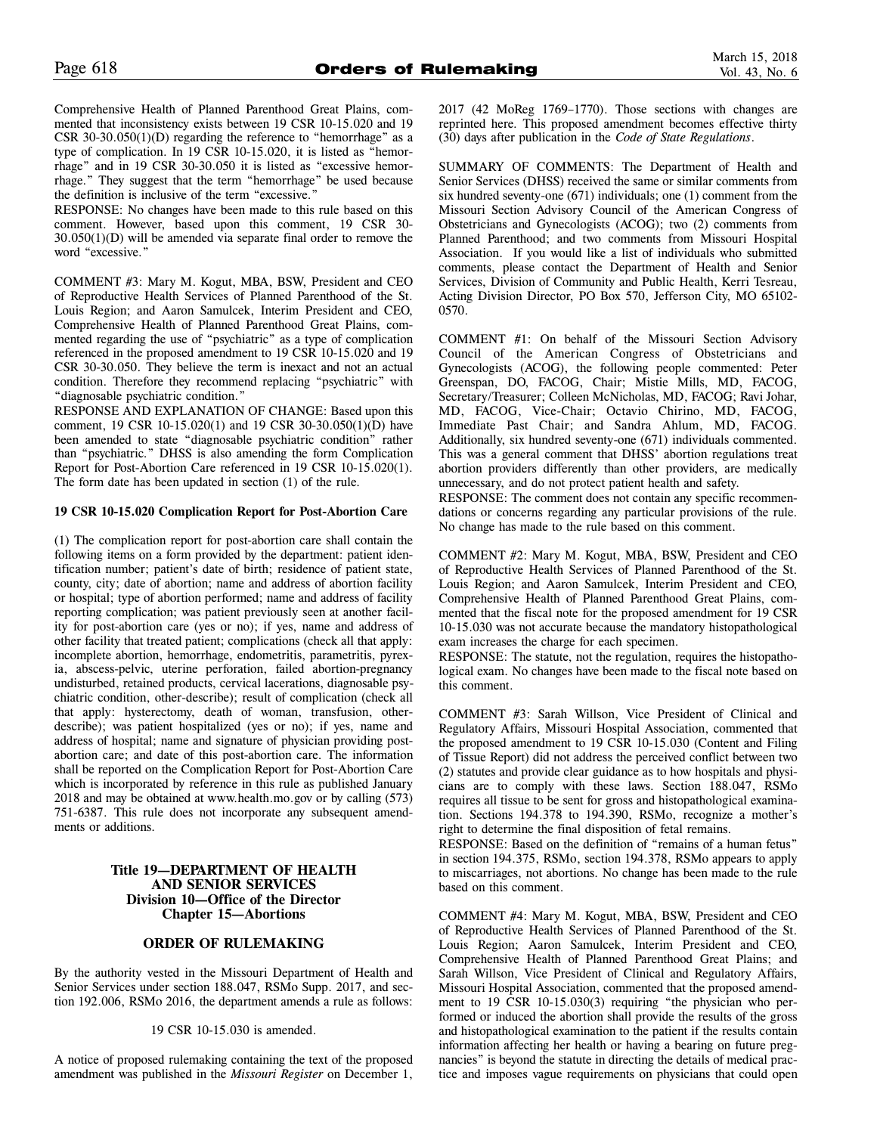Comprehensive Health of Planned Parenthood Great Plains, commented that inconsistency exists between 19 CSR 10-15.020 and 19 CSR 30-30.050 $(1)(D)$  regarding the reference to "hemorrhage" as a type of complication. In 19 CSR 10-15.020, it is listed as "hemorrhage" and in 19 CSR 30-30.050 it is listed as "excessive hemorrhage." They suggest that the term "hemorrhage" be used because the definition is inclusive of the term "excessive."

RESPONSE: No changes have been made to this rule based on this comment. However, based upon this comment, 19 CSR 30- 30.050(1)(D) will be amended via separate final order to remove the word "excessive."

COMMENT #3: Mary M. Kogut, MBA, BSW, President and CEO of Reproductive Health Services of Planned Parenthood of the St. Louis Region; and Aaron Samulcek, Interim President and CEO, Comprehensive Health of Planned Parenthood Great Plains, commented regarding the use of "psychiatric" as a type of complication referenced in the proposed amendment to 19 CSR 10-15.020 and 19 CSR 30-30.050. They believe the term is inexact and not an actual condition. Therefore they recommend replacing "psychiatric" with "diagnosable psychiatric condition."

RESPONSE AND EXPLANATION OF CHANGE: Based upon this comment, 19 CSR 10-15.020(1) and 19 CSR 30-30.050(1)(D) have been amended to state "diagnosable psychiatric condition" rather than "psychiatric." DHSS is also amending the form Complication Report for Post-Abortion Care referenced in 19 CSR 10-15.020(1). The form date has been updated in section (1) of the rule.

# **19 CSR 10-15.020 Complication Report for Post-Abortion Care**

(1) The complication report for post-abortion care shall contain the following items on a form provided by the department: patient identification number; patient's date of birth; residence of patient state, county, city; date of abortion; name and address of abortion facility or hospital; type of abortion performed; name and address of facility reporting complication; was patient previously seen at another facility for post-abortion care (yes or no); if yes, name and address of other facility that treated patient; complications (check all that apply: incomplete abortion, hemorrhage, endometritis, parametritis, pyrexia, abscess-pelvic, uterine perforation, failed abortion-pregnancy undisturbed, retained products, cervical lacerations, diagnosable psychiatric condition, other-describe); result of complication (check all that apply: hysterectomy, death of woman, transfusion, otherdescribe); was patient hospitalized (yes or no); if yes, name and address of hospital; name and signature of physician providing postabortion care; and date of this post-abortion care. The information shall be reported on the Complication Report for Post-Abortion Care which is incorporated by reference in this rule as published January 2018 and may be obtained at www.health.mo.gov or by calling (573) 751-6387. This rule does not incorporate any subsequent amendments or additions.

# **Title 19—DEPARTMENT OF HEALTH AND SENIOR SERVICES Division 10—Office of the Director Chapter 15—Abortions**

# **ORDER OF RULEMAKING**

By the authority vested in the Missouri Department of Health and Senior Services under section 188.047, RSMo Supp. 2017, and section 192.006, RSMo 2016, the department amends a rule as follows:

#### 19 CSR 10-15.030 is amended.

A notice of proposed rulemaking containing the text of the proposed amendment was published in the *Missouri Register* on December 1, 2017 (42 MoReg 1769–1770). Those sections with changes are reprinted here. This proposed amendment becomes effective thirty (30) days after publication in the *Code of State Regulations*.

SUMMARY OF COMMENTS: The Department of Health and Senior Services (DHSS) received the same or similar comments from six hundred seventy-one (671) individuals; one (1) comment from the Missouri Section Advisory Council of the American Congress of Obstetricians and Gynecologists (ACOG); two (2) comments from Planned Parenthood; and two comments from Missouri Hospital Association. If you would like a list of individuals who submitted comments, please contact the Department of Health and Senior Services, Division of Community and Public Health, Kerri Tesreau, Acting Division Director, PO Box 570, Jefferson City, MO 65102- 0570.

COMMENT #1: On behalf of the Missouri Section Advisory Council of the American Congress of Obstetricians and Gynecologists (ACOG), the following people commented: Peter Greenspan, DO, FACOG, Chair; Mistie Mills, MD, FACOG, Secretary/Treasurer; Colleen McNicholas, MD, FACOG; Ravi Johar, MD, FACOG, Vice-Chair; Octavio Chirino, MD, FACOG, Immediate Past Chair; and Sandra Ahlum, MD, FACOG. Additionally, six hundred seventy-one (671) individuals commented. This was a general comment that DHSS' abortion regulations treat abortion providers differently than other providers, are medically unnecessary, and do not protect patient health and safety.

RESPONSE: The comment does not contain any specific recommendations or concerns regarding any particular provisions of the rule. No change has made to the rule based on this comment.

COMMENT #2: Mary M. Kogut, MBA, BSW, President and CEO of Reproductive Health Services of Planned Parenthood of the St. Louis Region; and Aaron Samulcek, Interim President and CEO, Comprehensive Health of Planned Parenthood Great Plains, commented that the fiscal note for the proposed amendment for 19 CSR 10-15.030 was not accurate because the mandatory histopathological exam increases the charge for each specimen.

RESPONSE: The statute, not the regulation, requires the histopathological exam. No changes have been made to the fiscal note based on this comment.

COMMENT #3: Sarah Willson, Vice President of Clinical and Regulatory Affairs, Missouri Hospital Association, commented that the proposed amendment to 19 CSR 10-15.030 (Content and Filing of Tissue Report) did not address the perceived conflict between two (2) statutes and provide clear guidance as to how hospitals and physicians are to comply with these laws. Section 188.047, RSMo requires all tissue to be sent for gross and histopathological examination. Sections 194.378 to 194.390, RSMo, recognize a mother's right to determine the final disposition of fetal remains.

RESPONSE: Based on the definition of "remains of a human fetus" in section 194.375, RSMo, section 194.378, RSMo appears to apply to miscarriages, not abortions. No change has been made to the rule based on this comment.

COMMENT #4: Mary M. Kogut, MBA, BSW, President and CEO of Reproductive Health Services of Planned Parenthood of the St. Louis Region; Aaron Samulcek, Interim President and CEO, Comprehensive Health of Planned Parenthood Great Plains; and Sarah Willson, Vice President of Clinical and Regulatory Affairs, Missouri Hospital Association, commented that the proposed amendment to 19 CSR 10-15.030(3) requiring "the physician who performed or induced the abortion shall provide the results of the gross and histopathological examination to the patient if the results contain information affecting her health or having a bearing on future pregnancies" is beyond the statute in directing the details of medical practice and imposes vague requirements on physicians that could open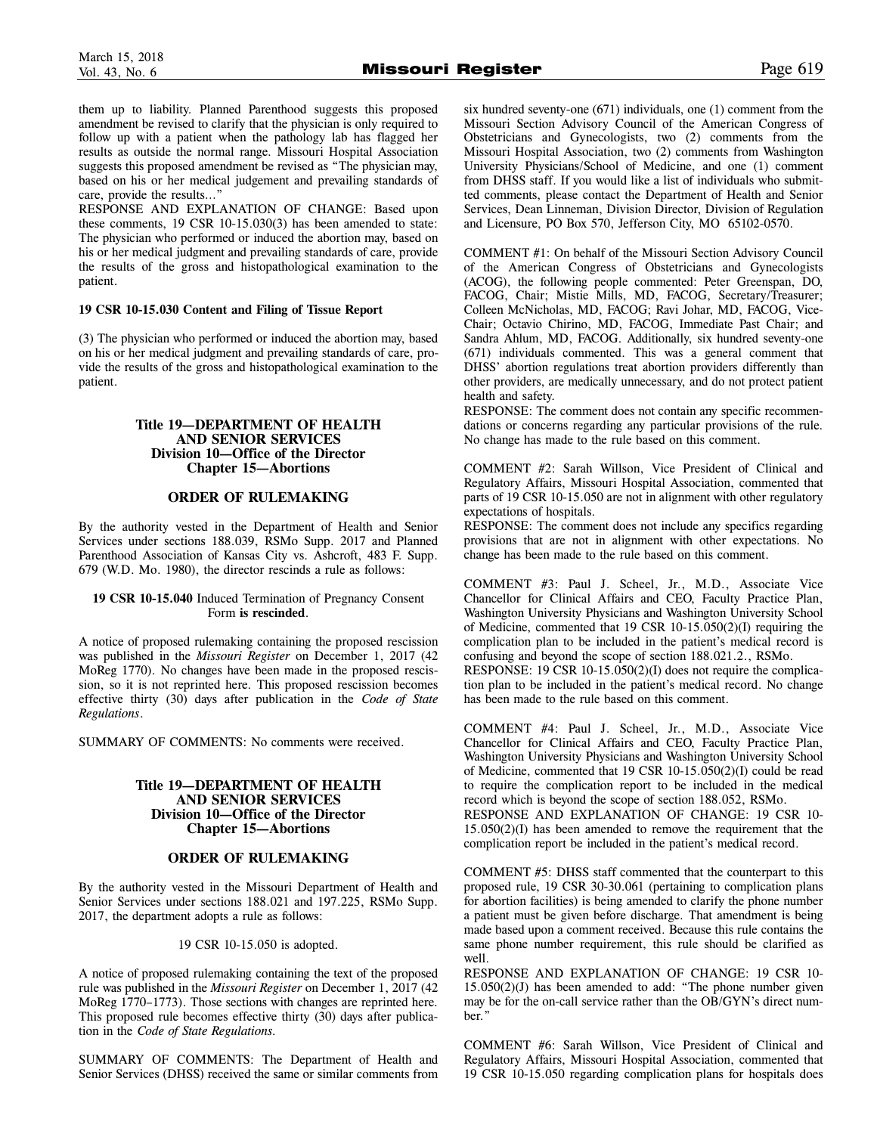them up to liability. Planned Parenthood suggests this proposed amendment be revised to clarify that the physician is only required to follow up with a patient when the pathology lab has flagged her results as outside the normal range. Missouri Hospital Association suggests this proposed amendment be revised as "The physician may, based on his or her medical judgement and prevailing standards of care, provide the results…"

RESPONSE AND EXPLANATION OF CHANGE: Based upon these comments, 19 CSR 10-15.030(3) has been amended to state: The physician who performed or induced the abortion may, based on his or her medical judgment and prevailing standards of care, provide the results of the gross and histopathological examination to the patient.

# **19 CSR 10-15.030 Content and Filing of Tissue Report**

(3) The physician who performed or induced the abortion may, based on his or her medical judgment and prevailing standards of care, provide the results of the gross and histopathological examination to the patient.

# **Title 19—DEPARTMENT OF HEALTH AND SENIOR SERVICES Division 10—Office of the Director Chapter 15—Abortions**

# **ORDER OF RULEMAKING**

By the authority vested in the Department of Health and Senior Services under sections 188.039, RSMo Supp. 2017 and Planned Parenthood Association of Kansas City vs. Ashcroft, 483 F. Supp. 679 (W.D. Mo. 1980), the director rescinds a rule as follows:

# **19 CSR 10-15.040** Induced Termination of Pregnancy Consent Form **is rescinded**.

A notice of proposed rulemaking containing the proposed rescission was published in the *Missouri Register* on December 1, 2017 (42 MoReg 1770). No changes have been made in the proposed rescission, so it is not reprinted here. This proposed rescission becomes effective thirty (30) days after publication in the *Code of State Regulations*.

SUMMARY OF COMMENTS: No comments were received.

# **Title 19—DEPARTMENT OF HEALTH AND SENIOR SERVICES Division 10—Office of the Director Chapter 15—Abortions**

# **ORDER OF RULEMAKING**

By the authority vested in the Missouri Department of Health and Senior Services under sections 188.021 and 197.225, RSMo Supp. 2017, the department adopts a rule as follows:

19 CSR 10-15.050 is adopted.

A notice of proposed rulemaking containing the text of the proposed rule was published in the *Missouri Register* on December 1, 2017 (42 MoReg 1770–1773). Those sections with changes are reprinted here. This proposed rule becomes effective thirty (30) days after publication in the *Code of State Regulations.*

SUMMARY OF COMMENTS: The Department of Health and Senior Services (DHSS) received the same or similar comments from

six hundred seventy-one (671) individuals, one (1) comment from the Missouri Section Advisory Council of the American Congress of Obstetricians and Gynecologists, two (2) comments from the Missouri Hospital Association, two (2) comments from Washington University Physicians/School of Medicine, and one (1) comment from DHSS staff. If you would like a list of individuals who submitted comments, please contact the Department of Health and Senior Services, Dean Linneman, Division Director, Division of Regulation and Licensure, PO Box 570, Jefferson City, MO 65102-0570.

COMMENT #1: On behalf of the Missouri Section Advisory Council of the American Congress of Obstetricians and Gynecologists (ACOG), the following people commented: Peter Greenspan, DO, FACOG, Chair; Mistie Mills, MD, FACOG, Secretary/Treasurer; Colleen McNicholas, MD, FACOG; Ravi Johar, MD, FACOG, Vice-Chair; Octavio Chirino, MD, FACOG, Immediate Past Chair; and Sandra Ahlum, MD, FACOG. Additionally, six hundred seventy-one (671) individuals commented. This was a general comment that DHSS' abortion regulations treat abortion providers differently than other providers, are medically unnecessary, and do not protect patient health and safety.

RESPONSE: The comment does not contain any specific recommendations or concerns regarding any particular provisions of the rule. No change has made to the rule based on this comment.

COMMENT #2: Sarah Willson, Vice President of Clinical and Regulatory Affairs, Missouri Hospital Association, commented that parts of 19 CSR 10-15.050 are not in alignment with other regulatory expectations of hospitals.

RESPONSE: The comment does not include any specifics regarding provisions that are not in alignment with other expectations. No change has been made to the rule based on this comment.

COMMENT #3: Paul J. Scheel, Jr., M.D., Associate Vice Chancellor for Clinical Affairs and CEO, Faculty Practice Plan, Washington University Physicians and Washington University School of Medicine, commented that 19 CSR 10-15.050(2)(I) requiring the complication plan to be included in the patient's medical record is confusing and beyond the scope of section 188.021.2., RSMo.

RESPONSE: 19 CSR 10-15.050(2)(I) does not require the complication plan to be included in the patient's medical record. No change has been made to the rule based on this comment.

COMMENT #4: Paul J. Scheel, Jr., M.D., Associate Vice Chancellor for Clinical Affairs and CEO, Faculty Practice Plan, Washington University Physicians and Washington University School of Medicine, commented that 19 CSR 10-15.050(2)(I) could be read to require the complication report to be included in the medical record which is beyond the scope of section 188.052, RSMo.

RESPONSE AND EXPLANATION OF CHANGE: 19 CSR 10- 15.050(2)(I) has been amended to remove the requirement that the complication report be included in the patient's medical record.

COMMENT #5: DHSS staff commented that the counterpart to this proposed rule, 19 CSR 30-30.061 (pertaining to complication plans for abortion facilities) is being amended to clarify the phone number a patient must be given before discharge. That amendment is being made based upon a comment received. Because this rule contains the same phone number requirement, this rule should be clarified as well.

RESPONSE AND EXPLANATION OF CHANGE: 19 CSR 10- 15.050(2)(J) has been amended to add: "The phone number given may be for the on-call service rather than the OB/GYN's direct number."

COMMENT #6: Sarah Willson, Vice President of Clinical and Regulatory Affairs, Missouri Hospital Association, commented that 19 CSR 10-15.050 regarding complication plans for hospitals does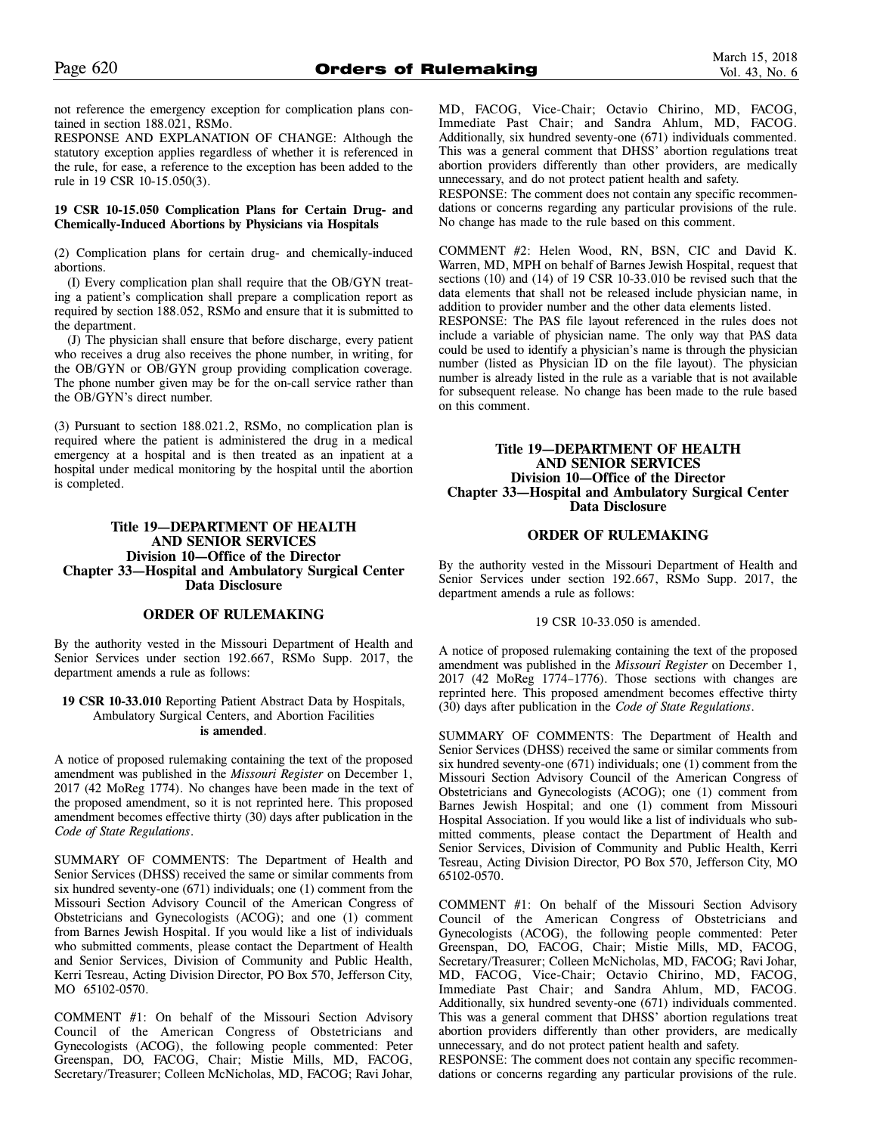not reference the emergency exception for complication plans contained in section 188.021, RSMo.

RESPONSE AND EXPLANATION OF CHANGE: Although the statutory exception applies regardless of whether it is referenced in the rule, for ease, a reference to the exception has been added to the rule in 19 CSR 10-15.050(3).

# **19 CSR 10-15.050 Complication Plans for Certain Drug- and Chemically-Induced Abortions by Physicians via Hospitals**

(2) Complication plans for certain drug- and chemically-induced abortions.

(I) Every complication plan shall require that the OB/GYN treating a patient's complication shall prepare a complication report as required by section 188.052, RSMo and ensure that it is submitted to the department.

(J) The physician shall ensure that before discharge, every patient who receives a drug also receives the phone number, in writing, for the OB/GYN or OB/GYN group providing complication coverage. The phone number given may be for the on-call service rather than the OB/GYN's direct number.

(3) Pursuant to section 188.021.2, RSMo, no complication plan is required where the patient is administered the drug in a medical emergency at a hospital and is then treated as an inpatient at a hospital under medical monitoring by the hospital until the abortion is completed.

# **Title 19—DEPARTMENT OF HEALTH AND SENIOR SERVICES Division 10—Office of the Director Chapter 33—Hospital and Ambulatory Surgical Center Data Disclosure**

# **ORDER OF RULEMAKING**

By the authority vested in the Missouri Department of Health and Senior Services under section 192.667, RSMo Supp. 2017, the department amends a rule as follows:

#### **19 CSR 10-33.010** Reporting Patient Abstract Data by Hospitals, Ambulatory Surgical Centers, and Abortion Facilities **is amended**.

A notice of proposed rulemaking containing the text of the proposed amendment was published in the *Missouri Register* on December 1, 2017 (42 MoReg 1774). No changes have been made in the text of the proposed amendment, so it is not reprinted here. This proposed amendment becomes effective thirty (30) days after publication in the *Code of State Regulations*.

SUMMARY OF COMMENTS: The Department of Health and Senior Services (DHSS) received the same or similar comments from six hundred seventy-one (671) individuals; one (1) comment from the Missouri Section Advisory Council of the American Congress of Obstetricians and Gynecologists (ACOG); and one (1) comment from Barnes Jewish Hospital. If you would like a list of individuals who submitted comments, please contact the Department of Health and Senior Services, Division of Community and Public Health, Kerri Tesreau, Acting Division Director, PO Box 570, Jefferson City, MO 65102-0570.

COMMENT #1: On behalf of the Missouri Section Advisory Council of the American Congress of Obstetricians and Gynecologists (ACOG), the following people commented: Peter Greenspan, DO, FACOG, Chair; Mistie Mills, MD, FACOG, Secretary/Treasurer; Colleen McNicholas, MD, FACOG; Ravi Johar, MD, FACOG, Vice-Chair; Octavio Chirino, MD, FACOG, Immediate Past Chair; and Sandra Ahlum, MD, FACOG. Additionally, six hundred seventy-one (671) individuals commented. This was a general comment that DHSS' abortion regulations treat abortion providers differently than other providers, are medically unnecessary, and do not protect patient health and safety.

RESPONSE: The comment does not contain any specific recommendations or concerns regarding any particular provisions of the rule. No change has made to the rule based on this comment.

COMMENT #2: Helen Wood, RN, BSN, CIC and David K. Warren, MD, MPH on behalf of Barnes Jewish Hospital, request that sections (10) and (14) of 19 CSR 10-33.010 be revised such that the data elements that shall not be released include physician name, in addition to provider number and the other data elements listed.

RESPONSE: The PAS file layout referenced in the rules does not include a variable of physician name. The only way that PAS data could be used to identify a physician's name is through the physician number (listed as Physician ID on the file layout). The physician number is already listed in the rule as a variable that is not available for subsequent release. No change has been made to the rule based on this comment.

# **Title 19—DEPARTMENT OF HEALTH AND SENIOR SERVICES Division 10—Office of the Director Chapter 33—Hospital and Ambulatory Surgical Center Data Disclosure**

# **ORDER OF RULEMAKING**

By the authority vested in the Missouri Department of Health and Senior Services under section 192.667, RSMo Supp. 2017, the department amends a rule as follows:

# 19 CSR 10-33.050 is amended.

A notice of proposed rulemaking containing the text of the proposed amendment was published in the *Missouri Register* on December 1, 2017 (42 MoReg 1774–1776). Those sections with changes are reprinted here. This proposed amendment becomes effective thirty (30) days after publication in the *Code of State Regulations*.

SUMMARY OF COMMENTS: The Department of Health and Senior Services (DHSS) received the same or similar comments from six hundred seventy-one (671) individuals; one (1) comment from the Missouri Section Advisory Council of the American Congress of Obstetricians and Gynecologists (ACOG); one (1) comment from Barnes Jewish Hospital; and one (1) comment from Missouri Hospital Association. If you would like a list of individuals who submitted comments, please contact the Department of Health and Senior Services, Division of Community and Public Health, Kerri Tesreau, Acting Division Director, PO Box 570, Jefferson City, MO 65102-0570.

COMMENT #1: On behalf of the Missouri Section Advisory Council of the American Congress of Obstetricians and Gynecologists (ACOG), the following people commented: Peter Greenspan, DO, FACOG, Chair; Mistie Mills, MD, FACOG, Secretary/Treasurer; Colleen McNicholas, MD, FACOG; Ravi Johar, MD, FACOG, Vice-Chair; Octavio Chirino, MD, FACOG, Immediate Past Chair; and Sandra Ahlum, MD, FACOG. Additionally, six hundred seventy-one (671) individuals commented. This was a general comment that DHSS' abortion regulations treat abortion providers differently than other providers, are medically unnecessary, and do not protect patient health and safety.

RESPONSE: The comment does not contain any specific recommendations or concerns regarding any particular provisions of the rule.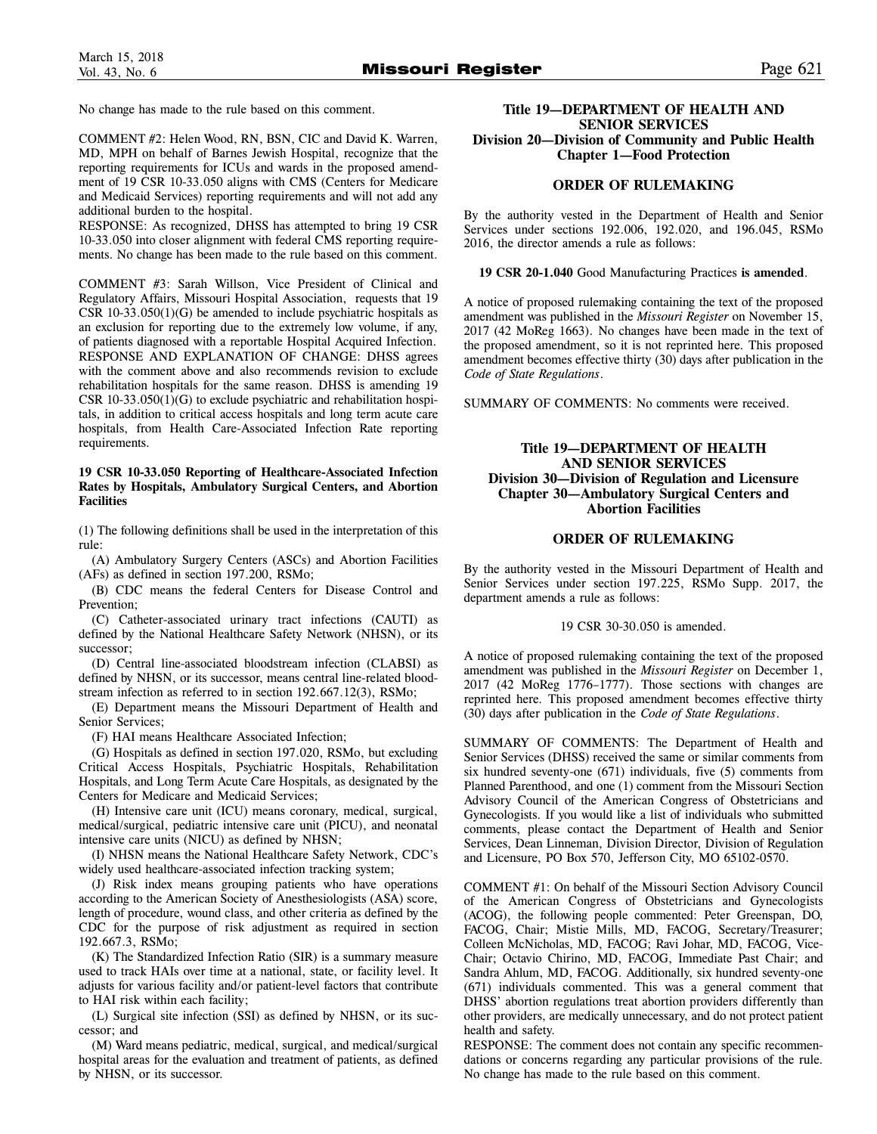No change has made to the rule based on this comment.

COMMENT #2: Helen Wood, RN, BSN, CIC and David K. Warren, MD, MPH on behalf of Barnes Jewish Hospital, recognize that the reporting requirements for ICUs and wards in the proposed amendment of 19 CSR 10-33.050 aligns with CMS (Centers for Medicare and Medicaid Services) reporting requirements and will not add any additional burden to the hospital.

RESPONSE: As recognized, DHSS has attempted to bring 19 CSR 10-33.050 into closer alignment with federal CMS reporting requirements. No change has been made to the rule based on this comment.

COMMENT #3: Sarah Willson, Vice President of Clinical and Regulatory Affairs, Missouri Hospital Association, requests that 19 CSR 10-33.050(1)(G) be amended to include psychiatric hospitals as an exclusion for reporting due to the extremely low volume, if any, of patients diagnosed with a reportable Hospital Acquired Infection. RESPONSE AND EXPLANATION OF CHANGE: DHSS agrees with the comment above and also recommends revision to exclude rehabilitation hospitals for the same reason. DHSS is amending 19 CSR 10-33.050(1)(G) to exclude psychiatric and rehabilitation hospitals, in addition to critical access hospitals and long term acute care hospitals, from Health Care-Associated Infection Rate reporting requirements.

# **19 CSR 10-33.050 Reporting of Healthcare-Associated Infection Rates by Hospitals, Ambulatory Surgical Centers, and Abortion Facilities**

(1) The following definitions shall be used in the interpretation of this rule:

(A) Ambulatory Surgery Centers (ASCs) and Abortion Facilities (AFs) as defined in section 197.200, RSMo;

(B) CDC means the federal Centers for Disease Control and Prevention;

(C) Catheter-associated urinary tract infections (CAUTI) as defined by the National Healthcare Safety Network (NHSN), or its successor;

(D) Central line-associated bloodstream infection (CLABSI) as defined by NHSN, or its successor, means central line-related bloodstream infection as referred to in section 192.667.12(3), RSMo;

(E) Department means the Missouri Department of Health and Senior Services;

(F) HAI means Healthcare Associated Infection;

(G) Hospitals as defined in section 197.020, RSMo, but excluding Critical Access Hospitals, Psychiatric Hospitals, Rehabilitation Hospitals, and Long Term Acute Care Hospitals, as designated by the Centers for Medicare and Medicaid Services;

(H) Intensive care unit (ICU) means coronary, medical, surgical, medical/surgical, pediatric intensive care unit (PICU), and neonatal intensive care units (NICU) as defined by NHSN;

(I) NHSN means the National Healthcare Safety Network, CDC's widely used healthcare-associated infection tracking system;

(J) Risk index means grouping patients who have operations according to the American Society of Anesthesiologists (ASA) score, length of procedure, wound class, and other criteria as defined by the CDC for the purpose of risk adjustment as required in section 192.667.3, RSMo;

(K) The Standardized Infection Ratio (SIR) is a summary measure used to track HAIs over time at a national, state, or facility level. It adjusts for various facility and/or patient-level factors that contribute to HAI risk within each facility;

(L) Surgical site infection (SSI) as defined by NHSN, or its successor; and

(M) Ward means pediatric, medical, surgical, and medical/surgical hospital areas for the evaluation and treatment of patients, as defined by NHSN, or its successor.

# **Title 19—DEPARTMENT OF HEALTH AND SENIOR SERVICES Division 20—Division of Community and Public Health Chapter 1—Food Protection**

# **ORDER OF RULEMAKING**

By the authority vested in the Department of Health and Senior Services under sections 192.006, 192.020, and 196.045, RSMo 2016, the director amends a rule as follows:

**19 CSR 20-1.040** Good Manufacturing Practices **is amended**.

A notice of proposed rulemaking containing the text of the proposed amendment was published in the *Missouri Register* on November 15, 2017 (42 MoReg 1663). No changes have been made in the text of the proposed amendment, so it is not reprinted here. This proposed amendment becomes effective thirty (30) days after publication in the *Code of State Regulations*.

SUMMARY OF COMMENTS: No comments were received.

# **Title 19—DEPARTMENT OF HEALTH AND SENIOR SERVICES Division 30—Division of Regulation and Licensure Chapter 30—Ambulatory Surgical Centers and Abortion Facilities**

# **ORDER OF RULEMAKING**

By the authority vested in the Missouri Department of Health and Senior Services under section 197.225, RSMo Supp. 2017, the department amends a rule as follows:

#### 19 CSR 30-30.050 is amended.

A notice of proposed rulemaking containing the text of the proposed amendment was published in the *Missouri Register* on December 1, 2017 (42 MoReg 1776–1777). Those sections with changes are reprinted here. This proposed amendment becomes effective thirty (30) days after publication in the *Code of State Regulations*.

SUMMARY OF COMMENTS: The Department of Health and Senior Services (DHSS) received the same or similar comments from six hundred seventy-one (671) individuals, five (5) comments from Planned Parenthood, and one (1) comment from the Missouri Section Advisory Council of the American Congress of Obstetricians and Gynecologists. If you would like a list of individuals who submitted comments, please contact the Department of Health and Senior Services, Dean Linneman, Division Director, Division of Regulation and Licensure, PO Box 570, Jefferson City, MO 65102-0570.

COMMENT #1: On behalf of the Missouri Section Advisory Council of the American Congress of Obstetricians and Gynecologists (ACOG), the following people commented: Peter Greenspan, DO, FACOG, Chair; Mistie Mills, MD, FACOG, Secretary/Treasurer; Colleen McNicholas, MD, FACOG; Ravi Johar, MD, FACOG, Vice-Chair; Octavio Chirino, MD, FACOG, Immediate Past Chair; and Sandra Ahlum, MD, FACOG. Additionally, six hundred seventy-one (671) individuals commented. This was a general comment that DHSS' abortion regulations treat abortion providers differently than other providers, are medically unnecessary, and do not protect patient health and safety.

RESPONSE: The comment does not contain any specific recommendations or concerns regarding any particular provisions of the rule. No change has made to the rule based on this comment.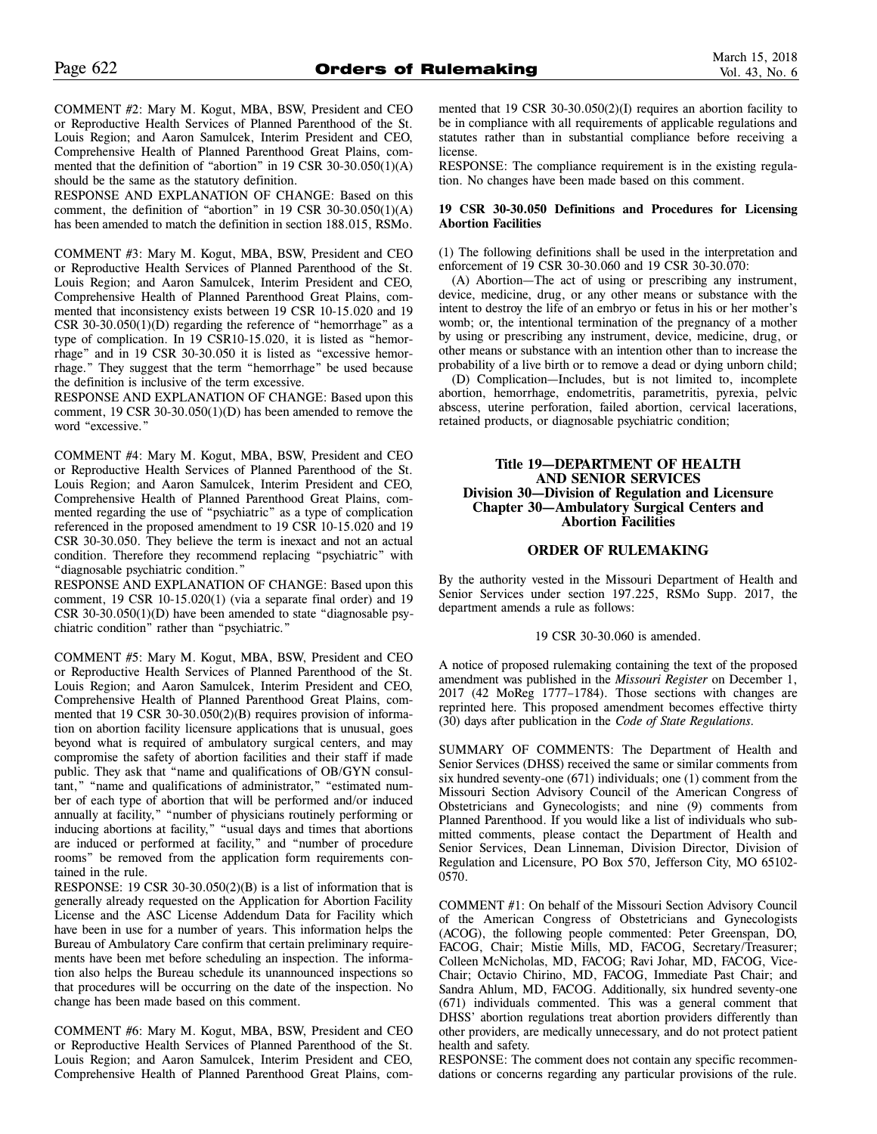COMMENT #2: Mary M. Kogut, MBA, BSW, President and CEO or Reproductive Health Services of Planned Parenthood of the St. Louis Region; and Aaron Samulcek, Interim President and CEO, Comprehensive Health of Planned Parenthood Great Plains, commented that the definition of "abortion" in 19 CSR 30-30.050(1)(A) should be the same as the statutory definition.

RESPONSE AND EXPLANATION OF CHANGE: Based on this comment, the definition of "abortion" in 19 CSR 30-30.050 $(1)(A)$ has been amended to match the definition in section 188.015, RSMo.

COMMENT #3: Mary M. Kogut, MBA, BSW, President and CEO or Reproductive Health Services of Planned Parenthood of the St. Louis Region; and Aaron Samulcek, Interim President and CEO, Comprehensive Health of Planned Parenthood Great Plains, commented that inconsistency exists between 19 CSR 10-15.020 and 19 CSR 30-30.050(1)(D) regarding the reference of "hemorrhage" as a type of complication. In 19 CSR10-15.020, it is listed as "hemorrhage" and in 19 CSR 30-30.050 it is listed as "excessive hemorrhage." They suggest that the term "hemorrhage" be used because the definition is inclusive of the term excessive.

RESPONSE AND EXPLANATION OF CHANGE: Based upon this comment, 19 CSR 30-30.050(1)(D) has been amended to remove the word "excessive."

COMMENT #4: Mary M. Kogut, MBA, BSW, President and CEO or Reproductive Health Services of Planned Parenthood of the St. Louis Region; and Aaron Samulcek, Interim President and CEO, Comprehensive Health of Planned Parenthood Great Plains, commented regarding the use of "psychiatric" as a type of complication referenced in the proposed amendment to 19 CSR 10-15.020 and 19 CSR 30-30.050. They believe the term is inexact and not an actual condition. Therefore they recommend replacing "psychiatric" with "diagnosable psychiatric condition."

RESPONSE AND EXPLANATION OF CHANGE: Based upon this comment, 19 CSR 10-15.020(1) (via a separate final order) and 19 CSR 30-30.050(1)(D) have been amended to state "diagnosable psychiatric condition" rather than "psychiatric."

COMMENT #5: Mary M. Kogut, MBA, BSW, President and CEO or Reproductive Health Services of Planned Parenthood of the St. Louis Region; and Aaron Samulcek, Interim President and CEO, Comprehensive Health of Planned Parenthood Great Plains, commented that 19 CSR 30-30.050(2)(B) requires provision of information on abortion facility licensure applications that is unusual, goes beyond what is required of ambulatory surgical centers, and may compromise the safety of abortion facilities and their staff if made public. They ask that "name and qualifications of OB/GYN consultant," "name and qualifications of administrator," "estimated number of each type of abortion that will be performed and/or induced annually at facility," "number of physicians routinely performing or inducing abortions at facility," "usual days and times that abortions are induced or performed at facility," and "number of procedure rooms" be removed from the application form requirements contained in the rule.

RESPONSE: 19 CSR 30-30.050(2)(B) is a list of information that is generally already requested on the Application for Abortion Facility License and the ASC License Addendum Data for Facility which have been in use for a number of years. This information helps the Bureau of Ambulatory Care confirm that certain preliminary requirements have been met before scheduling an inspection. The information also helps the Bureau schedule its unannounced inspections so that procedures will be occurring on the date of the inspection. No change has been made based on this comment.

COMMENT #6: Mary M. Kogut, MBA, BSW, President and CEO or Reproductive Health Services of Planned Parenthood of the St. Louis Region; and Aaron Samulcek, Interim President and CEO, Comprehensive Health of Planned Parenthood Great Plains, commented that 19 CSR 30-30.050(2)(I) requires an abortion facility to be in compliance with all requirements of applicable regulations and statutes rather than in substantial compliance before receiving a license.

RESPONSE: The compliance requirement is in the existing regulation. No changes have been made based on this comment.

#### **19 CSR 30-30.050 Definitions and Procedures for Licensing Abortion Facilities**

(1) The following definitions shall be used in the interpretation and enforcement of 19 CSR 30-30.060 and 19 CSR 30-30.070:

(A) Abortion—The act of using or prescribing any instrument, device, medicine, drug, or any other means or substance with the intent to destroy the life of an embryo or fetus in his or her mother's womb; or, the intentional termination of the pregnancy of a mother by using or prescribing any instrument, device, medicine, drug, or other means or substance with an intention other than to increase the probability of a live birth or to remove a dead or dying unborn child;

(D) Complication—Includes, but is not limited to, incomplete abortion, hemorrhage, endometritis, parametritis, pyrexia, pelvic abscess, uterine perforation, failed abortion, cervical lacerations, retained products, or diagnosable psychiatric condition;

# **Title 19—DEPARTMENT OF HEALTH AND SENIOR SERVICES Division 30—Division of Regulation and Licensure Chapter 30—Ambulatory Surgical Centers and Abortion Facilities**

# **ORDER OF RULEMAKING**

By the authority vested in the Missouri Department of Health and Senior Services under section 197.225, RSMo Supp. 2017, the department amends a rule as follows:

#### 19 CSR 30-30.060 is amended.

A notice of proposed rulemaking containing the text of the proposed amendment was published in the *Missouri Register* on December 1, 2017 (42 MoReg 1777–1784). Those sections with changes are reprinted here. This proposed amendment becomes effective thirty (30) days after publication in the *Code of State Regulations.*

SUMMARY OF COMMENTS: The Department of Health and Senior Services (DHSS) received the same or similar comments from six hundred seventy-one (671) individuals; one (1) comment from the Missouri Section Advisory Council of the American Congress of Obstetricians and Gynecologists; and nine (9) comments from Planned Parenthood. If you would like a list of individuals who submitted comments, please contact the Department of Health and Senior Services, Dean Linneman, Division Director, Division of Regulation and Licensure, PO Box 570, Jefferson City, MO 65102- 0570.

COMMENT #1: On behalf of the Missouri Section Advisory Council of the American Congress of Obstetricians and Gynecologists (ACOG), the following people commented: Peter Greenspan, DO, FACOG, Chair; Mistie Mills, MD, FACOG, Secretary/Treasurer; Colleen McNicholas, MD, FACOG; Ravi Johar, MD, FACOG, Vice-Chair; Octavio Chirino, MD, FACOG, Immediate Past Chair; and Sandra Ahlum, MD, FACOG. Additionally, six hundred seventy-one (671) individuals commented. This was a general comment that DHSS' abortion regulations treat abortion providers differently than other providers, are medically unnecessary, and do not protect patient health and safety.

RESPONSE: The comment does not contain any specific recommendations or concerns regarding any particular provisions of the rule.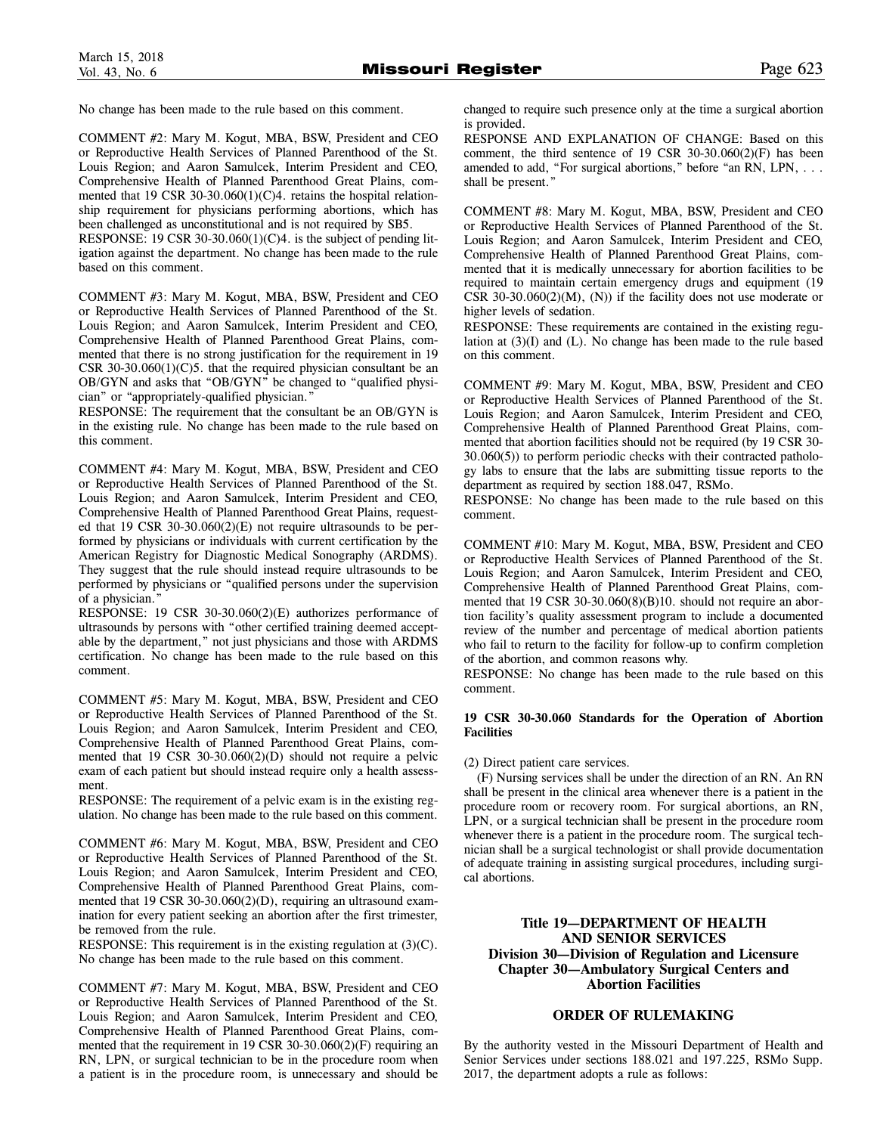No change has been made to the rule based on this comment.

COMMENT #2: Mary M. Kogut, MBA, BSW, President and CEO or Reproductive Health Services of Planned Parenthood of the St. Louis Region; and Aaron Samulcek, Interim President and CEO, Comprehensive Health of Planned Parenthood Great Plains, commented that 19 CSR 30-30.060(1)(C)4. retains the hospital relationship requirement for physicians performing abortions, which has been challenged as unconstitutional and is not required by SB5.

RESPONSE: 19 CSR 30-30.060 $(1)(C)$ 4. is the subject of pending litigation against the department. No change has been made to the rule based on this comment.

COMMENT #3: Mary M. Kogut, MBA, BSW, President and CEO or Reproductive Health Services of Planned Parenthood of the St. Louis Region; and Aaron Samulcek, Interim President and CEO, Comprehensive Health of Planned Parenthood Great Plains, commented that there is no strong justification for the requirement in 19 CSR 30-30.060 $(1)(C)$ 5. that the required physician consultant be an OB/GYN and asks that "OB/GYN" be changed to "qualified physician" or "appropriately-qualified physician."

RESPONSE: The requirement that the consultant be an OB/GYN is in the existing rule. No change has been made to the rule based on this comment.

COMMENT #4: Mary M. Kogut, MBA, BSW, President and CEO or Reproductive Health Services of Planned Parenthood of the St. Louis Region; and Aaron Samulcek, Interim President and CEO, Comprehensive Health of Planned Parenthood Great Plains, requested that 19 CSR 30-30.060(2)(E) not require ultrasounds to be performed by physicians or individuals with current certification by the American Registry for Diagnostic Medical Sonography (ARDMS). They suggest that the rule should instead require ultrasounds to be performed by physicians or "qualified persons under the supervision of a physician.'

RESPONSE: 19 CSR 30-30.060(2)(E) authorizes performance of ultrasounds by persons with "other certified training deemed acceptable by the department," not just physicians and those with ARDMS certification. No change has been made to the rule based on this comment.

COMMENT #5: Mary M. Kogut, MBA, BSW, President and CEO or Reproductive Health Services of Planned Parenthood of the St. Louis Region; and Aaron Samulcek, Interim President and CEO, Comprehensive Health of Planned Parenthood Great Plains, commented that 19 CSR 30-30.060(2)(D) should not require a pelvic exam of each patient but should instead require only a health assessment.

RESPONSE: The requirement of a pelvic exam is in the existing regulation. No change has been made to the rule based on this comment.

COMMENT #6: Mary M. Kogut, MBA, BSW, President and CEO or Reproductive Health Services of Planned Parenthood of the St. Louis Region; and Aaron Samulcek, Interim President and CEO, Comprehensive Health of Planned Parenthood Great Plains, commented that 19 CSR 30-30.060(2)(D), requiring an ultrasound examination for every patient seeking an abortion after the first trimester, be removed from the rule.

RESPONSE: This requirement is in the existing regulation at (3)(C). No change has been made to the rule based on this comment.

COMMENT #7: Mary M. Kogut, MBA, BSW, President and CEO or Reproductive Health Services of Planned Parenthood of the St. Louis Region; and Aaron Samulcek, Interim President and CEO, Comprehensive Health of Planned Parenthood Great Plains, commented that the requirement in 19 CSR 30-30.060(2)(F) requiring an RN, LPN, or surgical technician to be in the procedure room when a patient is in the procedure room, is unnecessary and should be

changed to require such presence only at the time a surgical abortion is provided.

RESPONSE AND EXPLANATION OF CHANGE: Based on this comment, the third sentence of 19 CSR 30-30.060(2)(F) has been amended to add, "For surgical abortions," before "an RN, LPN, . . . shall be present."

COMMENT #8: Mary M. Kogut, MBA, BSW, President and CEO or Reproductive Health Services of Planned Parenthood of the St. Louis Region; and Aaron Samulcek, Interim President and CEO, Comprehensive Health of Planned Parenthood Great Plains, commented that it is medically unnecessary for abortion facilities to be required to maintain certain emergency drugs and equipment (19 CSR 30-30.060 $(2)(M)$ ,  $(N)$ ) if the facility does not use moderate or higher levels of sedation.

RESPONSE: These requirements are contained in the existing regulation at (3)(I) and (L). No change has been made to the rule based on this comment.

COMMENT #9: Mary M. Kogut, MBA, BSW, President and CEO or Reproductive Health Services of Planned Parenthood of the St. Louis Region; and Aaron Samulcek, Interim President and CEO, Comprehensive Health of Planned Parenthood Great Plains, commented that abortion facilities should not be required (by 19 CSR 30- 30.060(5)) to perform periodic checks with their contracted pathology labs to ensure that the labs are submitting tissue reports to the department as required by section 188.047, RSMo.

RESPONSE: No change has been made to the rule based on this comment.

COMMENT #10: Mary M. Kogut, MBA, BSW, President and CEO or Reproductive Health Services of Planned Parenthood of the St. Louis Region; and Aaron Samulcek, Interim President and CEO, Comprehensive Health of Planned Parenthood Great Plains, commented that 19 CSR 30-30.060(8)(B)10. should not require an abortion facility's quality assessment program to include a documented review of the number and percentage of medical abortion patients who fail to return to the facility for follow-up to confirm completion of the abortion, and common reasons why.

RESPONSE: No change has been made to the rule based on this comment.

# **19 CSR 30-30.060 Standards for the Operation of Abortion Facilities**

(2) Direct patient care services.

(F) Nursing services shall be under the direction of an RN. An RN shall be present in the clinical area whenever there is a patient in the procedure room or recovery room. For surgical abortions, an RN, LPN, or a surgical technician shall be present in the procedure room whenever there is a patient in the procedure room. The surgical technician shall be a surgical technologist or shall provide documentation of adequate training in assisting surgical procedures, including surgical abortions.

# **Title 19—DEPARTMENT OF HEALTH AND SENIOR SERVICES Division 30—Division of Regulation and Licensure Chapter 30—Ambulatory Surgical Centers and Abortion Facilities**

# **ORDER OF RULEMAKING**

By the authority vested in the Missouri Department of Health and Senior Services under sections 188.021 and 197.225, RSMo Supp. 2017, the department adopts a rule as follows: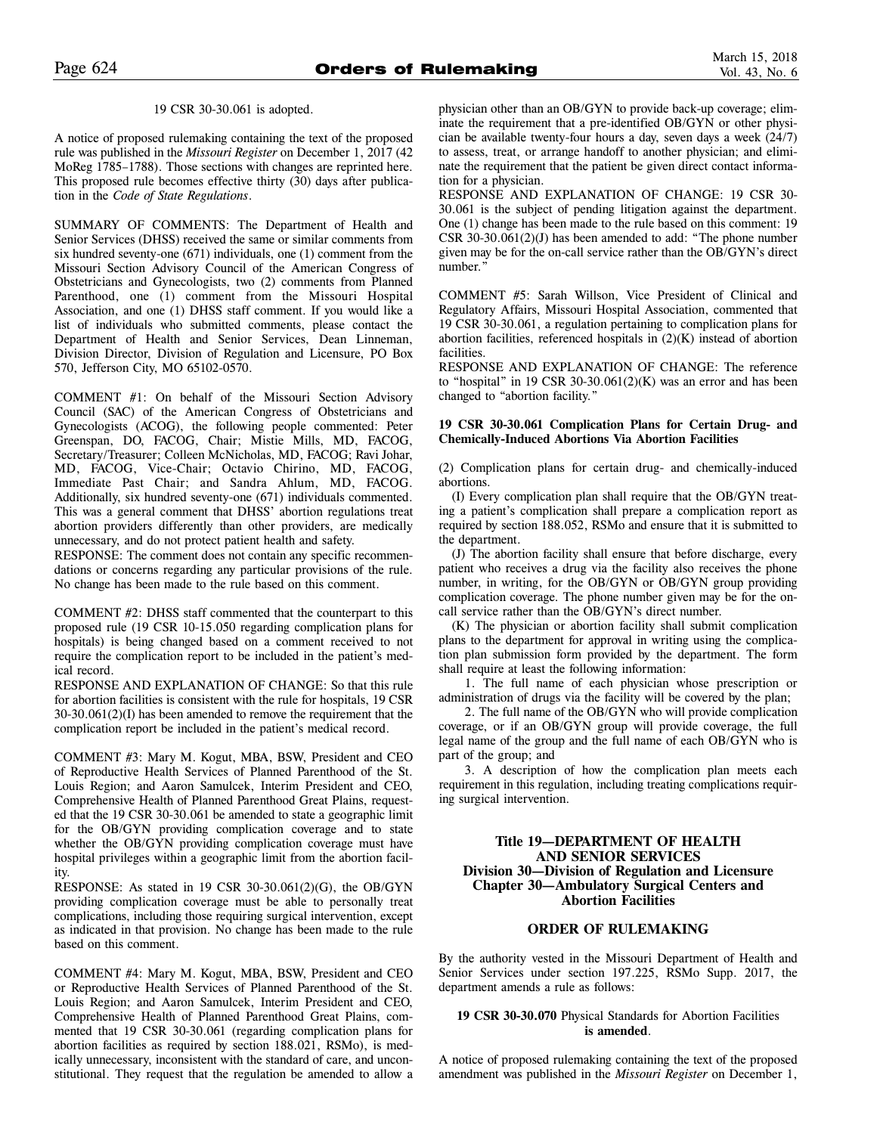#### 19 CSR 30-30.061 is adopted.

A notice of proposed rulemaking containing the text of the proposed rule was published in the *Missouri Register* on December 1, 2017 (42 MoReg 1785–1788). Those sections with changes are reprinted here. This proposed rule becomes effective thirty (30) days after publication in the *Code of State Regulations*.

SUMMARY OF COMMENTS: The Department of Health and Senior Services (DHSS) received the same or similar comments from six hundred seventy-one (671) individuals, one (1) comment from the Missouri Section Advisory Council of the American Congress of Obstetricians and Gynecologists, two (2) comments from Planned Parenthood, one (1) comment from the Missouri Hospital Association, and one (1) DHSS staff comment. If you would like a list of individuals who submitted comments, please contact the Department of Health and Senior Services, Dean Linneman, Division Director, Division of Regulation and Licensure, PO Box 570, Jefferson City, MO 65102-0570.

COMMENT #1: On behalf of the Missouri Section Advisory Council (SAC) of the American Congress of Obstetricians and Gynecologists (ACOG), the following people commented: Peter Greenspan, DO, FACOG, Chair; Mistie Mills, MD, FACOG, Secretary/Treasurer; Colleen McNicholas, MD, FACOG; Ravi Johar, MD, FACOG, Vice-Chair; Octavio Chirino, MD, FACOG, Immediate Past Chair; and Sandra Ahlum, MD, FACOG. Additionally, six hundred seventy-one (671) individuals commented. This was a general comment that DHSS' abortion regulations treat abortion providers differently than other providers, are medically unnecessary, and do not protect patient health and safety.

RESPONSE: The comment does not contain any specific recommendations or concerns regarding any particular provisions of the rule. No change has been made to the rule based on this comment.

COMMENT #2: DHSS staff commented that the counterpart to this proposed rule (19 CSR 10-15.050 regarding complication plans for hospitals) is being changed based on a comment received to not require the complication report to be included in the patient's medical record.

RESPONSE AND EXPLANATION OF CHANGE: So that this rule for abortion facilities is consistent with the rule for hospitals, 19 CSR 30-30.061(2)(I) has been amended to remove the requirement that the complication report be included in the patient's medical record.

COMMENT #3: Mary M. Kogut, MBA, BSW, President and CEO of Reproductive Health Services of Planned Parenthood of the St. Louis Region; and Aaron Samulcek, Interim President and CEO, Comprehensive Health of Planned Parenthood Great Plains, requested that the 19 CSR 30-30.061 be amended to state a geographic limit for the OB/GYN providing complication coverage and to state whether the OB/GYN providing complication coverage must have hospital privileges within a geographic limit from the abortion facility.

RESPONSE: As stated in 19 CSR 30-30.061(2)(G), the OB/GYN providing complication coverage must be able to personally treat complications, including those requiring surgical intervention, except as indicated in that provision. No change has been made to the rule based on this comment.

COMMENT #4: Mary M. Kogut, MBA, BSW, President and CEO or Reproductive Health Services of Planned Parenthood of the St. Louis Region; and Aaron Samulcek, Interim President and CEO, Comprehensive Health of Planned Parenthood Great Plains, commented that 19 CSR 30-30.061 (regarding complication plans for abortion facilities as required by section 188.021, RSMo), is medically unnecessary, inconsistent with the standard of care, and unconstitutional. They request that the regulation be amended to allow a

physician other than an OB/GYN to provide back-up coverage; eliminate the requirement that a pre-identified OB/GYN or other physician be available twenty-four hours a day, seven days a week (24/7) to assess, treat, or arrange handoff to another physician; and eliminate the requirement that the patient be given direct contact information for a physician.

RESPONSE AND EXPLANATION OF CHANGE: 19 CSR 30- 30.061 is the subject of pending litigation against the department. One (1) change has been made to the rule based on this comment: 19 CSR 30-30.061(2)(J) has been amended to add: "The phone number given may be for the on-call service rather than the OB/GYN's direct number."

COMMENT #5: Sarah Willson, Vice President of Clinical and Regulatory Affairs, Missouri Hospital Association, commented that 19 CSR 30-30.061, a regulation pertaining to complication plans for abortion facilities, referenced hospitals in  $(2)(K)$  instead of abortion facilities.

RESPONSE AND EXPLANATION OF CHANGE: The reference to "hospital" in 19 CSR 30-30.061 $(2)(K)$  was an error and has been changed to "abortion facility."

## **19 CSR 30-30.061 Complication Plans for Certain Drug- and Chemically-Induced Abortions Via Abortion Facilities**

(2) Complication plans for certain drug- and chemically-induced abortions.

(I) Every complication plan shall require that the OB/GYN treating a patient's complication shall prepare a complication report as required by section 188.052, RSMo and ensure that it is submitted to the department.

(J) The abortion facility shall ensure that before discharge, every patient who receives a drug via the facility also receives the phone number, in writing, for the OB/GYN or OB/GYN group providing complication coverage. The phone number given may be for the oncall service rather than the OB/GYN's direct number.

(K) The physician or abortion facility shall submit complication plans to the department for approval in writing using the complication plan submission form provided by the department. The form shall require at least the following information:

1. The full name of each physician whose prescription or administration of drugs via the facility will be covered by the plan;

2. The full name of the OB/GYN who will provide complication coverage, or if an OB/GYN group will provide coverage, the full legal name of the group and the full name of each OB/GYN who is part of the group; and

3. A description of how the complication plan meets each requirement in this regulation, including treating complications requiring surgical intervention.

# **Title 19—DEPARTMENT OF HEALTH AND SENIOR SERVICES Division 30—Division of Regulation and Licensure Chapter 30—Ambulatory Surgical Centers and Abortion Facilities**

# **ORDER OF RULEMAKING**

By the authority vested in the Missouri Department of Health and Senior Services under section 197.225, RSMo Supp. 2017, the department amends a rule as follows:

#### **19 CSR 30-30.070** Physical Standards for Abortion Facilities **is amended**.

A notice of proposed rulemaking containing the text of the proposed amendment was published in the *Missouri Register* on December 1,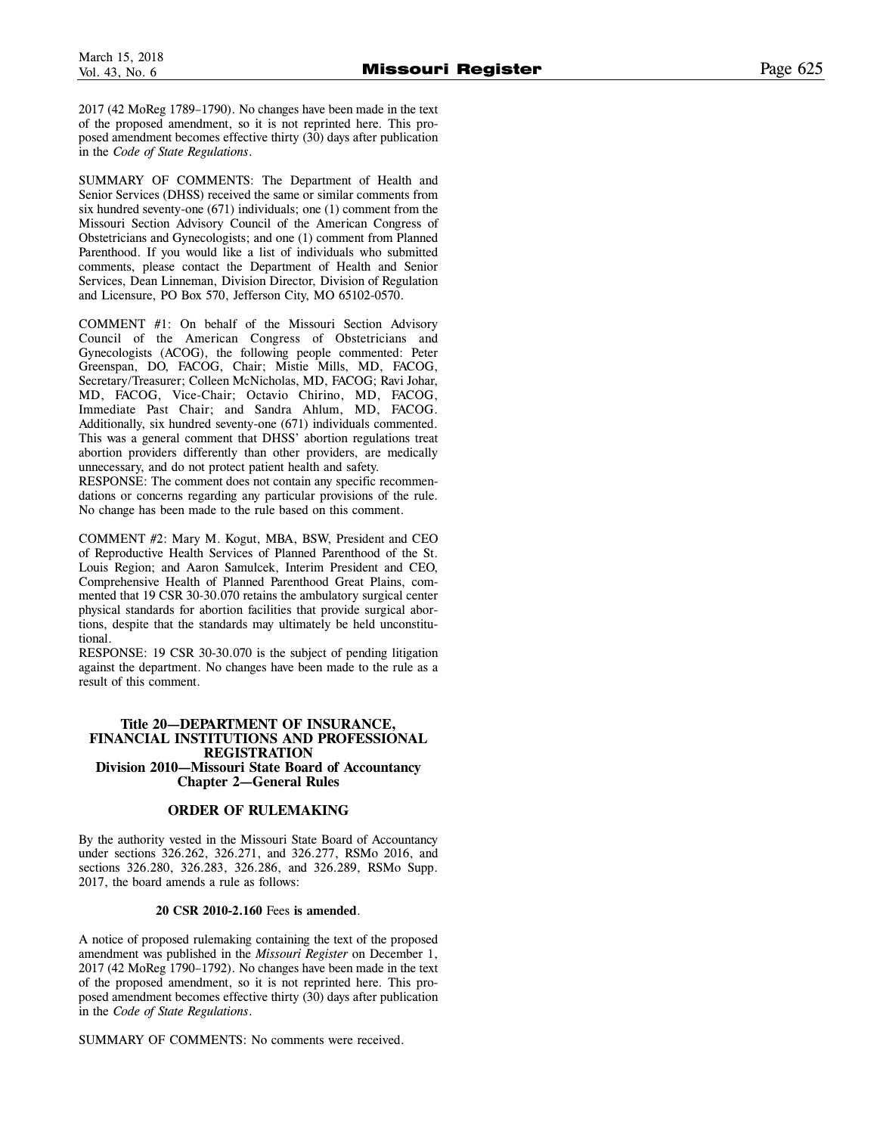2017 (42 MoReg 1789–1790). No changes have been made in the text of the proposed amendment, so it is not reprinted here. This proposed amendment becomes effective thirty (30) days after publication in the *Code of State Regulations* .

SUMMARY OF COMMENTS: The Department of Health and Senior Services (DHSS) received the same or similar comments from six hundred seventy-one (671) individuals; one (1) comment from the Missouri Section Advisory Council of the American Congress of Obstetricians and Gynecologists; and one (1) comment from Planned Parenthood. If you would like a list of individuals who submitted comments, please contact the Department of Health and Senior Services, Dean Linneman, Division Director, Division of Regulation and Licensure, PO Box 570, Jefferson City, MO 65102-0570.

COMMENT #1: On behalf of the Missouri Section Advisory Council of the American Congress of Obstetricians and Gynecologists (ACOG), the following people commented: Peter Greenspan, DO, FACOG, Chair; Mistie Mills, MD, FACOG, Secretary/Treasurer; Colleen McNicholas, MD, FACOG; Ravi Johar, MD, FACOG, Vice-Chair; Octavio Chirino, MD, FACOG, Immediate Past Chair; and Sandra Ahlum, MD, FACOG. Additionally, six hundred seventy-one (671) individuals commented. This was a general comment that DHSS' abortion regulations treat abortion providers differently than other providers, are medically unnecessary, and do not protect patient health and safety.

RESPONSE: The comment does not contain any specific recommendations or concerns regarding any particular provisions of the rule. No change has been made to the rule based on this comment.

COMMENT #2: Mary M. Kogut, MBA, BSW, President and CEO of Reproductive Health Services of Planned Parenthood of the St. Louis Region; and Aaron Samulcek, Interim President and CEO, Comprehensive Health of Planned Parenthood Great Plains, commented that 19 CSR 30-30.070 retains the ambulatory surgical center physical standards for abortion facilities that provide surgical abortions, despite that the standards may ultimately be held unconstitutional.

RESPONSE: 19 CSR 30-30.070 is the subject of pending litigation against the department. No changes have been made to the rule as a result of this comment.

# **Title 20—DEPARTMENT OF INSURANCE, FINANCIAL INSTITUTIONS AND PROFESSIONAL REGISTRATION Division 2010—Missouri State Board of Accountancy Chapter 2—General Rules**

# **ORDER OF RULEMAKING**

By the authority vested in the Missouri State Board of Accountancy under sections 326.262, 326.271, and 326.277, RSMo 2016, and sections 326.280, 326.283, 326.286, and 326.289, RSMo Supp. 2017, the board amends a rule as follows:

# **20 CSR 2010-2.160** Fees **is amended** .

A notice of proposed rulemaking containing the text of the proposed amendment was published in the *Missouri Register* on December 1, 2017 (42 MoReg 1790–1792). No changes have been made in the text of the proposed amendment, so it is not reprinted here. This proposed amendment becomes effective thirty (30) days after publication in the *Code of State Regulations* .

SUMMARY OF COMMENTS: No comments were received.